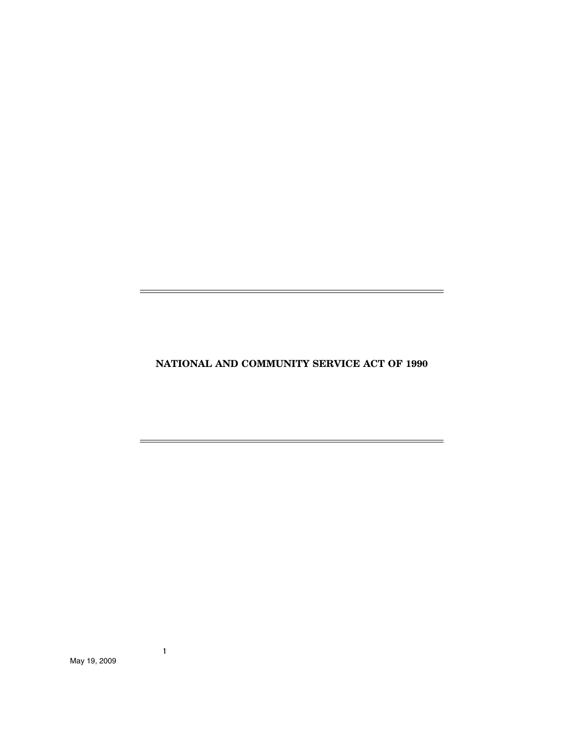**NATIONAL AND COMMUNITY SERVICE ACT OF 1990**

 $\overline{\phantom{0}}$ 

i.

 $=$ 

 $\equiv$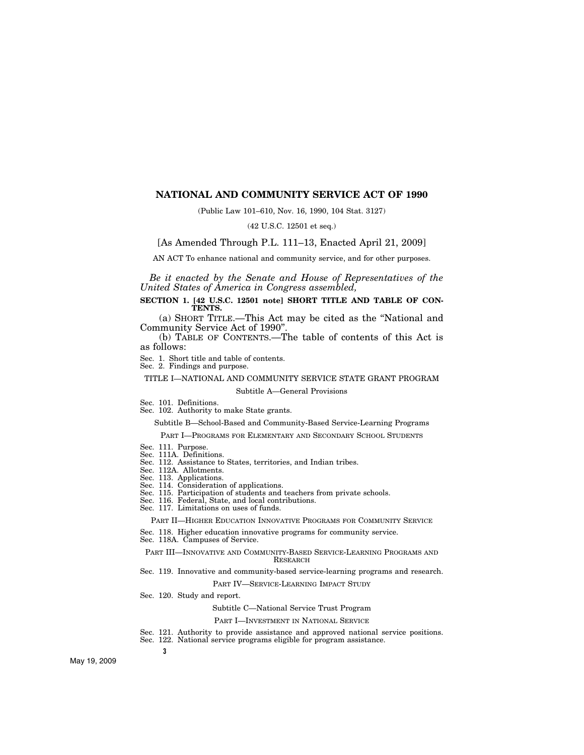## **NATIONAL AND COMMUNITY SERVICE ACT OF 1990**

(Public Law 101–610, Nov. 16, 1990, 104 Stat. 3127)

(42 U.S.C. 12501 et seq.)

[As Amended Through P.L. 111–13, Enacted April 21, 2009]

AN ACT To enhance national and community service, and for other purposes.

*Be it enacted by the Senate and House of Representatives of the United States of America in Congress assembled,* 

**SECTION 1. [42 U.S.C. 12501 note] SHORT TITLE AND TABLE OF CON-TENTS.** 

(a) SHORT TITLE.—This Act may be cited as the ''National and Community Service Act of 1990''.

(b) TABLE OF CONTENTS.—The table of contents of this Act is as follows:

Sec. 1. Short title and table of contents.

Sec. 2. Findings and purpose.

TITLE I—NATIONAL AND COMMUNITY SERVICE STATE GRANT PROGRAM

Subtitle A—General Provisions

Sec. 101. Definitions.

Sec. 102. Authority to make State grants.

Subtitle B—School-Based and Community-Based Service-Learning Programs

PART I—PROGRAMS FOR ELEMENTARY AND SECONDARY SCHOOL STUDENTS

- Sec. 111. Purpose.
- Sec. 111A. Definitions.
- Sec. 112. Assistance to States, territories, and Indian tribes.
- Sec. 112A. Allotments.
- Sec. 113. Applications. Sec. 114. Consideration of applications.
- Sec. 115. Participation of students and teachers from private schools.
- Sec. 116. Federal, State, and local contributions.
- Sec. 117. Limitations on uses of funds.

PART II—HIGHER EDUCATION INNOVATIVE PROGRAMS FOR COMMUNITY SERVICE

Sec. 118. Higher education innovative programs for community service.

Sec. 118A. Campuses of Service.

PART III—INNOVATIVE AND COMMUNITY-BASED SERVICE-LEARNING PROGRAMS AND RESEARCH

Sec. 119. Innovative and community-based service-learning programs and research.

PART IV—SERVICE-LEARNING IMPACT STUDY

Sec. 120. Study and report.

Subtitle C—National Service Trust Program

#### PART I—INVESTMENT IN NATIONAL SERVICE

- Sec. 121. Authority to provide assistance and approved national service positions.
- Sec. 122. National service programs eligible for program assistance.

**3**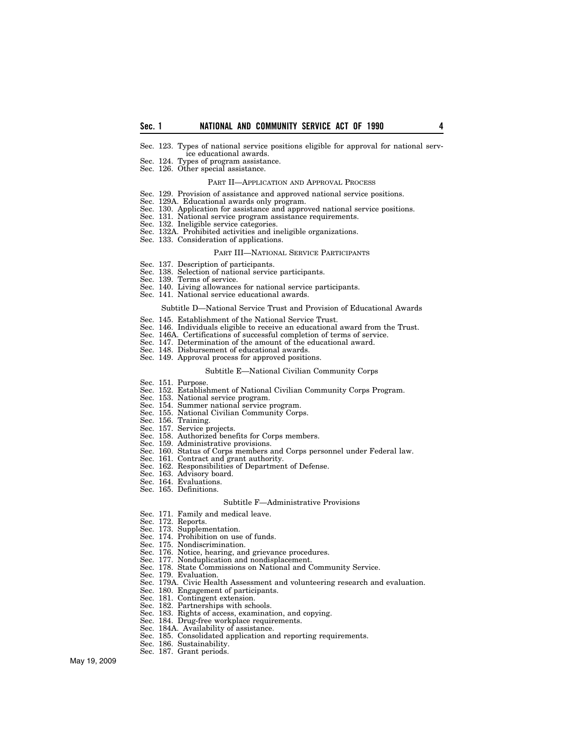- Sec. 123. Types of national service positions eligible for approval for national service educational awards.
- Sec. 124. Types of program assistance.
- Sec. 126. Other special assistance.

## PART II—APPLICATION AND APPROVAL PROCESS

- Sec. 129. Provision of assistance and approved national service positions.
- Sec. 129A. Educational awards only program.
- Sec. 130. Application for assistance and approved national service positions.
- Sec. 131. National service program assistance requirements.
- Sec. 132. Ineligible service categories.
- Sec. 132A. Prohibited activities and ineligible organizations.
- Sec. 133. Consideration of applications.

#### PART III—NATIONAL SERVICE PARTICIPANTS

- Sec. 137. Description of participants.
- Sec. 138. Selection of national service participants.
- Sec. 139. Terms of service.
- Sec. 140. Living allowances for national service participants.
- Sec. 141. National service educational awards.

#### Subtitle D—National Service Trust and Provision of Educational Awards

- Sec. 145. Establishment of the National Service Trust.
- Sec. 146. Individuals eligible to receive an educational award from the Trust.
- Sec. 146A. Certifications of successful completion of terms of service.
- Sec. 147. Determination of the amount of the educational award.
- Sec. 148. Disbursement of educational awards.
- Sec. 149. Approval process for approved positions.

#### Subtitle E—National Civilian Community Corps

- 
- Sec. 151. Purpose.<br>Sec. 152. Establis Sec. 152. Establishment of National Civilian Community Corps Program.<br>Sec. 153. National service program.
- Sec. 153. National service program.
- Sec. 154. Summer national service program.
- Sec. 155. National Civilian Community Corps.<br>Sec. 156. Training.
- Sec. 156. Training.<br>Sec. 157. Service pr<br>Sec. 158. Authorize
- Sec. 157. Service projects.
- Sec. 158. Authorized benefits for Corps members.
- 
- Sec. 159. Administrative provisions.<br>Sec. 160. Status of Corps members a Sec. 160. Status of Corps members and Corps personnel under Federal law.
- Sec. 161. Contract and grant authority.<br>Sec. 162. Responsibilities of Departmen
- Responsibilities of Department of Defense.
- Sec. 163. Advisory board.
- Sec. 164. Evaluations.
- Sec. 165. Definitions.

#### Subtitle F—Administrative Provisions

- Sec. 171. Family and medical leave.
- Sec. 172. Reports.
- Sec. 173. Supplementation.
- Sec. 174. Prohibition on use of funds.
- Sec. 175. Nondiscrimination.
- 
- Sec. 177. Nonduplication and nondisplacement.
- Sec. 176. Notice, hearing, and grievance procedures.<br>Sec. 177. Nonduplication and nondisplacement.<br>Sec. 178. State Commissions on National and Comm Sec. 178. State Commissions on National and Community Service.
- Sec. 179. Evaluation.
- Sec. 179A. Civic Health Assessment and volunteering research and evaluation.
- Sec. 180. Engagement of participants.<br>Sec. 181. Contingent extension.
- Contingent extension.
- Sec. 182. Partnerships with schools.
- Sec. 183. Rights of access, examination, and copying.
- Sec. 184. Drug-free workplace requirements.
- 
- Sec. 184A. Availability of assistance. Sec. 185. Consolidated application and reporting requirements.
- Sec. 186. Sustainability.
- Sec. 187. Grant periods.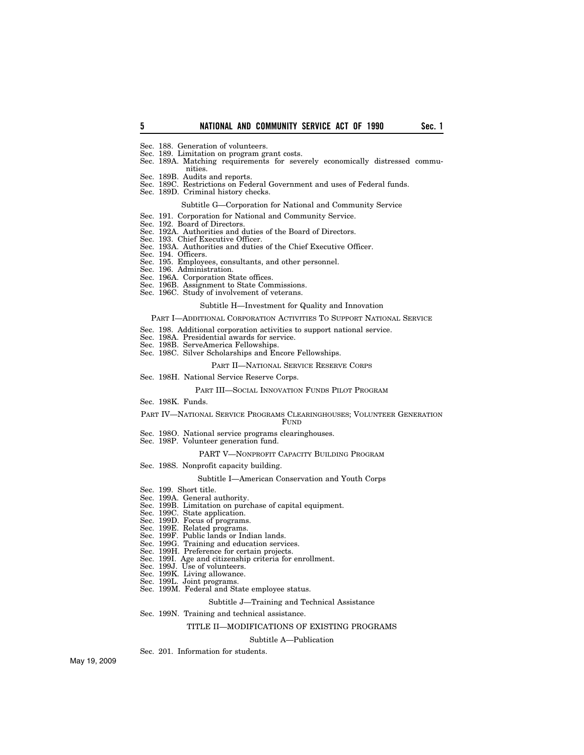- Sec. 188. Generation of volunteers.
- Sec. 189. Limitation on program grant costs.
- Sec. 189A. Matching requirements for severely economically distressed communities.
- Sec. 189B. Audits and reports.
- Sec. 189C. Restrictions on Federal Government and uses of Federal funds.
- Sec. 189D. Criminal history checks.

## Subtitle G—Corporation for National and Community Service

- Sec. 191. Corporation for National and Community Service.
- Sec. 192. Board of Directors.
- Sec. 192A. Authorities and duties of the Board of Directors.
- Sec. 193. Chief Executive Officer.
- Sec. 193A. Authorities and duties of the Chief Executive Officer.
- Sec. 194. Officers.
- Sec. 195. Employees, consultants, and other personnel.
- Sec. 196. Administration.
- Sec. 196A. Corporation State offices.
- Sec. 196B. Assignment to State Commissions.
- Sec. 196C. Study of involvement of veterans.

## Subtitle H—Investment for Quality and Innovation

#### PART I—ADDITIONAL CORPORATION ACTIVITIES TO SUPPORT NATIONAL SERVICE

- Sec. 198. Additional corporation activities to support national service.
- Sec. 198A. Presidential awards for service.
- Sec. 198B. ServeAmerica Fellowships.
- Sec. 198C. Silver Scholarships and Encore Fellowships.

## PART II—NATIONAL SERVICE RESERVE CORPS

### Sec. 198H. National Service Reserve Corps.

#### PART III—SOCIAL INNOVATION FUNDS PILOT PROGRAM

Sec. 198K. Funds.

#### PART IV—NATIONAL SERVICE PROGRAMS CLEARINGHOUSES; VOLUNTEER GENERATION

#### FUND

- Sec. 198O. National service programs clearinghouses.
- Sec. 198P. Volunteer generation fund.

## PART V—NONPROFIT CAPACITY BUILDING PROGRAM

Sec. 198S. Nonprofit capacity building.

## Subtitle I—American Conservation and Youth Corps

- Sec. 199. Short title.
- Sec. 199A. General authority.
- Sec. 199B. Limitation on purchase of capital equipment.
- Sec. 199C. State application.
- Sec. 199D. Focus of programs.
- Sec. 199E. Related programs.
- Sec. 199F. Public lands or Indian lands.
- Sec. 199G. Training and education services.
- Sec. 199H. Preference for certain projects.
- Sec. 199I. Age and citizenship criteria for enrollment.
- Sec. 199J. Use of volunteers.
- Sec. 199K. Living allowance.
- Sec. 199L. Joint programs.
- Sec. 199M. Federal and State employee status.

## Subtitle J—Training and Technical Assistance

### Sec. 199N. Training and technical assistance.

#### TITLE II—MODIFICATIONS OF EXISTING PROGRAMS

#### Subtitle A—Publication

Sec. 201. Information for students.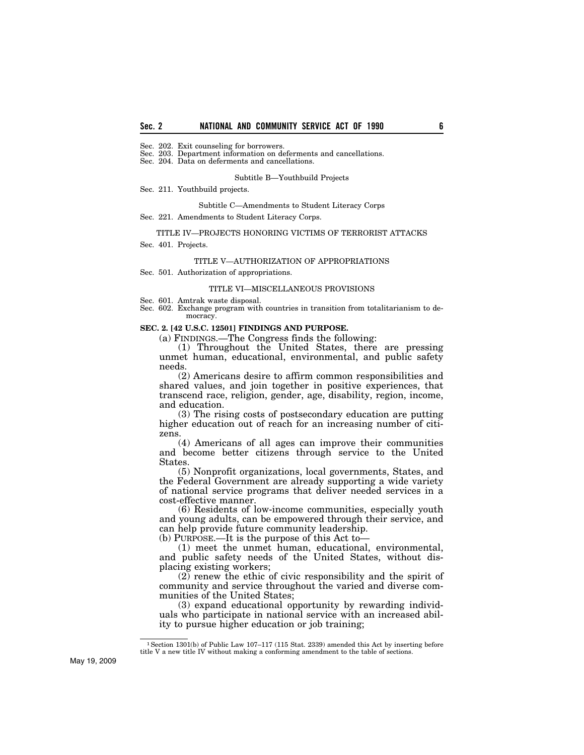Sec. 202. Exit counseling for borrowers.

Sec. 203. Department information on deferments and cancellations.

Sec. 204. Data on deferments and cancellations.

Subtitle B—Youthbuild Projects

Sec. 211. Youthbuild projects.

Subtitle C—Amendments to Student Literacy Corps

Sec. 221. Amendments to Student Literacy Corps.

#### TITLE IV—PROJECTS HONORING VICTIMS OF TERRORIST ATTACKS

Sec. 401. Projects.

#### TITLE V—AUTHORIZATION OF APPROPRIATIONS

Sec. 501. Authorization of appropriations.

#### TITLE VI—MISCELLANEOUS PROVISIONS

Sec. 601. Amtrak waste disposal.

Sec. 602. Exchange program with countries in transition from totalitarianism to democracy.

#### **SEC. 2. [42 U.S.C. 12501] FINDINGS AND PURPOSE.**

(a) FINDINGS.—The Congress finds the following:

(1) Throughout the United States, there are pressing unmet human, educational, environmental, and public safety needs.

(2) Americans desire to affirm common responsibilities and shared values, and join together in positive experiences, that transcend race, religion, gender, age, disability, region, income, and education.

(3) The rising costs of postsecondary education are putting higher education out of reach for an increasing number of citizens.

(4) Americans of all ages can improve their communities and become better citizens through service to the United States.

(5) Nonprofit organizations, local governments, States, and the Federal Government are already supporting a wide variety of national service programs that deliver needed services in a cost-effective manner.

(6) Residents of low-income communities, especially youth and young adults, can be empowered through their service, and can help provide future community leadership.

(b) PURPOSE.—It is the purpose of this Act to—

(1) meet the unmet human, educational, environmental, and public safety needs of the United States, without displacing existing workers;

(2) renew the ethic of civic responsibility and the spirit of community and service throughout the varied and diverse communities of the United States;

(3) expand educational opportunity by rewarding individuals who participate in national service with an increased ability to pursue higher education or job training;

<sup>1</sup>Section 1301(b) of Public Law 107–117 (115 Stat. 2339) amended this Act by inserting before title V a new title IV without making a conforming amendment to the table of sections.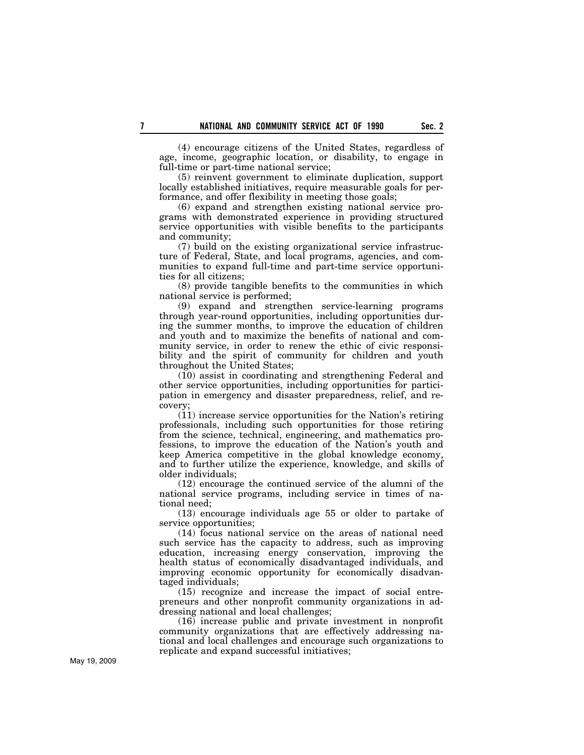(4) encourage citizens of the United States, regardless of age, income, geographic location, or disability, to engage in full-time or part-time national service;

(5) reinvent government to eliminate duplication, support locally established initiatives, require measurable goals for performance, and offer flexibility in meeting those goals;

(6) expand and strengthen existing national service programs with demonstrated experience in providing structured service opportunities with visible benefits to the participants and community;

(7) build on the existing organizational service infrastructure of Federal, State, and local programs, agencies, and communities to expand full-time and part-time service opportunities for all citizens;

(8) provide tangible benefits to the communities in which national service is performed;

(9) expand and strengthen service-learning programs through year-round opportunities, including opportunities during the summer months, to improve the education of children and youth and to maximize the benefits of national and community service, in order to renew the ethic of civic responsibility and the spirit of community for children and youth throughout the United States;

(10) assist in coordinating and strengthening Federal and other service opportunities, including opportunities for participation in emergency and disaster preparedness, relief, and recovery;

(11) increase service opportunities for the Nation's retiring professionals, including such opportunities for those retiring from the science, technical, engineering, and mathematics professions, to improve the education of the Nation's youth and keep America competitive in the global knowledge economy, and to further utilize the experience, knowledge, and skills of older individuals;

(12) encourage the continued service of the alumni of the national service programs, including service in times of national need;

(13) encourage individuals age 55 or older to partake of service opportunities;

(14) focus national service on the areas of national need such service has the capacity to address, such as improving education, increasing energy conservation, improving the health status of economically disadvantaged individuals, and improving economic opportunity for economically disadvantaged individuals;

(15) recognize and increase the impact of social entrepreneurs and other nonprofit community organizations in addressing national and local challenges;

(16) increase public and private investment in nonprofit community organizations that are effectively addressing national and local challenges and encourage such organizations to replicate and expand successful initiatives;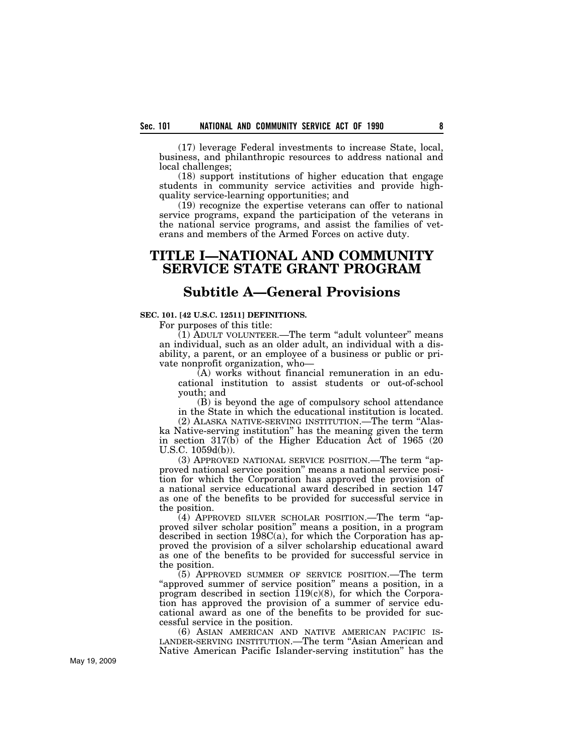(17) leverage Federal investments to increase State, local, business, and philanthropic resources to address national and local challenges;

(18) support institutions of higher education that engage students in community service activities and provide highquality service-learning opportunities; and

(19) recognize the expertise veterans can offer to national service programs, expand the participation of the veterans in the national service programs, and assist the families of veterans and members of the Armed Forces on active duty.

# **TITLE I—NATIONAL AND COMMUNITY SERVICE STATE GRANT PROGRAM**

# **Subtitle A—General Provisions**

## **SEC. 101. [42 U.S.C. 12511] DEFINITIONS.**

For purposes of this title:

(1) ADULT VOLUNTEER.—The term ''adult volunteer'' means an individual, such as an older adult, an individual with a disability, a parent, or an employee of a business or public or private nonprofit organization, who—

(A) works without financial remuneration in an educational institution to assist students or out-of-school youth; and

(B) is beyond the age of compulsory school attendance in the State in which the educational institution is located.

(2) ALASKA NATIVE-SERVING INSTITUTION.—The term ''Alaska Native-serving institution'' has the meaning given the term in section 317(b) of the Higher Education Act of 1965 (20 U.S.C. 1059d(b)).

(3) APPROVED NATIONAL SERVICE POSITION.—The term ''approved national service position'' means a national service position for which the Corporation has approved the provision of a national service educational award described in section 147 as one of the benefits to be provided for successful service in the position.

(4) APPROVED SILVER SCHOLAR POSITION.—The term ''approved silver scholar position'' means a position, in a program described in section 198C(a), for which the Corporation has approved the provision of a silver scholarship educational award as one of the benefits to be provided for successful service in the position.

(5) APPROVED SUMMER OF SERVICE POSITION.—The term "approved summer of service position" means a position, in a program described in section  $119(c)(8)$ , for which the Corporation has approved the provision of a summer of service educational award as one of the benefits to be provided for successful service in the position.<br>
(6) ASIAN AMERICAN AND NATIVE AMERICAN PACIFIC IS-

LANDER-SERVING INSTITUTION.—The term "Asian American and Native American Pacific Islander-serving institution'' has the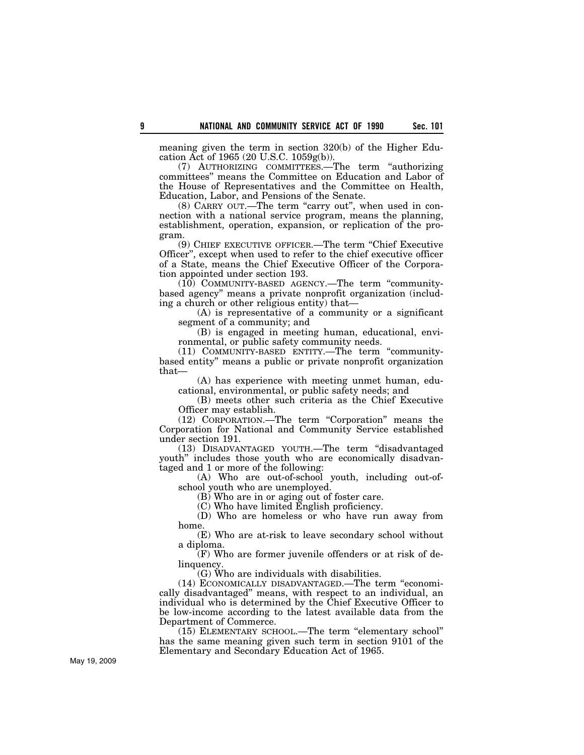meaning given the term in section 320(b) of the Higher Education Act of 1965 (20 U.S.C. 1059g(b)).

(7) AUTHORIZING COMMITTEES.—The term ''authorizing committees'' means the Committee on Education and Labor of the House of Representatives and the Committee on Health, Education, Labor, and Pensions of the Senate.

(8) CARRY OUT.—The term "carry out", when used in connection with a national service program, means the planning, establishment, operation, expansion, or replication of the program.

(9) CHIEF EXECUTIVE OFFICER.—The term ''Chief Executive Officer'', except when used to refer to the chief executive officer of a State, means the Chief Executive Officer of the Corporation appointed under section 193.

(10) COMMUNITY-BASED AGENCY.—The term ''communitybased agency'' means a private nonprofit organization (including a church or other religious entity) that—

(A) is representative of a community or a significant segment of a community; and

(B) is engaged in meeting human, educational, environmental, or public safety community needs.

(11) COMMUNITY-BASED ENTITY.—The term ''communitybased entity'' means a public or private nonprofit organization that—

(A) has experience with meeting unmet human, educational, environmental, or public safety needs; and

(B) meets other such criteria as the Chief Executive Officer may establish.

(12) CORPORATION.—The term ''Corporation'' means the Corporation for National and Community Service established under section 191.

(13) DISADVANTAGED YOUTH.—The term ''disadvantaged youth'' includes those youth who are economically disadvantaged and 1 or more of the following:

(A) Who are out-of-school youth, including out-ofschool youth who are unemployed.

(B) Who are in or aging out of foster care.

(C) Who have limited English proficiency.

(D) Who are homeless or who have run away from home.

(E) Who are at-risk to leave secondary school without a diploma.

(F) Who are former juvenile offenders or at risk of delinquency.

(G) Who are individuals with disabilities.

(14) ECONOMICALLY DISADVANTAGED.—The term ''economically disadvantaged'' means, with respect to an individual, an individual who is determined by the Chief Executive Officer to be low-income according to the latest available data from the Department of Commerce.

(15) ELEMENTARY SCHOOL.—The term ''elementary school'' has the same meaning given such term in section 9101 of the Elementary and Secondary Education Act of 1965.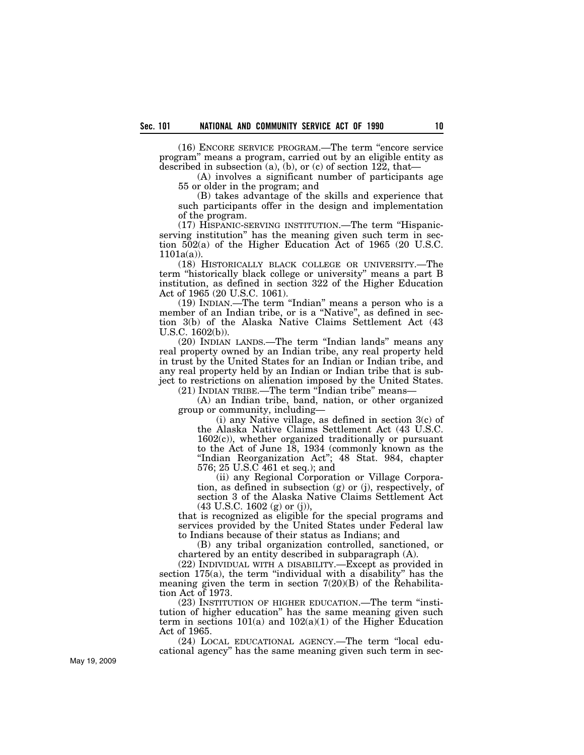(16) ENCORE SERVICE PROGRAM.—The term ''encore service program'' means a program, carried out by an eligible entity as described in subsection (a), (b), or (c) of section 122, that—

(A) involves a significant number of participants age 55 or older in the program; and

(B) takes advantage of the skills and experience that such participants offer in the design and implementation of the program.

(17) HISPANIC-SERVING INSTITUTION.—The term ''Hispanicserving institution'' has the meaning given such term in section 502(a) of the Higher Education Act of 1965 (20 U.S.C.  $1101a(a)$ ).

(18) HISTORICALLY BLACK COLLEGE OR UNIVERSITY.—The term ''historically black college or university'' means a part B institution, as defined in section 322 of the Higher Education Act of 1965 (20 U.S.C. 1061).

(19) INDIAN.—The term ''Indian'' means a person who is a member of an Indian tribe, or is a ''Native'', as defined in section 3(b) of the Alaska Native Claims Settlement Act (43 U.S.C. 1602(b)).

(20) INDIAN LANDS.—The term ''Indian lands'' means any real property owned by an Indian tribe, any real property held in trust by the United States for an Indian or Indian tribe, and any real property held by an Indian or Indian tribe that is subject to restrictions on alienation imposed by the United States.  $(21)$  INDIAN TRIBE.—The term "Indian tribe" means-

(A) an Indian tribe, band, nation, or other organized group or community, including—

(i) any Native village, as defined in section 3(c) of the Alaska Native Claims Settlement Act (43 U.S.C. 1602(c)), whether organized traditionally or pursuant to the Act of June 18, 1934 (commonly known as the ''Indian Reorganization Act''; 48 Stat. 984, chapter 576; 25 U.S.C 461 et seq.); and

(ii) any Regional Corporation or Village Corporation, as defined in subsection (g) or (j), respectively, of section 3 of the Alaska Native Claims Settlement Act (43 U.S.C. 1602 (g) or (j)),

that is recognized as eligible for the special programs and services provided by the United States under Federal law to Indians because of their status as Indians; and

(B) any tribal organization controlled, sanctioned, or chartered by an entity described in subparagraph (A).

(22) INDIVIDUAL WITH A DISABILITY.—Except as provided in section 175(a), the term "individual with a disability" has the meaning given the term in section  $7(20)(B)$  of the Rehabilitation Act of 1973.

(23) INSTITUTION OF HIGHER EDUCATION.—The term ''institution of higher education'' has the same meaning given such term in sections  $101(a)$  and  $102(a)(1)$  of the Higher Education Act of 1965.

(24) LOCAL EDUCATIONAL AGENCY.—The term ''local educational agency'' has the same meaning given such term in sec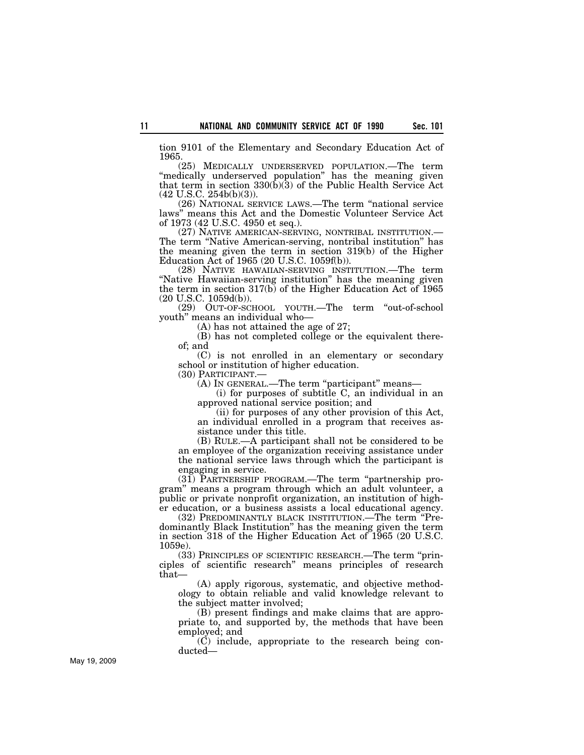tion 9101 of the Elementary and Secondary Education Act of 1965.

(25) MEDICALLY UNDERSERVED POPULATION.—The term "medically underserved population" has the meaning given that term in section 330(b)(3) of the Public Health Service Act (42 U.S.C. 254b(b)(3)).

(26) NATIONAL SERVICE LAWS.—The term ''national service laws'' means this Act and the Domestic Volunteer Service Act of 1973 (42 U.S.C. 4950 et seq.).<br>(27) NATIVE AMERICAN-SERVING, NONTRIBAL INSTITUTION.—

The term "Native American-serving, nontribal institution" has the meaning given the term in section 319(b) of the Higher Education Act of 1965 (20 U.S.C. 1059f(b)).

(28) NATIVE HAWAIIAN-SERVING INSTITUTION.—The term "Native Hawaiian-serving institution" has the meaning given the term in section 317(b) of the Higher Education Act of 1965 (20 U.S.C. 1059d(b)).

(29) OUT-OF-SCHOOL YOUTH.—The term ''out-of-school youth'' means an individual who—

(A) has not attained the age of 27;

(B) has not completed college or the equivalent thereof; and

(C) is not enrolled in an elementary or secondary school or institution of higher education.

(30) PARTICIPANT.—

(A) IN GENERAL.—The term "participant" means—

(i) for purposes of subtitle C, an individual in an approved national service position; and

(ii) for purposes of any other provision of this Act, an individual enrolled in a program that receives assistance under this title.

(B) RULE.—A participant shall not be considered to be an employee of the organization receiving assistance under the national service laws through which the participant is engaging in service.

(31) PARTNERSHIP PROGRAM.—The term ''partnership program'' means a program through which an adult volunteer, a public or private nonprofit organization, an institution of higher education, or a business assists a local educational agency.

(32) PREDOMINANTLY BLACK INSTITUTION.—The term ''Predominantly Black Institution'' has the meaning given the term in section 318 of the Higher Education Act of 1965 (20 U.S.C. 1059e).

(33) PRINCIPLES OF SCIENTIFIC RESEARCH.—The term ''principles of scientific research'' means principles of research that—

(A) apply rigorous, systematic, and objective methodology to obtain reliable and valid knowledge relevant to the subject matter involved;

(B) present findings and make claims that are appropriate to, and supported by, the methods that have been employed; and

(C) include, appropriate to the research being conducted—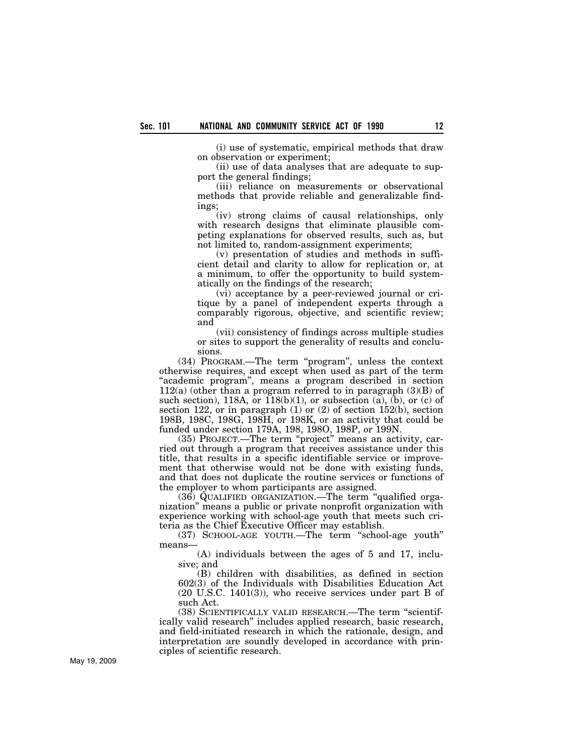(i) use of systematic, empirical methods that draw on observation or experiment;

(ii) use of data analyses that are adequate to support the general findings;

(iii) reliance on measurements or observational methods that provide reliable and generalizable findings;

(iv) strong claims of causal relationships, only with research designs that eliminate plausible competing explanations for observed results, such as, but not limited to, random-assignment experiments;

(v) presentation of studies and methods in sufficient detail and clarity to allow for replication or, at a minimum, to offer the opportunity to build systematically on the findings of the research;

(vi) acceptance by a peer-reviewed journal or critique by a panel of independent experts through a comparably rigorous, objective, and scientific review; and

(vii) consistency of findings across multiple studies or sites to support the generality of results and conclusions.

(34) PROGRAM.—The term ''program'', unless the context otherwise requires, and except when used as part of the term "academic program", means a program described in section  $112(a)$  (other than a program referred to in paragraph  $(3)(B)$  of such section), 118A, or  $118(b)(1)$ , or subsection (a), (b), or (c) of section 122, or in paragraph (1) or (2) of section 152(b), section 198B, 198C, 198G, 198H, or 198K, or an activity that could be funded under section 179A, 198, 198O, 198P, or 199N.

(35) PROJECT.—The term ''project'' means an activity, carried out through a program that receives assistance under this title, that results in a specific identifiable service or improvement that otherwise would not be done with existing funds, and that does not duplicate the routine services or functions of the employer to whom participants are assigned.

(36) QUALIFIED ORGANIZATION.—The term ''qualified organization'' means a public or private nonprofit organization with experience working with school-age youth that meets such criteria as the Chief Executive Officer may establish.

(37) SCHOOL-AGE YOUTH.—The term ''school-age youth'' means—

(A) individuals between the ages of 5 and 17, inclusive; and

(B) children with disabilities, as defined in section 602(3) of the Individuals with Disabilities Education Act (20 U.S.C. 1401(3)), who receive services under part B of such Act.

(38) SCIENTIFICALLY VALID RESEARCH.—The term ''scientifically valid research'' includes applied research, basic research, and field-initiated research in which the rationale, design, and interpretation are soundly developed in accordance with principles of scientific research.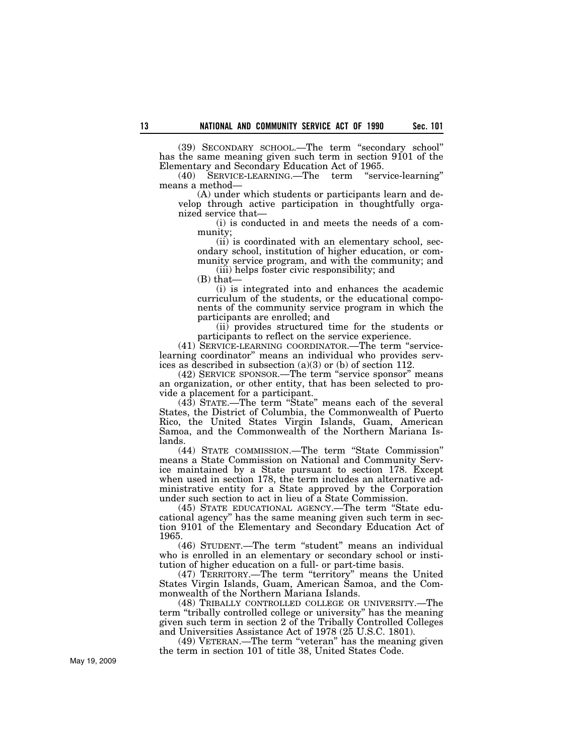(39) SECONDARY SCHOOL.—The term ''secondary school'' has the same meaning given such term in section 9101 of the Elementary and Secondary Education Act of 1965.

(40) SERVICE-LEARNING.—The term ''service-learning'' means a method—

(A) under which students or participants learn and develop through active participation in thoughtfully organized service that—

(i) is conducted in and meets the needs of a community;

(ii) is coordinated with an elementary school, secondary school, institution of higher education, or community service program, and with the community; and (iii) helps foster civic responsibility; and

 $(B)$  that-

(i) is integrated into and enhances the academic curriculum of the students, or the educational components of the community service program in which the participants are enrolled; and

(ii) provides structured time for the students or participants to reflect on the service experience.

(41) SERVICE-LEARNING COORDINATOR.—The term ''servicelearning coordinator'' means an individual who provides services as described in subsection (a)(3) or (b) of section 112.

(42) SERVICE SPONSOR.—The term ''service sponsor'' means an organization, or other entity, that has been selected to provide a placement for a participant.

(43) STATE.—The term ''State'' means each of the several States, the District of Columbia, the Commonwealth of Puerto Rico, the United States Virgin Islands, Guam, American Samoa, and the Commonwealth of the Northern Mariana Islands.

(44) STATE COMMISSION.—The term ''State Commission'' means a State Commission on National and Community Service maintained by a State pursuant to section 178. Except when used in section 178, the term includes an alternative administrative entity for a State approved by the Corporation under such section to act in lieu of a State Commission.

(45) STATE EDUCATIONAL AGENCY.—The term ''State educational agency'' has the same meaning given such term in section 9101 of the Elementary and Secondary Education Act of 1965.

(46) STUDENT.—The term ''student'' means an individual who is enrolled in an elementary or secondary school or institution of higher education on a full- or part-time basis.

(47) TERRITORY.—The term ''territory'' means the United States Virgin Islands, Guam, American Samoa, and the Commonwealth of the Northern Mariana Islands.

(48) TRIBALLY CONTROLLED COLLEGE OR UNIVERSITY.—The term ''tribally controlled college or university'' has the meaning given such term in section 2 of the Tribally Controlled Colleges and Universities Assistance Act of 1978 (25 U.S.C. 1801).

(49) VETERAN.—The term ''veteran'' has the meaning given the term in section 101 of title 38, United States Code.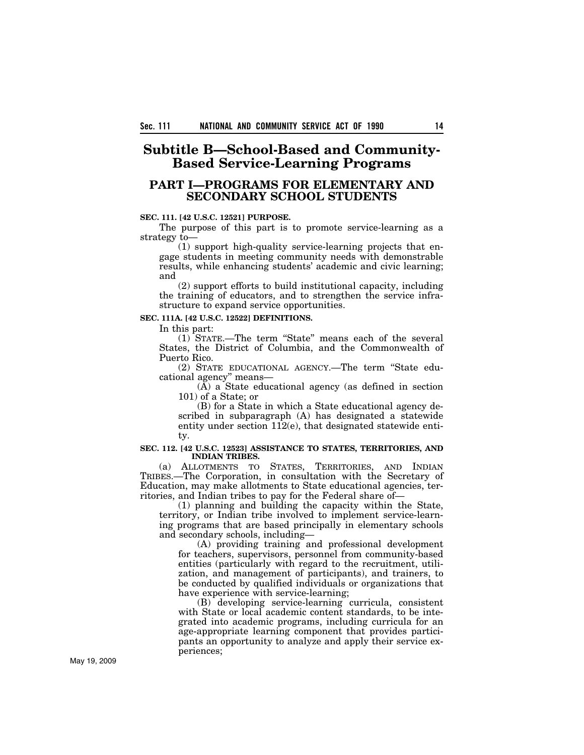# **Subtitle B—School-Based and Community-Based Service-Learning Programs**

# **PART I—PROGRAMS FOR ELEMENTARY AND SECONDARY SCHOOL STUDENTS**

### **SEC. 111. [42 U.S.C. 12521] PURPOSE.**

The purpose of this part is to promote service-learning as a strategy to—

(1) support high-quality service-learning projects that engage students in meeting community needs with demonstrable results, while enhancing students' academic and civic learning; and

(2) support efforts to build institutional capacity, including the training of educators, and to strengthen the service infrastructure to expand service opportunities.

## **SEC. 111A. [42 U.S.C. 12522] DEFINITIONS.**

In this part:

(1) STATE.—The term ''State'' means each of the several States, the District of Columbia, and the Commonwealth of Puerto Rico.

(2) STATE EDUCATIONAL AGENCY.—The term ''State educational agency'' means—

(A) a State educational agency (as defined in section 101) of a State; or

(B) for a State in which a State educational agency described in subparagraph (A) has designated a statewide entity under section  $112(e)$ , that designated statewide entity.

#### **SEC. 112. [42 U.S.C. 12523] ASSISTANCE TO STATES, TERRITORIES, AND INDIAN TRIBES.**

(a) ALLOTMENTS TO STATES, TERRITORIES, AND INDIAN TRIBES.—The Corporation, in consultation with the Secretary of Education, may make allotments to State educational agencies, territories, and Indian tribes to pay for the Federal share of—

(1) planning and building the capacity within the State, territory, or Indian tribe involved to implement service-learning programs that are based principally in elementary schools and secondary schools, including—

(A) providing training and professional development for teachers, supervisors, personnel from community-based entities (particularly with regard to the recruitment, utilization, and management of participants), and trainers, to be conducted by qualified individuals or organizations that have experience with service-learning;

(B) developing service-learning curricula, consistent with State or local academic content standards, to be integrated into academic programs, including curricula for an age-appropriate learning component that provides participants an opportunity to analyze and apply their service experiences;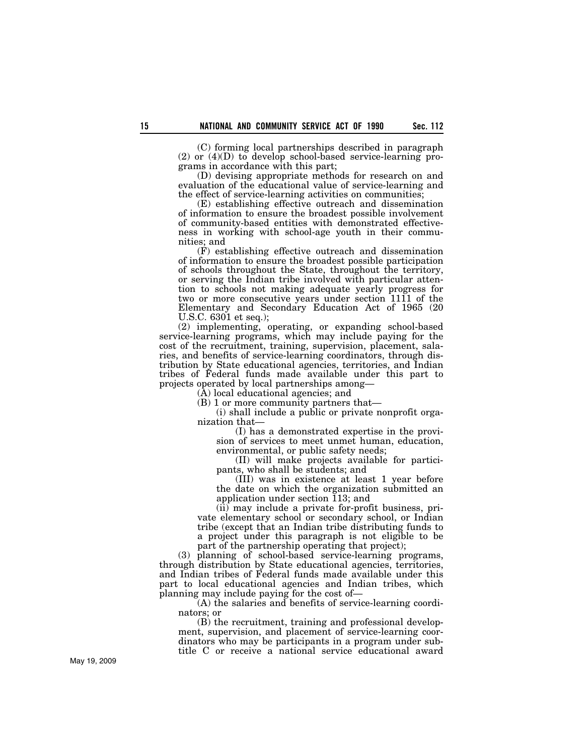(C) forming local partnerships described in paragraph (2) or (4)(D) to develop school-based service-learning programs in accordance with this part;

(D) devising appropriate methods for research on and evaluation of the educational value of service-learning and the effect of service-learning activities on communities;

(E) establishing effective outreach and dissemination of information to ensure the broadest possible involvement of community-based entities with demonstrated effectiveness in working with school-age youth in their communities; and

(F) establishing effective outreach and dissemination of information to ensure the broadest possible participation of schools throughout the State, throughout the territory, or serving the Indian tribe involved with particular attention to schools not making adequate yearly progress for two or more consecutive years under section 1111 of the Elementary and Secondary Education Act of 1965 (20 U.S.C. 6301 et seq.);

(2) implementing, operating, or expanding school-based service-learning programs, which may include paying for the cost of the recruitment, training, supervision, placement, salaries, and benefits of service-learning coordinators, through distribution by State educational agencies, territories, and Indian tribes of Federal funds made available under this part to projects operated by local partnerships among—

(A) local educational agencies; and

(B) 1 or more community partners that—

(i) shall include a public or private nonprofit organization that—

(I) has a demonstrated expertise in the provision of services to meet unmet human, education, environmental, or public safety needs;

(II) will make projects available for participants, who shall be students; and

(III) was in existence at least 1 year before the date on which the organization submitted an application under section 113; and

(ii) may include a private for-profit business, private elementary school or secondary school, or Indian tribe (except that an Indian tribe distributing funds to a project under this paragraph is not eligible to be part of the partnership operating that project);

(3) planning of school-based service-learning programs, through distribution by State educational agencies, territories, and Indian tribes of Federal funds made available under this part to local educational agencies and Indian tribes, which planning may include paying for the cost of—

(A) the salaries and benefits of service-learning coordinators; or

(B) the recruitment, training and professional development, supervision, and placement of service-learning coordinators who may be participants in a program under subtitle C or receive a national service educational award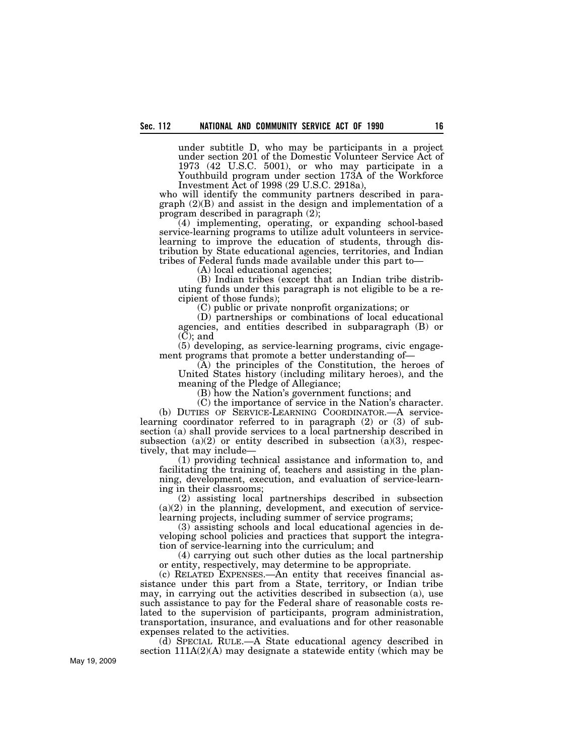under subtitle D, who may be participants in a project under section 201 of the Domestic Volunteer Service Act of 1973 (42 U.S.C. 5001), or who may participate in a Youthbuild program under section 173A of the Workforce Investment Act of 1998 (29 U.S.C. 2918a),

who will identify the community partners described in paragraph (2)(B) and assist in the design and implementation of a program described in paragraph (2);

(4) implementing, operating, or expanding school-based service-learning programs to utilize adult volunteers in servicelearning to improve the education of students, through distribution by State educational agencies, territories, and Indian tribes of Federal funds made available under this part to—

(A) local educational agencies;

(B) Indian tribes (except that an Indian tribe distributing funds under this paragraph is not eligible to be a recipient of those funds);

(C) public or private nonprofit organizations; or

(D) partnerships or combinations of local educational agencies, and entities described in subparagraph (B) or (C); and

(5) developing, as service-learning programs, civic engagement programs that promote a better understanding of—

(A) the principles of the Constitution, the heroes of United States history (including military heroes), and the meaning of the Pledge of Allegiance;

(B) how the Nation's government functions; and

(C) the importance of service in the Nation's character. (b) DUTIES OF SERVICE-LEARNING COORDINATOR.—A servicelearning coordinator referred to in paragraph (2) or (3) of subsection (a) shall provide services to a local partnership described in subsection (a)(2) or entity described in subsection  $(a)(3)$ , respectively, that may include—

(1) providing technical assistance and information to, and facilitating the training of, teachers and assisting in the planning, development, execution, and evaluation of service-learning in their classrooms;

(2) assisting local partnerships described in subsection (a)(2) in the planning, development, and execution of servicelearning projects, including summer of service programs;

(3) assisting schools and local educational agencies in developing school policies and practices that support the integration of service-learning into the curriculum; and

(4) carrying out such other duties as the local partnership or entity, respectively, may determine to be appropriate.

(c) RELATED EXPENSES.—An entity that receives financial assistance under this part from a State, territory, or Indian tribe may, in carrying out the activities described in subsection (a), use such assistance to pay for the Federal share of reasonable costs related to the supervision of participants, program administration, transportation, insurance, and evaluations and for other reasonable expenses related to the activities.

(d) SPECIAL RULE.—A State educational agency described in section  $111A(2)(A)$  may designate a statewide entity (which may be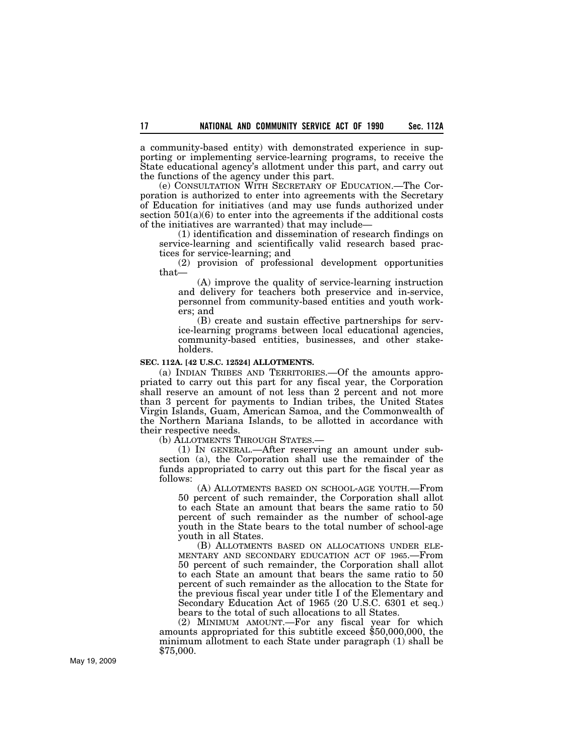a community-based entity) with demonstrated experience in supporting or implementing service-learning programs, to receive the State educational agency's allotment under this part, and carry out the functions of the agency under this part.

(e) CONSULTATION WITH SECRETARY OF EDUCATION.—The Corporation is authorized to enter into agreements with the Secretary of Education for initiatives (and may use funds authorized under section  $501(a)(6)$  to enter into the agreements if the additional costs of the initiatives are warranted) that may include—

(1) identification and dissemination of research findings on service-learning and scientifically valid research based practices for service-learning; and

(2) provision of professional development opportunities that—

(A) improve the quality of service-learning instruction and delivery for teachers both preservice and in-service, personnel from community-based entities and youth workers; and

(B) create and sustain effective partnerships for service-learning programs between local educational agencies, community-based entities, businesses, and other stakeholders.

### **SEC. 112A. [42 U.S.C. 12524] ALLOTMENTS.**

(a) INDIAN TRIBES AND TERRITORIES.—Of the amounts appropriated to carry out this part for any fiscal year, the Corporation shall reserve an amount of not less than 2 percent and not more than 3 percent for payments to Indian tribes, the United States Virgin Islands, Guam, American Samoa, and the Commonwealth of the Northern Mariana Islands, to be allotted in accordance with their respective needs.

(b) ALLOTMENTS THROUGH STATES.—

(1) IN GENERAL.—After reserving an amount under subsection (a), the Corporation shall use the remainder of the funds appropriated to carry out this part for the fiscal year as follows:

(A) ALLOTMENTS BASED ON SCHOOL-AGE YOUTH.—From 50 percent of such remainder, the Corporation shall allot to each State an amount that bears the same ratio to 50 percent of such remainder as the number of school-age youth in the State bears to the total number of school-age youth in all States.<br>
(B) ALLOTMENTS BASED ON ALLOCATIONS UNDER ELE-

MENTARY AND SECONDARY EDUCATION ACT OF 1965.—From 50 percent of such remainder, the Corporation shall allot to each State an amount that bears the same ratio to 50 percent of such remainder as the allocation to the State for the previous fiscal year under title I of the Elementary and Secondary Education Act of 1965 (20 U.S.C. 6301 et seq.) bears to the total of such allocations to all States.

(2) MINIMUM AMOUNT.—For any fiscal year for which amounts appropriated for this subtitle exceed \$50,000,000, the minimum allotment to each State under paragraph (1) shall be \$75,000.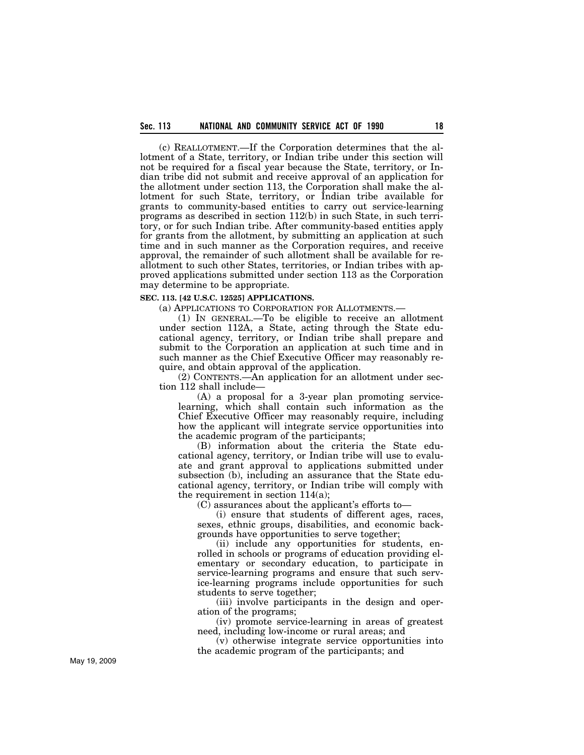(c) REALLOTMENT.—If the Corporation determines that the allotment of a State, territory, or Indian tribe under this section will not be required for a fiscal year because the State, territory, or Indian tribe did not submit and receive approval of an application for the allotment under section 113, the Corporation shall make the allotment for such State, territory, or Indian tribe available for grants to community-based entities to carry out service-learning programs as described in section 112(b) in such State, in such territory, or for such Indian tribe. After community-based entities apply for grants from the allotment, by submitting an application at such time and in such manner as the Corporation requires, and receive approval, the remainder of such allotment shall be available for reallotment to such other States, territories, or Indian tribes with approved applications submitted under section 113 as the Corporation may determine to be appropriate.

## **SEC. 113. [42 U.S.C. 12525] APPLICATIONS.**

(a) APPLICATIONS TO CORPORATION FOR ALLOTMENTS.—

(1) IN GENERAL.—To be eligible to receive an allotment under section 112A, a State, acting through the State educational agency, territory, or Indian tribe shall prepare and submit to the Corporation an application at such time and in such manner as the Chief Executive Officer may reasonably require, and obtain approval of the application.

(2) CONTENTS.—An application for an allotment under section 112 shall include—

(A) a proposal for a 3-year plan promoting servicelearning, which shall contain such information as the Chief Executive Officer may reasonably require, including how the applicant will integrate service opportunities into the academic program of the participants;

(B) information about the criteria the State educational agency, territory, or Indian tribe will use to evaluate and grant approval to applications submitted under subsection (b), including an assurance that the State educational agency, territory, or Indian tribe will comply with the requirement in section 114(a);

(C) assurances about the applicant's efforts to—

(i) ensure that students of different ages, races, sexes, ethnic groups, disabilities, and economic backgrounds have opportunities to serve together;

(ii) include any opportunities for students, enrolled in schools or programs of education providing elementary or secondary education, to participate in service-learning programs and ensure that such service-learning programs include opportunities for such students to serve together;

(iii) involve participants in the design and operation of the programs;

(iv) promote service-learning in areas of greatest need, including low-income or rural areas; and

(v) otherwise integrate service opportunities into the academic program of the participants; and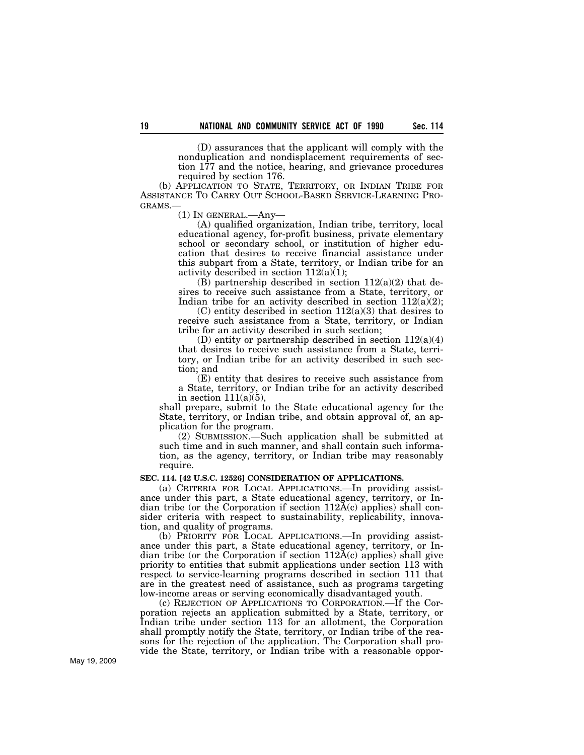(D) assurances that the applicant will comply with the nonduplication and nondisplacement requirements of section 177 and the notice, hearing, and grievance procedures required by section 176.

(b) APPLICATION TO STATE, TERRITORY, OR INDIAN TRIBE FOR ASSISTANCE TO CARRY OUT SCHOOL-BASED SERVICE-LEARNING PRO-GRAMS.—

(1) IN GENERAL.—Any—

(A) qualified organization, Indian tribe, territory, local educational agency, for-profit business, private elementary school or secondary school, or institution of higher education that desires to receive financial assistance under this subpart from a State, territory, or Indian tribe for an activity described in section  $112(a)(1)$ ;

(B) partnership described in section  $112(a)(2)$  that desires to receive such assistance from a State, territory, or Indian tribe for an activity described in section  $112(a)(2)$ ;

 $(C)$  entity described in section  $112(a)(3)$  that desires to receive such assistance from a State, territory, or Indian tribe for an activity described in such section;

(D) entity or partnership described in section  $112(a)(4)$ that desires to receive such assistance from a State, territory, or Indian tribe for an activity described in such section; and

(E) entity that desires to receive such assistance from a State, territory, or Indian tribe for an activity described in section  $111(a)(5)$ ,

shall prepare, submit to the State educational agency for the State, territory, or Indian tribe, and obtain approval of, an application for the program.

(2) SUBMISSION.—Such application shall be submitted at such time and in such manner, and shall contain such information, as the agency, territory, or Indian tribe may reasonably require.

## **SEC. 114. [42 U.S.C. 12526] CONSIDERATION OF APPLICATIONS.**

(a) CRITERIA FOR LOCAL APPLICATIONS.—In providing assistance under this part, a State educational agency, territory, or Indian tribe (or the Corporation if section  $112A(c)$  applies) shall consider criteria with respect to sustainability, replicability, innovation, and quality of programs.

(b) PRIORITY FOR LOCAL APPLICATIONS.—In providing assistance under this part, a State educational agency, territory, or Indian tribe (or the Corporation if section  $112A(c)$  applies) shall give priority to entities that submit applications under section 113 with respect to service-learning programs described in section 111 that are in the greatest need of assistance, such as programs targeting low-income areas or serving economically disadvantaged youth.

(c) REJECTION OF APPLICATIONS TO CORPORATION.—If the Corporation rejects an application submitted by a State, territory, or Indian tribe under section 113 for an allotment, the Corporation shall promptly notify the State, territory, or Indian tribe of the reasons for the rejection of the application. The Corporation shall provide the State, territory, or Indian tribe with a reasonable oppor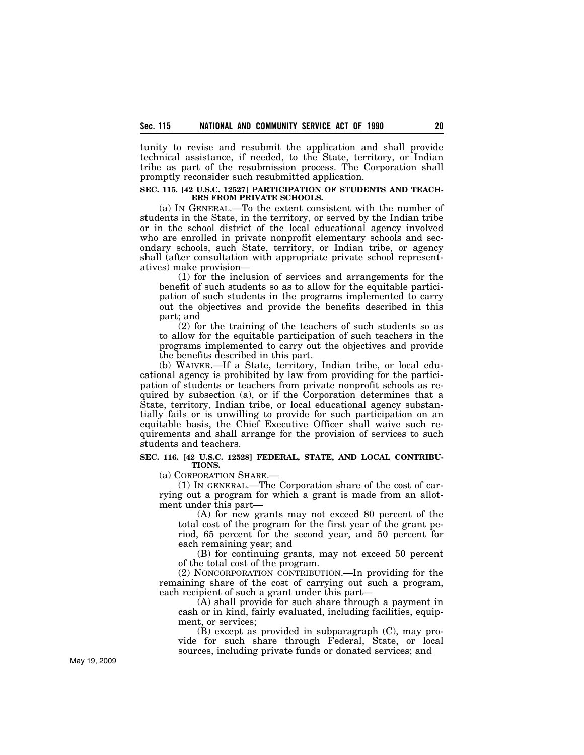tunity to revise and resubmit the application and shall provide technical assistance, if needed, to the State, territory, or Indian tribe as part of the resubmission process. The Corporation shall promptly reconsider such resubmitted application.

#### **SEC. 115. [42 U.S.C. 12527] PARTICIPATION OF STUDENTS AND TEACH-ERS FROM PRIVATE SCHOOLS.**

(a) IN GENERAL.—To the extent consistent with the number of students in the State, in the territory, or served by the Indian tribe or in the school district of the local educational agency involved who are enrolled in private nonprofit elementary schools and secondary schools, such State, territory, or Indian tribe, or agency shall (after consultation with appropriate private school representatives) make provision—

(1) for the inclusion of services and arrangements for the benefit of such students so as to allow for the equitable participation of such students in the programs implemented to carry out the objectives and provide the benefits described in this part; and

(2) for the training of the teachers of such students so as to allow for the equitable participation of such teachers in the programs implemented to carry out the objectives and provide the benefits described in this part.

(b) WAIVER.—If a State, territory, Indian tribe, or local educational agency is prohibited by law from providing for the participation of students or teachers from private nonprofit schools as required by subsection (a), or if the Corporation determines that a State, territory, Indian tribe, or local educational agency substantially fails or is unwilling to provide for such participation on an equitable basis, the Chief Executive Officer shall waive such requirements and shall arrange for the provision of services to such students and teachers.

## **SEC. 116. [42 U.S.C. 12528] FEDERAL, STATE, AND LOCAL CONTRIBU-TIONS.**

(a) CORPORATION SHARE.—

(1) IN GENERAL.—The Corporation share of the cost of carrying out a program for which a grant is made from an allotment under this part—

(A) for new grants may not exceed 80 percent of the total cost of the program for the first year of the grant period, 65 percent for the second year, and 50 percent for each remaining year; and

(B) for continuing grants, may not exceed 50 percent of the total cost of the program.

(2) NONCORPORATION CONTRIBUTION.—In providing for the remaining share of the cost of carrying out such a program, each recipient of such a grant under this part—

 $(A)$  shall provide for such share through a payment in cash or in kind, fairly evaluated, including facilities, equipment, or services;

(B) except as provided in subparagraph (C), may provide for such share through Federal, State, or local sources, including private funds or donated services; and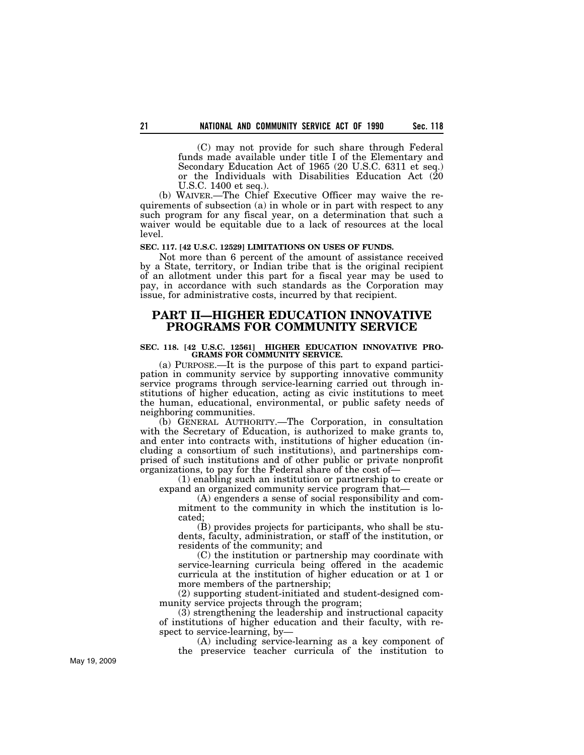(C) may not provide for such share through Federal funds made available under title I of the Elementary and Secondary Education Act of 1965 (20 U.S.C. 6311 et seq.) or the Individuals with Disabilities Education Act (20 U.S.C. 1400 et seq.).

(b) WAIVER.—The Chief Executive Officer may waive the requirements of subsection (a) in whole or in part with respect to any such program for any fiscal year, on a determination that such a waiver would be equitable due to a lack of resources at the local level.

## **SEC. 117. [42 U.S.C. 12529] LIMITATIONS ON USES OF FUNDS.**

Not more than 6 percent of the amount of assistance received by a State, territory, or Indian tribe that is the original recipient of an allotment under this part for a fiscal year may be used to pay, in accordance with such standards as the Corporation may issue, for administrative costs, incurred by that recipient.

## **PART II—HIGHER EDUCATION INNOVATIVE PROGRAMS FOR COMMUNITY SERVICE**

### **SEC. 118. [42 U.S.C. 12561] HIGHER EDUCATION INNOVATIVE PRO-GRAMS FOR COMMUNITY SERVICE.**

(a) PURPOSE.—It is the purpose of this part to expand participation in community service by supporting innovative community service programs through service-learning carried out through institutions of higher education, acting as civic institutions to meet the human, educational, environmental, or public safety needs of neighboring communities.

(b) GENERAL AUTHORITY.—The Corporation, in consultation with the Secretary of Education, is authorized to make grants to, and enter into contracts with, institutions of higher education (including a consortium of such institutions), and partnerships comprised of such institutions and of other public or private nonprofit organizations, to pay for the Federal share of the cost of—

(1) enabling such an institution or partnership to create or expand an organized community service program that—

(A) engenders a sense of social responsibility and commitment to the community in which the institution is located;

(B) provides projects for participants, who shall be students, faculty, administration, or staff of the institution, or residents of the community; and

(C) the institution or partnership may coordinate with service-learning curricula being offered in the academic curricula at the institution of higher education or at 1 or more members of the partnership;

(2) supporting student-initiated and student-designed community service projects through the program;

(3) strengthening the leadership and instructional capacity of institutions of higher education and their faculty, with respect to service-learning, by—

(A) including service-learning as a key component of the preservice teacher curricula of the institution to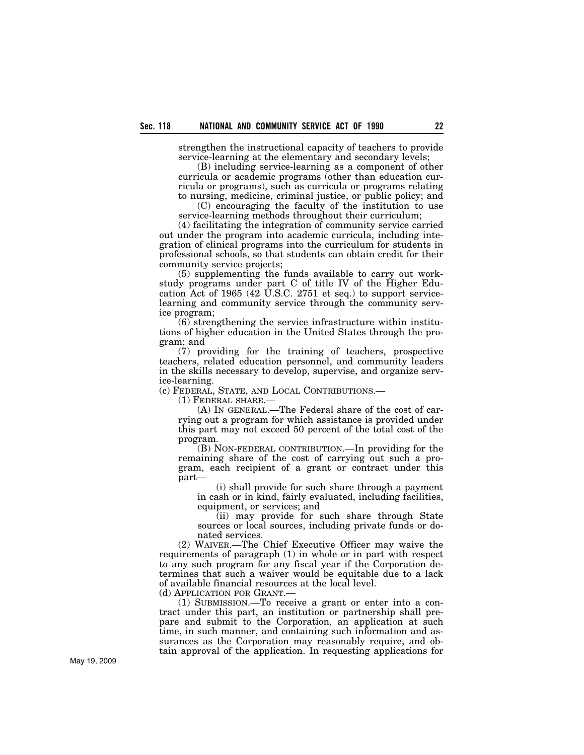strengthen the instructional capacity of teachers to provide service-learning at the elementary and secondary levels;

(B) including service-learning as a component of other curricula or academic programs (other than education curricula or programs), such as curricula or programs relating to nursing, medicine, criminal justice, or public policy; and

(C) encouraging the faculty of the institution to use service-learning methods throughout their curriculum;

(4) facilitating the integration of community service carried out under the program into academic curricula, including integration of clinical programs into the curriculum for students in professional schools, so that students can obtain credit for their community service projects;

(5) supplementing the funds available to carry out workstudy programs under part C of title IV of the Higher Education Act of 1965 (42 U.S.C. 2751 et seq.) to support servicelearning and community service through the community service program;

(6) strengthening the service infrastructure within institutions of higher education in the United States through the program; and

(7) providing for the training of teachers, prospective teachers, related education personnel, and community leaders in the skills necessary to develop, supervise, and organize service-learning.

(c) FEDERAL, STATE, AND LOCAL CONTRIBUTIONS.—

(1) FEDERAL SHARE.—

(A) IN GENERAL.—The Federal share of the cost of carrying out a program for which assistance is provided under this part may not exceed 50 percent of the total cost of the program.

(B) NON-FEDERAL CONTRIBUTION.—In providing for the remaining share of the cost of carrying out such a program, each recipient of a grant or contract under this part—

(i) shall provide for such share through a payment in cash or in kind, fairly evaluated, including facilities, equipment, or services; and

(ii) may provide for such share through State sources or local sources, including private funds or donated services.

(2) WAIVER.—The Chief Executive Officer may waive the requirements of paragraph (1) in whole or in part with respect to any such program for any fiscal year if the Corporation determines that such a waiver would be equitable due to a lack of available financial resources at the local level.

(d) APPLICATION FOR GRANT.—

(1) SUBMISSION.—To receive a grant or enter into a contract under this part, an institution or partnership shall prepare and submit to the Corporation, an application at such time, in such manner, and containing such information and assurances as the Corporation may reasonably require, and obtain approval of the application. In requesting applications for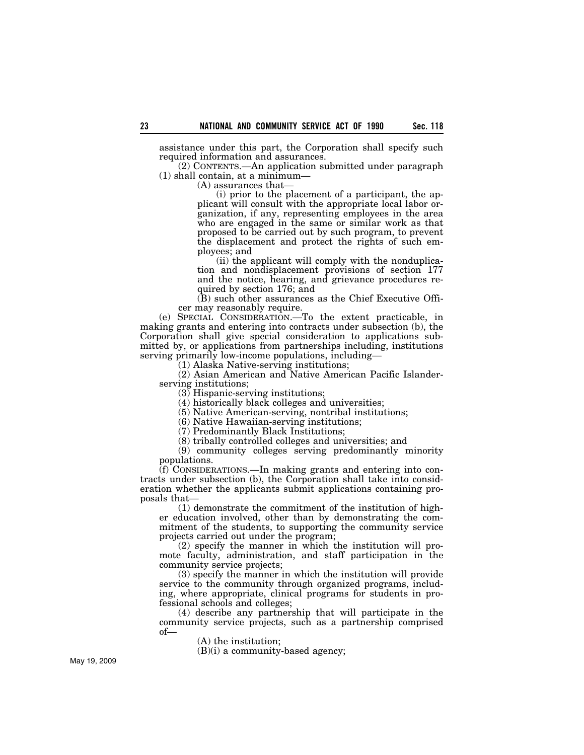assistance under this part, the Corporation shall specify such required information and assurances.

(2) CONTENTS.—An application submitted under paragraph (1) shall contain, at a minimum—

(A) assurances that—

(i) prior to the placement of a participant, the applicant will consult with the appropriate local labor organization, if any, representing employees in the area who are engaged in the same or similar work as that proposed to be carried out by such program, to prevent the displacement and protect the rights of such employees; and

(ii) the applicant will comply with the nonduplication and nondisplacement provisions of section 177 and the notice, hearing, and grievance procedures required by section 176; and

(B) such other assurances as the Chief Executive Officer may reasonably require.

(e) SPECIAL CONSIDERATION.—To the extent practicable, in making grants and entering into contracts under subsection (b), the Corporation shall give special consideration to applications submitted by, or applications from partnerships including, institutions serving primarily low-income populations, including—

(1) Alaska Native-serving institutions;

(2) Asian American and Native American Pacific Islanderserving institutions;

(3) Hispanic-serving institutions;

(4) historically black colleges and universities;

(5) Native American-serving, nontribal institutions;

(6) Native Hawaiian-serving institutions;

(7) Predominantly Black Institutions;

(8) tribally controlled colleges and universities; and

(9) community colleges serving predominantly minority populations.

(f) CONSIDERATIONS.—In making grants and entering into contracts under subsection (b), the Corporation shall take into consideration whether the applicants submit applications containing proposals that—

(1) demonstrate the commitment of the institution of higher education involved, other than by demonstrating the commitment of the students, to supporting the community service projects carried out under the program;

(2) specify the manner in which the institution will promote faculty, administration, and staff participation in the community service projects;

(3) specify the manner in which the institution will provide service to the community through organized programs, including, where appropriate, clinical programs for students in professional schools and colleges;

(4) describe any partnership that will participate in the community service projects, such as a partnership comprised of—

(A) the institution;

(B)(i) a community-based agency;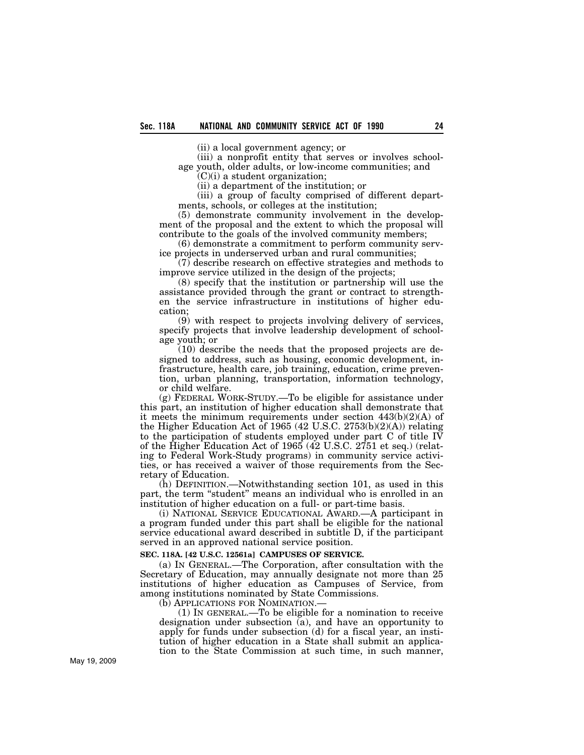(ii) a local government agency; or

(iii) a nonprofit entity that serves or involves schoolage youth, older adults, or low-income communities; and  $(C)(i)$  a student organization;

(ii) a department of the institution; or

(iii) a group of faculty comprised of different departments, schools, or colleges at the institution;

(5) demonstrate community involvement in the development of the proposal and the extent to which the proposal will contribute to the goals of the involved community members;

(6) demonstrate a commitment to perform community service projects in underserved urban and rural communities;

(7) describe research on effective strategies and methods to improve service utilized in the design of the projects;

(8) specify that the institution or partnership will use the assistance provided through the grant or contract to strengthen the service infrastructure in institutions of higher education;

(9) with respect to projects involving delivery of services, specify projects that involve leadership development of schoolage youth; or

(10) describe the needs that the proposed projects are designed to address, such as housing, economic development, infrastructure, health care, job training, education, crime prevention, urban planning, transportation, information technology, or child welfare.

(g) FEDERAL WORK-STUDY.—To be eligible for assistance under this part, an institution of higher education shall demonstrate that it meets the minimum requirements under section 443(b)(2)(A) of the Higher Education Act of 1965 (42 U.S.C. 2753(b)(2)(A)) relating to the participation of students employed under part C of title IV of the Higher Education Act of 1965 (42 U.S.C. 2751 et seq.) (relating to Federal Work-Study programs) in community service activities, or has received a waiver of those requirements from the Secretary of Education.

(h) DEFINITION.—Notwithstanding section 101, as used in this part, the term "student" means an individual who is enrolled in an institution of higher education on a full- or part-time basis.

(i) NATIONAL SERVICE EDUCATIONAL AWARD.—A participant in a program funded under this part shall be eligible for the national service educational award described in subtitle D, if the participant served in an approved national service position.

## **SEC. 118A. [42 U.S.C. 12561a] CAMPUSES OF SERVICE.**

(a) IN GENERAL.—The Corporation, after consultation with the Secretary of Education, may annually designate not more than 25 institutions of higher education as Campuses of Service, from among institutions nominated by State Commissions.

(b) APPLICATIONS FOR NOMINATION.

(1) IN GENERAL.—To be eligible for a nomination to receive designation under subsection (a), and have an opportunity to apply for funds under subsection (d) for a fiscal year, an institution of higher education in a State shall submit an application to the State Commission at such time, in such manner,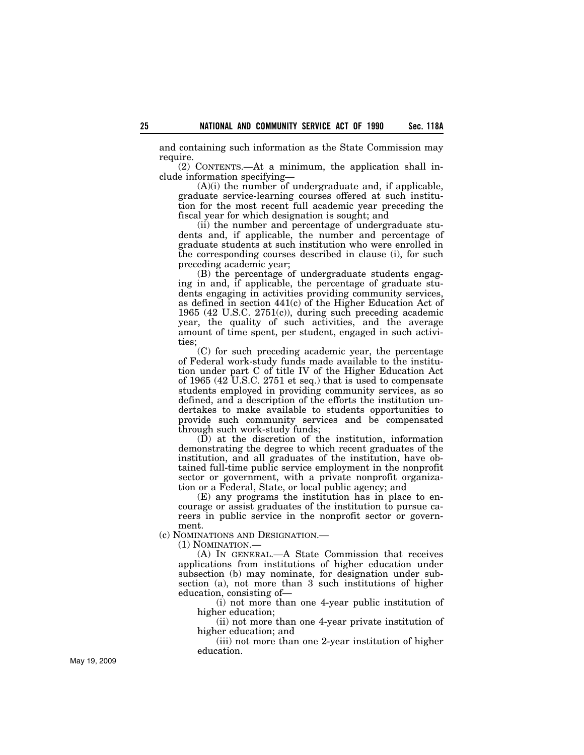and containing such information as the State Commission may require.

(2) CONTENTS.—At a minimum, the application shall include information specifying—

 $(A)(i)$  the number of undergraduate and, if applicable, graduate service-learning courses offered at such institution for the most recent full academic year preceding the fiscal year for which designation is sought; and

(ii) the number and percentage of undergraduate students and, if applicable, the number and percentage of graduate students at such institution who were enrolled in the corresponding courses described in clause (i), for such preceding academic year;

(B) the percentage of undergraduate students engaging in and, if applicable, the percentage of graduate students engaging in activities providing community services, as defined in section 441(c) of the Higher Education Act of 1965 (42 U.S.C. 2751(c)), during such preceding academic year, the quality of such activities, and the average amount of time spent, per student, engaged in such activities;

(C) for such preceding academic year, the percentage of Federal work-study funds made available to the institution under part C of title IV of the Higher Education Act of 1965 (42 U.S.C. 2751 et seq.) that is used to compensate students employed in providing community services, as so defined, and a description of the efforts the institution undertakes to make available to students opportunities to provide such community services and be compensated through such work-study funds;

 $(D)$  at the discretion of the institution, information demonstrating the degree to which recent graduates of the institution, and all graduates of the institution, have obtained full-time public service employment in the nonprofit sector or government, with a private nonprofit organization or a Federal, State, or local public agency; and

(E) any programs the institution has in place to encourage or assist graduates of the institution to pursue careers in public service in the nonprofit sector or government.

(c) NOMINATIONS AND DESIGNATION.—

(1) NOMINATION.—

(A) IN GENERAL.—A State Commission that receives applications from institutions of higher education under subsection (b) may nominate, for designation under subsection (a), not more than 3 such institutions of higher education, consisting of—

(i) not more than one 4-year public institution of higher education;

(ii) not more than one 4-year private institution of higher education; and

(iii) not more than one 2-year institution of higher education.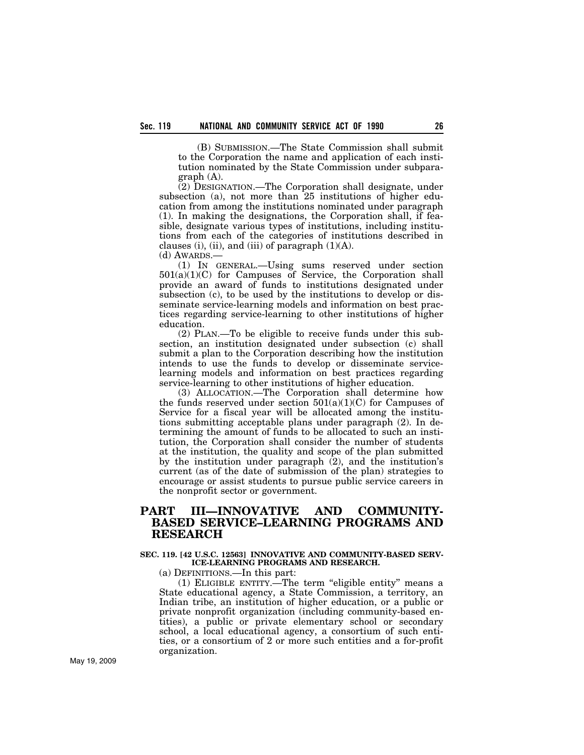(B) SUBMISSION.—The State Commission shall submit to the Corporation the name and application of each institution nominated by the State Commission under subparagraph (A).

(2) DESIGNATION.—The Corporation shall designate, under subsection (a), not more than 25 institutions of higher education from among the institutions nominated under paragraph (1). In making the designations, the Corporation shall, if feasible, designate various types of institutions, including institutions from each of the categories of institutions described in clauses (i), (ii), and (iii) of paragraph  $(1)(A)$ .

(d) AWARDS.—

(1) IN GENERAL.—Using sums reserved under section  $501(a)(1)(C)$  for Campuses of Service, the Corporation shall provide an award of funds to institutions designated under subsection (c), to be used by the institutions to develop or disseminate service-learning models and information on best practices regarding service-learning to other institutions of higher education.

(2) PLAN.—To be eligible to receive funds under this subsection, an institution designated under subsection (c) shall submit a plan to the Corporation describing how the institution intends to use the funds to develop or disseminate servicelearning models and information on best practices regarding service-learning to other institutions of higher education.

(3) ALLOCATION.—The Corporation shall determine how the funds reserved under section  $501(a)(1)(C)$  for Campuses of Service for a fiscal year will be allocated among the institutions submitting acceptable plans under paragraph (2). In determining the amount of funds to be allocated to such an institution, the Corporation shall consider the number of students at the institution, the quality and scope of the plan submitted by the institution under paragraph (2), and the institution's current (as of the date of submission of the plan) strategies to encourage or assist students to pursue public service careers in the nonprofit sector or government.

# **PART III—INNOVATIVE AND COMMUNITY-BASED SERVICE–LEARNING PROGRAMS AND RESEARCH**

## **SEC. 119. [42 U.S.C. 12563] INNOVATIVE AND COMMUNITY-BASED SERV-ICE-LEARNING PROGRAMS AND RESEARCH.**

(a) DEFINITIONS.—In this part:

(1) ELIGIBLE ENTITY.—The term ''eligible entity'' means a State educational agency, a State Commission, a territory, an Indian tribe, an institution of higher education, or a public or private nonprofit organization (including community-based entities), a public or private elementary school or secondary school, a local educational agency, a consortium of such entities, or a consortium of 2 or more such entities and a for-profit organization.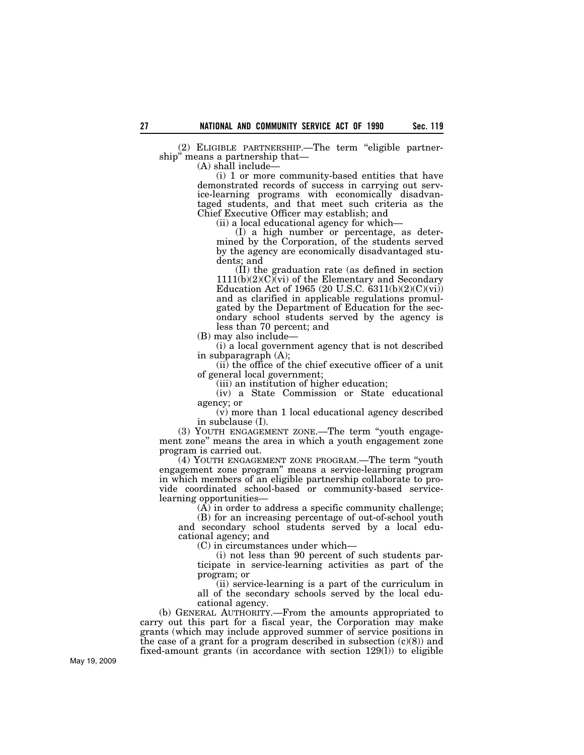(2) ELIGIBLE PARTNERSHIP.—The term ''eligible partnership'' means a partnership that—

(A) shall include—

(i) 1 or more community-based entities that have demonstrated records of success in carrying out service-learning programs with economically disadvantaged students, and that meet such criteria as the Chief Executive Officer may establish; and

(ii) a local educational agency for which—

(I) a high number or percentage, as determined by the Corporation, of the students served by the agency are economically disadvantaged students; and

(II) the graduation rate (as defined in section  $1111(b)(2)(C)(vi)$  of the Elementary and Secondary Education Act of 1965 (20 U.S.C.  $6311(b)(2)(C)(vi)$ ) and as clarified in applicable regulations promulgated by the Department of Education for the secondary school students served by the agency is less than 70 percent; and

(B) may also include—

(i) a local government agency that is not described in subparagraph (A);

(ii) the office of the chief executive officer of a unit of general local government;

(iii) an institution of higher education;

(iv) a State Commission or State educational agency; or

(v) more than 1 local educational agency described in subclause (I).

(3) YOUTH ENGAGEMENT ZONE.—The term ''youth engagement zone'' means the area in which a youth engagement zone program is carried out.

(4) YOUTH ENGAGEMENT ZONE PROGRAM.—The term ''youth engagement zone program'' means a service-learning program in which members of an eligible partnership collaborate to provide coordinated school-based or community-based servicelearning opportunities—

 $(A)$  in order to address a specific community challenge;

(B) for an increasing percentage of out-of-school youth and secondary school students served by a local educational agency; and

(C) in circumstances under which—

(i) not less than 90 percent of such students participate in service-learning activities as part of the program; or

(ii) service-learning is a part of the curriculum in all of the secondary schools served by the local educational agency.

(b) GENERAL AUTHORITY.—From the amounts appropriated to carry out this part for a fiscal year, the Corporation may make grants (which may include approved summer of service positions in the case of a grant for a program described in subsection  $(c)(8)$  and fixed-amount grants (in accordance with section 129(l)) to eligible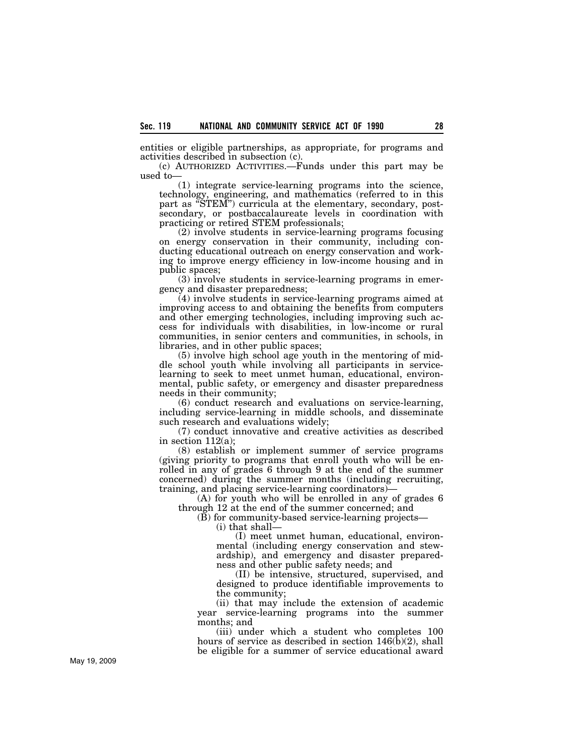entities or eligible partnerships, as appropriate, for programs and activities described in subsection (c).

(c) AUTHORIZED ACTIVITIES.—Funds under this part may be used to—

(1) integrate service-learning programs into the science, technology, engineering, and mathematics (referred to in this part as "STEM") curricula at the elementary, secondary, postsecondary, or postbaccalaureate levels in coordination with practicing or retired STEM professionals;

(2) involve students in service-learning programs focusing on energy conservation in their community, including conducting educational outreach on energy conservation and working to improve energy efficiency in low-income housing and in public spaces;

(3) involve students in service-learning programs in emergency and disaster preparedness;

(4) involve students in service-learning programs aimed at improving access to and obtaining the benefits from computers and other emerging technologies, including improving such access for individuals with disabilities, in low-income or rural communities, in senior centers and communities, in schools, in libraries, and in other public spaces;

(5) involve high school age youth in the mentoring of middle school youth while involving all participants in servicelearning to seek to meet unmet human, educational, environmental, public safety, or emergency and disaster preparedness needs in their community;

(6) conduct research and evaluations on service-learning, including service-learning in middle schools, and disseminate such research and evaluations widely;

(7) conduct innovative and creative activities as described in section  $112(a)$ ;

(8) establish or implement summer of service programs (giving priority to programs that enroll youth who will be enrolled in any of grades 6 through 9 at the end of the summer concerned) during the summer months (including recruiting, training, and placing service-learning coordinators)—

(A) for youth who will be enrolled in any of grades 6 through 12 at the end of the summer concerned; and

(B) for community-based service-learning projects—

(i) that shall—

(I) meet unmet human, educational, environmental (including energy conservation and stewardship), and emergency and disaster preparedness and other public safety needs; and

(II) be intensive, structured, supervised, and designed to produce identifiable improvements to the community;

(ii) that may include the extension of academic year service-learning programs into the summer months; and

(iii) under which a student who completes 100 hours of service as described in section 146(b)(2), shall be eligible for a summer of service educational award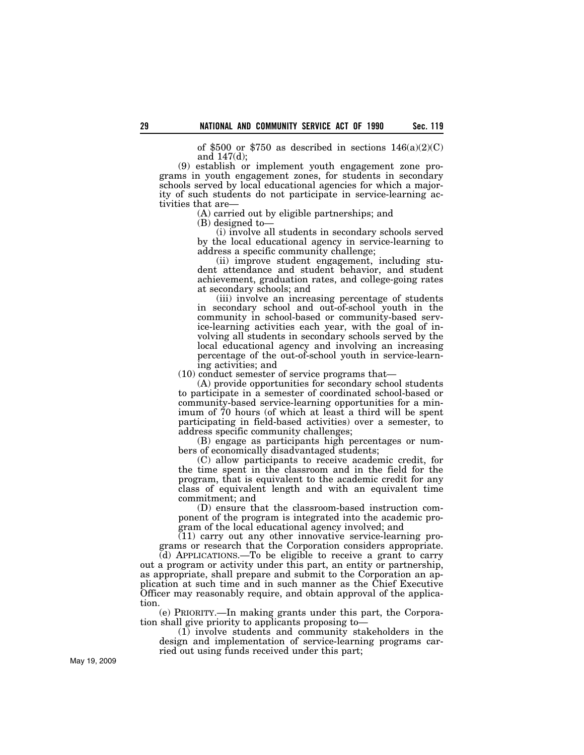of \$500 or \$750 as described in sections  $146(a)(2)(C)$ and 147(d);

(9) establish or implement youth engagement zone programs in youth engagement zones, for students in secondary schools served by local educational agencies for which a majority of such students do not participate in service-learning activities that are—

(A) carried out by eligible partnerships; and

(B) designed to—

(i) involve all students in secondary schools served by the local educational agency in service-learning to address a specific community challenge;

(ii) improve student engagement, including student attendance and student behavior, and student achievement, graduation rates, and college-going rates at secondary schools; and

(iii) involve an increasing percentage of students in secondary school and out-of-school youth in the community in school-based or community-based service-learning activities each year, with the goal of involving all students in secondary schools served by the local educational agency and involving an increasing percentage of the out-of-school youth in service-learning activities; and

(10) conduct semester of service programs that—

(A) provide opportunities for secondary school students to participate in a semester of coordinated school-based or community-based service-learning opportunities for a minimum of 70 hours (of which at least a third will be spent participating in field-based activities) over a semester, to address specific community challenges;

(B) engage as participants high percentages or numbers of economically disadvantaged students;

(C) allow participants to receive academic credit, for the time spent in the classroom and in the field for the program, that is equivalent to the academic credit for any class of equivalent length and with an equivalent time commitment; and

(D) ensure that the classroom-based instruction component of the program is integrated into the academic program of the local educational agency involved; and

(11) carry out any other innovative service-learning programs or research that the Corporation considers appropriate.

(d) APPLICATIONS.—To be eligible to receive a grant to carry out a program or activity under this part, an entity or partnership, as appropriate, shall prepare and submit to the Corporation an application at such time and in such manner as the Chief Executive Officer may reasonably require, and obtain approval of the application.

(e) PRIORITY.—In making grants under this part, the Corporation shall give priority to applicants proposing to—

(1) involve students and community stakeholders in the design and implementation of service-learning programs carried out using funds received under this part;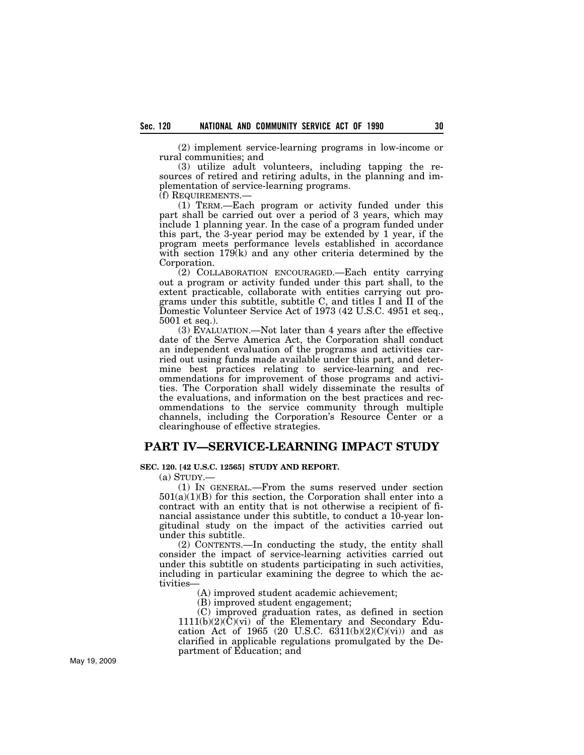(2) implement service-learning programs in low-income or rural communities; and

(3) utilize adult volunteers, including tapping the resources of retired and retiring adults, in the planning and implementation of service-learning programs.

(f) REQUIREMENTS.—

(1) TERM.—Each program or activity funded under this part shall be carried out over a period of 3 years, which may include 1 planning year. In the case of a program funded under this part, the 3-year period may be extended by 1 year, if the program meets performance levels established in accordance with section  $179(k)$  and any other criteria determined by the Corporation.

(2) COLLABORATION ENCOURAGED.—Each entity carrying out a program or activity funded under this part shall, to the extent practicable, collaborate with entities carrying out programs under this subtitle, subtitle C, and titles I and II of the Domestic Volunteer Service Act of 1973 (42 U.S.C. 4951 et seq., 5001 et seq.).

(3) EVALUATION.—Not later than 4 years after the effective date of the Serve America Act, the Corporation shall conduct an independent evaluation of the programs and activities carried out using funds made available under this part, and determine best practices relating to service-learning and recommendations for improvement of those programs and activities. The Corporation shall widely disseminate the results of the evaluations, and information on the best practices and recommendations to the service community through multiple channels, including the Corporation's Resource Center or a clearinghouse of effective strategies.

# **PART IV—SERVICE-LEARNING IMPACT STUDY**

## **SEC. 120. [42 U.S.C. 12565] STUDY AND REPORT.**

(a) STUDY.—

(1) IN GENERAL.—From the sums reserved under section  $501(a)(1)(B)$  for this section, the Corporation shall enter into a contract with an entity that is not otherwise a recipient of financial assistance under this subtitle, to conduct a 10-year longitudinal study on the impact of the activities carried out under this subtitle.

(2) CONTENTS.—In conducting the study, the entity shall consider the impact of service-learning activities carried out under this subtitle on students participating in such activities, including in particular examining the degree to which the activities—

(A) improved student academic achievement;

(B) improved student engagement;

(C) improved graduation rates, as defined in section  $1111(b)(2)(\overline{C})(\overline{v})$  of the Elementary and Secondary Education Act of 1965 (20 U.S.C.  $6311(b)(2)(C)(vi)$ ) and as clarified in applicable regulations promulgated by the Department of Education; and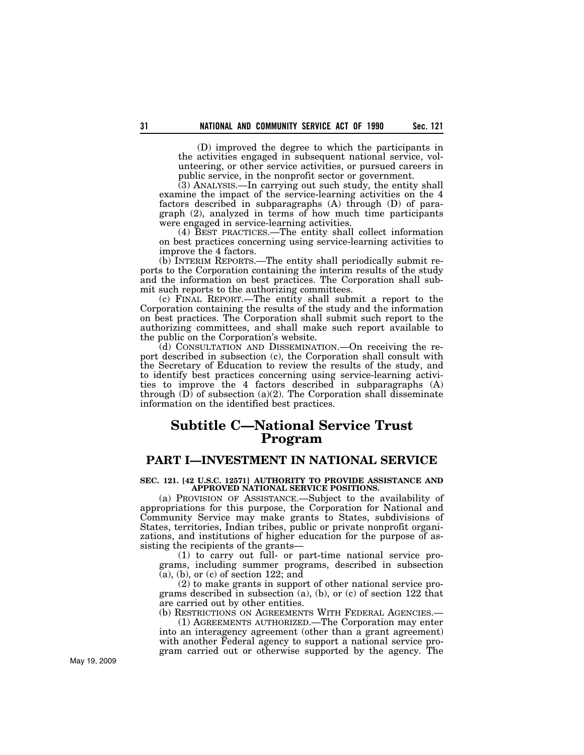(D) improved the degree to which the participants in the activities engaged in subsequent national service, volunteering, or other service activities, or pursued careers in public service, in the nonprofit sector or government.

(3) ANALYSIS.—In carrying out such study, the entity shall examine the impact of the service-learning activities on the 4 factors described in subparagraphs (A) through (D) of paragraph (2), analyzed in terms of how much time participants were engaged in service-learning activities.

(4) BEST PRACTICES.—The entity shall collect information on best practices concerning using service-learning activities to improve the 4 factors.

(b) INTERIM REPORTS.—The entity shall periodically submit reports to the Corporation containing the interim results of the study and the information on best practices. The Corporation shall submit such reports to the authorizing committees.

(c) FINAL REPORT.—The entity shall submit a report to the Corporation containing the results of the study and the information on best practices. The Corporation shall submit such report to the authorizing committees, and shall make such report available to the public on the Corporation's website.

(d) CONSULTATION AND DISSEMINATION.—On receiving the report described in subsection (c), the Corporation shall consult with the Secretary of Education to review the results of the study, and to identify best practices concerning using service-learning activities to improve the 4 factors described in subparagraphs (A) through  $(D)$  of subsection  $(a)(2)$ . The Corporation shall disseminate information on the identified best practices.

# **Subtitle C—National Service Trust Program**

## **PART I—INVESTMENT IN NATIONAL SERVICE**

#### **SEC. 121. [42 U.S.C. 12571] AUTHORITY TO PROVIDE ASSISTANCE AND APPROVED NATIONAL SERVICE POSITIONS.**

(a) PROVISION OF ASSISTANCE.—Subject to the availability of appropriations for this purpose, the Corporation for National and Community Service may make grants to States, subdivisions of States, territories, Indian tribes, public or private nonprofit organizations, and institutions of higher education for the purpose of assisting the recipients of the grants—

(1) to carry out full- or part-time national service programs, including summer programs, described in subsection  $(a)$ , (b), or (c) of section 122; and

(2) to make grants in support of other national service programs described in subsection (a), (b), or (c) of section 122 that are carried out by other entities.

(b) RESTRICTIONS ON AGREEMENTS WITH FEDERAL AGENCIES.—

(1) AGREEMENTS AUTHORIZED.—The Corporation may enter into an interagency agreement (other than a grant agreement) with another Federal agency to support a national service program carried out or otherwise supported by the agency. The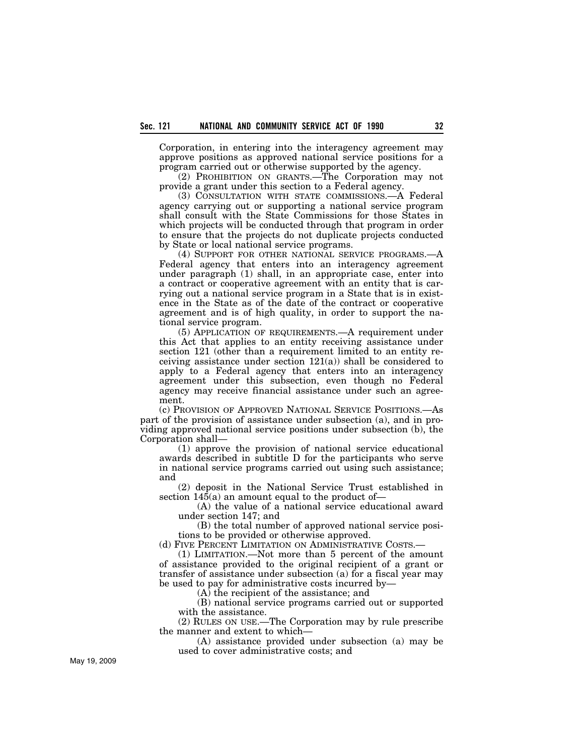Corporation, in entering into the interagency agreement may approve positions as approved national service positions for a program carried out or otherwise supported by the agency.

(2) PROHIBITION ON GRANTS.—The Corporation may not provide a grant under this section to a Federal agency.

(3) CONSULTATION WITH STATE COMMISSIONS.—A Federal agency carrying out or supporting a national service program shall consult with the State Commissions for those States in which projects will be conducted through that program in order to ensure that the projects do not duplicate projects conducted by State or local national service programs.

(4) SUPPORT FOR OTHER NATIONAL SERVICE PROGRAMS.—A Federal agency that enters into an interagency agreement under paragraph (1) shall, in an appropriate case, enter into a contract or cooperative agreement with an entity that is carrying out a national service program in a State that is in existence in the State as of the date of the contract or cooperative agreement and is of high quality, in order to support the national service program.

(5) APPLICATION OF REQUIREMENTS.—A requirement under this Act that applies to an entity receiving assistance under section 121 (other than a requirement limited to an entity receiving assistance under section 121(a)) shall be considered to apply to a Federal agency that enters into an interagency agreement under this subsection, even though no Federal agency may receive financial assistance under such an agreement.

(c) PROVISION OF APPROVED NATIONAL SERVICE POSITIONS.—As part of the provision of assistance under subsection (a), and in providing approved national service positions under subsection (b), the Corporation shall—

(1) approve the provision of national service educational awards described in subtitle D for the participants who serve in national service programs carried out using such assistance; and

(2) deposit in the National Service Trust established in section  $145(a)$  an amount equal to the product of-

(A) the value of a national service educational award under section 147; and

(B) the total number of approved national service positions to be provided or otherwise approved.

(d) FIVE PERCENT LIMITATION ON ADMINISTRATIVE COSTS.—

(1) LIMITATION.—Not more than 5 percent of the amount of assistance provided to the original recipient of a grant or transfer of assistance under subsection (a) for a fiscal year may be used to pay for administrative costs incurred by—

(A) the recipient of the assistance; and

(B) national service programs carried out or supported with the assistance.

(2) RULES ON USE.—The Corporation may by rule prescribe the manner and extent to which—

(A) assistance provided under subsection (a) may be used to cover administrative costs; and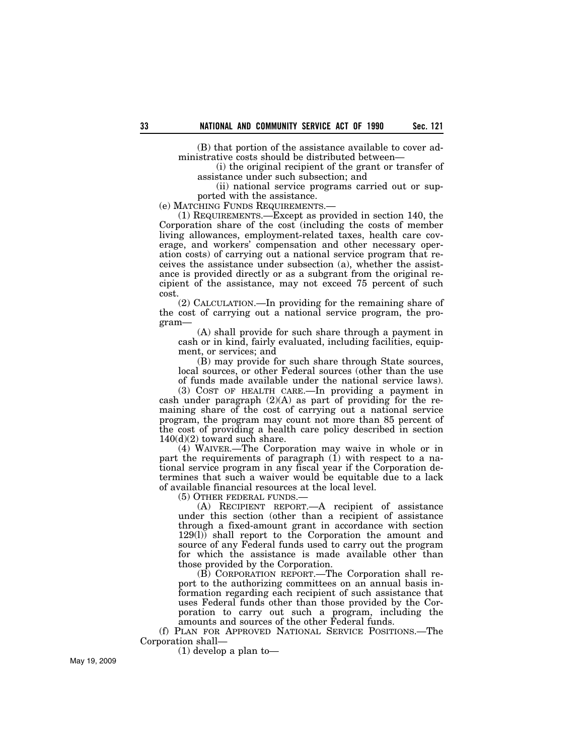(B) that portion of the assistance available to cover administrative costs should be distributed between—

(i) the original recipient of the grant or transfer of assistance under such subsection; and

(ii) national service programs carried out or supported with the assistance.

(e) MATCHING FUNDS REQUIREMENTS.—

(1) REQUIREMENTS.—Except as provided in section 140, the Corporation share of the cost (including the costs of member living allowances, employment-related taxes, health care coverage, and workers' compensation and other necessary operation costs) of carrying out a national service program that receives the assistance under subsection (a), whether the assistance is provided directly or as a subgrant from the original recipient of the assistance, may not exceed 75 percent of such cost.

(2) CALCULATION.—In providing for the remaining share of the cost of carrying out a national service program, the program—

(A) shall provide for such share through a payment in cash or in kind, fairly evaluated, including facilities, equipment, or services; and

(B) may provide for such share through State sources, local sources, or other Federal sources (other than the use of funds made available under the national service laws).

(3) COST OF HEALTH CARE.—In providing a payment in cash under paragraph  $(2)(A)$  as part of providing for the remaining share of the cost of carrying out a national service program, the program may count not more than 85 percent of the cost of providing a health care policy described in section  $140(d)(2)$  toward such share.

(4) WAIVER.—The Corporation may waive in whole or in part the requirements of paragraph  $(i)$  with respect to a national service program in any fiscal year if the Corporation determines that such a waiver would be equitable due to a lack of available financial resources at the local level.

(5) OTHER FEDERAL FUNDS.—

(A) RECIPIENT REPORT.—A recipient of assistance under this section (other than a recipient of assistance through a fixed-amount grant in accordance with section 129(l)) shall report to the Corporation the amount and source of any Federal funds used to carry out the program for which the assistance is made available other than those provided by the Corporation.

(B) CORPORATION REPORT.—The Corporation shall report to the authorizing committees on an annual basis information regarding each recipient of such assistance that uses Federal funds other than those provided by the Corporation to carry out such a program, including the amounts and sources of the other Federal funds.

(f) PLAN FOR APPROVED NATIONAL SERVICE POSITIONS.—The Corporation shall—

(1) develop a plan to—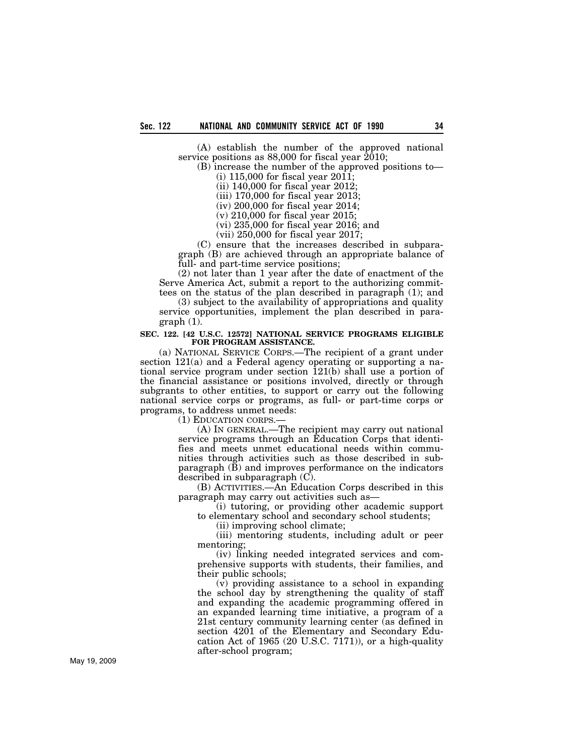(A) establish the number of the approved national service positions as 88,000 for fiscal year 2010;

(B) increase the number of the approved positions to— (i) 115,000 for fiscal year 2011;

(ii) 140,000 for fiscal year 2012;

(iii) 170,000 for fiscal year 2013;

(iv) 200,000 for fiscal year 2014;

(v) 210,000 for fiscal year 2015;

(vi) 235,000 for fiscal year 2016; and

(vii) 250,000 for fiscal year 2017;

(C) ensure that the increases described in subparagraph (B) are achieved through an appropriate balance of full- and part-time service positions;

(2) not later than 1 year after the date of enactment of the Serve America Act, submit a report to the authorizing committees on the status of the plan described in paragraph (1); and

(3) subject to the availability of appropriations and quality service opportunities, implement the plan described in paragraph (1).

#### **SEC. 122. [42 U.S.C. 12572] NATIONAL SERVICE PROGRAMS ELIGIBLE FOR PROGRAM ASSISTANCE.**

(a) NATIONAL SERVICE CORPS.—The recipient of a grant under section 121(a) and a Federal agency operating or supporting a national service program under section 121(b) shall use a portion of the financial assistance or positions involved, directly or through subgrants to other entities, to support or carry out the following national service corps or programs, as full- or part-time corps or programs, to address unmet needs:

(1) EDUCATION CORPS.—

(A) IN GENERAL.—The recipient may carry out national service programs through an Education Corps that identifies and meets unmet educational needs within communities through activities such as those described in subparagraph (B) and improves performance on the indicators described in subparagraph (C).

(B) ACTIVITIES.—An Education Corps described in this paragraph may carry out activities such as—

(i) tutoring, or providing other academic support to elementary school and secondary school students;

(ii) improving school climate;

(iii) mentoring students, including adult or peer mentoring;

(iv) linking needed integrated services and comprehensive supports with students, their families, and their public schools;

(v) providing assistance to a school in expanding the school day by strengthening the quality of staff and expanding the academic programming offered in an expanded learning time initiative, a program of a 21st century community learning center (as defined in section 4201 of the Elementary and Secondary Education Act of 1965 (20 U.S.C. 7171)), or a high-quality after-school program;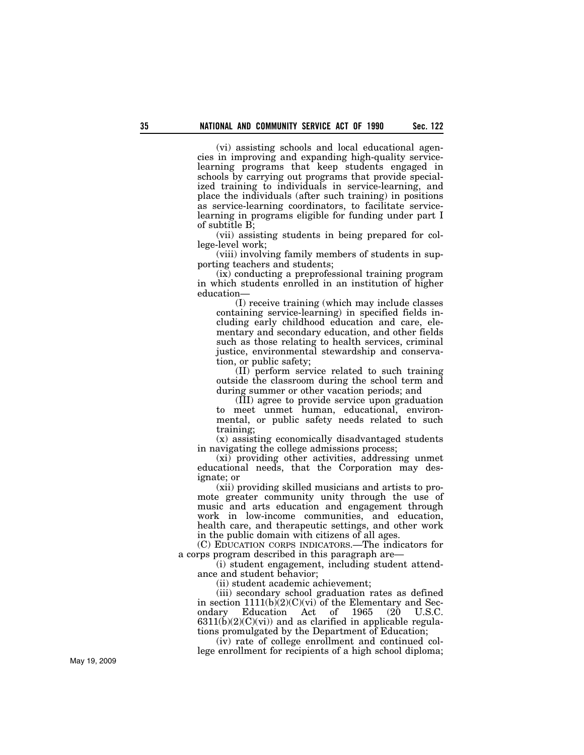(vi) assisting schools and local educational agencies in improving and expanding high-quality servicelearning programs that keep students engaged in schools by carrying out programs that provide specialized training to individuals in service-learning, and place the individuals (after such training) in positions as service-learning coordinators, to facilitate servicelearning in programs eligible for funding under part I of subtitle B;

(vii) assisting students in being prepared for college-level work;

(viii) involving family members of students in supporting teachers and students;

(ix) conducting a preprofessional training program in which students enrolled in an institution of higher education—

(I) receive training (which may include classes containing service-learning) in specified fields including early childhood education and care, elementary and secondary education, and other fields such as those relating to health services, criminal justice, environmental stewardship and conservation, or public safety;

(II) perform service related to such training outside the classroom during the school term and during summer or other vacation periods; and

(III) agree to provide service upon graduation to meet unmet human, educational, environmental, or public safety needs related to such training;

(x) assisting economically disadvantaged students in navigating the college admissions process;

(xi) providing other activities, addressing unmet educational needs, that the Corporation may designate; or

(xii) providing skilled musicians and artists to promote greater community unity through the use of music and arts education and engagement through work in low-income communities, and education, health care, and therapeutic settings, and other work in the public domain with citizens of all ages.

(C) EDUCATION CORPS INDICATORS.—The indicators for a corps program described in this paragraph are—

(i) student engagement, including student attendance and student behavior;

(ii) student academic achievement;

(iii) secondary school graduation rates as defined in section  $1111(b)(2)(C)(vi)$  of the Elementary and Secondary Education Act of 1965 (20 U.S.C.  $(20 \t\t\t U.S.C.$  $6311(b)(2)(C)(vi)$  and as clarified in applicable regulations promulgated by the Department of Education;

(iv) rate of college enrollment and continued college enrollment for recipients of a high school diploma;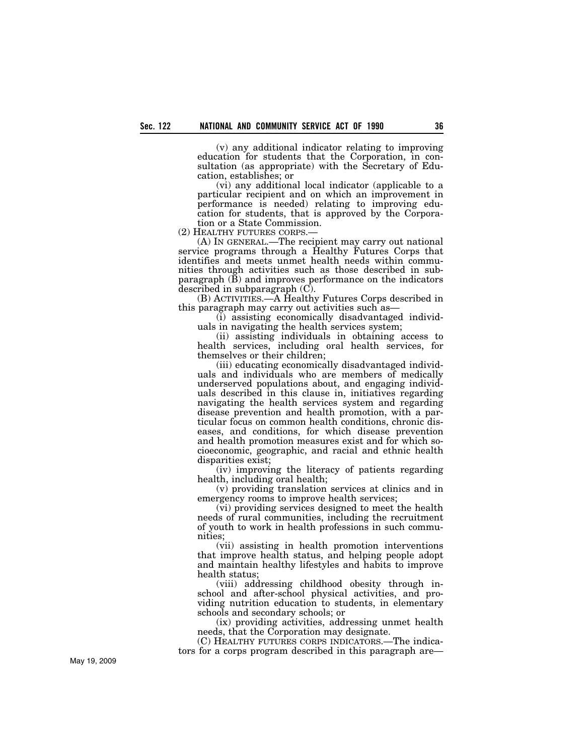(v) any additional indicator relating to improving education for students that the Corporation, in consultation (as appropriate) with the Secretary of Education, establishes; or

(vi) any additional local indicator (applicable to a particular recipient and on which an improvement in performance is needed) relating to improving education for students, that is approved by the Corpora-

tion or a State Commission.<br>(2) HEALTHY FUTURES CORPS.—

(A) In GENERAL.—The recipient may carry out national service programs through a Healthy Futures Corps that identifies and meets unmet health needs within communities through activities such as those described in subparagraph  $(\overline{B})$  and improves performance on the indicators described in subparagraph (C).

(B) ACTIVITIES.—A Healthy Futures Corps described in this paragraph may carry out activities such as—

(i) assisting economically disadvantaged individuals in navigating the health services system;

(ii) assisting individuals in obtaining access to health services, including oral health services, for themselves or their children;

(iii) educating economically disadvantaged individuals and individuals who are members of medically underserved populations about, and engaging individuals described in this clause in, initiatives regarding navigating the health services system and regarding disease prevention and health promotion, with a particular focus on common health conditions, chronic diseases, and conditions, for which disease prevention and health promotion measures exist and for which socioeconomic, geographic, and racial and ethnic health disparities exist;

(iv) improving the literacy of patients regarding health, including oral health;

(v) providing translation services at clinics and in emergency rooms to improve health services;

(vi) providing services designed to meet the health needs of rural communities, including the recruitment of youth to work in health professions in such communities;

(vii) assisting in health promotion interventions that improve health status, and helping people adopt and maintain healthy lifestyles and habits to improve health status;

(viii) addressing childhood obesity through inschool and after-school physical activities, and providing nutrition education to students, in elementary schools and secondary schools; or

(ix) providing activities, addressing unmet health needs, that the Corporation may designate.

(C) HEALTHY FUTURES CORPS INDICATORS.—The indicators for a corps program described in this paragraph are—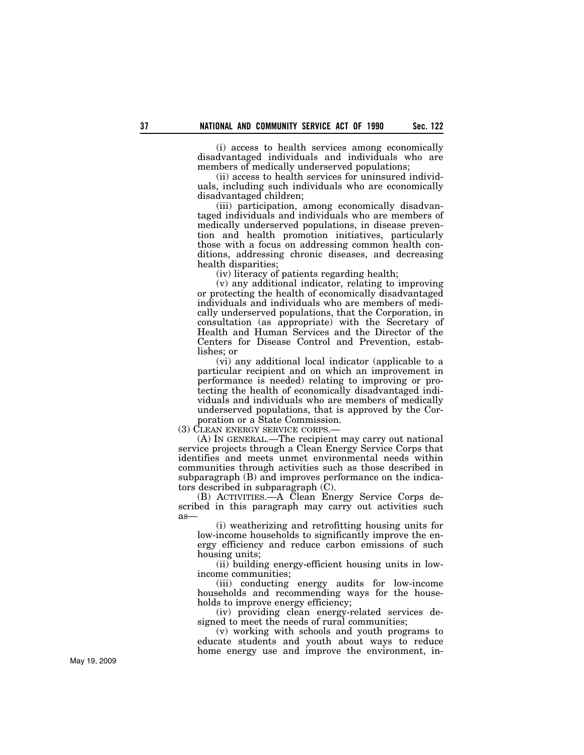(i) access to health services among economically disadvantaged individuals and individuals who are members of medically underserved populations;

(ii) access to health services for uninsured individuals, including such individuals who are economically disadvantaged children;

(iii) participation, among economically disadvantaged individuals and individuals who are members of medically underserved populations, in disease prevention and health promotion initiatives, particularly those with a focus on addressing common health conditions, addressing chronic diseases, and decreasing health disparities;

(iv) literacy of patients regarding health;

(v) any additional indicator, relating to improving or protecting the health of economically disadvantaged individuals and individuals who are members of medically underserved populations, that the Corporation, in consultation (as appropriate) with the Secretary of Health and Human Services and the Director of the Centers for Disease Control and Prevention, establishes; or

(vi) any additional local indicator (applicable to a particular recipient and on which an improvement in performance is needed) relating to improving or protecting the health of economically disadvantaged individuals and individuals who are members of medically underserved populations, that is approved by the Corporation or a State Commission.

(3) CLEAN ENERGY SERVICE CORPS.—

(A) IN GENERAL.—The recipient may carry out national service projects through a Clean Energy Service Corps that identifies and meets unmet environmental needs within communities through activities such as those described in subparagraph (B) and improves performance on the indicators described in subparagraph (C).

(B) ACTIVITIES.—A Clean Energy Service Corps described in this paragraph may carry out activities such as—

(i) weatherizing and retrofitting housing units for low-income households to significantly improve the energy efficiency and reduce carbon emissions of such housing units;

(ii) building energy-efficient housing units in lowincome communities;

(iii) conducting energy audits for low-income households and recommending ways for the households to improve energy efficiency;

(iv) providing clean energy-related services designed to meet the needs of rural communities;

(v) working with schools and youth programs to educate students and youth about ways to reduce home energy use and improve the environment, in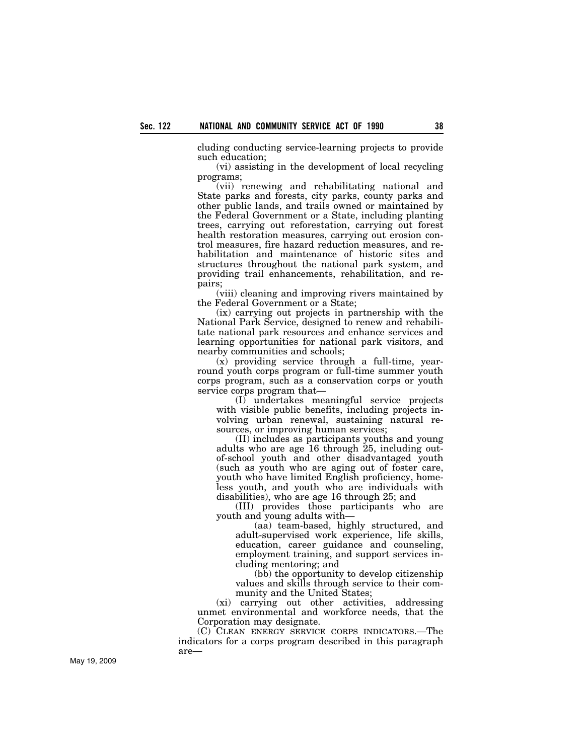cluding conducting service-learning projects to provide such education;

(vi) assisting in the development of local recycling programs;

(vii) renewing and rehabilitating national and State parks and forests, city parks, county parks and other public lands, and trails owned or maintained by the Federal Government or a State, including planting trees, carrying out reforestation, carrying out forest health restoration measures, carrying out erosion control measures, fire hazard reduction measures, and rehabilitation and maintenance of historic sites and structures throughout the national park system, and providing trail enhancements, rehabilitation, and repairs;

(viii) cleaning and improving rivers maintained by the Federal Government or a State;

(ix) carrying out projects in partnership with the National Park Service, designed to renew and rehabilitate national park resources and enhance services and learning opportunities for national park visitors, and nearby communities and schools;

(x) providing service through a full-time, yearround youth corps program or full-time summer youth corps program, such as a conservation corps or youth service corps program that—

(I) undertakes meaningful service projects with visible public benefits, including projects involving urban renewal, sustaining natural resources, or improving human services;

(II) includes as participants youths and young adults who are age 16 through 25, including outof-school youth and other disadvantaged youth (such as youth who are aging out of foster care, youth who have limited English proficiency, homeless youth, and youth who are individuals with disabilities), who are age 16 through 25; and

(III) provides those participants who are youth and young adults with—

(aa) team-based, highly structured, and adult-supervised work experience, life skills, education, career guidance and counseling, employment training, and support services including mentoring; and

(bb) the opportunity to develop citizenship values and skills through service to their community and the United States;

(xi) carrying out other activities, addressing unmet environmental and workforce needs, that the Corporation may designate.

(C) CLEAN ENERGY SERVICE CORPS INDICATORS.—The indicators for a corps program described in this paragraph are—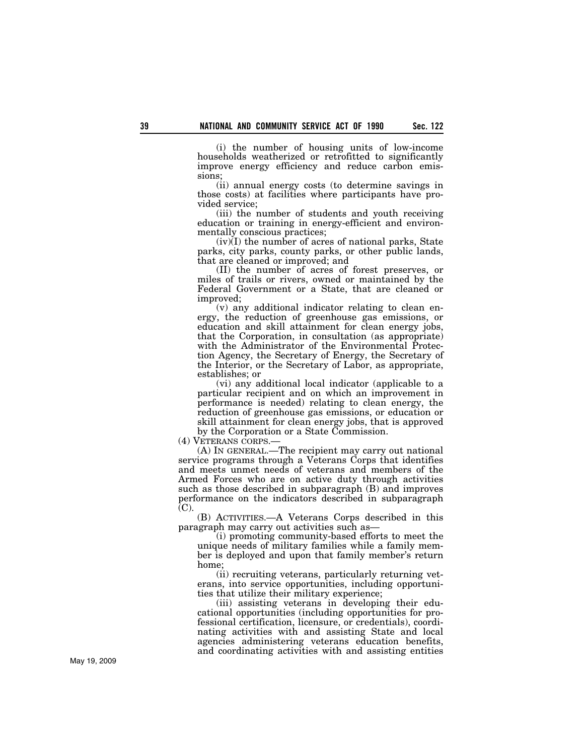(i) the number of housing units of low-income households weatherized or retrofitted to significantly improve energy efficiency and reduce carbon emissions;

(ii) annual energy costs (to determine savings in those costs) at facilities where participants have provided service;

(iii) the number of students and youth receiving education or training in energy-efficient and environmentally conscious practices;

 $(iv)(I)$  the number of acres of national parks, State parks, city parks, county parks, or other public lands, that are cleaned or improved; and

(II) the number of acres of forest preserves, or miles of trails or rivers, owned or maintained by the Federal Government or a State, that are cleaned or improved;

(v) any additional indicator relating to clean energy, the reduction of greenhouse gas emissions, or education and skill attainment for clean energy jobs, that the Corporation, in consultation (as appropriate) with the Administrator of the Environmental Protection Agency, the Secretary of Energy, the Secretary of the Interior, or the Secretary of Labor, as appropriate, establishes; or

(vi) any additional local indicator (applicable to a particular recipient and on which an improvement in performance is needed) relating to clean energy, the reduction of greenhouse gas emissions, or education or skill attainment for clean energy jobs, that is approved by the Corporation or a State Commission.

(4) VETERANS CORPS.—

(A) IN GENERAL.—The recipient may carry out national service programs through a Veterans Corps that identifies and meets unmet needs of veterans and members of the Armed Forces who are on active duty through activities such as those described in subparagraph (B) and improves performance on the indicators described in subparagraph (C).

(B) ACTIVITIES.—A Veterans Corps described in this paragraph may carry out activities such as—

(i) promoting community-based efforts to meet the unique needs of military families while a family member is deployed and upon that family member's return home;

(ii) recruiting veterans, particularly returning veterans, into service opportunities, including opportunities that utilize their military experience;

(iii) assisting veterans in developing their educational opportunities (including opportunities for professional certification, licensure, or credentials), coordinating activities with and assisting State and local agencies administering veterans education benefits, and coordinating activities with and assisting entities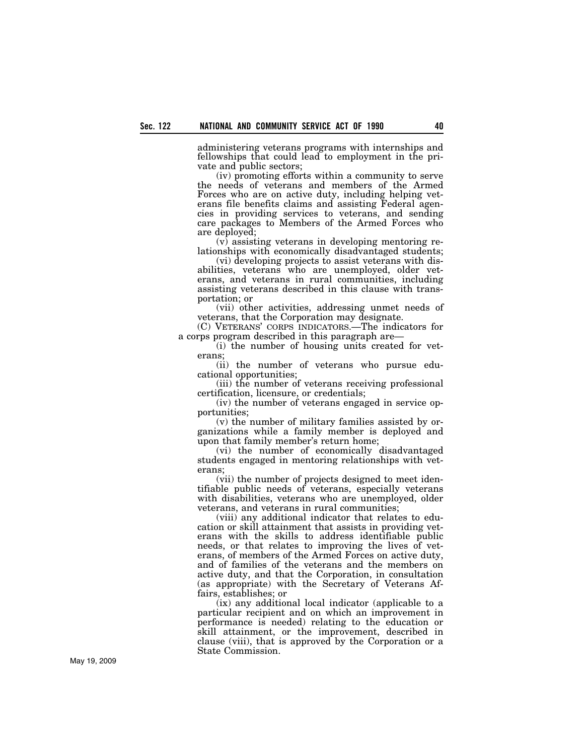administering veterans programs with internships and fellowships that could lead to employment in the private and public sectors;

(iv) promoting efforts within a community to serve the needs of veterans and members of the Armed Forces who are on active duty, including helping veterans file benefits claims and assisting Federal agencies in providing services to veterans, and sending care packages to Members of the Armed Forces who are deployed;

(v) assisting veterans in developing mentoring relationships with economically disadvantaged students;

(vi) developing projects to assist veterans with disabilities, veterans who are unemployed, older veterans, and veterans in rural communities, including assisting veterans described in this clause with transportation; or

(vii) other activities, addressing unmet needs of veterans, that the Corporation may designate.

(C) VETERANS' CORPS INDICATORS.—The indicators for a corps program described in this paragraph are—

(i) the number of housing units created for veterans;

(ii) the number of veterans who pursue educational opportunities;

(iii) the number of veterans receiving professional certification, licensure, or credentials;

(iv) the number of veterans engaged in service opportunities;

(v) the number of military families assisted by organizations while a family member is deployed and upon that family member's return home;

(vi) the number of economically disadvantaged students engaged in mentoring relationships with veterans;

(vii) the number of projects designed to meet identifiable public needs of veterans, especially veterans with disabilities, veterans who are unemployed, older veterans, and veterans in rural communities;

(viii) any additional indicator that relates to education or skill attainment that assists in providing veterans with the skills to address identifiable public needs, or that relates to improving the lives of veterans, of members of the Armed Forces on active duty, and of families of the veterans and the members on active duty, and that the Corporation, in consultation (as appropriate) with the Secretary of Veterans Affairs, establishes; or

(ix) any additional local indicator (applicable to a particular recipient and on which an improvement in performance is needed) relating to the education or skill attainment, or the improvement, described in clause (viii), that is approved by the Corporation or a State Commission.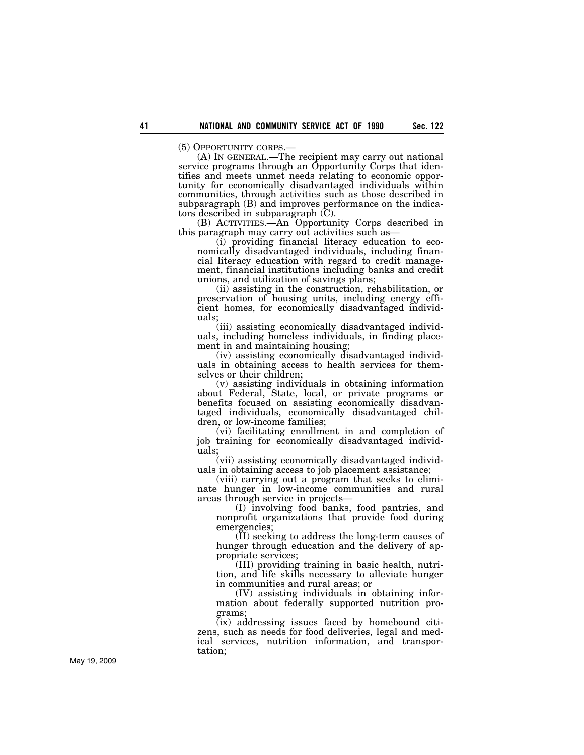(5) OPPORTUNITY CORPS.— (A) IN GENERAL.—The recipient may carry out national service programs through an Opportunity Corps that identifies and meets unmet needs relating to economic opportunity for economically disadvantaged individuals within communities, through activities such as those described in subparagraph (B) and improves performance on the indicators described in subparagraph (C).

(B) ACTIVITIES.—An Opportunity Corps described in this paragraph may carry out activities such as—

(i) providing financial literacy education to economically disadvantaged individuals, including financial literacy education with regard to credit management, financial institutions including banks and credit unions, and utilization of savings plans;

(ii) assisting in the construction, rehabilitation, or preservation of housing units, including energy efficient homes, for economically disadvantaged individuals;

(iii) assisting economically disadvantaged individuals, including homeless individuals, in finding placement in and maintaining housing;

(iv) assisting economically disadvantaged individuals in obtaining access to health services for themselves or their children;

(v) assisting individuals in obtaining information about Federal, State, local, or private programs or benefits focused on assisting economically disadvantaged individuals, economically disadvantaged children, or low-income families;

(vi) facilitating enrollment in and completion of job training for economically disadvantaged individuals;

(vii) assisting economically disadvantaged individuals in obtaining access to job placement assistance;

(viii) carrying out a program that seeks to eliminate hunger in low-income communities and rural areas through service in projects—

(I) involving food banks, food pantries, and nonprofit organizations that provide food during emergencies;

(II) seeking to address the long-term causes of hunger through education and the delivery of appropriate services;

(III) providing training in basic health, nutrition, and life skills necessary to alleviate hunger in communities and rural areas; or

(IV) assisting individuals in obtaining information about federally supported nutrition programs;

(ix) addressing issues faced by homebound citizens, such as needs for food deliveries, legal and medical services, nutrition information, and transportation;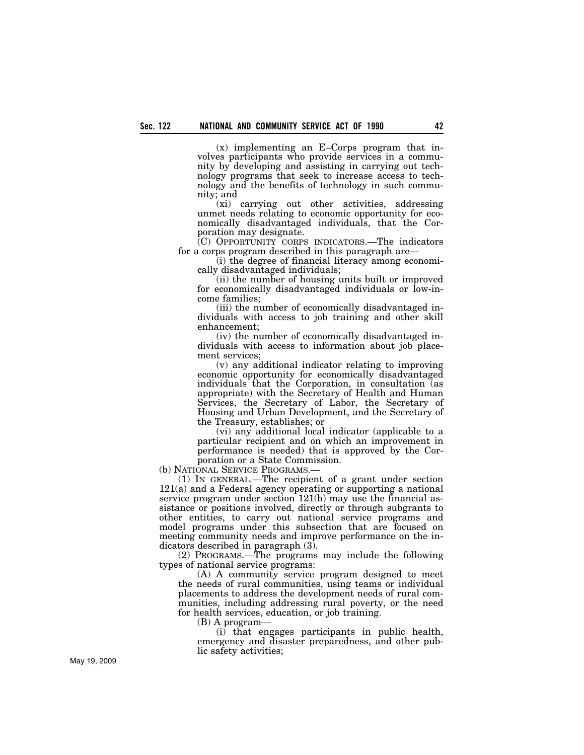(x) implementing an E–Corps program that involves participants who provide services in a community by developing and assisting in carrying out technology programs that seek to increase access to technology and the benefits of technology in such community; and

(xi) carrying out other activities, addressing unmet needs relating to economic opportunity for economically disadvantaged individuals, that the Corporation may designate.

(C) OPPORTUNITY CORPS INDICATORS.—The indicators for a corps program described in this paragraph are—

(i) the degree of financial literacy among economically disadvantaged individuals;

(ii) the number of housing units built or improved for economically disadvantaged individuals or low-income families;

(iii) the number of economically disadvantaged individuals with access to job training and other skill enhancement;

(iv) the number of economically disadvantaged individuals with access to information about job placement services;

(v) any additional indicator relating to improving economic opportunity for economically disadvantaged individuals that the Corporation, in consultation (as appropriate) with the Secretary of Health and Human Services, the Secretary of Labor, the Secretary of Housing and Urban Development, and the Secretary of the Treasury, establishes; or

(vi) any additional local indicator (applicable to a particular recipient and on which an improvement in performance is needed) that is approved by the Corporation or a State Commission.

(b) NATIONAL SERVICE PROGRAMS.—

(1) IN GENERAL.—The recipient of a grant under section 121(a) and a Federal agency operating or supporting a national service program under section 121(b) may use the financial assistance or positions involved, directly or through subgrants to other entities, to carry out national service programs and model programs under this subsection that are focused on meeting community needs and improve performance on the indicators described in paragraph (3).

(2) PROGRAMS.—The programs may include the following types of national service programs:

(A) A community service program designed to meet the needs of rural communities, using teams or individual placements to address the development needs of rural communities, including addressing rural poverty, or the need for health services, education, or job training.

(B) A program—

(i) that engages participants in public health, emergency and disaster preparedness, and other public safety activities;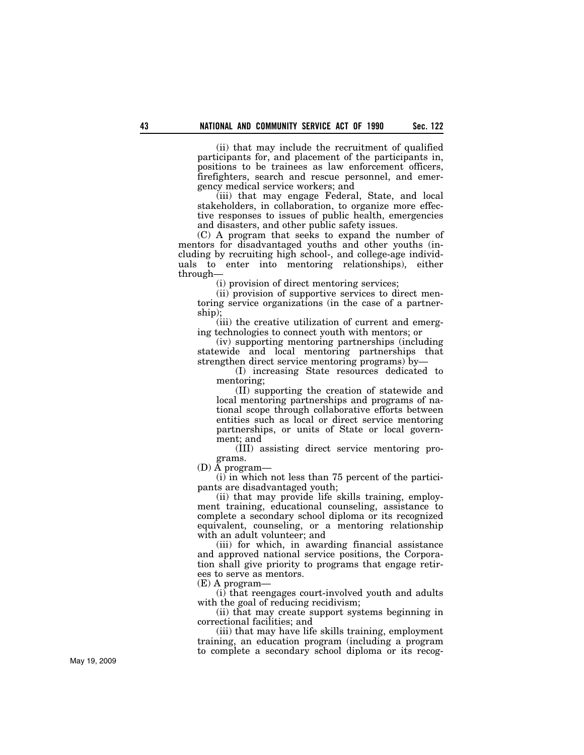(ii) that may include the recruitment of qualified participants for, and placement of the participants in, positions to be trainees as law enforcement officers, firefighters, search and rescue personnel, and emergency medical service workers; and

(iii) that may engage Federal, State, and local stakeholders, in collaboration, to organize more effective responses to issues of public health, emergencies and disasters, and other public safety issues.

(C) A program that seeks to expand the number of mentors for disadvantaged youths and other youths (including by recruiting high school-, and college-age individuals to enter into mentoring relationships), either through—

(i) provision of direct mentoring services;

(ii) provision of supportive services to direct mentoring service organizations (in the case of a partnership);

(iii) the creative utilization of current and emerging technologies to connect youth with mentors; or

(iv) supporting mentoring partnerships (including statewide and local mentoring partnerships that strengthen direct service mentoring programs) by—

(I) increasing State resources dedicated to mentoring;

(II) supporting the creation of statewide and local mentoring partnerships and programs of national scope through collaborative efforts between entities such as local or direct service mentoring partnerships, or units of State or local government; and

(III) assisting direct service mentoring programs.

(D) A program—

(i) in which not less than 75 percent of the participants are disadvantaged youth;

(ii) that may provide life skills training, employment training, educational counseling, assistance to complete a secondary school diploma or its recognized equivalent, counseling, or a mentoring relationship with an adult volunteer; and

(iii) for which, in awarding financial assistance and approved national service positions, the Corporation shall give priority to programs that engage retirees to serve as mentors.

 $(E)$  A program-

(i) that reengages court-involved youth and adults with the goal of reducing recidivism;

(ii) that may create support systems beginning in correctional facilities; and

(iii) that may have life skills training, employment training, an education program (including a program to complete a secondary school diploma or its recog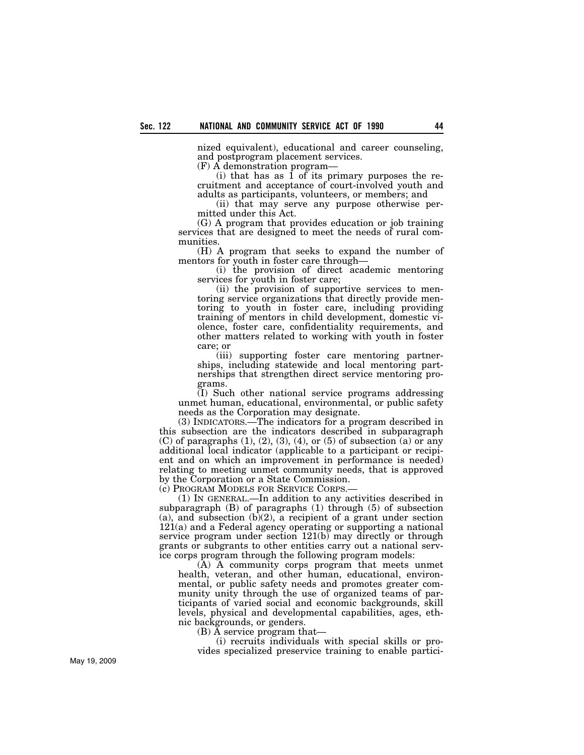nized equivalent), educational and career counseling, and postprogram placement services.

(F) A demonstration program—

(i) that has as 1 of its primary purposes the recruitment and acceptance of court-involved youth and adults as participants, volunteers, or members; and

(ii) that may serve any purpose otherwise permitted under this Act.

(G) A program that provides education or job training services that are designed to meet the needs of rural communities.

(H) A program that seeks to expand the number of mentors for youth in foster care through—

(i) the provision of direct academic mentoring services for youth in foster care;

(ii) the provision of supportive services to mentoring service organizations that directly provide mentoring to youth in foster care, including providing training of mentors in child development, domestic violence, foster care, confidentiality requirements, and other matters related to working with youth in foster care; or

(iii) supporting foster care mentoring partnerships, including statewide and local mentoring partnerships that strengthen direct service mentoring programs.

(I) Such other national service programs addressing unmet human, educational, environmental, or public safety needs as the Corporation may designate.

(3) INDICATORS.—The indicators for a program described in this subsection are the indicators described in subparagraph  $(C)$  of paragraphs  $(1)$ ,  $(2)$ ,  $(3)$ ,  $(4)$ , or  $(5)$  of subsection  $(a)$  or any additional local indicator (applicable to a participant or recipient and on which an improvement in performance is needed) relating to meeting unmet community needs, that is approved by the Corporation or a State Commission.

(c) PROGRAM MODELS FOR SERVICE CORPS.—

(1) IN GENERAL.—In addition to any activities described in subparagraph (B) of paragraphs (1) through (5) of subsection (a), and subsection  $(b)(2)$ , a recipient of a grant under section 121(a) and a Federal agency operating or supporting a national service program under section 121(b) may directly or through grants or subgrants to other entities carry out a national service corps program through the following program models:

(A) A community corps program that meets unmet health, veteran, and other human, educational, environmental, or public safety needs and promotes greater community unity through the use of organized teams of participants of varied social and economic backgrounds, skill levels, physical and developmental capabilities, ages, ethnic backgrounds, or genders.

(B) A service program that—

(i) recruits individuals with special skills or provides specialized preservice training to enable partici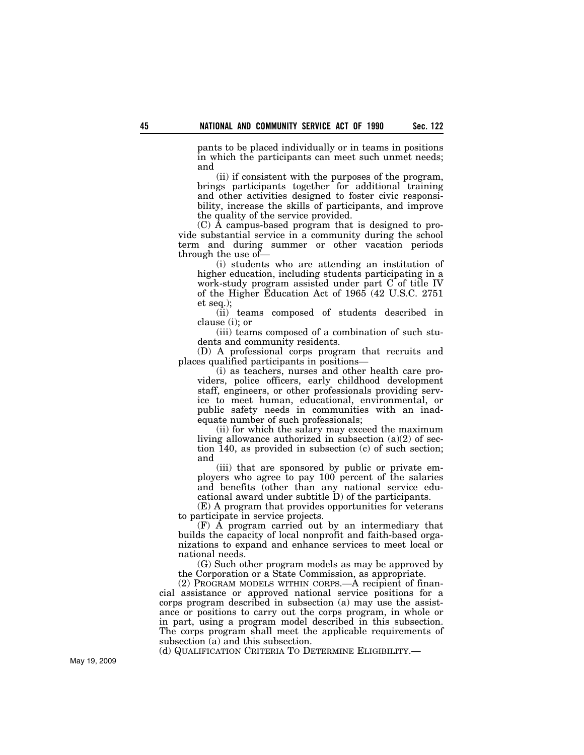pants to be placed individually or in teams in positions in which the participants can meet such unmet needs; and

(ii) if consistent with the purposes of the program, brings participants together for additional training and other activities designed to foster civic responsibility, increase the skills of participants, and improve the quality of the service provided.

(C) A campus-based program that is designed to provide substantial service in a community during the school term and during summer or other vacation periods through the use of—

(i) students who are attending an institution of higher education, including students participating in a work-study program assisted under part C of title IV of the Higher Education Act of 1965 (42 U.S.C. 2751 et seq.);

(ii) teams composed of students described in clause (i); or

(iii) teams composed of a combination of such students and community residents.

(D) A professional corps program that recruits and places qualified participants in positions—

(i) as teachers, nurses and other health care providers, police officers, early childhood development staff, engineers, or other professionals providing service to meet human, educational, environmental, or public safety needs in communities with an inadequate number of such professionals;

(ii) for which the salary may exceed the maximum living allowance authorized in subsection (a)(2) of section 140, as provided in subsection (c) of such section; and

(iii) that are sponsored by public or private employers who agree to pay 100 percent of the salaries and benefits (other than any national service educational award under subtitle D) of the participants.

(E) A program that provides opportunities for veterans to participate in service projects.

(F) A program carried out by an intermediary that builds the capacity of local nonprofit and faith-based organizations to expand and enhance services to meet local or national needs.

(G) Such other program models as may be approved by the Corporation or a State Commission, as appropriate.

(2) PROGRAM MODELS WITHIN CORPS.—A recipient of financial assistance or approved national service positions for a corps program described in subsection (a) may use the assistance or positions to carry out the corps program, in whole or in part, using a program model described in this subsection. The corps program shall meet the applicable requirements of subsection (a) and this subsection.

(d) QUALIFICATION CRITERIA TO DETERMINE ELIGIBILITY.—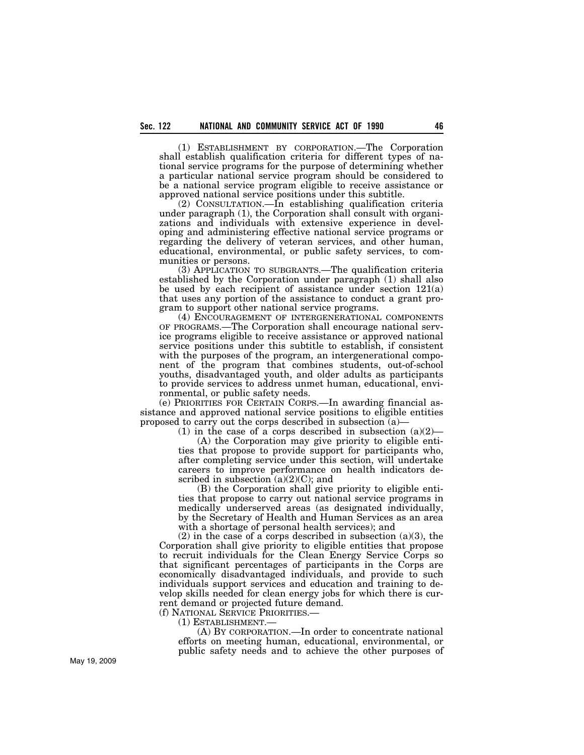(1) ESTABLISHMENT BY CORPORATION.—The Corporation shall establish qualification criteria for different types of national service programs for the purpose of determining whether a particular national service program should be considered to be a national service program eligible to receive assistance or approved national service positions under this subtitle.

(2) CONSULTATION.—In establishing qualification criteria under paragraph (1), the Corporation shall consult with organizations and individuals with extensive experience in developing and administering effective national service programs or regarding the delivery of veteran services, and other human, educational, environmental, or public safety services, to communities or persons.

(3) APPLICATION TO SUBGRANTS.—The qualification criteria established by the Corporation under paragraph (1) shall also be used by each recipient of assistance under section 121(a) that uses any portion of the assistance to conduct a grant program to support other national service programs.

(4) ENCOURAGEMENT OF INTERGENERATIONAL COMPONENTS OF PROGRAMS.—The Corporation shall encourage national service programs eligible to receive assistance or approved national service positions under this subtitle to establish, if consistent with the purposes of the program, an intergenerational component of the program that combines students, out-of-school youths, disadvantaged youth, and older adults as participants to provide services to address unmet human, educational, environmental, or public safety needs.

(e) PRIORITIES FOR CERTAIN CORPS.—In awarding financial assistance and approved national service positions to eligible entities proposed to carry out the corps described in subsection (a)—

(1) in the case of a corps described in subsection  $(a)(2)$ —

(A) the Corporation may give priority to eligible entities that propose to provide support for participants who, after completing service under this section, will undertake careers to improve performance on health indicators described in subsection  $(a)(2)(C)$ ; and

(B) the Corporation shall give priority to eligible entities that propose to carry out national service programs in medically underserved areas (as designated individually, by the Secretary of Health and Human Services as an area with a shortage of personal health services); and

 $(2)$  in the case of a corps described in subsection  $(a)(3)$ , the Corporation shall give priority to eligible entities that propose to recruit individuals for the Clean Energy Service Corps so that significant percentages of participants in the Corps are economically disadvantaged individuals, and provide to such individuals support services and education and training to develop skills needed for clean energy jobs for which there is current demand or projected future demand.

(f) NATIONAL SERVICE PRIORITIES.—

(1) ESTABLISHMENT.—

(A) BY CORPORATION.—In order to concentrate national efforts on meeting human, educational, environmental, or public safety needs and to achieve the other purposes of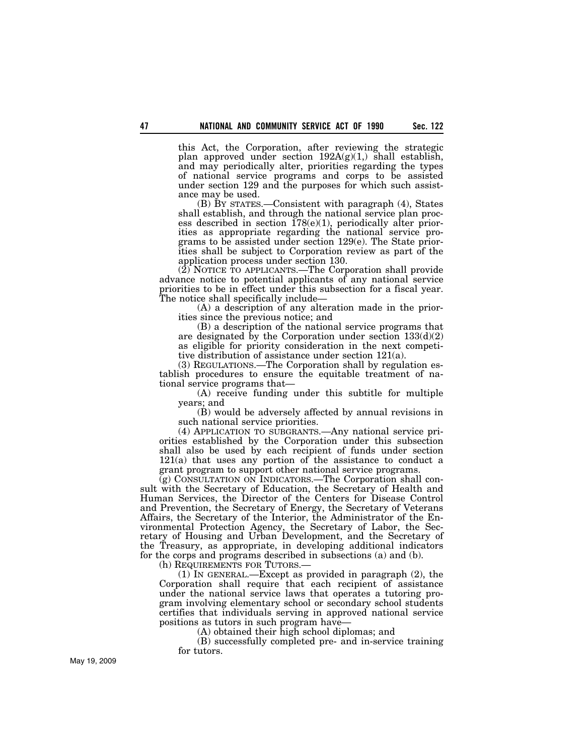this Act, the Corporation, after reviewing the strategic plan approved under section  $192A(g)(1)$ , shall establish, and may periodically alter, priorities regarding the types of national service programs and corps to be assisted under section 129 and the purposes for which such assistance may be used.

(B) BY STATES.—Consistent with paragraph (4), States shall establish, and through the national service plan process described in section  $178(e)(1)$ , periodically alter priorities as appropriate regarding the national service programs to be assisted under section 129(e). The State priorities shall be subject to Corporation review as part of the application process under section 130.

(2) NOTICE TO APPLICANTS.—The Corporation shall provide advance notice to potential applicants of any national service priorities to be in effect under this subsection for a fiscal year. The notice shall specifically include—

(A) a description of any alteration made in the priorities since the previous notice; and

(B) a description of the national service programs that are designated by the Corporation under section 133(d)(2) as eligible for priority consideration in the next competitive distribution of assistance under section 121(a).

(3) REGULATIONS.—The Corporation shall by regulation establish procedures to ensure the equitable treatment of national service programs that—

(A) receive funding under this subtitle for multiple years; and

(B) would be adversely affected by annual revisions in such national service priorities.

(4) APPLICATION TO SUBGRANTS.—Any national service priorities established by the Corporation under this subsection shall also be used by each recipient of funds under section 121(a) that uses any portion of the assistance to conduct a grant program to support other national service programs.

(g) CONSULTATION ON INDICATORS.—The Corporation shall consult with the Secretary of Education, the Secretary of Health and Human Services, the Director of the Centers for Disease Control and Prevention, the Secretary of Energy, the Secretary of Veterans Affairs, the Secretary of the Interior, the Administrator of the Environmental Protection Agency, the Secretary of Labor, the Secretary of Housing and Urban Development, and the Secretary of the Treasury, as appropriate, in developing additional indicators for the corps and programs described in subsections (a) and (b).

(h) REQUIREMENTS FOR TUTORS.—

(1) IN GENERAL.—Except as provided in paragraph (2), the Corporation shall require that each recipient of assistance under the national service laws that operates a tutoring program involving elementary school or secondary school students certifies that individuals serving in approved national service positions as tutors in such program have—

(A) obtained their high school diplomas; and

(B) successfully completed pre- and in-service training for tutors.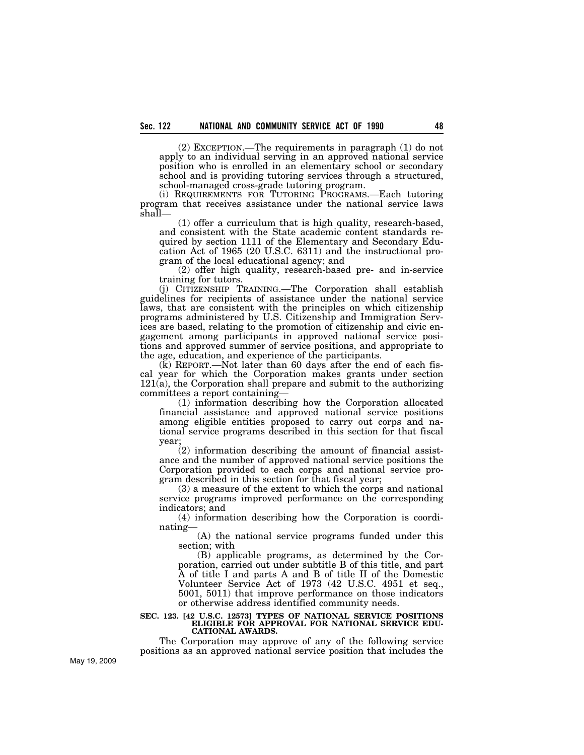(2) EXCEPTION.—The requirements in paragraph (1) do not apply to an individual serving in an approved national service position who is enrolled in an elementary school or secondary school and is providing tutoring services through a structured, school-managed cross-grade tutoring program.

(i) REQUIREMENTS FOR TUTORING PROGRAMS.—Each tutoring program that receives assistance under the national service laws shall—

(1) offer a curriculum that is high quality, research-based, and consistent with the State academic content standards required by section 1111 of the Elementary and Secondary Education Act of 1965 (20 U.S.C. 6311) and the instructional program of the local educational agency; and

(2) offer high quality, research-based pre- and in-service training for tutors.

(j) CITIZENSHIP TRAINING.—The Corporation shall establish guidelines for recipients of assistance under the national service laws, that are consistent with the principles on which citizenship programs administered by U.S. Citizenship and Immigration Services are based, relating to the promotion of citizenship and civic engagement among participants in approved national service positions and approved summer of service positions, and appropriate to the age, education, and experience of the participants.

(k) REPORT.—Not later than 60 days after the end of each fiscal year for which the Corporation makes grants under section 121(a), the Corporation shall prepare and submit to the authorizing committees a report containing—

(1) information describing how the Corporation allocated financial assistance and approved national service positions among eligible entities proposed to carry out corps and national service programs described in this section for that fiscal year;

(2) information describing the amount of financial assistance and the number of approved national service positions the Corporation provided to each corps and national service program described in this section for that fiscal year;

(3) a measure of the extent to which the corps and national service programs improved performance on the corresponding indicators; and

(4) information describing how the Corporation is coordinating—

(A) the national service programs funded under this section; with

(B) applicable programs, as determined by the Corporation, carried out under subtitle B of this title, and part A of title I and parts A and B of title II of the Domestic Volunteer Service Act of 1973 (42 U.S.C. 4951 et seq., 5001, 5011) that improve performance on those indicators or otherwise address identified community needs.

#### **SEC. 123. [42 U.S.C. 12573] TYPES OF NATIONAL SERVICE POSITIONS ELIGIBLE FOR APPROVAL FOR NATIONAL SERVICE EDU-CATIONAL AWARDS.**

The Corporation may approve of any of the following service positions as an approved national service position that includes the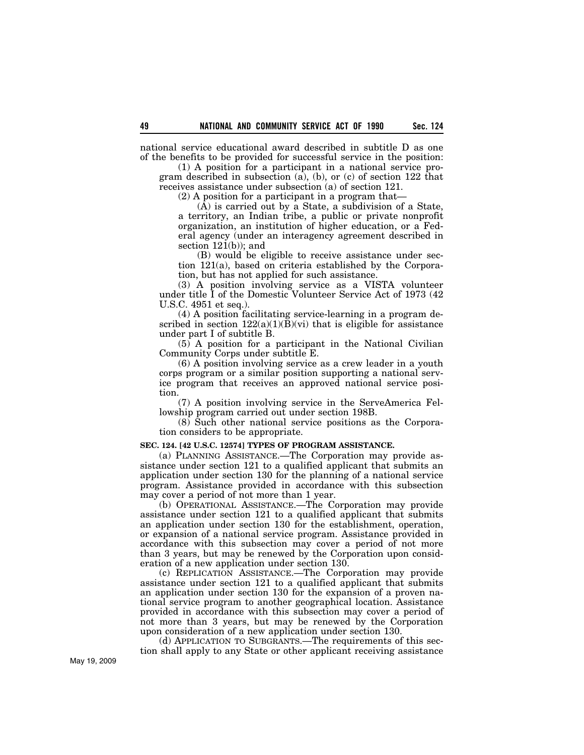national service educational award described in subtitle D as one of the benefits to be provided for successful service in the position:

(1) A position for a participant in a national service program described in subsection (a), (b), or (c) of section 122 that receives assistance under subsection (a) of section 121.

(2) A position for a participant in a program that—

 $(\overline{A})$  is carried out by a State, a subdivision of a State, a territory, an Indian tribe, a public or private nonprofit organization, an institution of higher education, or a Federal agency (under an interagency agreement described in section  $121(b)$ ; and

(B) would be eligible to receive assistance under section 121(a), based on criteria established by the Corporation, but has not applied for such assistance.

(3) A position involving service as a VISTA volunteer under title I of the Domestic Volunteer Service Act of 1973 (42 U.S.C. 4951 et seq.).

(4) A position facilitating service-learning in a program described in section  $122(a)(1)(B)(vi)$  that is eligible for assistance under part I of subtitle B.

(5) A position for a participant in the National Civilian Community Corps under subtitle E.

(6) A position involving service as a crew leader in a youth corps program or a similar position supporting a national service program that receives an approved national service position.

(7) A position involving service in the ServeAmerica Fellowship program carried out under section 198B.

(8) Such other national service positions as the Corporation considers to be appropriate.

## **SEC. 124. [42 U.S.C. 12574] TYPES OF PROGRAM ASSISTANCE.**

(a) PLANNING ASSISTANCE.—The Corporation may provide assistance under section 121 to a qualified applicant that submits an application under section 130 for the planning of a national service program. Assistance provided in accordance with this subsection may cover a period of not more than 1 year.

(b) OPERATIONAL ASSISTANCE.—The Corporation may provide assistance under section 121 to a qualified applicant that submits an application under section 130 for the establishment, operation, or expansion of a national service program. Assistance provided in accordance with this subsection may cover a period of not more than 3 years, but may be renewed by the Corporation upon consideration of a new application under section 130.

(c) REPLICATION ASSISTANCE.—The Corporation may provide assistance under section 121 to a qualified applicant that submits an application under section 130 for the expansion of a proven national service program to another geographical location. Assistance provided in accordance with this subsection may cover a period of not more than 3 years, but may be renewed by the Corporation upon consideration of a new application under section 130.

(d) APPLICATION TO SUBGRANTS.—The requirements of this section shall apply to any State or other applicant receiving assistance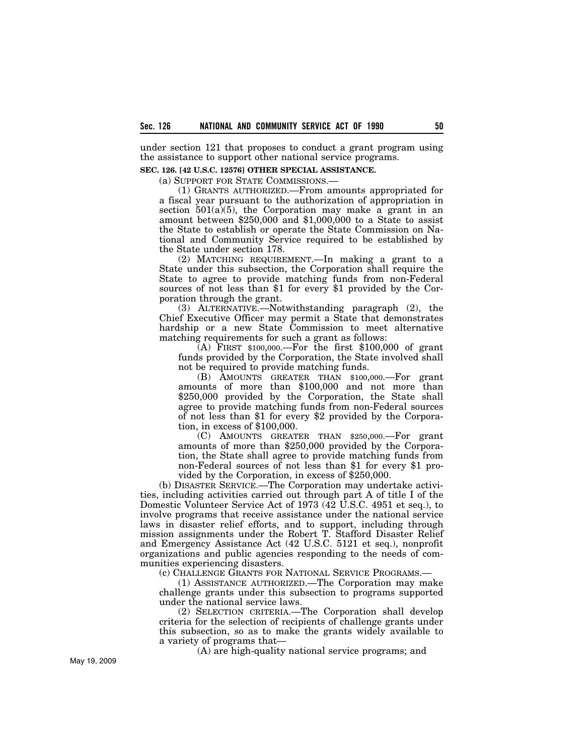under section 121 that proposes to conduct a grant program using the assistance to support other national service programs.

## **SEC. 126. [42 U.S.C. 12576] OTHER SPECIAL ASSISTANCE.**

(a) SUPPORT FOR STATE COMMISSIONS.—

(1) GRANTS AUTHORIZED.—From amounts appropriated for a fiscal year pursuant to the authorization of appropriation in section  $501(a)(5)$ , the Corporation may make a grant in an amount between  $$250,000$  and  $$1,000,000$  to a State to assist the State to establish or operate the State Commission on National and Community Service required to be established by the State under section 178.

(2) MATCHING REQUIREMENT.—In making a grant to a State under this subsection, the Corporation shall require the State to agree to provide matching funds from non-Federal sources of not less than \$1 for every \$1 provided by the Corporation through the grant.

(3) ALTERNATIVE.—Notwithstanding paragraph (2), the Chief Executive Officer may permit a State that demonstrates hardship or a new State Commission to meet alternative matching requirements for such a grant as follows:

(A) FIRST \$100,000.—For the first \$100,000 of grant funds provided by the Corporation, the State involved shall not be required to provide matching funds.

(B) AMOUNTS GREATER THAN \$100,000.—For grant amounts of more than \$100,000 and not more than \$250,000 provided by the Corporation, the State shall agree to provide matching funds from non-Federal sources of not less than \$1 for every \$2 provided by the Corporation, in excess of \$100,000.

(C) AMOUNTS GREATER THAN \$250,000.—For grant amounts of more than \$250,000 provided by the Corporation, the State shall agree to provide matching funds from non-Federal sources of not less than \$1 for every \$1 provided by the Corporation, in excess of \$250,000.

(b) DISASTER SERVICE.—The Corporation may undertake activities, including activities carried out through part A of title I of the Domestic Volunteer Service Act of 1973 (42 U.S.C. 4951 et seq.), to involve programs that receive assistance under the national service laws in disaster relief efforts, and to support, including through mission assignments under the Robert T. Stafford Disaster Relief and Emergency Assistance Act (42 U.S.C. 5121 et seq.), nonprofit organizations and public agencies responding to the needs of communities experiencing disasters.

(c) CHALLENGE GRANTS FOR NATIONAL SERVICE PROGRAMS.—

(1) ASSISTANCE AUTHORIZED.—The Corporation may make challenge grants under this subsection to programs supported under the national service laws.

(2) SELECTION CRITERIA.—The Corporation shall develop criteria for the selection of recipients of challenge grants under this subsection, so as to make the grants widely available to a variety of programs that—

(A) are high-quality national service programs; and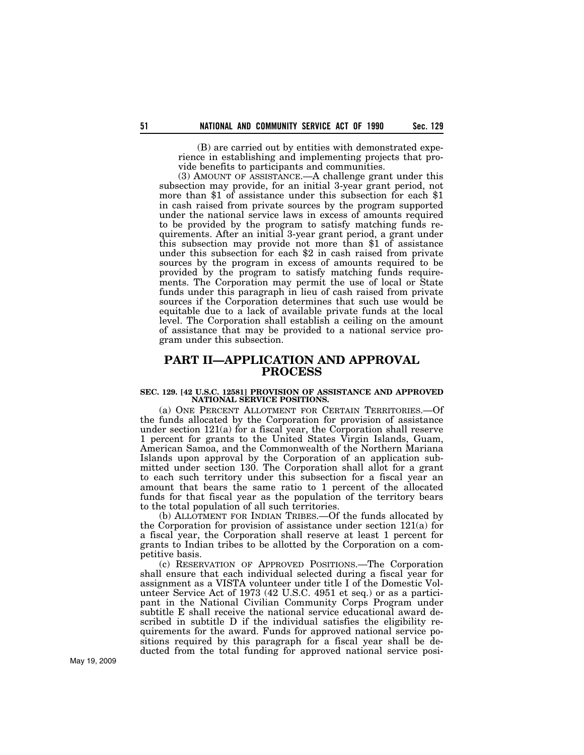(B) are carried out by entities with demonstrated experience in establishing and implementing projects that provide benefits to participants and communities.

(3) AMOUNT OF ASSISTANCE.—A challenge grant under this subsection may provide, for an initial 3-year grant period, not more than \$1 of assistance under this subsection for each \$1 in cash raised from private sources by the program supported under the national service laws in excess of amounts required to be provided by the program to satisfy matching funds requirements. After an initial 3-year grant period, a grant under this subsection may provide not more than \$1 of assistance under this subsection for each \$2 in cash raised from private sources by the program in excess of amounts required to be provided by the program to satisfy matching funds requirements. The Corporation may permit the use of local or State funds under this paragraph in lieu of cash raised from private sources if the Corporation determines that such use would be equitable due to a lack of available private funds at the local level. The Corporation shall establish a ceiling on the amount of assistance that may be provided to a national service program under this subsection.

# **PART II—APPLICATION AND APPROVAL PROCESS**

### **SEC. 129. [42 U.S.C. 12581] PROVISION OF ASSISTANCE AND APPROVED NATIONAL SERVICE POSITIONS.**

(a) ONE PERCENT ALLOTMENT FOR CERTAIN TERRITORIES.—Of the funds allocated by the Corporation for provision of assistance under section 121(a) for a fiscal year, the Corporation shall reserve 1 percent for grants to the United States Virgin Islands, Guam, American Samoa, and the Commonwealth of the Northern Mariana Islands upon approval by the Corporation of an application submitted under section 130. The Corporation shall allot for a grant to each such territory under this subsection for a fiscal year an amount that bears the same ratio to 1 percent of the allocated funds for that fiscal year as the population of the territory bears to the total population of all such territories.

(b) ALLOTMENT FOR INDIAN TRIBES.—Of the funds allocated by the Corporation for provision of assistance under section 121(a) for a fiscal year, the Corporation shall reserve at least 1 percent for grants to Indian tribes to be allotted by the Corporation on a competitive basis.

(c) RESERVATION OF APPROVED POSITIONS.—The Corporation shall ensure that each individual selected during a fiscal year for assignment as a VISTA volunteer under title I of the Domestic Volunteer Service Act of 1973 (42 U.S.C. 4951 et seq.) or as a participant in the National Civilian Community Corps Program under subtitle E shall receive the national service educational award described in subtitle D if the individual satisfies the eligibility requirements for the award. Funds for approved national service positions required by this paragraph for a fiscal year shall be deducted from the total funding for approved national service posi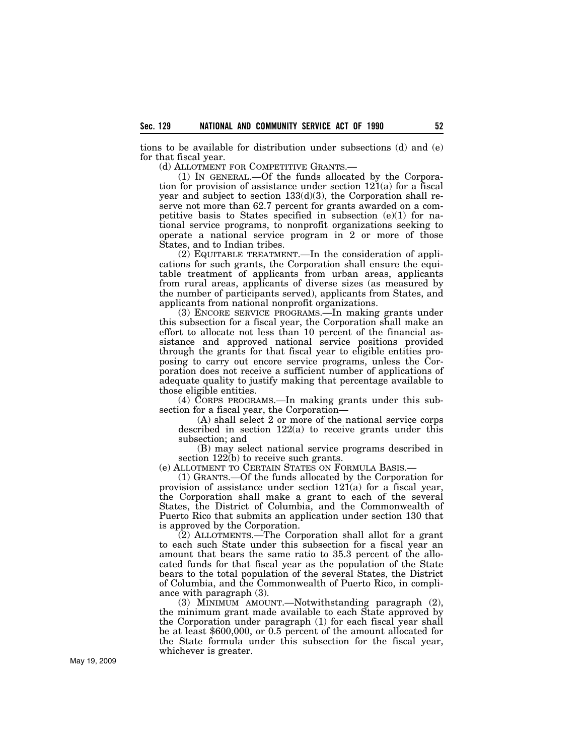tions to be available for distribution under subsections (d) and (e) for that fiscal year.

(d) ALLOTMENT FOR COMPETITIVE GRANTS.—

(1) IN GENERAL.—Of the funds allocated by the Corporation for provision of assistance under section 121(a) for a fiscal year and subject to section 133(d)(3), the Corporation shall reserve not more than 62.7 percent for grants awarded on a competitive basis to States specified in subsection (e)(1) for national service programs, to nonprofit organizations seeking to operate a national service program in 2 or more of those States, and to Indian tribes.

(2) EQUITABLE TREATMENT.—In the consideration of applications for such grants, the Corporation shall ensure the equitable treatment of applicants from urban areas, applicants from rural areas, applicants of diverse sizes (as measured by the number of participants served), applicants from States, and applicants from national nonprofit organizations.

(3) ENCORE SERVICE PROGRAMS.—In making grants under this subsection for a fiscal year, the Corporation shall make an effort to allocate not less than 10 percent of the financial assistance and approved national service positions provided through the grants for that fiscal year to eligible entities proposing to carry out encore service programs, unless the Corporation does not receive a sufficient number of applications of adequate quality to justify making that percentage available to those eligible entities.

(4) CORPS PROGRAMS.—In making grants under this subsection for a fiscal year, the Corporation—

(A) shall select 2 or more of the national service corps described in section 122(a) to receive grants under this subsection; and

(B) may select national service programs described in section 122(b) to receive such grants.

(e) ALLOTMENT TO CERTAIN STATES ON FORMULA BASIS.—

(1) GRANTS.—Of the funds allocated by the Corporation for provision of assistance under section 121(a) for a fiscal year, the Corporation shall make a grant to each of the several States, the District of Columbia, and the Commonwealth of Puerto Rico that submits an application under section 130 that is approved by the Corporation.

(2) ALLOTMENTS.—The Corporation shall allot for a grant to each such State under this subsection for a fiscal year an amount that bears the same ratio to 35.3 percent of the allocated funds for that fiscal year as the population of the State bears to the total population of the several States, the District of Columbia, and the Commonwealth of Puerto Rico, in compliance with paragraph (3).

(3) MINIMUM AMOUNT.—Notwithstanding paragraph (2), the minimum grant made available to each State approved by the Corporation under paragraph (1) for each fiscal year shall be at least \$600,000, or 0.5 percent of the amount allocated for the State formula under this subsection for the fiscal year, whichever is greater.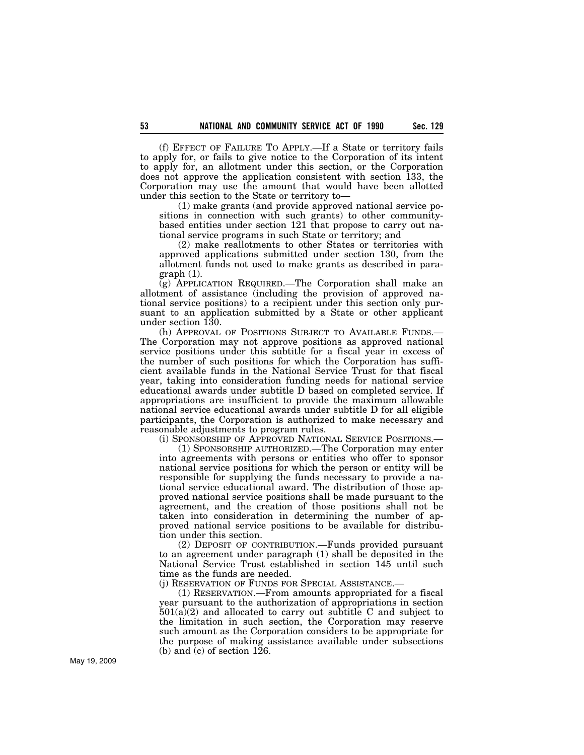(f) EFFECT OF FAILURE TO APPLY.—If a State or territory fails to apply for, or fails to give notice to the Corporation of its intent to apply for, an allotment under this section, or the Corporation does not approve the application consistent with section 133, the Corporation may use the amount that would have been allotted under this section to the State or territory to—

(1) make grants (and provide approved national service positions in connection with such grants) to other communitybased entities under section 121 that propose to carry out national service programs in such State or territory; and

(2) make reallotments to other States or territories with approved applications submitted under section 130, from the allotment funds not used to make grants as described in paragraph (1).

(g) APPLICATION REQUIRED.—The Corporation shall make an allotment of assistance (including the provision of approved national service positions) to a recipient under this section only pursuant to an application submitted by a State or other applicant under section 130.

(h) APPROVAL OF POSITIONS SUBJECT TO AVAILABLE FUNDS.— The Corporation may not approve positions as approved national service positions under this subtitle for a fiscal year in excess of the number of such positions for which the Corporation has sufficient available funds in the National Service Trust for that fiscal year, taking into consideration funding needs for national service educational awards under subtitle D based on completed service. If appropriations are insufficient to provide the maximum allowable national service educational awards under subtitle D for all eligible participants, the Corporation is authorized to make necessary and reasonable adjustments to program rules.

(i) SPONSORSHIP OF APPROVED NATIONAL SERVICE POSITIONS.—

(1) SPONSORSHIP AUTHORIZED.—The Corporation may enter into agreements with persons or entities who offer to sponsor national service positions for which the person or entity will be responsible for supplying the funds necessary to provide a national service educational award. The distribution of those approved national service positions shall be made pursuant to the agreement, and the creation of those positions shall not be taken into consideration in determining the number of approved national service positions to be available for distribution under this section.

(2) DEPOSIT OF CONTRIBUTION.—Funds provided pursuant to an agreement under paragraph (1) shall be deposited in the National Service Trust established in section 145 until such time as the funds are needed.

(j) RESERVATION OF FUNDS FOR SPECIAL ASSISTANCE.—

(1) RESERVATION.—From amounts appropriated for a fiscal year pursuant to the authorization of appropriations in section  $501(a)(2)$  and allocated to carry out subtitle C and subject to the limitation in such section, the Corporation may reserve such amount as the Corporation considers to be appropriate for the purpose of making assistance available under subsections (b) and (c) of section 126.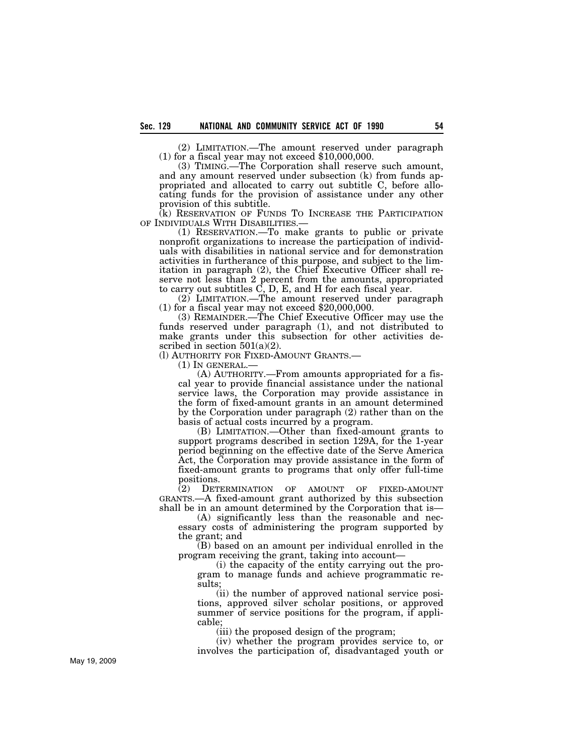(2) LIMITATION.—The amount reserved under paragraph (1) for a fiscal year may not exceed \$10,000,000.

(3) TIMING.—The Corporation shall reserve such amount, and any amount reserved under subsection (k) from funds appropriated and allocated to carry out subtitle C, before allocating funds for the provision of assistance under any other provision of this subtitle.

(k) RESERVATION OF FUNDS TO INCREASE THE PARTICIPATION OF INDIVIDUALS WITH DISABILITIES.— (1) RESERVATION.—To make grants to public or private

nonprofit organizations to increase the participation of individuals with disabilities in national service and for demonstration activities in furtherance of this purpose, and subject to the limitation in paragraph (2), the Chief Executive Officer shall reserve not less than 2 percent from the amounts, appropriated to carry out subtitles C, D, E, and H for each fiscal year.

(2) LIMITATION.—The amount reserved under paragraph (1) for a fiscal year may not exceed \$20,000,000.

(3) REMAINDER.—The Chief Executive Officer may use the funds reserved under paragraph (1), and not distributed to make grants under this subsection for other activities described in section  $501(a)(2)$ .

(l) AUTHORITY FOR FIXED-AMOUNT GRANTS.— (1) IN GENERAL.—

(A) AUTHORITY.—From amounts appropriated for a fiscal year to provide financial assistance under the national service laws, the Corporation may provide assistance in the form of fixed-amount grants in an amount determined by the Corporation under paragraph (2) rather than on the basis of actual costs incurred by a program.

(B) LIMITATION.—Other than fixed-amount grants to support programs described in section 129A, for the 1-year period beginning on the effective date of the Serve America Act, the Corporation may provide assistance in the form of fixed-amount grants to programs that only offer full-time positions.

(2) DETERMINATION OF AMOUNT OF FIXED-AMOUNT GRANTS.—A fixed-amount grant authorized by this subsection shall be in an amount determined by the Corporation that is—

(A) significantly less than the reasonable and necessary costs of administering the program supported by the grant; and

(B) based on an amount per individual enrolled in the program receiving the grant, taking into account—

(i) the capacity of the entity carrying out the program to manage funds and achieve programmatic results;

(ii) the number of approved national service positions, approved silver scholar positions, or approved summer of service positions for the program, if applicable;

(iii) the proposed design of the program;

(iv) whether the program provides service to, or involves the participation of, disadvantaged youth or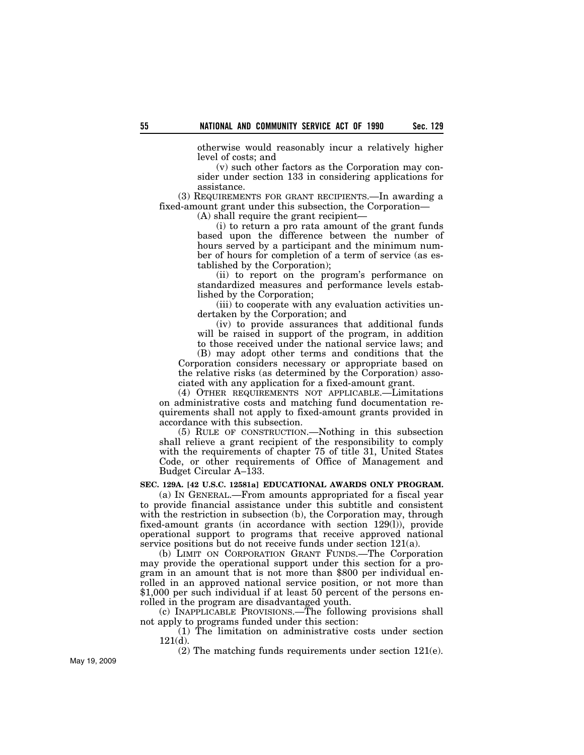otherwise would reasonably incur a relatively higher level of costs; and

(v) such other factors as the Corporation may consider under section 133 in considering applications for assistance.

(3) REQUIREMENTS FOR GRANT RECIPIENTS.—In awarding a fixed-amount grant under this subsection, the Corporation—

(A) shall require the grant recipient—

(i) to return a pro rata amount of the grant funds based upon the difference between the number of hours served by a participant and the minimum number of hours for completion of a term of service (as established by the Corporation);

(ii) to report on the program's performance on standardized measures and performance levels established by the Corporation;

(iii) to cooperate with any evaluation activities undertaken by the Corporation; and

(iv) to provide assurances that additional funds will be raised in support of the program, in addition to those received under the national service laws; and

(B) may adopt other terms and conditions that the Corporation considers necessary or appropriate based on the relative risks (as determined by the Corporation) associated with any application for a fixed-amount grant.

(4) OTHER REQUIREMENTS NOT APPLICABLE.—Limitations on administrative costs and matching fund documentation requirements shall not apply to fixed-amount grants provided in accordance with this subsection.

(5) RULE OF CONSTRUCTION.—Nothing in this subsection shall relieve a grant recipient of the responsibility to comply with the requirements of chapter 75 of title 31, United States Code, or other requirements of Office of Management and Budget Circular A–133.

### **SEC. 129A. [42 U.S.C. 12581a] EDUCATIONAL AWARDS ONLY PROGRAM.**

(a) IN GENERAL.—From amounts appropriated for a fiscal year to provide financial assistance under this subtitle and consistent with the restriction in subsection (b), the Corporation may, through fixed-amount grants (in accordance with section 129(l)), provide operational support to programs that receive approved national service positions but do not receive funds under section 121(a).

(b) LIMIT ON CORPORATION GRANT FUNDS.—The Corporation may provide the operational support under this section for a program in an amount that is not more than \$800 per individual enrolled in an approved national service position, or not more than \$1,000 per such individual if at least 50 percent of the persons enrolled in the program are disadvantaged youth.

(c) INAPPLICABLE PROVISIONS.—The following provisions shall not apply to programs funded under this section:

(1) The limitation on administrative costs under section  $121(d)$ .

(2) The matching funds requirements under section 121(e).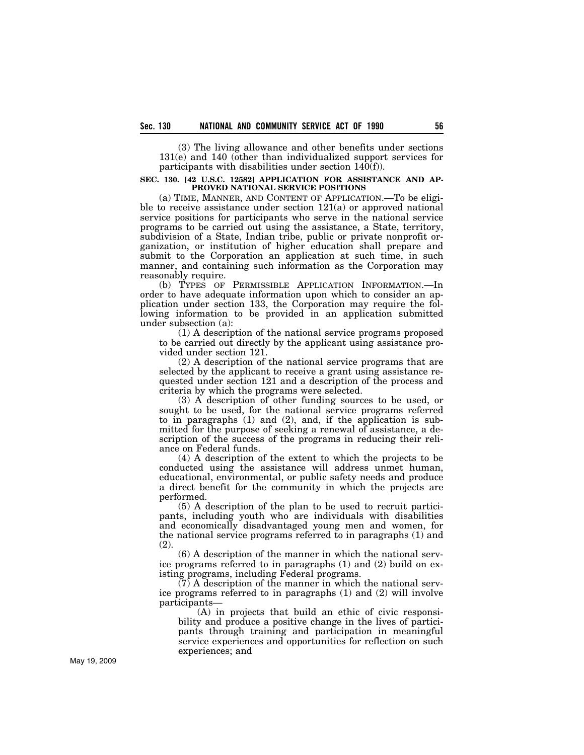(3) The living allowance and other benefits under sections 131(e) and 140 (other than individualized support services for participants with disabilities under section  $140(f)$ ).

### **SEC. 130. [42 U.S.C. 12582] APPLICATION FOR ASSISTANCE AND AP-PROVED NATIONAL SERVICE POSITIONS**

(a) TIME, MANNER, AND CONTENT OF APPLICATION.—To be eligible to receive assistance under section 121(a) or approved national service positions for participants who serve in the national service programs to be carried out using the assistance, a State, territory, subdivision of a State, Indian tribe, public or private nonprofit organization, or institution of higher education shall prepare and submit to the Corporation an application at such time, in such manner, and containing such information as the Corporation may reasonably require.

(b) TYPES OF PERMISSIBLE APPLICATION INFORMATION.—In order to have adequate information upon which to consider an application under section 133, the Corporation may require the following information to be provided in an application submitted under subsection (a):

(1) A description of the national service programs proposed to be carried out directly by the applicant using assistance provided under section 121.

(2) A description of the national service programs that are selected by the applicant to receive a grant using assistance requested under section 121 and a description of the process and criteria by which the programs were selected.

(3) A description of other funding sources to be used, or sought to be used, for the national service programs referred to in paragraphs (1) and (2), and, if the application is submitted for the purpose of seeking a renewal of assistance, a description of the success of the programs in reducing their reliance on Federal funds.

(4) A description of the extent to which the projects to be conducted using the assistance will address unmet human, educational, environmental, or public safety needs and produce a direct benefit for the community in which the projects are performed.

(5) A description of the plan to be used to recruit participants, including youth who are individuals with disabilities and economically disadvantaged young men and women, for the national service programs referred to in paragraphs (1) and (2).

(6) A description of the manner in which the national service programs referred to in paragraphs (1) and (2) build on existing programs, including Federal programs.

(7) A description of the manner in which the national service programs referred to in paragraphs (1) and (2) will involve participants—

(A) in projects that build an ethic of civic responsibility and produce a positive change in the lives of participants through training and participation in meaningful service experiences and opportunities for reflection on such experiences; and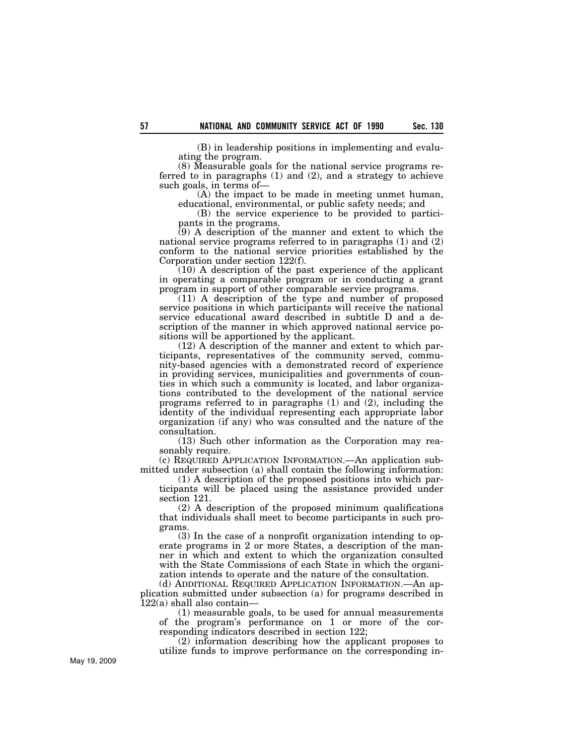(B) in leadership positions in implementing and evaluating the program.

(8) Measurable goals for the national service programs referred to in paragraphs (1) and (2), and a strategy to achieve such goals, in terms of—

(A) the impact to be made in meeting unmet human, educational, environmental, or public safety needs; and

(B) the service experience to be provided to participants in the programs.

(9) A description of the manner and extent to which the national service programs referred to in paragraphs (1) and (2) conform to the national service priorities established by the Corporation under section 122(f).

(10) A description of the past experience of the applicant in operating a comparable program or in conducting a grant program in support of other comparable service programs.

(11) A description of the type and number of proposed service positions in which participants will receive the national service educational award described in subtitle D and a description of the manner in which approved national service positions will be apportioned by the applicant.

(12) A description of the manner and extent to which participants, representatives of the community served, community-based agencies with a demonstrated record of experience in providing services, municipalities and governments of counties in which such a community is located, and labor organizations contributed to the development of the national service programs referred to in paragraphs (1) and (2), including the identity of the individual representing each appropriate labor organization (if any) who was consulted and the nature of the consultation.

(13) Such other information as the Corporation may reasonably require.

(c) REQUIRED APPLICATION INFORMATION.—An application submitted under subsection (a) shall contain the following information:

(1) A description of the proposed positions into which participants will be placed using the assistance provided under section 121.

(2) A description of the proposed minimum qualifications that individuals shall meet to become participants in such programs.

(3) In the case of a nonprofit organization intending to operate programs in 2 or more States, a description of the manner in which and extent to which the organization consulted with the State Commissions of each State in which the organization intends to operate and the nature of the consultation.

(d) ADDITIONAL REQUIRED APPLICATION INFORMATION.—An application submitted under subsection (a) for programs described in  $122(a)$  shall also contain-

(1) measurable goals, to be used for annual measurements of the program's performance on 1 or more of the corresponding indicators described in section 122;

(2) information describing how the applicant proposes to utilize funds to improve performance on the corresponding in-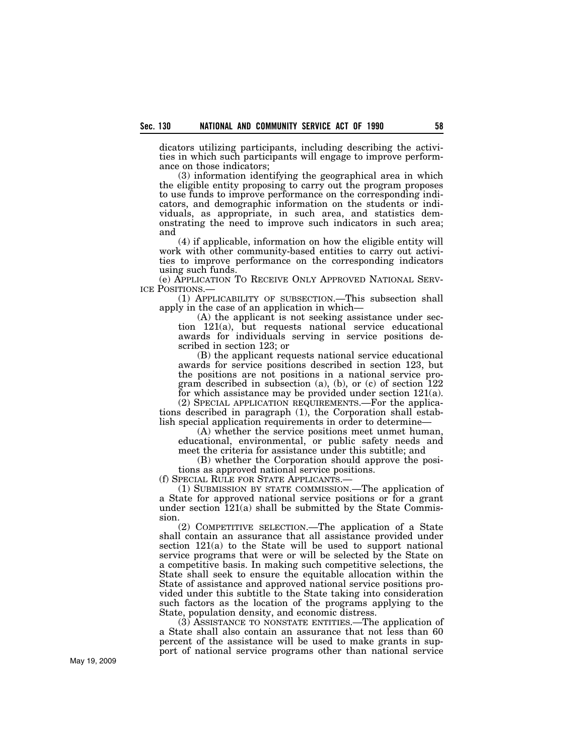dicators utilizing participants, including describing the activities in which such participants will engage to improve performance on those indicators;

(3) information identifying the geographical area in which the eligible entity proposing to carry out the program proposes to use funds to improve performance on the corresponding indicators, and demographic information on the students or individuals, as appropriate, in such area, and statistics demonstrating the need to improve such indicators in such area; and

(4) if applicable, information on how the eligible entity will work with other community-based entities to carry out activities to improve performance on the corresponding indicators using such funds.

(e) APPLICATION TO RECEIVE ONLY APPROVED NATIONAL SERV-

(1) APPLICABILITY OF SUBSECTION.—This subsection shall apply in the case of an application in which—

(A) the applicant is not seeking assistance under section 121(a), but requests national service educational awards for individuals serving in service positions described in section 123; or

(B) the applicant requests national service educational awards for service positions described in section 123, but the positions are not positions in a national service program described in subsection (a), (b), or (c) of section 122 for which assistance may be provided under section 121(a).

(2) SPECIAL APPLICATION REQUIREMENTS.—For the applications described in paragraph (1), the Corporation shall establish special application requirements in order to determine—

(A) whether the service positions meet unmet human, educational, environmental, or public safety needs and meet the criteria for assistance under this subtitle; and

(B) whether the Corporation should approve the positions as approved national service positions.

(f) SPECIAL RULE FOR STATE APPLICANTS.—

(1) SUBMISSION BY STATE COMMISSION.—The application of a State for approved national service positions or for a grant under section 121(a) shall be submitted by the State Commission.

(2) COMPETITIVE SELECTION.—The application of a State shall contain an assurance that all assistance provided under section 121(a) to the State will be used to support national service programs that were or will be selected by the State on a competitive basis. In making such competitive selections, the State shall seek to ensure the equitable allocation within the State of assistance and approved national service positions provided under this subtitle to the State taking into consideration such factors as the location of the programs applying to the State, population density, and economic distress.

(3) ASSISTANCE TO NONSTATE ENTITIES.—The application of a State shall also contain an assurance that not less than 60 percent of the assistance will be used to make grants in support of national service programs other than national service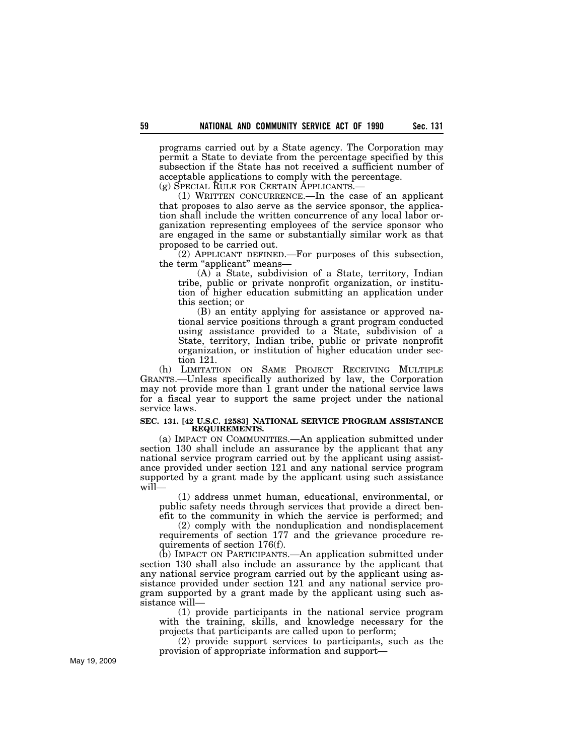programs carried out by a State agency. The Corporation may permit a State to deviate from the percentage specified by this subsection if the State has not received a sufficient number of acceptable applications to comply with the percentage.

(g) SPECIAL RULE FOR CERTAIN APPLICANTS.—

(1) WRITTEN CONCURRENCE.—In the case of an applicant that proposes to also serve as the service sponsor, the application shall include the written concurrence of any local labor organization representing employees of the service sponsor who are engaged in the same or substantially similar work as that proposed to be carried out.

(2) APPLICANT DEFINED.—For purposes of this subsection, the term "applicant" means—

(A) a State, subdivision of a State, territory, Indian tribe, public or private nonprofit organization, or institution of higher education submitting an application under this section; or

(B) an entity applying for assistance or approved national service positions through a grant program conducted using assistance provided to a State, subdivision of a State, territory, Indian tribe, public or private nonprofit organization, or institution of higher education under section 121.

(h) LIMITATION ON SAME PROJECT RECEIVING MULTIPLE GRANTS.—Unless specifically authorized by law, the Corporation may not provide more than 1 grant under the national service laws for a fiscal year to support the same project under the national service laws.

### **SEC. 131. [42 U.S.C. 12583] NATIONAL SERVICE PROGRAM ASSISTANCE REQUIREMENTS.**

(a) IMPACT ON COMMUNITIES.—An application submitted under section 130 shall include an assurance by the applicant that any national service program carried out by the applicant using assistance provided under section 121 and any national service program supported by a grant made by the applicant using such assistance will—

(1) address unmet human, educational, environmental, or public safety needs through services that provide a direct benefit to the community in which the service is performed; and

(2) comply with the nonduplication and nondisplacement requirements of section 177 and the grievance procedure requirements of section 176(f).

(b) IMPACT ON PARTICIPANTS.—An application submitted under section 130 shall also include an assurance by the applicant that any national service program carried out by the applicant using assistance provided under section 121 and any national service program supported by a grant made by the applicant using such assistance will—

(1) provide participants in the national service program with the training, skills, and knowledge necessary for the projects that participants are called upon to perform;

(2) provide support services to participants, such as the provision of appropriate information and support—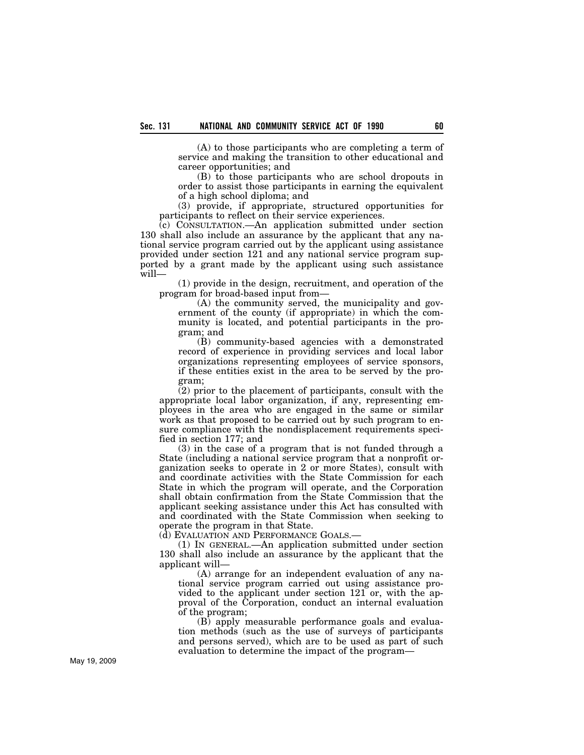(A) to those participants who are completing a term of service and making the transition to other educational and career opportunities; and

(B) to those participants who are school dropouts in order to assist those participants in earning the equivalent of a high school diploma; and

(3) provide, if appropriate, structured opportunities for participants to reflect on their service experiences.

(c) CONSULTATION.—An application submitted under section 130 shall also include an assurance by the applicant that any national service program carried out by the applicant using assistance provided under section 121 and any national service program supported by a grant made by the applicant using such assistance will—

(1) provide in the design, recruitment, and operation of the program for broad-based input from—

(A) the community served, the municipality and government of the county (if appropriate) in which the community is located, and potential participants in the program; and

(B) community-based agencies with a demonstrated record of experience in providing services and local labor organizations representing employees of service sponsors, if these entities exist in the area to be served by the program;

(2) prior to the placement of participants, consult with the appropriate local labor organization, if any, representing employees in the area who are engaged in the same or similar work as that proposed to be carried out by such program to ensure compliance with the nondisplacement requirements specified in section 177; and

(3) in the case of a program that is not funded through a State (including a national service program that a nonprofit organization seeks to operate in 2 or more States), consult with and coordinate activities with the State Commission for each State in which the program will operate, and the Corporation shall obtain confirmation from the State Commission that the applicant seeking assistance under this Act has consulted with and coordinated with the State Commission when seeking to operate the program in that State.

(d) EVALUATION AND PERFORMANCE GOALS.—

(1) IN GENERAL.—An application submitted under section 130 shall also include an assurance by the applicant that the applicant will—

(A) arrange for an independent evaluation of any national service program carried out using assistance provided to the applicant under section 121 or, with the approval of the Corporation, conduct an internal evaluation of the program;

(B) apply measurable performance goals and evaluation methods (such as the use of surveys of participants and persons served), which are to be used as part of such evaluation to determine the impact of the program—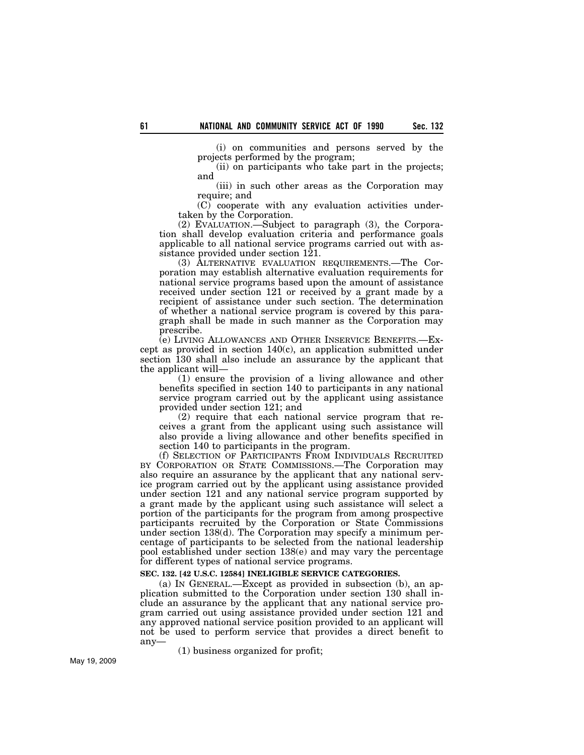(i) on communities and persons served by the projects performed by the program;

(ii) on participants who take part in the projects; and

(iii) in such other areas as the Corporation may require; and

(C) cooperate with any evaluation activities undertaken by the Corporation.

(2) EVALUATION.—Subject to paragraph (3), the Corporation shall develop evaluation criteria and performance goals applicable to all national service programs carried out with assistance provided under section 121.

(3) ALTERNATIVE EVALUATION REQUIREMENTS.—The Corporation may establish alternative evaluation requirements for national service programs based upon the amount of assistance received under section 121 or received by a grant made by a recipient of assistance under such section. The determination of whether a national service program is covered by this paragraph shall be made in such manner as the Corporation may prescribe.

(e) LIVING ALLOWANCES AND OTHER INSERVICE BENEFITS.—Except as provided in section 140(c), an application submitted under section 130 shall also include an assurance by the applicant that the applicant will—

(1) ensure the provision of a living allowance and other benefits specified in section 140 to participants in any national service program carried out by the applicant using assistance provided under section 121; and

(2) require that each national service program that receives a grant from the applicant using such assistance will also provide a living allowance and other benefits specified in section 140 to participants in the program.

(f) SELECTION OF PARTICIPANTS FROM INDIVIDUALS RECRUITED BY CORPORATION OR STATE COMMISSIONS.—The Corporation may also require an assurance by the applicant that any national service program carried out by the applicant using assistance provided under section 121 and any national service program supported by a grant made by the applicant using such assistance will select a portion of the participants for the program from among prospective participants recruited by the Corporation or State Commissions under section 138(d). The Corporation may specify a minimum percentage of participants to be selected from the national leadership pool established under section 138(e) and may vary the percentage for different types of national service programs.

### **SEC. 132. [42 U.S.C. 12584] INELIGIBLE SERVICE CATEGORIES.**

(a) IN GENERAL.—Except as provided in subsection (b), an application submitted to the Corporation under section 130 shall include an assurance by the applicant that any national service program carried out using assistance provided under section 121 and any approved national service position provided to an applicant will not be used to perform service that provides a direct benefit to any—

(1) business organized for profit;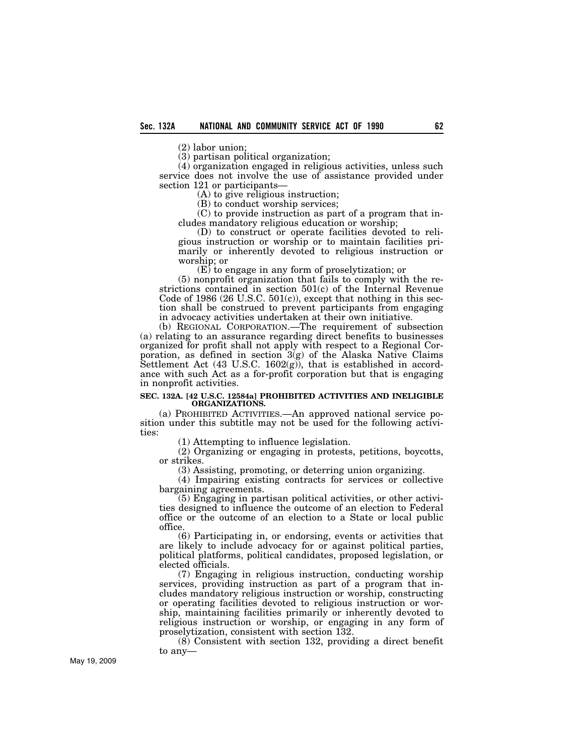(2) labor union;

(3) partisan political organization;

(4) organization engaged in religious activities, unless such service does not involve the use of assistance provided under section 121 or participants—

(A) to give religious instruction;

(B) to conduct worship services;

(C) to provide instruction as part of a program that includes mandatory religious education or worship;

(D) to construct or operate facilities devoted to religious instruction or worship or to maintain facilities primarily or inherently devoted to religious instruction or worship; or

(E) to engage in any form of proselytization; or

(5) nonprofit organization that fails to comply with the restrictions contained in section 501(c) of the Internal Revenue Code of 1986 (26 U.S.C.  $501(c)$ ), except that nothing in this section shall be construed to prevent participants from engaging in advocacy activities undertaken at their own initiative.

(b) REGIONAL CORPORATION.—The requirement of subsection (a) relating to an assurance regarding direct benefits to businesses organized for profit shall not apply with respect to a Regional Corporation, as defined in section  $3(g)$  of the Alaska Native Claims Settlement Act (43 U.S.C. 1602 $(g)$ ), that is established in accordance with such Act as a for-profit corporation but that is engaging in nonprofit activities.

# **SEC. 132A. [42 U.S.C. 12584a] PROHIBITED ACTIVITIES AND INELIGIBLE ORGANIZATIONS.**

(a) PROHIBITED ACTIVITIES.—An approved national service position under this subtitle may not be used for the following activities:

(1) Attempting to influence legislation.

(2) Organizing or engaging in protests, petitions, boycotts, or strikes.

(3) Assisting, promoting, or deterring union organizing.

(4) Impairing existing contracts for services or collective bargaining agreements.

(5) Engaging in partisan political activities, or other activities designed to influence the outcome of an election to Federal office or the outcome of an election to a State or local public office.

(6) Participating in, or endorsing, events or activities that are likely to include advocacy for or against political parties, political platforms, political candidates, proposed legislation, or elected officials.

(7) Engaging in religious instruction, conducting worship services, providing instruction as part of a program that includes mandatory religious instruction or worship, constructing or operating facilities devoted to religious instruction or worship, maintaining facilities primarily or inherently devoted to religious instruction or worship, or engaging in any form of proselytization, consistent with section 132.

(8) Consistent with section 132, providing a direct benefit to any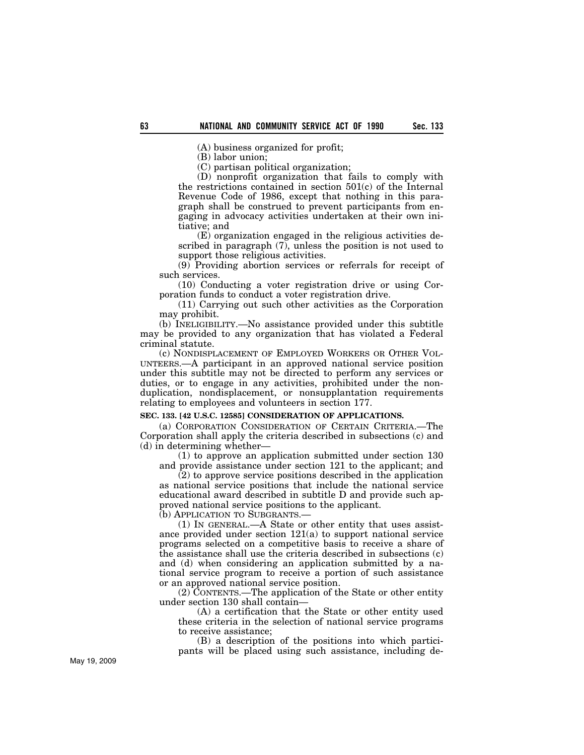(A) business organized for profit;

(B) labor union;

(C) partisan political organization;

(D) nonprofit organization that fails to comply with the restrictions contained in section 501(c) of the Internal Revenue Code of 1986, except that nothing in this paragraph shall be construed to prevent participants from engaging in advocacy activities undertaken at their own initiative; and

(E) organization engaged in the religious activities described in paragraph (7), unless the position is not used to support those religious activities.

(9) Providing abortion services or referrals for receipt of such services.

(10) Conducting a voter registration drive or using Corporation funds to conduct a voter registration drive.

(11) Carrying out such other activities as the Corporation may prohibit.

(b) INELIGIBILITY.—No assistance provided under this subtitle may be provided to any organization that has violated a Federal criminal statute.

(c) NONDISPLACEMENT OF EMPLOYED WORKERS OR OTHER VOL-UNTEERS.—A participant in an approved national service position under this subtitle may not be directed to perform any services or duties, or to engage in any activities, prohibited under the nonduplication, nondisplacement, or nonsupplantation requirements relating to employees and volunteers in section 177.

### **SEC. 133. [42 U.S.C. 12585] CONSIDERATION OF APPLICATIONS.**

(a) CORPORATION CONSIDERATION OF CERTAIN CRITERIA.—The Corporation shall apply the criteria described in subsections (c) and (d) in determining whether—

(1) to approve an application submitted under section 130 and provide assistance under section 121 to the applicant; and

(2) to approve service positions described in the application as national service positions that include the national service educational award described in subtitle D and provide such approved national service positions to the applicant.

(b) APPLICATION TO SUBGRANTS.—

(1) IN GENERAL.—A State or other entity that uses assistance provided under section 121(a) to support national service programs selected on a competitive basis to receive a share of the assistance shall use the criteria described in subsections (c) and (d) when considering an application submitted by a national service program to receive a portion of such assistance or an approved national service position.

 $(2)$  CONTENTS.—The application of the State or other entity under section 130 shall contain—

(A) a certification that the State or other entity used these criteria in the selection of national service programs to receive assistance;

(B) a description of the positions into which participants will be placed using such assistance, including de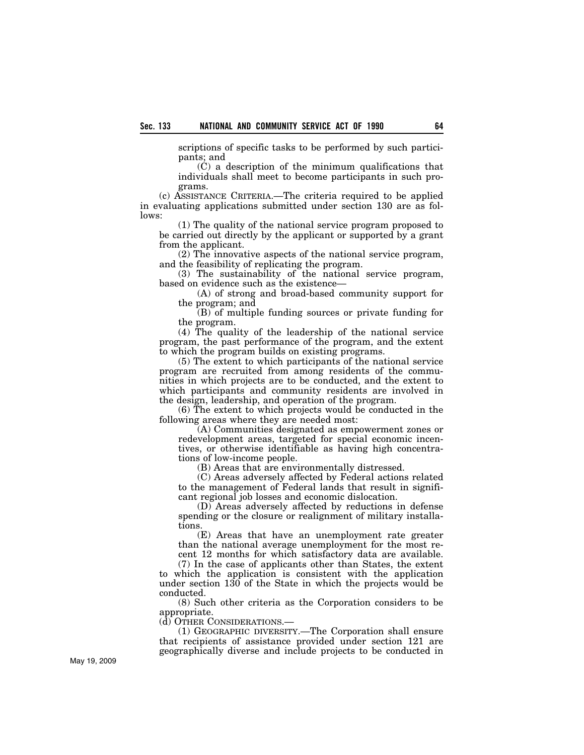scriptions of specific tasks to be performed by such participants; and

(C) a description of the minimum qualifications that individuals shall meet to become participants in such programs.

(c) ASSISTANCE CRITERIA.—The criteria required to be applied in evaluating applications submitted under section 130 are as follows:

(1) The quality of the national service program proposed to be carried out directly by the applicant or supported by a grant from the applicant.

(2) The innovative aspects of the national service program, and the feasibility of replicating the program.

(3) The sustainability of the national service program, based on evidence such as the existence—

(A) of strong and broad-based community support for the program; and

(B) of multiple funding sources or private funding for the program.

(4) The quality of the leadership of the national service program, the past performance of the program, and the extent to which the program builds on existing programs.

(5) The extent to which participants of the national service program are recruited from among residents of the communities in which projects are to be conducted, and the extent to which participants and community residents are involved in the design, leadership, and operation of the program.

(6) The extent to which projects would be conducted in the following areas where they are needed most:

(A) Communities designated as empowerment zones or redevelopment areas, targeted for special economic incentives, or otherwise identifiable as having high concentrations of low-income people.

(B) Areas that are environmentally distressed.

(C) Areas adversely affected by Federal actions related to the management of Federal lands that result in significant regional job losses and economic dislocation.

(D) Areas adversely affected by reductions in defense spending or the closure or realignment of military installations.

(E) Areas that have an unemployment rate greater than the national average unemployment for the most recent 12 months for which satisfactory data are available.

(7) In the case of applicants other than States, the extent to which the application is consistent with the application under section 130 of the State in which the projects would be conducted.

(8) Such other criteria as the Corporation considers to be appropriate.

(d) OTHER CONSIDERATIONS.—

(1) GEOGRAPHIC DIVERSITY.—The Corporation shall ensure that recipients of assistance provided under section 121 are geographically diverse and include projects to be conducted in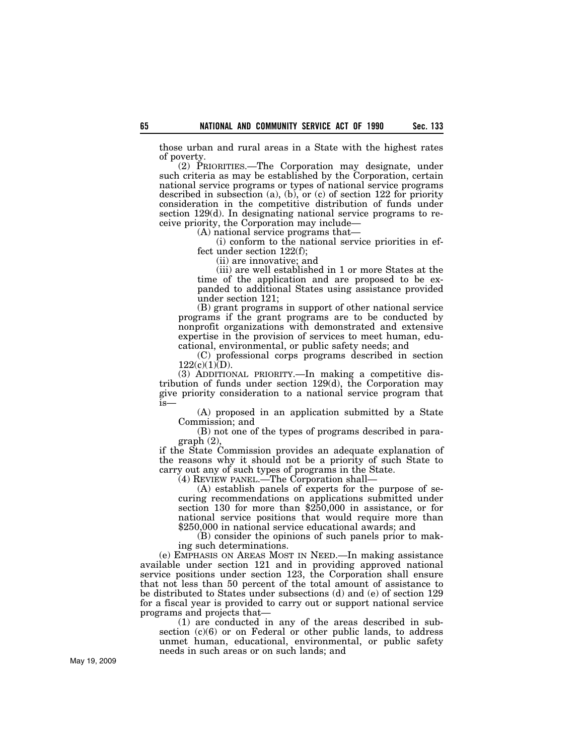those urban and rural areas in a State with the highest rates of poverty.

(2) PRIORITIES.—The Corporation may designate, under such criteria as may be established by the Corporation, certain national service programs or types of national service programs described in subsection (a), (b), or (c) of section 122 for priority consideration in the competitive distribution of funds under section 129(d). In designating national service programs to receive priority, the Corporation may include—

(A) national service programs that—

(i) conform to the national service priorities in effect under section 122(f);

(ii) are innovative; and

(iii) are well established in 1 or more States at the time of the application and are proposed to be expanded to additional States using assistance provided under section 121;

(B) grant programs in support of other national service programs if the grant programs are to be conducted by nonprofit organizations with demonstrated and extensive expertise in the provision of services to meet human, educational, environmental, or public safety needs; and

(C) professional corps programs described in section  $122(c)(1)(D)$ .

(3) ADDITIONAL PRIORITY.—In making a competitive distribution of funds under section 129(d), the Corporation may give priority consideration to a national service program that is—

(A) proposed in an application submitted by a State Commission; and

(B) not one of the types of programs described in paragraph (2),

if the State Commission provides an adequate explanation of the reasons why it should not be a priority of such State to carry out any of such types of programs in the State.

(4) REVIEW PANEL.—The Corporation shall—

(A) establish panels of experts for the purpose of securing recommendations on applications submitted under section 130 for more than \$250,000 in assistance, or for national service positions that would require more than \$250,000 in national service educational awards; and

(B) consider the opinions of such panels prior to making such determinations.

(e) EMPHASIS ON AREAS MOST IN NEED.—In making assistance available under section 121 and in providing approved national service positions under section 123, the Corporation shall ensure that not less than 50 percent of the total amount of assistance to be distributed to States under subsections (d) and (e) of section 129 for a fiscal year is provided to carry out or support national service programs and projects that—

(1) are conducted in any of the areas described in subsection (c)(6) or on Federal or other public lands, to address unmet human, educational, environmental, or public safety needs in such areas or on such lands; and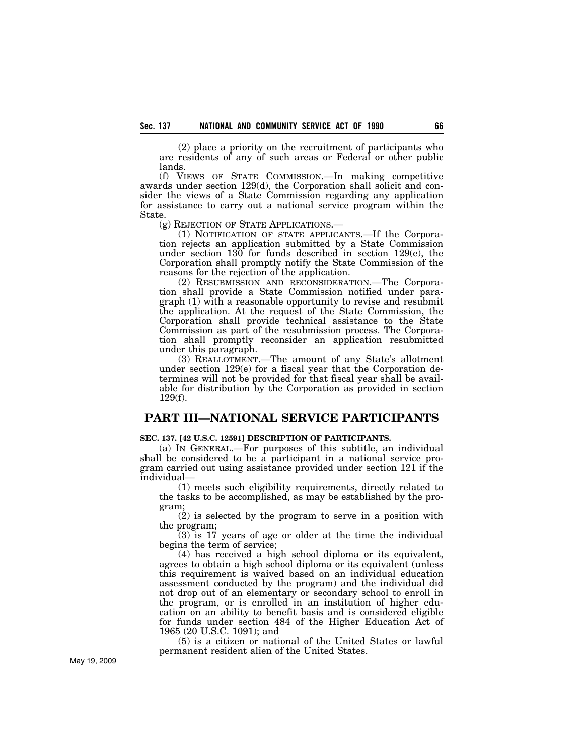(2) place a priority on the recruitment of participants who are residents of any of such areas or Federal or other public lands.

(f) VIEWS OF STATE COMMISSION.—In making competitive awards under section 129(d), the Corporation shall solicit and consider the views of a State Commission regarding any application for assistance to carry out a national service program within the State.

(g) REJECTION OF STATE APPLICATIONS.—

(1) NOTIFICATION OF STATE APPLICANTS.—If the Corporation rejects an application submitted by a State Commission under section 130 for funds described in section 129(e), the Corporation shall promptly notify the State Commission of the reasons for the rejection of the application.

(2) RESUBMISSION AND RECONSIDERATION.—The Corporation shall provide a State Commission notified under paragraph (1) with a reasonable opportunity to revise and resubmit the application. At the request of the State Commission, the Corporation shall provide technical assistance to the State Commission as part of the resubmission process. The Corporation shall promptly reconsider an application resubmitted under this paragraph.

(3) REALLOTMENT.—The amount of any State's allotment under section 129(e) for a fiscal year that the Corporation determines will not be provided for that fiscal year shall be available for distribution by the Corporation as provided in section 129(f).

## **PART III—NATIONAL SERVICE PARTICIPANTS**

**SEC. 137. [42 U.S.C. 12591] DESCRIPTION OF PARTICIPANTS.** 

(a) IN GENERAL.—For purposes of this subtitle, an individual shall be considered to be a participant in a national service program carried out using assistance provided under section 121 if the individual—

(1) meets such eligibility requirements, directly related to the tasks to be accomplished, as may be established by the program;

(2) is selected by the program to serve in a position with the program;

(3) is 17 years of age or older at the time the individual begins the term of service;

(4) has received a high school diploma or its equivalent, agrees to obtain a high school diploma or its equivalent (unless this requirement is waived based on an individual education assessment conducted by the program) and the individual did not drop out of an elementary or secondary school to enroll in the program, or is enrolled in an institution of higher education on an ability to benefit basis and is considered eligible for funds under section 484 of the Higher Education Act of 1965 (20 U.S.C. 1091); and

(5) is a citizen or national of the United States or lawful permanent resident alien of the United States.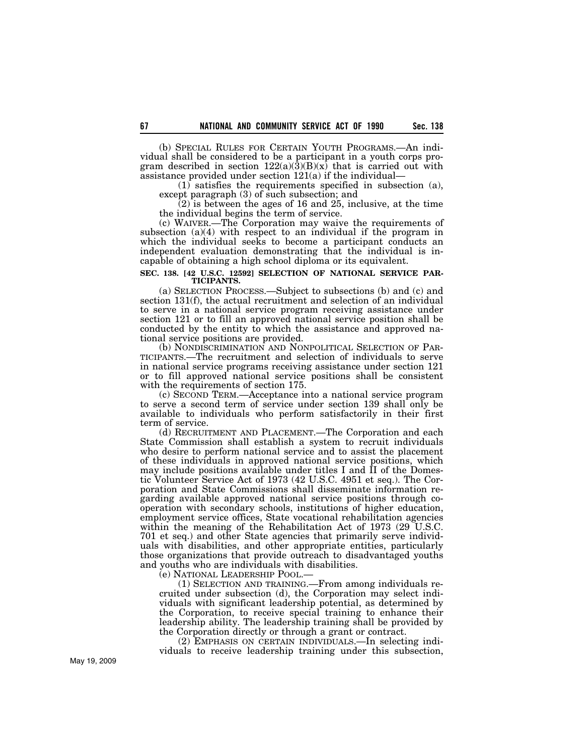(b) SPECIAL RULES FOR CERTAIN YOUTH PROGRAMS.—An individual shall be considered to be a participant in a youth corps program described in section  $122(a)(3)(B)(x)$  that is carried out with assistance provided under section 121(a) if the individual—

(1) satisfies the requirements specified in subsection (a), except paragraph (3) of such subsection; and

 $(2)$  is between the ages of 16 and 25, inclusive, at the time the individual begins the term of service.

(c) WAIVER.—The Corporation may waive the requirements of subsection (a)(4) with respect to an individual if the program in which the individual seeks to become a participant conducts an independent evaluation demonstrating that the individual is incapable of obtaining a high school diploma or its equivalent.

### **SEC. 138. [42 U.S.C. 12592] SELECTION OF NATIONAL SERVICE PAR-TICIPANTS.**

(a) SELECTION PROCESS.—Subject to subsections (b) and (c) and section 131(f), the actual recruitment and selection of an individual to serve in a national service program receiving assistance under section 121 or to fill an approved national service position shall be conducted by the entity to which the assistance and approved na-

tional service positions are provided.<br>(b) NONDISCRIMINATION AND NONPOLITICAL SELECTION OF PAR-TICIPANTS.—The recruitment and selection of individuals to serve in national service programs receiving assistance under section 121 or to fill approved national service positions shall be consistent with the requirements of section 175.

(c) SECOND TERM.—Acceptance into a national service program to serve a second term of service under section 139 shall only be available to individuals who perform satisfactorily in their first term of service.

(d) RECRUITMENT AND PLACEMENT.—The Corporation and each State Commission shall establish a system to recruit individuals who desire to perform national service and to assist the placement of these individuals in approved national service positions, which may include positions available under titles I and II of the Domestic Volunteer Service Act of 1973 (42 U.S.C. 4951 et seq.). The Corporation and State Commissions shall disseminate information regarding available approved national service positions through cooperation with secondary schools, institutions of higher education, employment service offices, State vocational rehabilitation agencies within the meaning of the Rehabilitation Act of 1973 (29 U.S.C. 701 et seq.) and other State agencies that primarily serve individuals with disabilities, and other appropriate entities, particularly those organizations that provide outreach to disadvantaged youths and youths who are individuals with disabilities.

(e) NATIONAL LEADERSHIP POOL.—

(1) SELECTION AND TRAINING.—From among individuals recruited under subsection (d), the Corporation may select individuals with significant leadership potential, as determined by the Corporation, to receive special training to enhance their leadership ability. The leadership training shall be provided by the Corporation directly or through a grant or contract.

(2) EMPHASIS ON CERTAIN INDIVIDUALS.—In selecting individuals to receive leadership training under this subsection,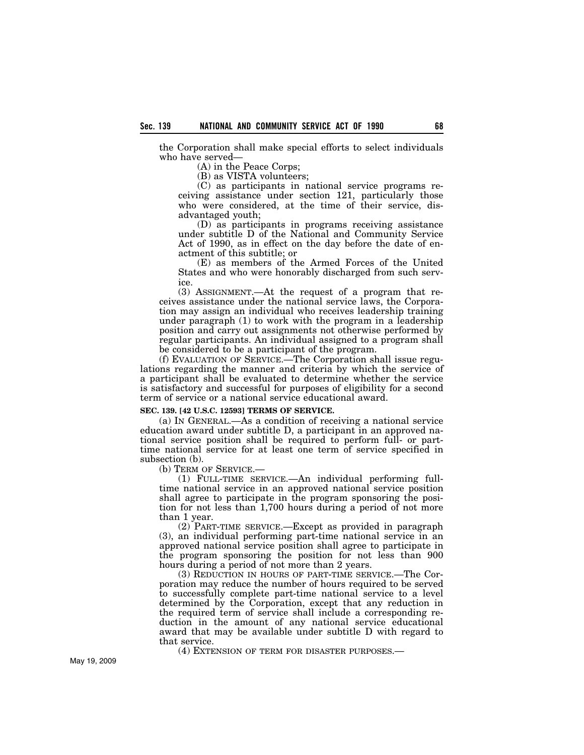the Corporation shall make special efforts to select individuals who have served—

(A) in the Peace Corps;

(B) as VISTA volunteers;

(C) as participants in national service programs receiving assistance under section 121, particularly those who were considered, at the time of their service, disadvantaged youth;

(D) as participants in programs receiving assistance under subtitle D of the National and Community Service Act of 1990, as in effect on the day before the date of enactment of this subtitle; or

(E) as members of the Armed Forces of the United States and who were honorably discharged from such service.

(3) ASSIGNMENT.—At the request of a program that receives assistance under the national service laws, the Corporation may assign an individual who receives leadership training under paragraph (1) to work with the program in a leadership position and carry out assignments not otherwise performed by regular participants. An individual assigned to a program shall be considered to be a participant of the program.

(f) EVALUATION OF SERVICE.—The Corporation shall issue regulations regarding the manner and criteria by which the service of a participant shall be evaluated to determine whether the service is satisfactory and successful for purposes of eligibility for a second term of service or a national service educational award.

### **SEC. 139. [42 U.S.C. 12593] TERMS OF SERVICE.**

(a) IN GENERAL.—As a condition of receiving a national service education award under subtitle D, a participant in an approved national service position shall be required to perform full- or parttime national service for at least one term of service specified in subsection (b).

(b) TERM OF SERVICE.—

(1) FULL-TIME SERVICE.—An individual performing fulltime national service in an approved national service position shall agree to participate in the program sponsoring the position for not less than 1,700 hours during a period of not more than 1 year.

(2) PART-TIME SERVICE.—Except as provided in paragraph (3), an individual performing part-time national service in an approved national service position shall agree to participate in the program sponsoring the position for not less than 900 hours during a period of not more than 2 years.

(3) REDUCTION IN HOURS OF PART-TIME SERVICE.—The Corporation may reduce the number of hours required to be served to successfully complete part-time national service to a level determined by the Corporation, except that any reduction in the required term of service shall include a corresponding reduction in the amount of any national service educational award that may be available under subtitle D with regard to that service.

(4) EXTENSION OF TERM FOR DISASTER PURPOSES.—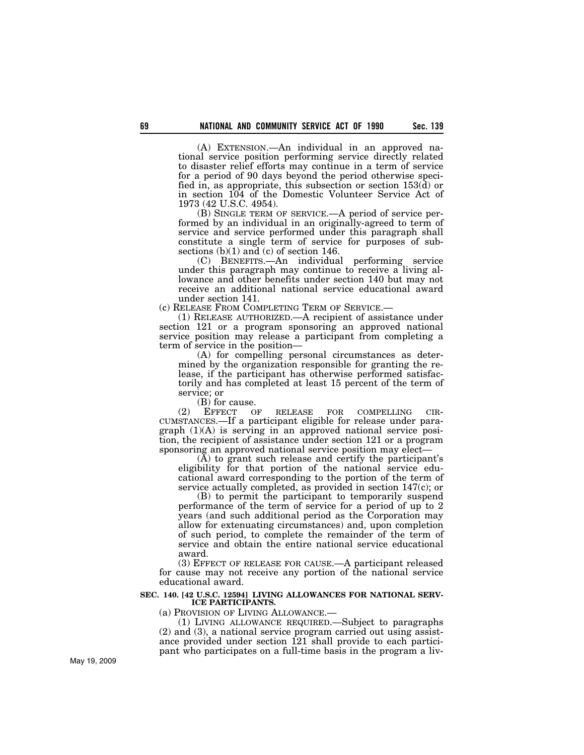(A) EXTENSION.—An individual in an approved national service position performing service directly related to disaster relief efforts may continue in a term of service for a period of 90 days beyond the period otherwise specified in, as appropriate, this subsection or section 153(d) or in section 104 of the Domestic Volunteer Service Act of 1973 (42 U.S.C. 4954).

(B) SINGLE TERM OF SERVICE.—A period of service performed by an individual in an originally-agreed to term of service and service performed under this paragraph shall constitute a single term of service for purposes of subsections (b)(1) and (c) of section 146.

(C) BENEFITS.—An individual performing service under this paragraph may continue to receive a living allowance and other benefits under section 140 but may not receive an additional national service educational award

under section 141.<br>(c) RELEASE FROM COMPLETING TERM OF SERVICE.—

 $(1)$  RELEASE AUTHORIZED.—A recipient of assistance under section 121 or a program sponsoring an approved national service position may release a participant from completing a term of service in the position—

(A) for compelling personal circumstances as determined by the organization responsible for granting the release, if the participant has otherwise performed satisfactorily and has completed at least 15 percent of the term of service; or

(B) for cause.

(2) EFFECT OF RELEASE FOR COMPELLING CIR- CUMSTANCES.—If a participant eligible for release under paragraph (1)(A) is serving in an approved national service position, the recipient of assistance under section 121 or a program sponsoring an approved national service position may elect—

(A) to grant such release and certify the participant's eligibility for that portion of the national service educational award corresponding to the portion of the term of service actually completed, as provided in section 147(c); or

(B) to permit the participant to temporarily suspend performance of the term of service for a period of up to 2 years (and such additional period as the Corporation may allow for extenuating circumstances) and, upon completion of such period, to complete the remainder of the term of service and obtain the entire national service educational award.

(3) EFFECT OF RELEASE FOR CAUSE.—A participant released for cause may not receive any portion of the national service educational award.

### **SEC. 140. [42 U.S.C. 12594] LIVING ALLOWANCES FOR NATIONAL SERV-ICE PARTICIPANTS.**

(a) PROVISION OF LIVING ALLOWANCE.—

(1) LIVING ALLOWANCE REQUIRED.—Subject to paragraphs (2) and (3), a national service program carried out using assistance provided under section 121 shall provide to each participant who participates on a full-time basis in the program a liv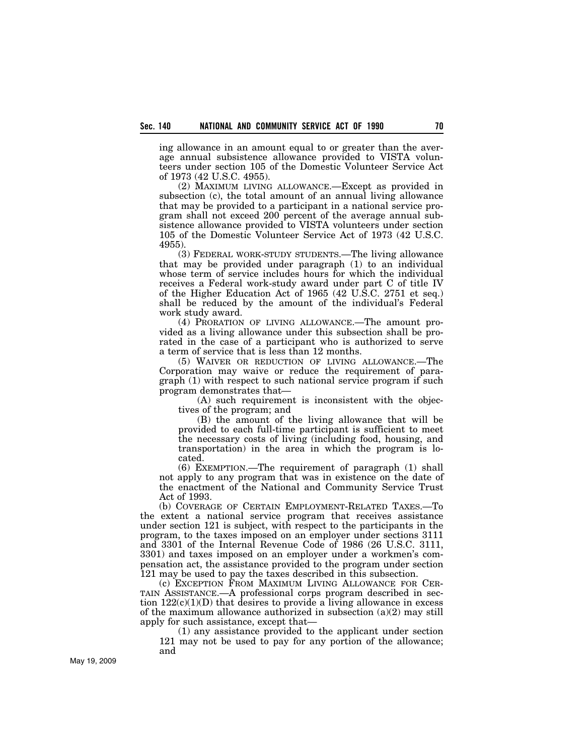ing allowance in an amount equal to or greater than the average annual subsistence allowance provided to VISTA volunteers under section 105 of the Domestic Volunteer Service Act of 1973 (42 U.S.C. 4955).

(2) MAXIMUM LIVING ALLOWANCE.—Except as provided in subsection (c), the total amount of an annual living allowance that may be provided to a participant in a national service program shall not exceed 200 percent of the average annual subsistence allowance provided to VISTA volunteers under section 105 of the Domestic Volunteer Service Act of 1973 (42 U.S.C. 4955).

(3) FEDERAL WORK-STUDY STUDENTS.—The living allowance that may be provided under paragraph (1) to an individual whose term of service includes hours for which the individual receives a Federal work-study award under part C of title IV of the Higher Education Act of 1965 (42 U.S.C. 2751 et seq.) shall be reduced by the amount of the individual's Federal work study award.

(4) PRORATION OF LIVING ALLOWANCE.—The amount provided as a living allowance under this subsection shall be prorated in the case of a participant who is authorized to serve a term of service that is less than 12 months.

(5) WAIVER OR REDUCTION OF LIVING ALLOWANCE.—The Corporation may waive or reduce the requirement of paragraph (1) with respect to such national service program if such program demonstrates that—

(A) such requirement is inconsistent with the objectives of the program; and

(B) the amount of the living allowance that will be provided to each full-time participant is sufficient to meet the necessary costs of living (including food, housing, and transportation) in the area in which the program is located.

(6) EXEMPTION.—The requirement of paragraph (1) shall not apply to any program that was in existence on the date of the enactment of the National and Community Service Trust Act of 1993.

(b) COVERAGE OF CERTAIN EMPLOYMENT-RELATED TAXES.—To the extent a national service program that receives assistance under section 121 is subject, with respect to the participants in the program, to the taxes imposed on an employer under sections 3111 and 3301 of the Internal Revenue Code of 1986 (26 U.S.C. 3111, 3301) and taxes imposed on an employer under a workmen's compensation act, the assistance provided to the program under section 121 may be used to pay the taxes described in this subsection.

(c) EXCEPTION FROM MAXIMUM LIVING ALLOWANCE FOR CER-TAIN ASSISTANCE.—A professional corps program described in section  $122(c)(1)(D)$  that desires to provide a living allowance in excess of the maximum allowance authorized in subsection (a)(2) may still apply for such assistance, except that—

(1) any assistance provided to the applicant under section 121 may not be used to pay for any portion of the allowance; and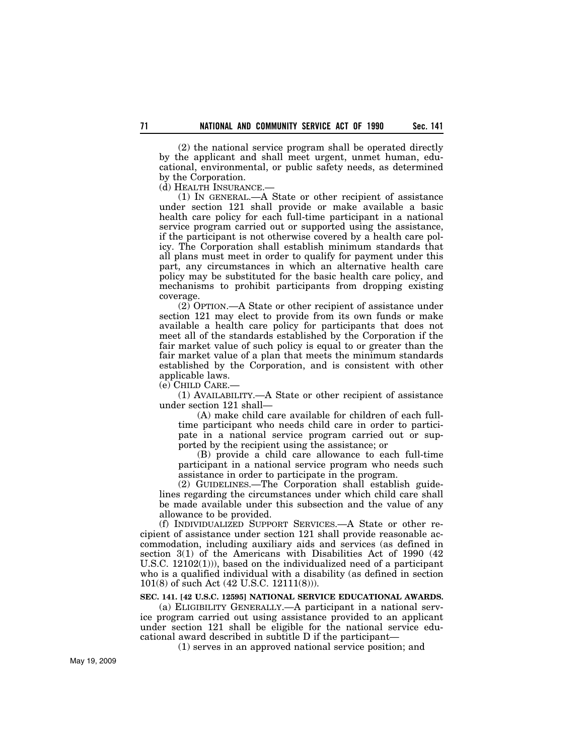(2) the national service program shall be operated directly by the applicant and shall meet urgent, unmet human, educational, environmental, or public safety needs, as determined by the Corporation.

(d) HEALTH INSURANCE.—

(1) IN GENERAL.—A State or other recipient of assistance under section 121 shall provide or make available a basic health care policy for each full-time participant in a national service program carried out or supported using the assistance, if the participant is not otherwise covered by a health care policy. The Corporation shall establish minimum standards that all plans must meet in order to qualify for payment under this part, any circumstances in which an alternative health care policy may be substituted for the basic health care policy, and mechanisms to prohibit participants from dropping existing coverage.

(2) OPTION.—A State or other recipient of assistance under section 121 may elect to provide from its own funds or make available a health care policy for participants that does not meet all of the standards established by the Corporation if the fair market value of such policy is equal to or greater than the fair market value of a plan that meets the minimum standards established by the Corporation, and is consistent with other applicable laws.

(e) CHILD CARE.—

(1) AVAILABILITY.—A State or other recipient of assistance under section 121 shall—

(A) make child care available for children of each fulltime participant who needs child care in order to participate in a national service program carried out or supported by the recipient using the assistance; or

(B) provide a child care allowance to each full-time participant in a national service program who needs such assistance in order to participate in the program.

(2) GUIDELINES.—The Corporation shall establish guidelines regarding the circumstances under which child care shall be made available under this subsection and the value of any allowance to be provided.

(f) INDIVIDUALIZED SUPPORT SERVICES.—A State or other recipient of assistance under section 121 shall provide reasonable accommodation, including auxiliary aids and services (as defined in section 3(1) of the Americans with Disabilities Act of 1990 (42 U.S.C. 12102(1))), based on the individualized need of a participant who is a qualified individual with a disability (as defined in section 101(8) of such Act (42 U.S.C. 12111(8))).

# **SEC. 141. [42 U.S.C. 12595] NATIONAL SERVICE EDUCATIONAL AWARDS.**

(a) ELIGIBILITY GENERALLY.—A participant in a national service program carried out using assistance provided to an applicant under section 121 shall be eligible for the national service educational award described in subtitle D if the participant—

(1) serves in an approved national service position; and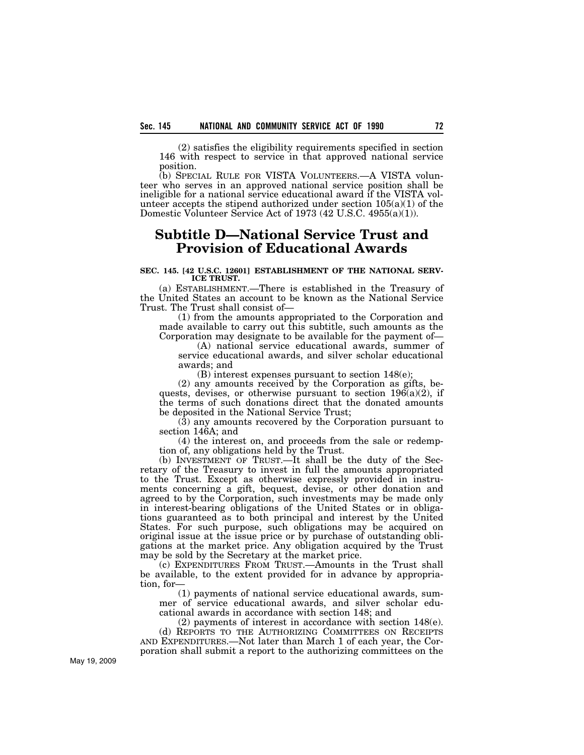(2) satisfies the eligibility requirements specified in section 146 with respect to service in that approved national service position.

(b) SPECIAL RULE FOR VISTA VOLUNTEERS.—A VISTA volunteer who serves in an approved national service position shall be ineligible for a national service educational award if the VISTA volunteer accepts the stipend authorized under section  $105(a)(1)$  of the Domestic Volunteer Service Act of 1973 (42 U.S.C. 4955(a)(1)).

# **Subtitle D—National Service Trust and Provision of Educational Awards**

### **SEC. 145. [42 U.S.C. 12601] ESTABLISHMENT OF THE NATIONAL SERV-ICE TRUST.**

(a) ESTABLISHMENT.—There is established in the Treasury of the United States an account to be known as the National Service Trust. The Trust shall consist of—

(1) from the amounts appropriated to the Corporation and made available to carry out this subtitle, such amounts as the Corporation may designate to be available for the payment of—

(A) national service educational awards, summer of service educational awards, and silver scholar educational awards; and

(B) interest expenses pursuant to section 148(e);

(2) any amounts received by the Corporation as gifts, bequests, devises, or otherwise pursuant to section 196(a)(2), if the terms of such donations direct that the donated amounts be deposited in the National Service Trust;

(3) any amounts recovered by the Corporation pursuant to section 146A; and

(4) the interest on, and proceeds from the sale or redemption of, any obligations held by the Trust.

(b) INVESTMENT OF TRUST.—It shall be the duty of the Secretary of the Treasury to invest in full the amounts appropriated to the Trust. Except as otherwise expressly provided in instruments concerning a gift, bequest, devise, or other donation and agreed to by the Corporation, such investments may be made only in interest-bearing obligations of the United States or in obligations guaranteed as to both principal and interest by the United States. For such purpose, such obligations may be acquired on original issue at the issue price or by purchase of outstanding obligations at the market price. Any obligation acquired by the Trust may be sold by the Secretary at the market price.

(c) EXPENDITURES FROM TRUST.—Amounts in the Trust shall be available, to the extent provided for in advance by appropriation, for—

(1) payments of national service educational awards, summer of service educational awards, and silver scholar educational awards in accordance with section 148; and

(2) payments of interest in accordance with section 148(e). (d) REPORTS TO THE AUTHORIZING COMMITTEES ON RECEIPTS

AND EXPENDITURES.—Not later than March 1 of each year, the Corporation shall submit a report to the authorizing committees on the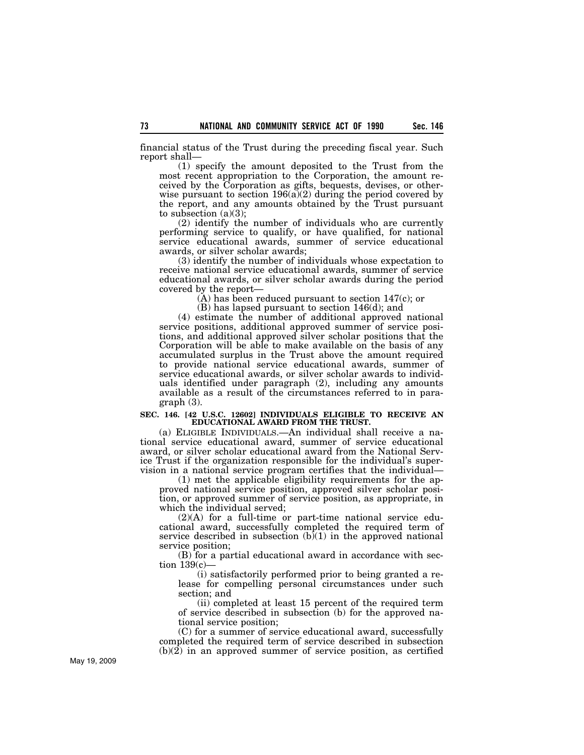financial status of the Trust during the preceding fiscal year. Such report shall—

(1) specify the amount deposited to the Trust from the most recent appropriation to the Corporation, the amount received by the Corporation as gifts, bequests, devises, or otherwise pursuant to section  $196(a)(2)$  during the period covered by the report, and any amounts obtained by the Trust pursuant to subsection  $(a)(3)$ ;

(2) identify the number of individuals who are currently performing service to qualify, or have qualified, for national service educational awards, summer of service educational awards, or silver scholar awards;

(3) identify the number of individuals whose expectation to receive national service educational awards, summer of service educational awards, or silver scholar awards during the period covered by the report—

(A) has been reduced pursuant to section 147(c); or

(B) has lapsed pursuant to section 146(d); and

(4) estimate the number of additional approved national service positions, additional approved summer of service positions, and additional approved silver scholar positions that the Corporation will be able to make available on the basis of any accumulated surplus in the Trust above the amount required to provide national service educational awards, summer of service educational awards, or silver scholar awards to individuals identified under paragraph (2), including any amounts available as a result of the circumstances referred to in paragraph (3).

#### **SEC. 146. [42 U.S.C. 12602] INDIVIDUALS ELIGIBLE TO RECEIVE AN EDUCATIONAL AWARD FROM THE TRUST.**

(a) ELIGIBLE INDIVIDUALS.—An individual shall receive a national service educational award, summer of service educational award, or silver scholar educational award from the National Service Trust if the organization responsible for the individual's supervision in a national service program certifies that the individual—

(1) met the applicable eligibility requirements for the approved national service position, approved silver scholar position, or approved summer of service position, as appropriate, in which the individual served;

(2)(A) for a full-time or part-time national service educational award, successfully completed the required term of service described in subsection  $(b)(1)$  in the approved national service position;

(B) for a partial educational award in accordance with section 139(c)—

(i) satisfactorily performed prior to being granted a release for compelling personal circumstances under such section; and

(ii) completed at least 15 percent of the required term of service described in subsection (b) for the approved national service position;

(C) for a summer of service educational award, successfully completed the required term of service described in subsection (b)(2) in an approved summer of service position, as certified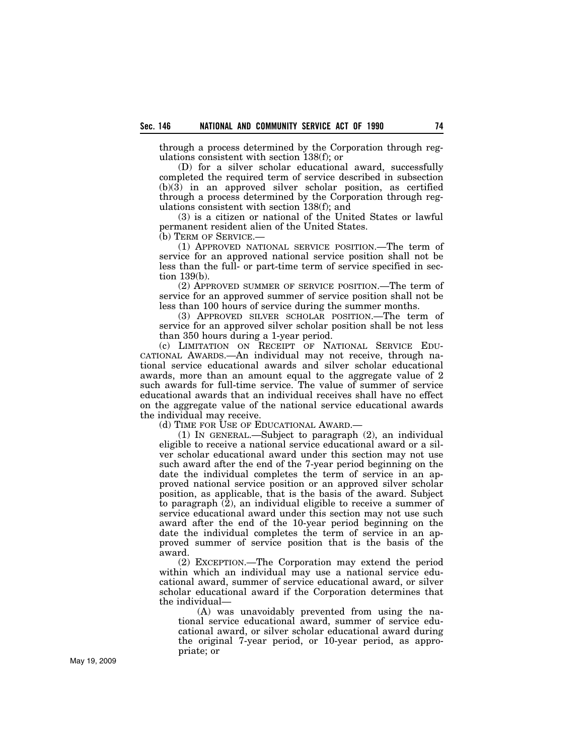through a process determined by the Corporation through regulations consistent with section 138(f); or

(D) for a silver scholar educational award, successfully completed the required term of service described in subsection  $(b)(3)$  in an approved silver scholar position, as certified through a process determined by the Corporation through regulations consistent with section 138(f); and

(3) is a citizen or national of the United States or lawful permanent resident alien of the United States.

(b) TERM OF SERVICE.—

(1) APPROVED NATIONAL SERVICE POSITION.—The term of service for an approved national service position shall not be less than the full- or part-time term of service specified in section 139(b).

(2) APPROVED SUMMER OF SERVICE POSITION.—The term of service for an approved summer of service position shall not be less than 100 hours of service during the summer months.

(3) APPROVED SILVER SCHOLAR POSITION.—The term of service for an approved silver scholar position shall be not less than 350 hours during a 1-year period.

(c) LIMITATION ON RECEIPT OF NATIONAL SERVICE EDU-CATIONAL AWARDS.—An individual may not receive, through national service educational awards and silver scholar educational awards, more than an amount equal to the aggregate value of 2 such awards for full-time service. The value of summer of service educational awards that an individual receives shall have no effect on the aggregate value of the national service educational awards the individual may receive.

(d) TIME FOR USE OF EDUCATIONAL AWARD.—

(1) IN GENERAL.—Subject to paragraph (2), an individual eligible to receive a national service educational award or a silver scholar educational award under this section may not use such award after the end of the 7-year period beginning on the date the individual completes the term of service in an approved national service position or an approved silver scholar position, as applicable, that is the basis of the award. Subject to paragraph (2), an individual eligible to receive a summer of service educational award under this section may not use such award after the end of the 10-year period beginning on the date the individual completes the term of service in an approved summer of service position that is the basis of the award.

(2) EXCEPTION.—The Corporation may extend the period within which an individual may use a national service educational award, summer of service educational award, or silver scholar educational award if the Corporation determines that the individual—

(A) was unavoidably prevented from using the national service educational award, summer of service educational award, or silver scholar educational award during the original 7-year period, or 10-year period, as appropriate; or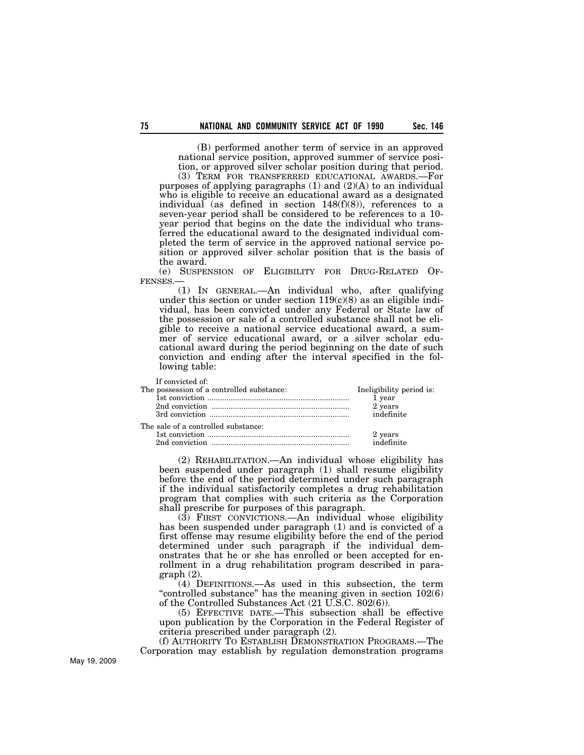(B) performed another term of service in an approved national service position, approved summer of service position, or approved silver scholar position during that period.

(3) TERM FOR TRANSFERRED EDUCATIONAL AWARDS.—For purposes of applying paragraphs  $(1)$  and  $(2)(A)$  to an individual who is eligible to receive an educational award as a designated individual (as defined in section  $148(f)(8)$ ), references to a seven-year period shall be considered to be references to a 10 year period that begins on the date the individual who transferred the educational award to the designated individual completed the term of service in the approved national service position or approved silver scholar position that is the basis of the award.

(e) SUSPENSION OF ELIGIBILITY FOR DRUG-RELATED OF-FENSES.—

(1) IN GENERAL.—An individual who, after qualifying under this section or under section  $119(c)(8)$  as an eligible individual, has been convicted under any Federal or State law of the possession or sale of a controlled substance shall not be eligible to receive a national service educational award, a summer of service educational award, or a silver scholar educational award during the period beginning on the date of such conviction and ending after the interval specified in the following table:

| If convicted of:<br>The possession of a controlled substance: | Ineligibility period is:<br>1 year<br>2 years<br>indefinite |
|---------------------------------------------------------------|-------------------------------------------------------------|
| The sale of a controlled substance:                           |                                                             |
|                                                               | 2 years<br>indefinite                                       |
|                                                               |                                                             |

(2) REHABILITATION.—An individual whose eligibility has been suspended under paragraph (1) shall resume eligibility before the end of the period determined under such paragraph if the individual satisfactorily completes a drug rehabilitation program that complies with such criteria as the Corporation shall prescribe for purposes of this paragraph.

(3) FIRST CONVICTIONS.—An individual whose eligibility has been suspended under paragraph (1) and is convicted of a first offense may resume eligibility before the end of the period determined under such paragraph if the individual demonstrates that he or she has enrolled or been accepted for enrollment in a drug rehabilitation program described in paragraph (2).

(4) DEFINITIONS.—As used in this subsection, the term "controlled substance" has the meaning given in section  $102(6)$ of the Controlled Substances Act (21 U.S.C. 802(6)).

(5) EFFECTIVE DATE.—This subsection shall be effective upon publication by the Corporation in the Federal Register of criteria prescribed under paragraph (2).

(f) AUTHORITY TO ESTABLISH DEMONSTRATION PROGRAMS.—The Corporation may establish by regulation demonstration programs

May 19, 2009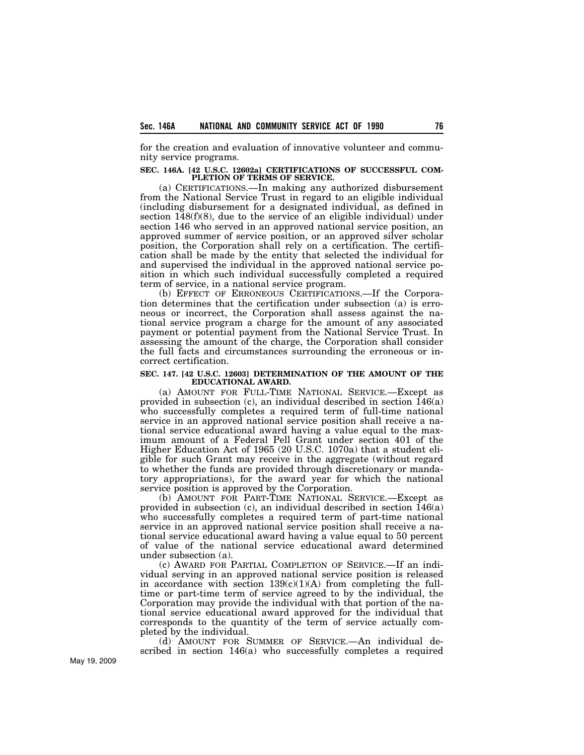for the creation and evaluation of innovative volunteer and community service programs.

#### **SEC. 146A. [42 U.S.C. 12602a] CERTIFICATIONS OF SUCCESSFUL COM-PLETION OF TERMS OF SERVICE.**

(a) CERTIFICATIONS.—In making any authorized disbursement from the National Service Trust in regard to an eligible individual (including disbursement for a designated individual, as defined in section 148(f)(8), due to the service of an eligible individual) under section 146 who served in an approved national service position, an approved summer of service position, or an approved silver scholar position, the Corporation shall rely on a certification. The certification shall be made by the entity that selected the individual for and supervised the individual in the approved national service position in which such individual successfully completed a required term of service, in a national service program.

(b) EFFECT OF ERRONEOUS CERTIFICATIONS.—If the Corporation determines that the certification under subsection (a) is erroneous or incorrect, the Corporation shall assess against the national service program a charge for the amount of any associated payment or potential payment from the National Service Trust. In assessing the amount of the charge, the Corporation shall consider the full facts and circumstances surrounding the erroneous or incorrect certification.

#### **SEC. 147. [42 U.S.C. 12603] DETERMINATION OF THE AMOUNT OF THE EDUCATIONAL AWARD.**

(a) AMOUNT FOR FULL-TIME NATIONAL SERVICE.—Except as provided in subsection (c), an individual described in section 146(a) who successfully completes a required term of full-time national service in an approved national service position shall receive a national service educational award having a value equal to the maximum amount of a Federal Pell Grant under section 401 of the Higher Education Act of 1965 (20 U.S.C. 1070a) that a student eligible for such Grant may receive in the aggregate (without regard to whether the funds are provided through discretionary or mandatory appropriations), for the award year for which the national service position is approved by the Corporation.

(b) AMOUNT FOR PART-TIME NATIONAL SERVICE.—Except as provided in subsection (c), an individual described in section 146(a) who successfully completes a required term of part-time national service in an approved national service position shall receive a national service educational award having a value equal to 50 percent of value of the national service educational award determined under subsection (a).

(c) AWARD FOR PARTIAL COMPLETION OF SERVICE.—If an individual serving in an approved national service position is released in accordance with section  $139(c)(1)(A)$  from completing the fulltime or part-time term of service agreed to by the individual, the Corporation may provide the individual with that portion of the national service educational award approved for the individual that corresponds to the quantity of the term of service actually completed by the individual.

(d) AMOUNT FOR SUMMER OF SERVICE.—An individual described in section 146(a) who successfully completes a required

May 19, 2009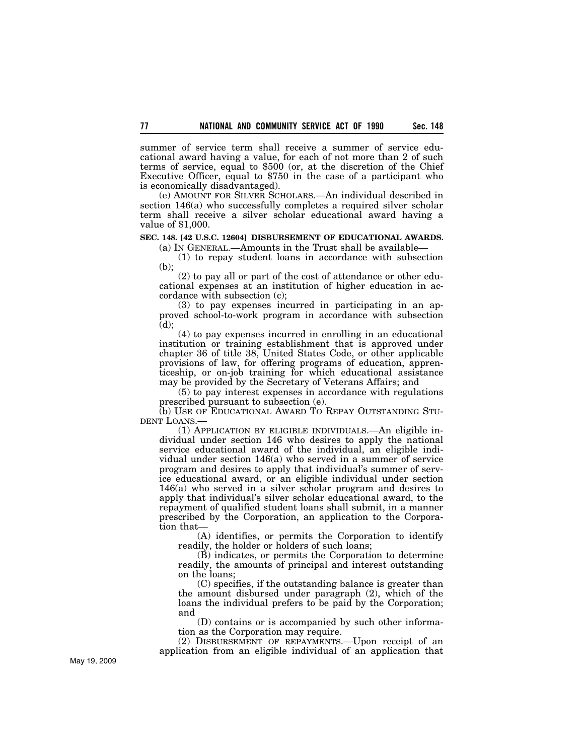summer of service term shall receive a summer of service educational award having a value, for each of not more than 2 of such terms of service, equal to \$500 (or, at the discretion of the Chief Executive Officer, equal to \$750 in the case of a participant who is economically disadvantaged).

(e) AMOUNT FOR SILVER SCHOLARS.—An individual described in section 146(a) who successfully completes a required silver scholar term shall receive a silver scholar educational award having a value of \$1,000.

## **SEC. 148. [42 U.S.C. 12604] DISBURSEMENT OF EDUCATIONAL AWARDS.**

(a) IN GENERAL.—Amounts in the Trust shall be available— (1) to repay student loans in accordance with subsection

(b);

(2) to pay all or part of the cost of attendance or other educational expenses at an institution of higher education in accordance with subsection (c);

(3) to pay expenses incurred in participating in an approved school-to-work program in accordance with subsection (d);

(4) to pay expenses incurred in enrolling in an educational institution or training establishment that is approved under chapter 36 of title 38, United States Code, or other applicable provisions of law, for offering programs of education, apprenticeship, or on-job training for which educational assistance may be provided by the Secretary of Veterans Affairs; and

(5) to pay interest expenses in accordance with regulations prescribed pursuant to subsection (e).

(b) USE OF EDUCATIONAL AWARD TO REPAY OUTSTANDING STU-DENT LOANS.

(1) APPLICATION BY ELIGIBLE INDIVIDUALS.—An eligible individual under section 146 who desires to apply the national service educational award of the individual, an eligible individual under section 146(a) who served in a summer of service program and desires to apply that individual's summer of service educational award, or an eligible individual under section 146(a) who served in a silver scholar program and desires to apply that individual's silver scholar educational award, to the repayment of qualified student loans shall submit, in a manner prescribed by the Corporation, an application to the Corporation that-

(A) identifies, or permits the Corporation to identify readily, the holder or holders of such loans;

(B) indicates, or permits the Corporation to determine readily, the amounts of principal and interest outstanding on the loans;

(C) specifies, if the outstanding balance is greater than the amount disbursed under paragraph (2), which of the loans the individual prefers to be paid by the Corporation; and

(D) contains or is accompanied by such other information as the Corporation may require.

(2) DISBURSEMENT OF REPAYMENTS.—Upon receipt of an application from an eligible individual of an application that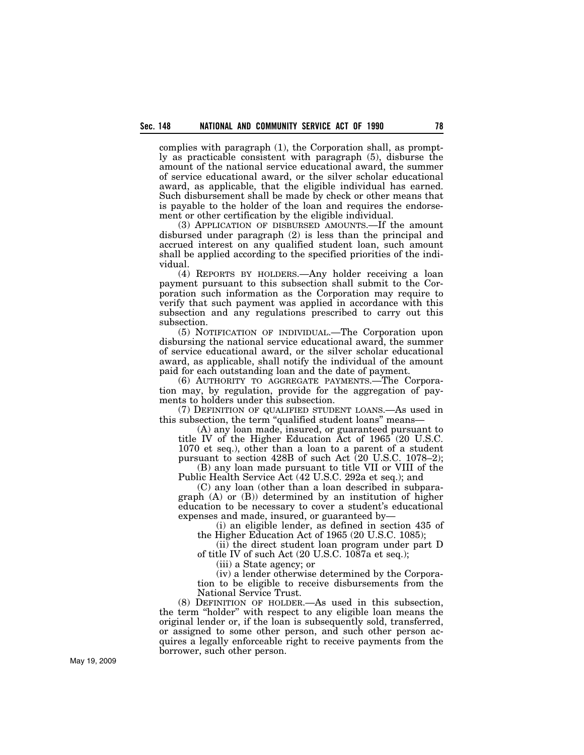complies with paragraph (1), the Corporation shall, as promptly as practicable consistent with paragraph (5), disburse the amount of the national service educational award, the summer of service educational award, or the silver scholar educational award, as applicable, that the eligible individual has earned. Such disbursement shall be made by check or other means that is payable to the holder of the loan and requires the endorsement or other certification by the eligible individual.

(3) APPLICATION OF DISBURSED AMOUNTS.—If the amount disbursed under paragraph (2) is less than the principal and accrued interest on any qualified student loan, such amount shall be applied according to the specified priorities of the individual.

(4) REPORTS BY HOLDERS.—Any holder receiving a loan payment pursuant to this subsection shall submit to the Corporation such information as the Corporation may require to verify that such payment was applied in accordance with this subsection and any regulations prescribed to carry out this subsection.

(5) NOTIFICATION OF INDIVIDUAL.—The Corporation upon disbursing the national service educational award, the summer of service educational award, or the silver scholar educational award, as applicable, shall notify the individual of the amount paid for each outstanding loan and the date of payment.

(6) AUTHORITY TO AGGREGATE PAYMENTS.—The Corporation may, by regulation, provide for the aggregation of payments to holders under this subsection.

(7) DEFINITION OF QUALIFIED STUDENT LOANS.—As used in this subsection, the term ''qualified student loans'' means—

(A) any loan made, insured, or guaranteed pursuant to title IV of the Higher Education Act of 1965 (20 U.S.C. 1070 et seq.), other than a loan to a parent of a student pursuant to section 428B of such Act (20 U.S.C. 1078–2);

(B) any loan made pursuant to title VII or VIII of the Public Health Service Act (42 U.S.C. 292a et seq.); and

(C) any loan (other than a loan described in subparagraph (A) or (B)) determined by an institution of higher education to be necessary to cover a student's educational expenses and made, insured, or guaranteed by—

(i) an eligible lender, as defined in section 435 of the Higher Education Act of 1965 (20 U.S.C. 1085);

(ii) the direct student loan program under part D of title IV of such Act (20 U.S.C. 1087a et seq.);

(iii) a State agency; or

(iv) a lender otherwise determined by the Corporation to be eligible to receive disbursements from the National Service Trust.

(8) DEFINITION OF HOLDER.—As used in this subsection, the term ''holder'' with respect to any eligible loan means the original lender or, if the loan is subsequently sold, transferred, or assigned to some other person, and such other person acquires a legally enforceable right to receive payments from the borrower, such other person.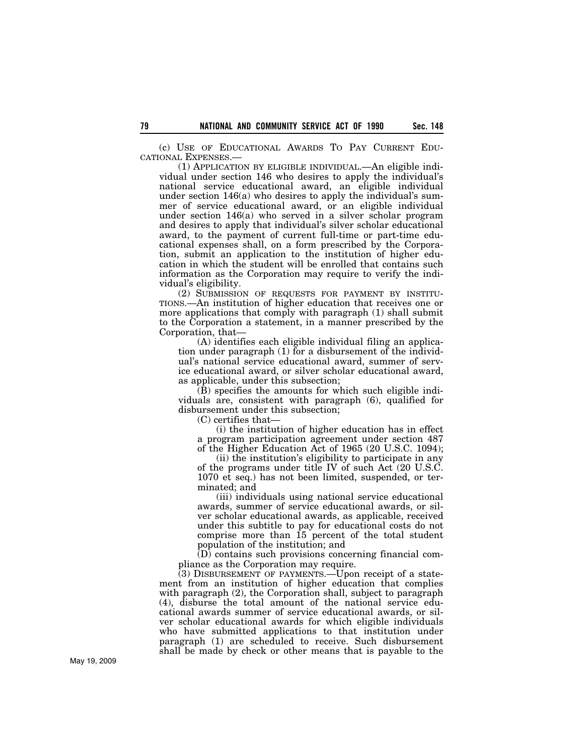(c) USE OF EDUCATIONAL AWARDS TO PAY CURRENT EDU-CATIONAL EXPENSES.—

(1) APPLICATION BY ELIGIBLE INDIVIDUAL.—An eligible individual under section 146 who desires to apply the individual's national service educational award, an eligible individual under section 146(a) who desires to apply the individual's summer of service educational award, or an eligible individual under section 146(a) who served in a silver scholar program and desires to apply that individual's silver scholar educational award, to the payment of current full-time or part-time educational expenses shall, on a form prescribed by the Corporation, submit an application to the institution of higher education in which the student will be enrolled that contains such information as the Corporation may require to verify the individual's eligibility.

(2) SUBMISSION OF REQUESTS FOR PAYMENT BY INSTITU-TIONS.—An institution of higher education that receives one or more applications that comply with paragraph (1) shall submit to the Corporation a statement, in a manner prescribed by the Corporation, that—

(A) identifies each eligible individual filing an application under paragraph (1) for a disbursement of the individual's national service educational award, summer of service educational award, or silver scholar educational award, as applicable, under this subsection;

(B) specifies the amounts for which such eligible individuals are, consistent with paragraph (6), qualified for disbursement under this subsection;

(C) certifies that—

(i) the institution of higher education has in effect a program participation agreement under section 487 of the Higher Education Act of 1965 (20 U.S.C. 1094);

(ii) the institution's eligibility to participate in any of the programs under title IV of such Act (20 U.S.C. 1070 et seq.) has not been limited, suspended, or terminated; and

(iii) individuals using national service educational awards, summer of service educational awards, or silver scholar educational awards, as applicable, received under this subtitle to pay for educational costs do not comprise more than 15 percent of the total student population of the institution; and

(D) contains such provisions concerning financial compliance as the Corporation may require.

(3) DISBURSEMENT OF PAYMENTS.—Upon receipt of a statement from an institution of higher education that complies with paragraph (2), the Corporation shall, subject to paragraph (4), disburse the total amount of the national service educational awards summer of service educational awards, or silver scholar educational awards for which eligible individuals who have submitted applications to that institution under paragraph (1) are scheduled to receive. Such disbursement shall be made by check or other means that is payable to the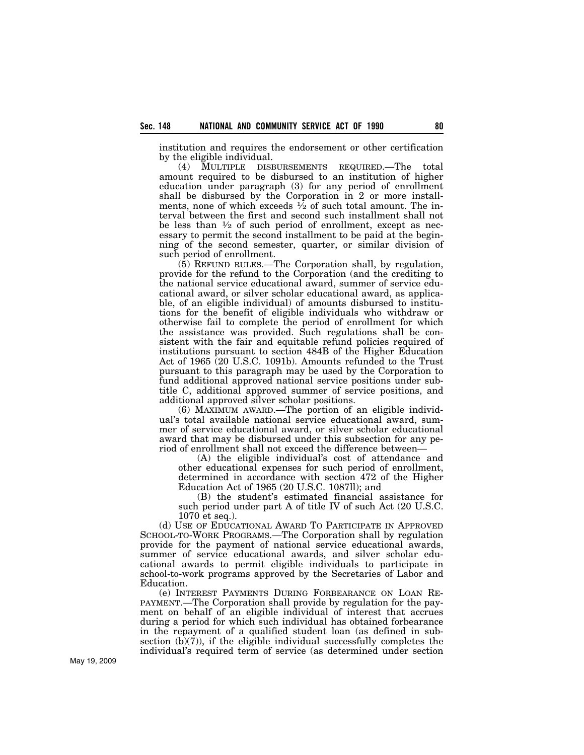institution and requires the endorsement or other certification by the eligible individual.

(4) MULTIPLE DISBURSEMENTS REQUIRED.—The total amount required to be disbursed to an institution of higher education under paragraph (3) for any period of enrollment shall be disbursed by the Corporation in 2 or more installments, none of which exceeds  $\frac{1}{2}$  of such total amount. The interval between the first and second such installment shall not be less than  $\frac{1}{2}$  of such period of enrollment, except as necessary to permit the second installment to be paid at the beginning of the second semester, quarter, or similar division of such period of enrollment.

(5) REFUND RULES.—The Corporation shall, by regulation, provide for the refund to the Corporation (and the crediting to the national service educational award, summer of service educational award, or silver scholar educational award, as applicable, of an eligible individual) of amounts disbursed to institutions for the benefit of eligible individuals who withdraw or otherwise fail to complete the period of enrollment for which the assistance was provided. Such regulations shall be consistent with the fair and equitable refund policies required of institutions pursuant to section 484B of the Higher Education Act of 1965 (20 U.S.C. 1091b). Amounts refunded to the Trust pursuant to this paragraph may be used by the Corporation to fund additional approved national service positions under subtitle C, additional approved summer of service positions, and additional approved silver scholar positions.

(6) MAXIMUM AWARD.—The portion of an eligible individual's total available national service educational award, summer of service educational award, or silver scholar educational award that may be disbursed under this subsection for any period of enrollment shall not exceed the difference between—

(A) the eligible individual's cost of attendance and other educational expenses for such period of enrollment, determined in accordance with section 472 of the Higher Education Act of 1965 (20 U.S.C. 1087ll); and

(B) the student's estimated financial assistance for such period under part A of title IV of such Act (20 U.S.C. 1070 et seq.).

(d) USE OF EDUCATIONAL AWARD TO PARTICIPATE IN APPROVED SCHOOL-TO-WORK PROGRAMS.—The Corporation shall by regulation provide for the payment of national service educational awards, summer of service educational awards, and silver scholar educational awards to permit eligible individuals to participate in school-to-work programs approved by the Secretaries of Labor and Education.

(e) INTEREST PAYMENTS DURING FORBEARANCE ON LOAN RE-PAYMENT.—The Corporation shall provide by regulation for the payment on behalf of an eligible individual of interest that accrues during a period for which such individual has obtained forbearance in the repayment of a qualified student loan (as defined in subsection  $(b)(7)$ , if the eligible individual successfully completes the individual's required term of service (as determined under section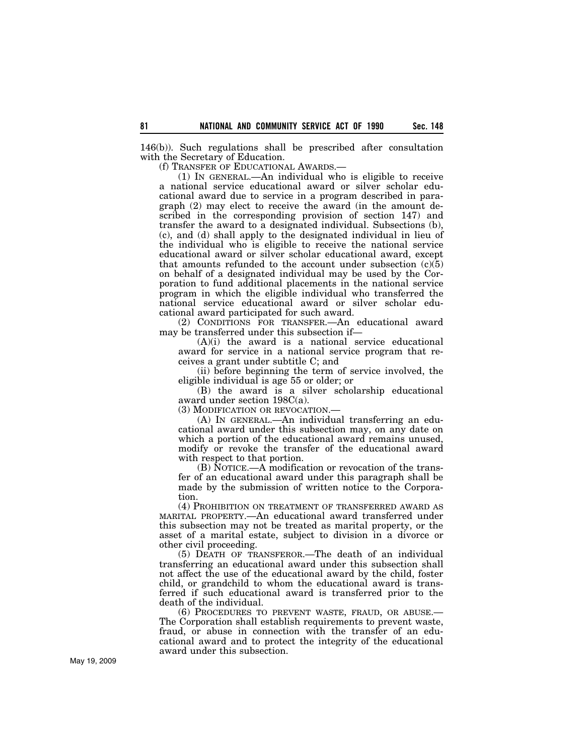146(b)). Such regulations shall be prescribed after consultation with the Secretary of Education.

(f) TRANSFER OF EDUCATIONAL AWARDS.—

(1) IN GENERAL.—An individual who is eligible to receive a national service educational award or silver scholar educational award due to service in a program described in paragraph (2) may elect to receive the award (in the amount described in the corresponding provision of section 147) and transfer the award to a designated individual. Subsections (b), (c), and (d) shall apply to the designated individual in lieu of the individual who is eligible to receive the national service educational award or silver scholar educational award, except that amounts refunded to the account under subsection  $(c)(5)$ on behalf of a designated individual may be used by the Corporation to fund additional placements in the national service program in which the eligible individual who transferred the national service educational award or silver scholar educational award participated for such award.

(2) CONDITIONS FOR TRANSFER.—An educational award may be transferred under this subsection if—

(A)(i) the award is a national service educational award for service in a national service program that receives a grant under subtitle C; and

(ii) before beginning the term of service involved, the eligible individual is age 55 or older; or

(B) the award is a silver scholarship educational award under section 198C(a).

(3) MODIFICATION OR REVOCATION.—

(A) IN GENERAL.—An individual transferring an educational award under this subsection may, on any date on which a portion of the educational award remains unused, modify or revoke the transfer of the educational award with respect to that portion.

(B) NOTICE.—A modification or revocation of the transfer of an educational award under this paragraph shall be made by the submission of written notice to the Corporation.

(4) PROHIBITION ON TREATMENT OF TRANSFERRED AWARD AS MARITAL PROPERTY.—An educational award transferred under this subsection may not be treated as marital property, or the asset of a marital estate, subject to division in a divorce or other civil proceeding.

(5) DEATH OF TRANSFEROR.—The death of an individual transferring an educational award under this subsection shall not affect the use of the educational award by the child, foster child, or grandchild to whom the educational award is transferred if such educational award is transferred prior to the death of the individual.

(6) PROCEDURES TO PREVENT WASTE, FRAUD, OR ABUSE.— The Corporation shall establish requirements to prevent waste, fraud, or abuse in connection with the transfer of an educational award and to protect the integrity of the educational award under this subsection.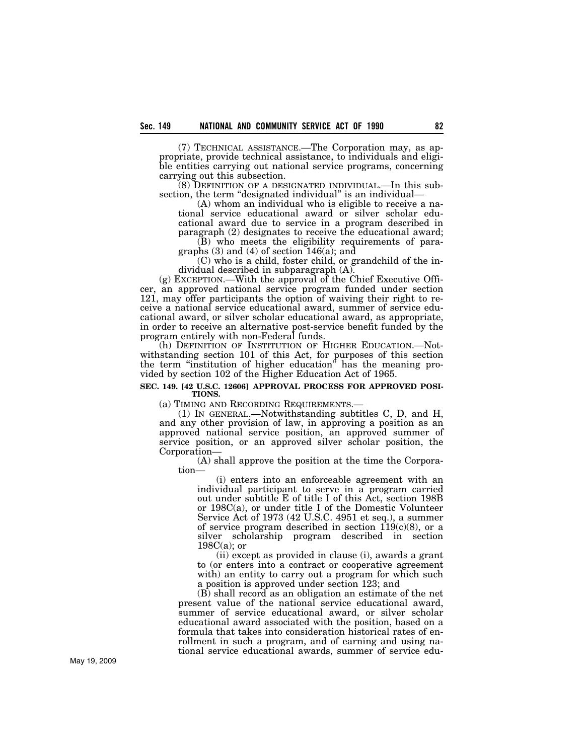(7) TECHNICAL ASSISTANCE.—The Corporation may, as appropriate, provide technical assistance, to individuals and eligible entities carrying out national service programs, concerning carrying out this subsection.

(8) DEFINITION OF A DESIGNATED INDIVIDUAL.—In this subsection, the term "designated individual" is an individual-

(A) whom an individual who is eligible to receive a national service educational award or silver scholar educational award due to service in a program described in paragraph (2) designates to receive the educational award;

(B) who meets the eligibility requirements of paragraphs (3) and (4) of section 146(a); and

(C) who is a child, foster child, or grandchild of the individual described in subparagraph (A).

(g) EXCEPTION.—With the approval of the Chief Executive Officer, an approved national service program funded under section 121, may offer participants the option of waiving their right to receive a national service educational award, summer of service educational award, or silver scholar educational award, as appropriate, in order to receive an alternative post-service benefit funded by the program entirely with non-Federal funds.

(h) DEFINITION OF INSTITUTION OF HIGHER EDUCATION.—Notwithstanding section 101 of this Act, for purposes of this section the term ''institution of higher education'' has the meaning provided by section 102 of the Higher Education Act of 1965.

# **SEC. 149. [42 U.S.C. 12606] APPROVAL PROCESS FOR APPROVED POSI-TIONS.**

(a) TIMING AND RECORDING REQUIREMENTS.—<br>
(1) IN GENERAL.—Notwithstanding subtitles C, D, and H, and any other provision of law, in approving a position as an approved national service position, an approved summer of service position, or an approved silver scholar position, the Corporation—

(A) shall approve the position at the time the Corporation—

(i) enters into an enforceable agreement with an individual participant to serve in a program carried out under subtitle E of title I of this Act, section 198B or 198C(a), or under title I of the Domestic Volunteer Service Act of 1973 (42 U.S.C. 4951 et seq.), a summer of service program described in section  $119(c)(8)$ , or a silver scholarship program described in section  $198C(a)$ ; or

(ii) except as provided in clause (i), awards a grant to (or enters into a contract or cooperative agreement with) an entity to carry out a program for which such a position is approved under section 123; and

(B) shall record as an obligation an estimate of the net present value of the national service educational award, summer of service educational award, or silver scholar educational award associated with the position, based on a formula that takes into consideration historical rates of enrollment in such a program, and of earning and using national service educational awards, summer of service edu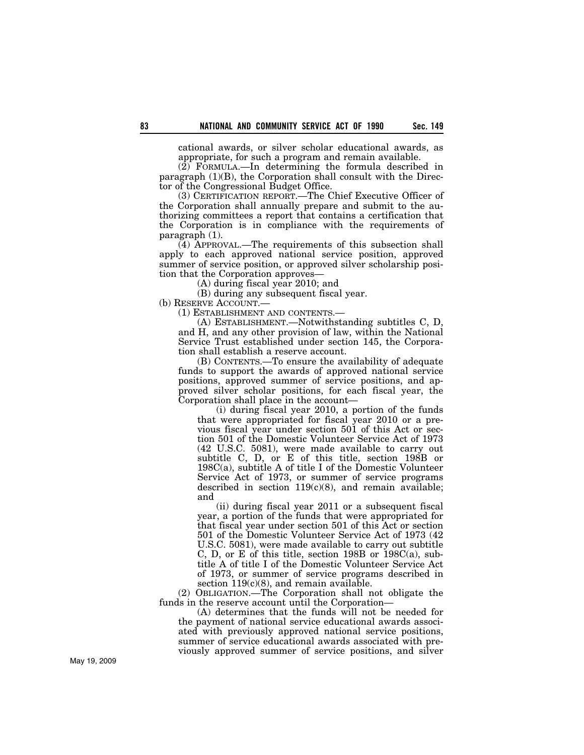cational awards, or silver scholar educational awards, as appropriate, for such a program and remain available.

(2) FORMULA.—In determining the formula described in paragraph (1)(B), the Corporation shall consult with the Director of the Congressional Budget Office.

(3) CERTIFICATION REPORT.—The Chief Executive Officer of the Corporation shall annually prepare and submit to the authorizing committees a report that contains a certification that the Corporation is in compliance with the requirements of paragraph (1).

(4) APPROVAL.—The requirements of this subsection shall apply to each approved national service position, approved summer of service position, or approved silver scholarship position that the Corporation approves—

(A) during fiscal year 2010; and

(B) during any subsequent fiscal year.

(b) RESERVE ACCOUNT.—

(1) ESTABLISHMENT AND CONTENTS.—

(A) ESTABLISHMENT.—Notwithstanding subtitles C, D, and H, and any other provision of law, within the National Service Trust established under section 145, the Corporation shall establish a reserve account.

(B) CONTENTS.—To ensure the availability of adequate funds to support the awards of approved national service positions, approved summer of service positions, and approved silver scholar positions, for each fiscal year, the Corporation shall place in the account—

(i) during fiscal year 2010, a portion of the funds that were appropriated for fiscal year 2010 or a previous fiscal year under section 501 of this Act or section 501 of the Domestic Volunteer Service Act of 1973 (42 U.S.C. 5081), were made available to carry out subtitle C, D, or E of this title, section 198B or 198C(a), subtitle A of title I of the Domestic Volunteer Service Act of 1973, or summer of service programs described in section  $119(c)(8)$ , and remain available; and

(ii) during fiscal year 2011 or a subsequent fiscal year, a portion of the funds that were appropriated for that fiscal year under section 501 of this Act or section 501 of the Domestic Volunteer Service Act of 1973 (42 U.S.C. 5081), were made available to carry out subtitle C, D, or E of this title, section 198B or 198C(a), subtitle A of title I of the Domestic Volunteer Service Act of 1973, or summer of service programs described in section  $119(c)(8)$ , and remain available.

(2) OBLIGATION.—The Corporation shall not obligate the funds in the reserve account until the Corporation—

(A) determines that the funds will not be needed for the payment of national service educational awards associated with previously approved national service positions, summer of service educational awards associated with previously approved summer of service positions, and silver

May 19, 2009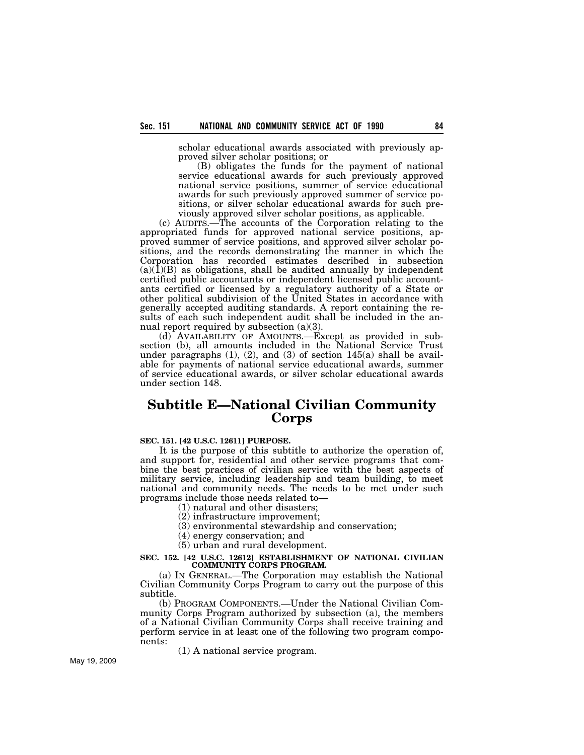scholar educational awards associated with previously approved silver scholar positions; or

(B) obligates the funds for the payment of national service educational awards for such previously approved national service positions, summer of service educational awards for such previously approved summer of service positions, or silver scholar educational awards for such previously approved silver scholar positions, as applicable.

(c) AUDITS.—The accounts of the Corporation relating to the appropriated funds for approved national service positions, approved summer of service positions, and approved silver scholar positions, and the records demonstrating the manner in which the Corporation has recorded estimates described in subsection  $(a)(1)(B)$  as obligations, shall be audited annually by independent certified public accountants or independent licensed public accountants certified or licensed by a regulatory authority of a State or other political subdivision of the United States in accordance with generally accepted auditing standards. A report containing the results of each such independent audit shall be included in the annual report required by subsection (a)(3).

(d) AVAILABILITY OF AMOUNTS.—Except as provided in subsection (b), all amounts included in the National Service Trust under paragraphs  $(1)$ ,  $(2)$ , and  $(3)$  of section  $145(a)$  shall be available for payments of national service educational awards, summer of service educational awards, or silver scholar educational awards under section 148.

# **Subtitle E—National Civilian Community Corps**

## **SEC. 151. [42 U.S.C. 12611] PURPOSE.**

It is the purpose of this subtitle to authorize the operation of, and support for, residential and other service programs that combine the best practices of civilian service with the best aspects of military service, including leadership and team building, to meet national and community needs. The needs to be met under such programs include those needs related to—

(1) natural and other disasters;

(2) infrastructure improvement;

(3) environmental stewardship and conservation;

(4) energy conservation; and

(5) urban and rural development.

# **SEC. 152. [42 U.S.C. 12612] ESTABLISHMENT OF NATIONAL CIVILIAN COMMUNITY CORPS PROGRAM.**

(a) IN GENERAL.—The Corporation may establish the National Civilian Community Corps Program to carry out the purpose of this subtitle.

(b) PROGRAM COMPONENTS.—Under the National Civilian Community Corps Program authorized by subsection (a), the members of a National Civilian Community Corps shall receive training and perform service in at least one of the following two program components:

(1) A national service program.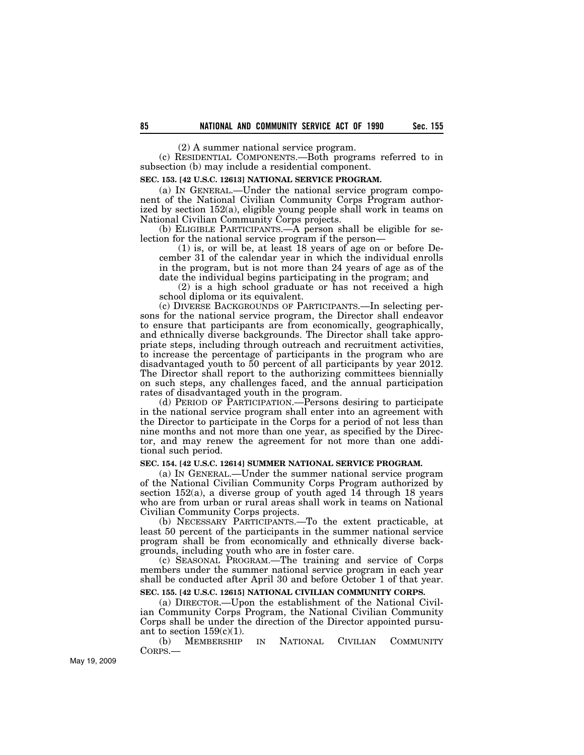(2) A summer national service program.

(c) RESIDENTIAL COMPONENTS.—Both programs referred to in subsection (b) may include a residential component.

# **SEC. 153. [42 U.S.C. 12613] NATIONAL SERVICE PROGRAM.**

(a) IN GENERAL.—Under the national service program component of the National Civilian Community Corps Program authorized by section 152(a), eligible young people shall work in teams on National Civilian Community Corps projects.

(b) ELIGIBLE PARTICIPANTS.—A person shall be eligible for selection for the national service program if the person—

(1) is, or will be, at least 18 years of age on or before December 31 of the calendar year in which the individual enrolls in the program, but is not more than 24 years of age as of the date the individual begins participating in the program; and

(2) is a high school graduate or has not received a high school diploma or its equivalent.

(c) DIVERSE BACKGROUNDS OF PARTICIPANTS.—In selecting persons for the national service program, the Director shall endeavor to ensure that participants are from economically, geographically, and ethnically diverse backgrounds. The Director shall take appropriate steps, including through outreach and recruitment activities, to increase the percentage of participants in the program who are disadvantaged youth to 50 percent of all participants by year 2012. The Director shall report to the authorizing committees biennially on such steps, any challenges faced, and the annual participation rates of disadvantaged youth in the program.

(d) PERIOD OF PARTICIPATION.—Persons desiring to participate in the national service program shall enter into an agreement with the Director to participate in the Corps for a period of not less than nine months and not more than one year, as specified by the Director, and may renew the agreement for not more than one additional such period.

#### **SEC. 154. [42 U.S.C. 12614] SUMMER NATIONAL SERVICE PROGRAM.**

(a) IN GENERAL.—Under the summer national service program of the National Civilian Community Corps Program authorized by section 152(a), a diverse group of youth aged 14 through 18 years who are from urban or rural areas shall work in teams on National Civilian Community Corps projects.

(b) NECESSARY PARTICIPANTS.—To the extent practicable, at least 50 percent of the participants in the summer national service program shall be from economically and ethnically diverse backgrounds, including youth who are in foster care.

(c) SEASONAL PROGRAM.—The training and service of Corps members under the summer national service program in each year shall be conducted after April 30 and before October 1 of that year.

#### **SEC. 155. [42 U.S.C. 12615] NATIONAL CIVILIAN COMMUNITY CORPS.**

(a) DIRECTOR.—Upon the establishment of the National Civilian Community Corps Program, the National Civilian Community Corps shall be under the direction of the Director appointed pursuant to section  $159(c)(1)$ .

(b) MEMBERSHIP IN NATIONAL CIVILIAN COMMUNITY CORPS.—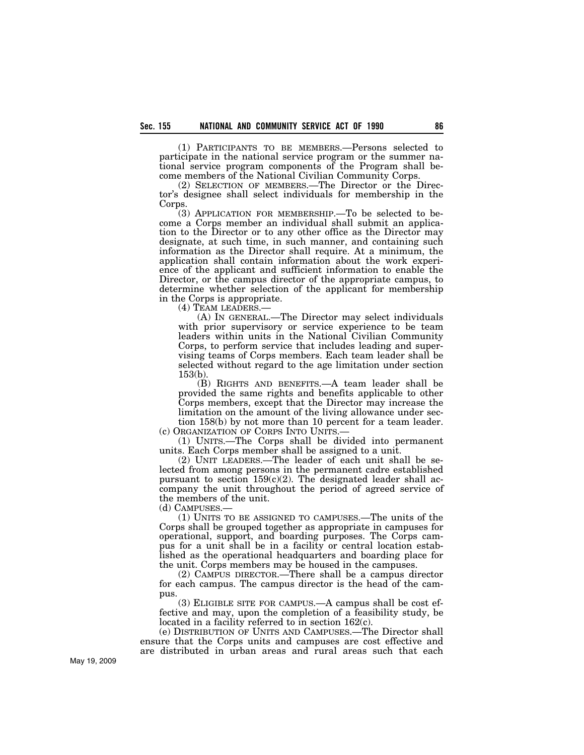(1) PARTICIPANTS TO BE MEMBERS.—Persons selected to participate in the national service program or the summer national service program components of the Program shall become members of the National Civilian Community Corps.

(2) SELECTION OF MEMBERS.—The Director or the Director's designee shall select individuals for membership in the Corps.

(3) APPLICATION FOR MEMBERSHIP.—To be selected to become a Corps member an individual shall submit an application to the Director or to any other office as the Director may designate, at such time, in such manner, and containing such information as the Director shall require. At a minimum, the application shall contain information about the work experience of the applicant and sufficient information to enable the Director, or the campus director of the appropriate campus, to determine whether selection of the applicant for membership in the Corps is appropriate.

(4) TEAM LEADERS.— (A) IN GENERAL.—The Director may select individuals with prior supervisory or service experience to be team leaders within units in the National Civilian Community Corps, to perform service that includes leading and supervising teams of Corps members. Each team leader shall be selected without regard to the age limitation under section 153(b).

(B) RIGHTS AND BENEFITS.—A team leader shall be provided the same rights and benefits applicable to other Corps members, except that the Director may increase the limitation on the amount of the living allowance under section 158(b) by not more than 10 percent for a team leader. (c) ORGANIZATION OF CORPS INTO UNITS.—

(1) UNITS.—The Corps shall be divided into permanent units. Each Corps member shall be assigned to a unit.

(2) UNIT LEADERS.—The leader of each unit shall be selected from among persons in the permanent cadre established pursuant to section  $159(c)(2)$ . The designated leader shall accompany the unit throughout the period of agreed service of the members of the unit.

(d) CAMPUSES.—

(1) UNITS TO BE ASSIGNED TO CAMPUSES.—The units of the Corps shall be grouped together as appropriate in campuses for operational, support, and boarding purposes. The Corps campus for a unit shall be in a facility or central location established as the operational headquarters and boarding place for the unit. Corps members may be housed in the campuses.

(2) CAMPUS DIRECTOR.—There shall be a campus director for each campus. The campus director is the head of the campus.

(3) ELIGIBLE SITE FOR CAMPUS.—A campus shall be cost effective and may, upon the completion of a feasibility study, be located in a facility referred to in section 162(c).

(e) DISTRIBUTION OF UNITS AND CAMPUSES.—The Director shall ensure that the Corps units and campuses are cost effective and are distributed in urban areas and rural areas such that each

May 19, 2009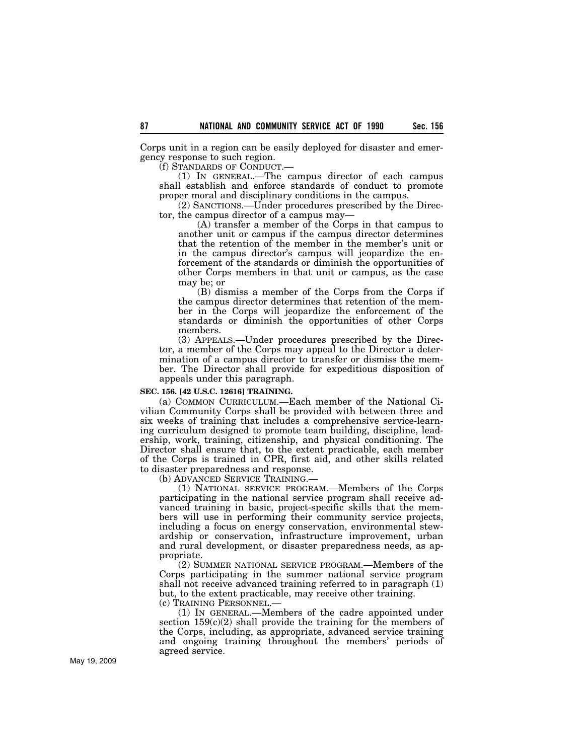Corps unit in a region can be easily deployed for disaster and emergency response to such region.

(f) STANDARDS OF CONDUCT.—

(1) IN GENERAL.—The campus director of each campus shall establish and enforce standards of conduct to promote proper moral and disciplinary conditions in the campus.

 $(2)$  SANCTIONS.—Under procedures prescribed by the Director, the campus director of a campus may—

(A) transfer a member of the Corps in that campus to another unit or campus if the campus director determines that the retention of the member in the member's unit or in the campus director's campus will jeopardize the enforcement of the standards or diminish the opportunities of other Corps members in that unit or campus, as the case may be; or

(B) dismiss a member of the Corps from the Corps if the campus director determines that retention of the member in the Corps will jeopardize the enforcement of the standards or diminish the opportunities of other Corps members.

(3) APPEALS.—Under procedures prescribed by the Director, a member of the Corps may appeal to the Director a determination of a campus director to transfer or dismiss the member. The Director shall provide for expeditious disposition of appeals under this paragraph.

### **SEC. 156. [42 U.S.C. 12616] TRAINING.**

(a) COMMON CURRICULUM.—Each member of the National Civilian Community Corps shall be provided with between three and six weeks of training that includes a comprehensive service-learning curriculum designed to promote team building, discipline, leadership, work, training, citizenship, and physical conditioning. The Director shall ensure that, to the extent practicable, each member of the Corps is trained in CPR, first aid, and other skills related to disaster preparedness and response.

(b) ADVANCED SERVICE TRAINING.—

(1) NATIONAL SERVICE PROGRAM.—Members of the Corps participating in the national service program shall receive advanced training in basic, project-specific skills that the members will use in performing their community service projects, including a focus on energy conservation, environmental stewardship or conservation, infrastructure improvement, urban and rural development, or disaster preparedness needs, as appropriate.

(2) SUMMER NATIONAL SERVICE PROGRAM.—Members of the Corps participating in the summer national service program shall not receive advanced training referred to in paragraph (1) but, to the extent practicable, may receive other training.

(c) TRAINING PERSONNEL.—

(1) IN GENERAL.—Members of the cadre appointed under section  $159(c)(2)$  shall provide the training for the members of the Corps, including, as appropriate, advanced service training and ongoing training throughout the members' periods of agreed service.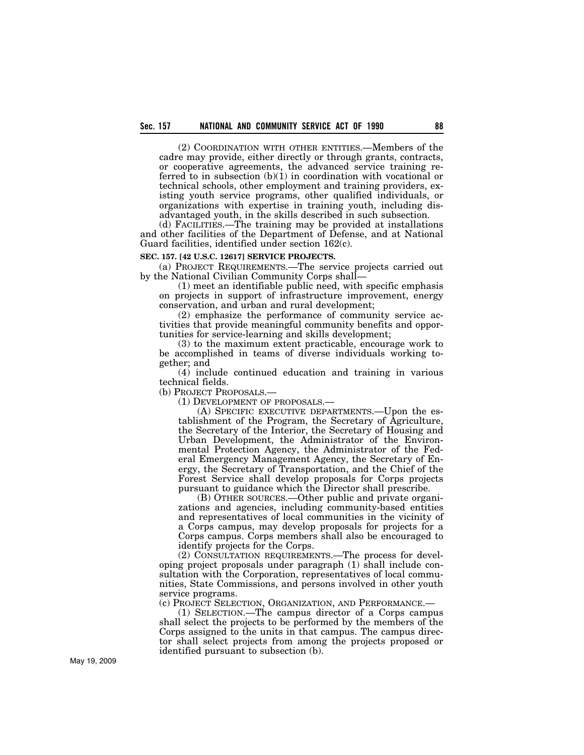(2) COORDINATION WITH OTHER ENTITIES.—Members of the cadre may provide, either directly or through grants, contracts, or cooperative agreements, the advanced service training referred to in subsection (b)(1) in coordination with vocational or technical schools, other employment and training providers, existing youth service programs, other qualified individuals, or organizations with expertise in training youth, including disadvantaged youth, in the skills described in such subsection.

(d) FACILITIES.—The training may be provided at installations and other facilities of the Department of Defense, and at National Guard facilities, identified under section 162(c).

#### **SEC. 157. [42 U.S.C. 12617] SERVICE PROJECTS.**

(a) PROJECT REQUIREMENTS.—The service projects carried out by the National Civilian Community Corps shall—

(1) meet an identifiable public need, with specific emphasis on projects in support of infrastructure improvement, energy conservation, and urban and rural development;

(2) emphasize the performance of community service activities that provide meaningful community benefits and opportunities for service-learning and skills development;

(3) to the maximum extent practicable, encourage work to be accomplished in teams of diverse individuals working together; and

(4) include continued education and training in various technical fields.

(b) PROJECT PROPOSALS.—

(1) DEVELOPMENT OF PROPOSALS.—

(A) SPECIFIC EXECUTIVE DEPARTMENTS.—Upon the establishment of the Program, the Secretary of Agriculture, the Secretary of the Interior, the Secretary of Housing and Urban Development, the Administrator of the Environmental Protection Agency, the Administrator of the Federal Emergency Management Agency, the Secretary of Energy, the Secretary of Transportation, and the Chief of the Forest Service shall develop proposals for Corps projects pursuant to guidance which the Director shall prescribe.

(B) OTHER SOURCES.—Other public and private organizations and agencies, including community-based entities and representatives of local communities in the vicinity of a Corps campus, may develop proposals for projects for a Corps campus. Corps members shall also be encouraged to identify projects for the Corps.

(2) CONSULTATION REQUIREMENTS.—The process for developing project proposals under paragraph (1) shall include consultation with the Corporation, representatives of local communities, State Commissions, and persons involved in other youth service programs.<br>(c) PROJECT SELECTION, ORGANIZATION, AND PERFORMANCE.—

(1) SELECTION.—The campus director of a Corps campus shall select the projects to be performed by the members of the Corps assigned to the units in that campus. The campus director shall select projects from among the projects proposed or identified pursuant to subsection (b).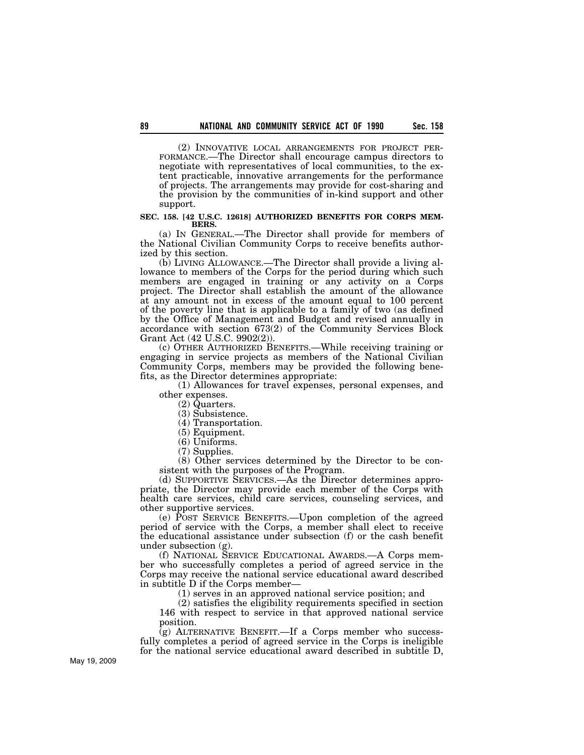(2) INNOVATIVE LOCAL ARRANGEMENTS FOR PROJECT PER- FORMANCE.—The Director shall encourage campus directors to negotiate with representatives of local communities, to the extent practicable, innovative arrangements for the performance of projects. The arrangements may provide for cost-sharing and the provision by the communities of in-kind support and other

#### **SEC. 158. [42 U.S.C. 12618] AUTHORIZED BENEFITS FOR CORPS MEM-BERS.**

(a) IN GENERAL.—The Director shall provide for members of the National Civilian Community Corps to receive benefits authorized by this section.

(b) LIVING ALLOWANCE.—The Director shall provide a living allowance to members of the Corps for the period during which such members are engaged in training or any activity on a Corps project. The Director shall establish the amount of the allowance at any amount not in excess of the amount equal to 100 percent of the poverty line that is applicable to a family of two (as defined by the Office of Management and Budget and revised annually in accordance with section 673(2) of the Community Services Block Grant Act (42 U.S.C. 9902(2)).

(c) OTHER AUTHORIZED BENEFITS.—While receiving training or engaging in service projects as members of the National Civilian Community Corps, members may be provided the following benefits, as the Director determines appropriate:

(1) Allowances for travel expenses, personal expenses, and other expenses.

(2) Quarters.

(3) Subsistence.

(4) Transportation.

(5) Equipment.

(6) Uniforms.

(7) Supplies.

(8) Other services determined by the Director to be consistent with the purposes of the Program.

(d) SUPPORTIVE SERVICES.—As the Director determines appropriate, the Director may provide each member of the Corps with health care services, child care services, counseling services, and other supportive services.

(e) POST SERVICE BENEFITS.—Upon completion of the agreed period of service with the Corps, a member shall elect to receive the educational assistance under subsection (f) or the cash benefit under subsection (g).

(f) NATIONAL SERVICE EDUCATIONAL AWARDS.—A Corps member who successfully completes a period of agreed service in the Corps may receive the national service educational award described in subtitle D if the Corps member—

(1) serves in an approved national service position; and

(2) satisfies the eligibility requirements specified in section 146 with respect to service in that approved national service position.

 $\bar{g}$ ) ALTERNATIVE BENEFIT.—If a Corps member who successfully completes a period of agreed service in the Corps is ineligible for the national service educational award described in subtitle D,

support.

May 19, 2009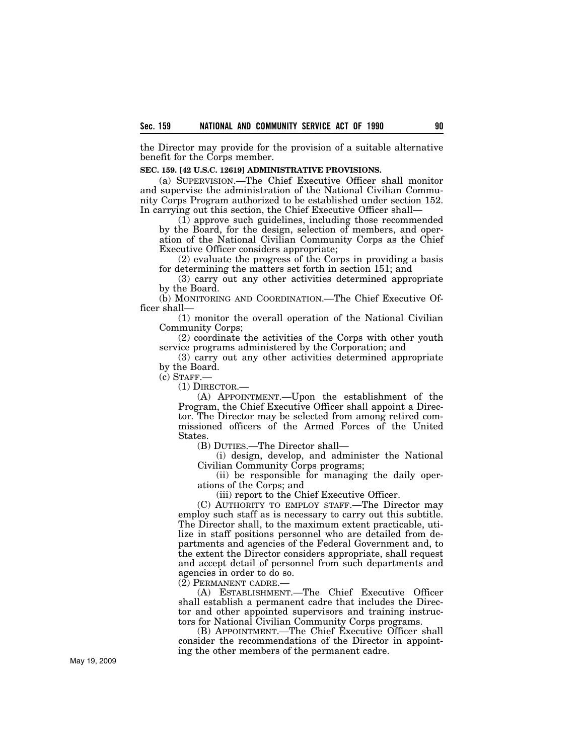the Director may provide for the provision of a suitable alternative benefit for the Corps member.

#### **SEC. 159. [42 U.S.C. 12619] ADMINISTRATIVE PROVISIONS.**

(a) SUPERVISION.—The Chief Executive Officer shall monitor and supervise the administration of the National Civilian Community Corps Program authorized to be established under section 152. In carrying out this section, the Chief Executive Officer shall—

(1) approve such guidelines, including those recommended by the Board, for the design, selection of members, and operation of the National Civilian Community Corps as the Chief Executive Officer considers appropriate;

(2) evaluate the progress of the Corps in providing a basis for determining the matters set forth in section 151; and

(3) carry out any other activities determined appropriate by the Board.

(b) MONITORING AND COORDINATION.—The Chief Executive Officer shall—

(1) monitor the overall operation of the National Civilian Community Corps;

(2) coordinate the activities of the Corps with other youth service programs administered by the Corporation; and

(3) carry out any other activities determined appropriate by the Board.

(c) STAFF.—

(1) DIRECTOR.—

(A) APPOINTMENT.—Upon the establishment of the Program, the Chief Executive Officer shall appoint a Director. The Director may be selected from among retired commissioned officers of the Armed Forces of the United States.

(B) DUTIES.—The Director shall—

(i) design, develop, and administer the National Civilian Community Corps programs;

(ii) be responsible for managing the daily operations of the Corps; and

(iii) report to the Chief Executive Officer.

(C) AUTHORITY TO EMPLOY STAFF.—The Director may employ such staff as is necessary to carry out this subtitle. The Director shall, to the maximum extent practicable, utilize in staff positions personnel who are detailed from departments and agencies of the Federal Government and, to the extent the Director considers appropriate, shall request and accept detail of personnel from such departments and agencies in order to do so.

(2) PERMANENT CADRE.—

(A) ESTABLISHMENT.—The Chief Executive Officer shall establish a permanent cadre that includes the Director and other appointed supervisors and training instructors for National Civilian Community Corps programs.

(B) APPOINTMENT.—The Chief Executive Officer shall consider the recommendations of the Director in appointing the other members of the permanent cadre.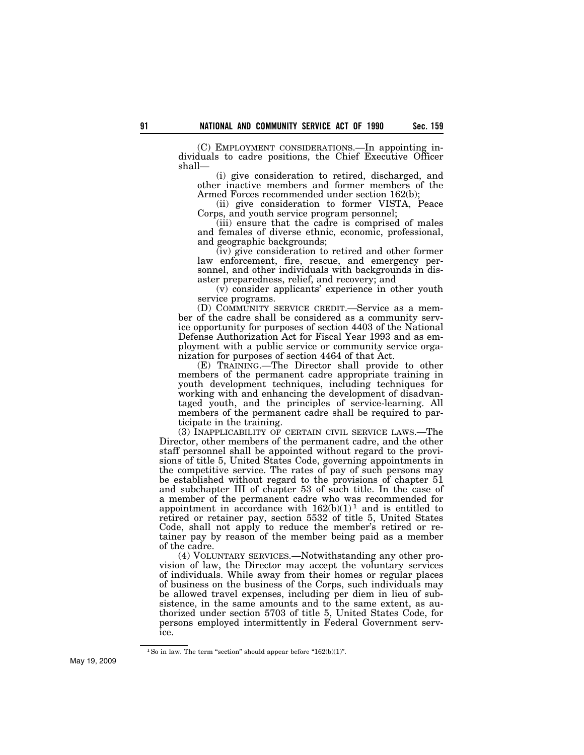(C) EMPLOYMENT CONSIDERATIONS.—In appointing individuals to cadre positions, the Chief Executive Officer shall—

(i) give consideration to retired, discharged, and other inactive members and former members of the Armed Forces recommended under section 162(b);

(ii) give consideration to former VISTA, Peace Corps, and youth service program personnel;

(iii) ensure that the cadre is comprised of males and females of diverse ethnic, economic, professional, and geographic backgrounds;

(iv) give consideration to retired and other former law enforcement, fire, rescue, and emergency personnel, and other individuals with backgrounds in disaster preparedness, relief, and recovery; and

(v) consider applicants' experience in other youth service programs.

(D) COMMUNITY SERVICE CREDIT.—Service as a member of the cadre shall be considered as a community service opportunity for purposes of section 4403 of the National Defense Authorization Act for Fiscal Year 1993 and as employment with a public service or community service organization for purposes of section 4464 of that Act.

(E) TRAINING.—The Director shall provide to other members of the permanent cadre appropriate training in youth development techniques, including techniques for working with and enhancing the development of disadvantaged youth, and the principles of service-learning. All members of the permanent cadre shall be required to participate in the training.

(3) INAPPLICABILITY OF CERTAIN CIVIL SERVICE LAWS.—The Director, other members of the permanent cadre, and the other staff personnel shall be appointed without regard to the provisions of title 5, United States Code, governing appointments in the competitive service. The rates of pay of such persons may be established without regard to the provisions of chapter 51 and subchapter III of chapter 53 of such title. In the case of a member of the permanent cadre who was recommended for appointment in accordance with  $162(b)(1)^1$  and is entitled to retired or retainer pay, section 5532 of title 5, United States Code, shall not apply to reduce the member's retired or retainer pay by reason of the member being paid as a member of the cadre.

(4) VOLUNTARY SERVICES.—Notwithstanding any other provision of law, the Director may accept the voluntary services of individuals. While away from their homes or regular places of business on the business of the Corps, such individuals may be allowed travel expenses, including per diem in lieu of subsistence, in the same amounts and to the same extent, as authorized under section 5703 of title 5, United States Code, for persons employed intermittently in Federal Government service.

 $1$  So in law. The term "section" should appear before " $162(b)(1)$ ".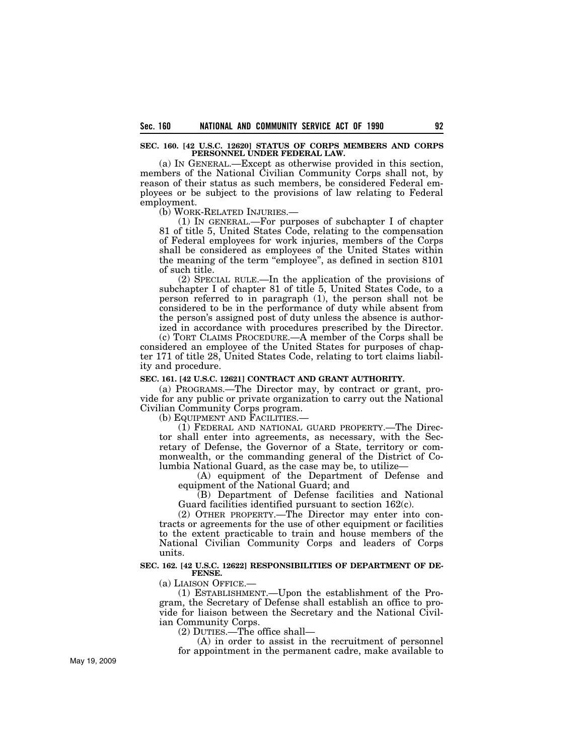**SEC. 160. [42 U.S.C. 12620] STATUS OF CORPS MEMBERS AND CORPS PERSONNEL UNDER FEDERAL LAW.** 

(a) IN GENERAL.—Except as otherwise provided in this section, members of the National Civilian Community Corps shall not, by reason of their status as such members, be considered Federal employees or be subject to the provisions of law relating to Federal employment.

(b) WORK-RELATED INJURIES.—

(1) IN GENERAL.—For purposes of subchapter I of chapter 81 of title 5, United States Code, relating to the compensation of Federal employees for work injuries, members of the Corps shall be considered as employees of the United States within the meaning of the term ''employee'', as defined in section 8101 of such title.

(2) SPECIAL RULE.—In the application of the provisions of subchapter I of chapter 81 of title 5, United States Code, to a person referred to in paragraph (1), the person shall not be considered to be in the performance of duty while absent from the person's assigned post of duty unless the absence is authorized in accordance with procedures prescribed by the Director.

(c) TORT CLAIMS PROCEDURE.—A member of the Corps shall be considered an employee of the United States for purposes of chapter 171 of title 28, United States Code, relating to tort claims liability and procedure.

#### **SEC. 161. [42 U.S.C. 12621] CONTRACT AND GRANT AUTHORITY.**

(a) PROGRAMS.—The Director may, by contract or grant, provide for any public or private organization to carry out the National Civilian Community Corps program.

(b) EQUIPMENT AND FACILITIES.—

(1) FEDERAL AND NATIONAL GUARD PROPERTY.—The Director shall enter into agreements, as necessary, with the Secretary of Defense, the Governor of a State, territory or commonwealth, or the commanding general of the District of Columbia National Guard, as the case may be, to utilize—

(A) equipment of the Department of Defense and equipment of the National Guard; and

(B) Department of Defense facilities and National Guard facilities identified pursuant to section 162(c).

(2) OTHER PROPERTY.—The Director may enter into contracts or agreements for the use of other equipment or facilities to the extent practicable to train and house members of the National Civilian Community Corps and leaders of Corps units.

#### **SEC. 162. [42 U.S.C. 12622] RESPONSIBILITIES OF DEPARTMENT OF DE-FENSE.**

(a) LIAISON OFFICE.—

(1) ESTABLISHMENT.—Upon the establishment of the Program, the Secretary of Defense shall establish an office to provide for liaison between the Secretary and the National Civilian Community Corps.

(2) DUTIES.—The office shall—

(A) in order to assist in the recruitment of personnel for appointment in the permanent cadre, make available to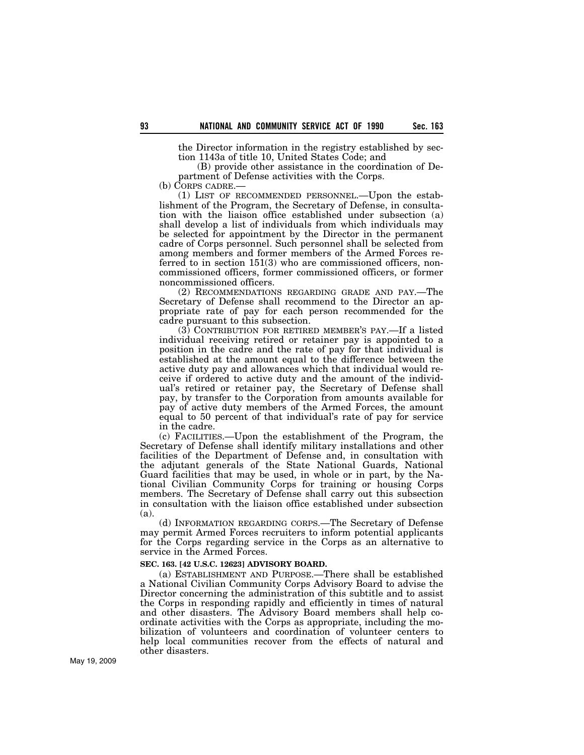the Director information in the registry established by section 1143a of title 10, United States Code; and

(B) provide other assistance in the coordination of Department of Defense activities with the Corps.

(b) CORPS CADRE.—

(1) LIST OF RECOMMENDED PERSONNEL.—Upon the establishment of the Program, the Secretary of Defense, in consultation with the liaison office established under subsection (a) shall develop a list of individuals from which individuals may be selected for appointment by the Director in the permanent cadre of Corps personnel. Such personnel shall be selected from among members and former members of the Armed Forces referred to in section 151(3) who are commissioned officers, noncommissioned officers, former commissioned officers, or former noncommissioned officers.

(2) RECOMMENDATIONS REGARDING GRADE AND PAY.—The Secretary of Defense shall recommend to the Director an appropriate rate of pay for each person recommended for the cadre pursuant to this subsection.

(3) CONTRIBUTION FOR RETIRED MEMBER'S PAY.—If a listed individual receiving retired or retainer pay is appointed to a position in the cadre and the rate of pay for that individual is established at the amount equal to the difference between the active duty pay and allowances which that individual would receive if ordered to active duty and the amount of the individual's retired or retainer pay, the Secretary of Defense shall pay, by transfer to the Corporation from amounts available for pay of active duty members of the Armed Forces, the amount equal to 50 percent of that individual's rate of pay for service in the cadre.

(c) FACILITIES.—Upon the establishment of the Program, the Secretary of Defense shall identify military installations and other facilities of the Department of Defense and, in consultation with the adjutant generals of the State National Guards, National Guard facilities that may be used, in whole or in part, by the National Civilian Community Corps for training or housing Corps members. The Secretary of Defense shall carry out this subsection in consultation with the liaison office established under subsection (a).

(d) INFORMATION REGARDING CORPS.—The Secretary of Defense may permit Armed Forces recruiters to inform potential applicants for the Corps regarding service in the Corps as an alternative to service in the Armed Forces.

### **SEC. 163. [42 U.S.C. 12623] ADVISORY BOARD.**

(a) ESTABLISHMENT AND PURPOSE.—There shall be established a National Civilian Community Corps Advisory Board to advise the Director concerning the administration of this subtitle and to assist the Corps in responding rapidly and efficiently in times of natural and other disasters. The Advisory Board members shall help coordinate activities with the Corps as appropriate, including the mobilization of volunteers and coordination of volunteer centers to help local communities recover from the effects of natural and other disasters.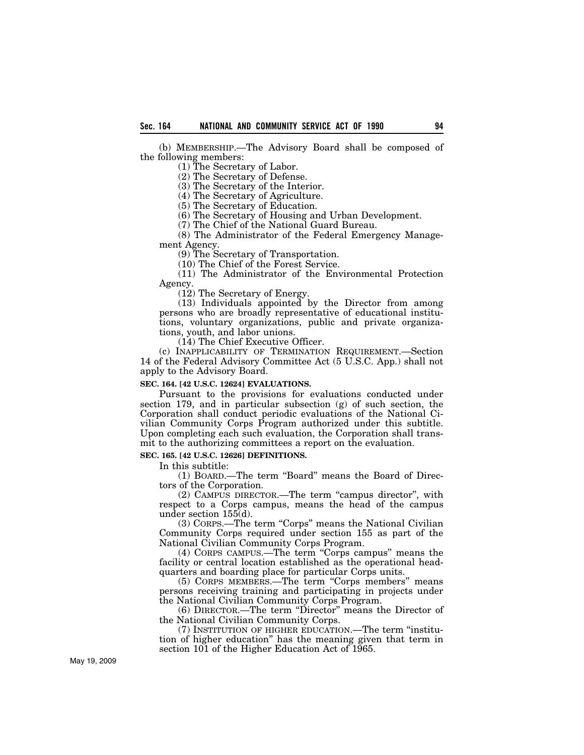(b) MEMBERSHIP.—The Advisory Board shall be composed of the following members:

(1) The Secretary of Labor.

(2) The Secretary of Defense.

(3) The Secretary of the Interior.

(4) The Secretary of Agriculture.

(5) The Secretary of Education.

(6) The Secretary of Housing and Urban Development.

(7) The Chief of the National Guard Bureau.

(8) The Administrator of the Federal Emergency Management Agency.

(9) The Secretary of Transportation.

(10) The Chief of the Forest Service.

(11) The Administrator of the Environmental Protection Agency.

(12) The Secretary of Energy.

(13) Individuals appointed by the Director from among persons who are broadly representative of educational institutions, voluntary organizations, public and private organizations, youth, and labor unions.

(14) The Chief Executive Officer.

(c) INAPPLICABILITY OF TERMINATION REQUIREMENT.—Section 14 of the Federal Advisory Committee Act (5 U.S.C. App.) shall not apply to the Advisory Board.

#### **SEC. 164. [42 U.S.C. 12624] EVALUATIONS.**

Pursuant to the provisions for evaluations conducted under section 179, and in particular subsection (g) of such section, the Corporation shall conduct periodic evaluations of the National Civilian Community Corps Program authorized under this subtitle. Upon completing each such evaluation, the Corporation shall transmit to the authorizing committees a report on the evaluation.

#### **SEC. 165. [42 U.S.C. 12626] DEFINITIONS.**

In this subtitle:

(1) BOARD.—The term ''Board'' means the Board of Directors of the Corporation.

(2) CAMPUS DIRECTOR.—The term ''campus director'', with respect to a Corps campus, means the head of the campus under section 155(d).

(3) CORPS.—The term "Corps" means the National Civilian Community Corps required under section 155 as part of the National Civilian Community Corps Program.

(4) CORPS CAMPUS.—The term ''Corps campus'' means the facility or central location established as the operational headquarters and boarding place for particular Corps units.

(5) CORPS MEMBERS.—The term ''Corps members'' means persons receiving training and participating in projects under the National Civilian Community Corps Program.

(6) DIRECTOR.—The term ''Director'' means the Director of the National Civilian Community Corps.

(7) INSTITUTION OF HIGHER EDUCATION.—The term ''institution of higher education'' has the meaning given that term in section 101 of the Higher Education Act of 1965.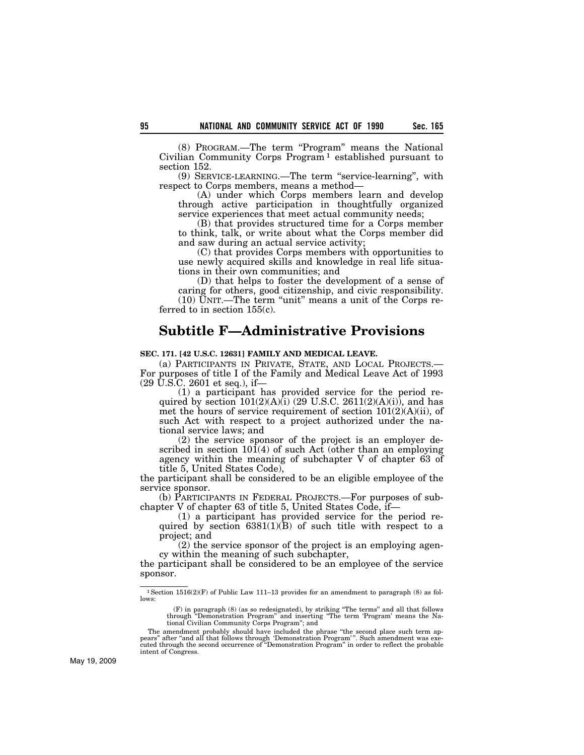(8) PROGRAM.—The term ''Program'' means the National Civilian Community Corps Program 1 established pursuant to section 152.

(9) SERVICE-LEARNING.—The term ''service-learning'', with respect to Corps members, means a method—

(A) under which Corps members learn and develop through active participation in thoughtfully organized service experiences that meet actual community needs;

(B) that provides structured time for a Corps member to think, talk, or write about what the Corps member did and saw during an actual service activity;

(C) that provides Corps members with opportunities to use newly acquired skills and knowledge in real life situations in their own communities; and

(D) that helps to foster the development of a sense of caring for others, good citizenship, and civic responsibility. (10) UNIT.—The term ''unit'' means a unit of the Corps referred to in section  $155(c)$ .

# **Subtitle F—Administrative Provisions**

#### **SEC. 171. [42 U.S.C. 12631] FAMILY AND MEDICAL LEAVE.**

(a) PARTICIPANTS IN PRIVATE, STATE, AND LOCAL PROJECTS.— For purposes of title I of the Family and Medical Leave Act of 1993 (29 U.S.C. 2601 et seq.), if—

(1) a participant has provided service for the period required by section  $101(2)(A)(i)$  (29 U.S.C. 2611(2)(A)(i)), and has met the hours of service requirement of section 101(2)(A)(ii), of such Act with respect to a project authorized under the national service laws; and

(2) the service sponsor of the project is an employer described in section  $10(4)$  of such Act (other than an employing agency within the meaning of subchapter V of chapter 63 of title 5, United States Code),

the participant shall be considered to be an eligible employee of the service sponsor.

(b) PARTICIPANTS IN FEDERAL PROJECTS.—For purposes of subchapter V of chapter 63 of title 5, United States Code, if—

(1) a participant has provided service for the period required by section  $6381(1)(\overline{B})$  of such title with respect to a project; and

(2) the service sponsor of the project is an employing agency within the meaning of such subchapter,

the participant shall be considered to be an employee of the service sponsor.

 $^1\rm{Section}$  1516(2)(F) of Public Law 111–13 provides for an amendment to paragraph (8) as follows:

<sup>(</sup>F) in paragraph (8) (as so redesignated), by striking ''The terms'' and all that follows through ''Demonstration Program'' and inserting ''The term 'Program' means the National Civilian Community Corps Program''; and

The amendment probably should have included the phrase "the second place such term appears" after "and all that follows through 'Demonstration Program'". Such amendment was exe-<br>pears" after "and all that follows through t intent of Congress.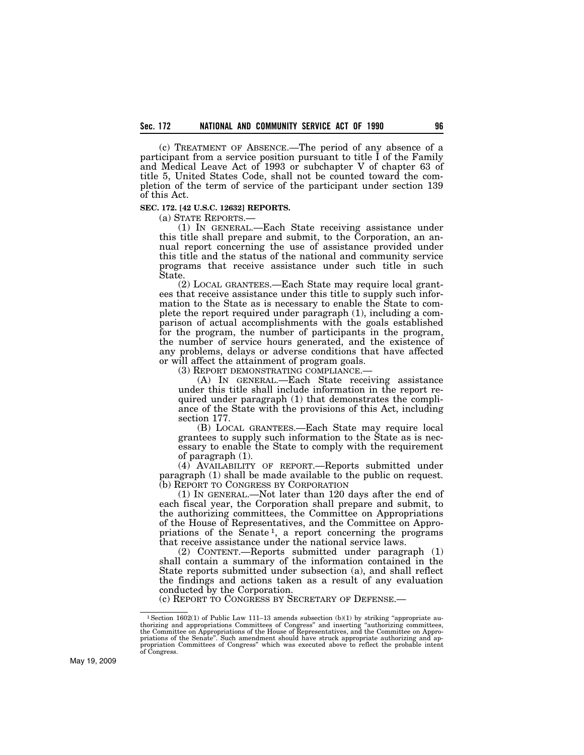(c) TREATMENT OF ABSENCE.—The period of any absence of a participant from a service position pursuant to title I of the Family and Medical Leave Act of 1993 or subchapter V of chapter 63 of title 5, United States Code, shall not be counted toward the completion of the term of service of the participant under section 139 of this Act.

#### **SEC. 172. [42 U.S.C. 12632] REPORTS.**

(a) STATE REPORTS.—

(1) IN GENERAL.—Each State receiving assistance under this title shall prepare and submit, to the Corporation, an annual report concerning the use of assistance provided under this title and the status of the national and community service programs that receive assistance under such title in such State.

(2) LOCAL GRANTEES.—Each State may require local grantees that receive assistance under this title to supply such information to the State as is necessary to enable the State to complete the report required under paragraph (1), including a comparison of actual accomplishments with the goals established for the program, the number of participants in the program, the number of service hours generated, and the existence of any problems, delays or adverse conditions that have affected or will affect the attainment of program goals.

(3) REPORT DEMONSTRATING COMPLIANCE.—

(A) IN GENERAL.—Each State receiving assistance under this title shall include information in the report required under paragraph (1) that demonstrates the compliance of the State with the provisions of this Act, including section 177.

(B) LOCAL GRANTEES.—Each State may require local grantees to supply such information to the State as is necessary to enable the State to comply with the requirement of paragraph (1).

(4) AVAILABILITY OF REPORT.—Reports submitted under paragraph (1) shall be made available to the public on request. (b) REPORT TO CONGRESS BY CORPORATION

(1) IN GENERAL.—Not later than 120 days after the end of each fiscal year, the Corporation shall prepare and submit, to the authorizing committees, the Committee on Appropriations of the House of Representatives, and the Committee on Appropriations of the Senate<sup>1</sup>, a report concerning the programs that receive assistance under the national service laws.

(2) CONTENT.—Reports submitted under paragraph (1) shall contain a summary of the information contained in the State reports submitted under subsection (a), and shall reflect the findings and actions taken as a result of any evaluation conducted by the Corporation.

(c) REPORT TO CONGRESS BY SECRETARY OF DEFENSE.—

<sup>&</sup>lt;sup>1</sup>Section 1602(1) of Public Law 111–13 amends subsection (b)(1) by striking "appropriate authorizing and appropriations Committees of Congress" and inserting "authorizing committees, the Committee on Appropriations of th of Congress.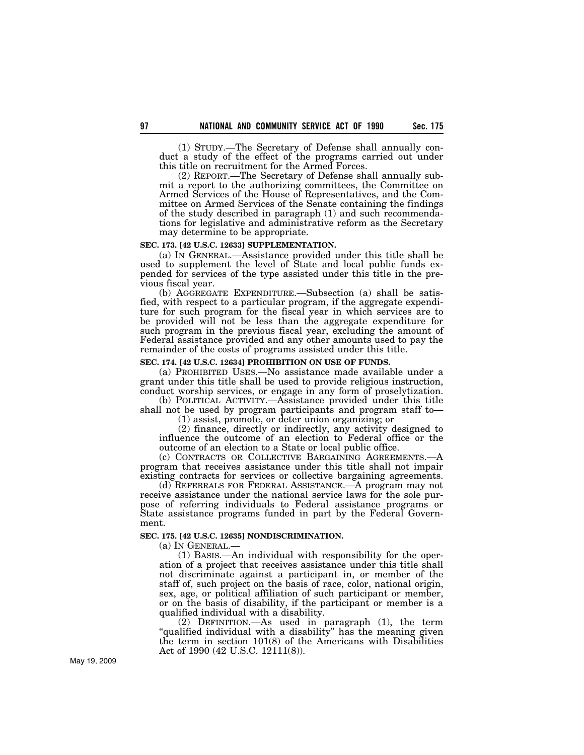(1) STUDY.—The Secretary of Defense shall annually conduct a study of the effect of the programs carried out under this title on recruitment for the Armed Forces.

(2) REPORT.—The Secretary of Defense shall annually submit a report to the authorizing committees, the Committee on Armed Services of the House of Representatives, and the Committee on Armed Services of the Senate containing the findings of the study described in paragraph (1) and such recommendations for legislative and administrative reform as the Secretary may determine to be appropriate.

### **SEC. 173. [42 U.S.C. 12633] SUPPLEMENTATION.**

(a) IN GENERAL.—Assistance provided under this title shall be used to supplement the level of State and local public funds expended for services of the type assisted under this title in the previous fiscal year.

(b) AGGREGATE EXPENDITURE.—Subsection (a) shall be satisfied, with respect to a particular program, if the aggregate expenditure for such program for the fiscal year in which services are to be provided will not be less than the aggregate expenditure for such program in the previous fiscal year, excluding the amount of Federal assistance provided and any other amounts used to pay the remainder of the costs of programs assisted under this title.

#### **SEC. 174. [42 U.S.C. 12634] PROHIBITION ON USE OF FUNDS.**

(a) PROHIBITED USES.—No assistance made available under a grant under this title shall be used to provide religious instruction, conduct worship services, or engage in any form of proselytization.

(b) POLITICAL ACTIVITY.—Assistance provided under this title shall not be used by program participants and program staff to—

(1) assist, promote, or deter union organizing; or

(2) finance, directly or indirectly, any activity designed to influence the outcome of an election to Federal office or the outcome of an election to a State or local public office.

(c) CONTRACTS OR COLLECTIVE BARGAINING AGREEMENTS.—A program that receives assistance under this title shall not impair existing contracts for services or collective bargaining agreements.

(d) REFERRALS FOR FEDERAL ASSISTANCE.—A program may not receive assistance under the national service laws for the sole purpose of referring individuals to Federal assistance programs or State assistance programs funded in part by the Federal Government.

**SEC. 175. [42 U.S.C. 12635] NONDISCRIMINATION.** 

(a) IN GENERAL.—

(1) BASIS.—An individual with responsibility for the operation of a project that receives assistance under this title shall not discriminate against a participant in, or member of the staff of, such project on the basis of race, color, national origin, sex, age, or political affiliation of such participant or member, or on the basis of disability, if the participant or member is a qualified individual with a disability.

(2) DEFINITION.—As used in paragraph (1), the term "qualified individual with a disability" has the meaning given the term in section 101(8) of the Americans with Disabilities Act of 1990 (42 U.S.C. 12111(8)).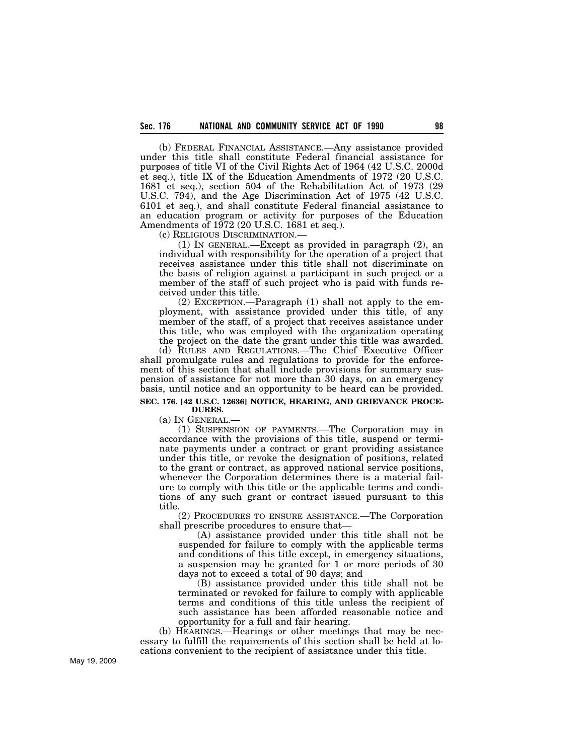(b) FEDERAL FINANCIAL ASSISTANCE.—Any assistance provided under this title shall constitute Federal financial assistance for purposes of title VI of the Civil Rights Act of 1964 (42 U.S.C. 2000d et seq.), title IX of the Education Amendments of 1972 (20 U.S.C. 1681 et seq.), section 504 of the Rehabilitation Act of 1973 (29 U.S.C. 794), and the Age Discrimination Act of 1975 (42 U.S.C. 6101 et seq.), and shall constitute Federal financial assistance to an education program or activity for purposes of the Education Amendments of 1972 (20 U.S.C. 1681 et seq.).

(c) RELIGIOUS DISCRIMINATION.—

(1) IN GENERAL.—Except as provided in paragraph (2), an individual with responsibility for the operation of a project that receives assistance under this title shall not discriminate on the basis of religion against a participant in such project or a member of the staff of such project who is paid with funds received under this title.

(2) EXCEPTION.—Paragraph (1) shall not apply to the employment, with assistance provided under this title, of any member of the staff, of a project that receives assistance under this title, who was employed with the organization operating the project on the date the grant under this title was awarded.

(d) RULES AND REGULATIONS.—The Chief Executive Officer shall promulgate rules and regulations to provide for the enforcement of this section that shall include provisions for summary suspension of assistance for not more than 30 days, on an emergency basis, until notice and an opportunity to be heard can be provided.

#### **SEC. 176. [42 U.S.C. 12636] NOTICE, HEARING, AND GRIEVANCE PROCE-DURES.**

(a) IN GENERAL.—

(1) SUSPENSION OF PAYMENTS.—The Corporation may in accordance with the provisions of this title, suspend or terminate payments under a contract or grant providing assistance under this title, or revoke the designation of positions, related to the grant or contract, as approved national service positions, whenever the Corporation determines there is a material failure to comply with this title or the applicable terms and conditions of any such grant or contract issued pursuant to this title.

(2) PROCEDURES TO ENSURE ASSISTANCE.—The Corporation shall prescribe procedures to ensure that—

(A) assistance provided under this title shall not be suspended for failure to comply with the applicable terms and conditions of this title except, in emergency situations, a suspension may be granted for 1 or more periods of 30 days not to exceed a total of 90 days; and

(B) assistance provided under this title shall not be terminated or revoked for failure to comply with applicable terms and conditions of this title unless the recipient of such assistance has been afforded reasonable notice and opportunity for a full and fair hearing.

(b) HEARINGS.—Hearings or other meetings that may be necessary to fulfill the requirements of this section shall be held at locations convenient to the recipient of assistance under this title.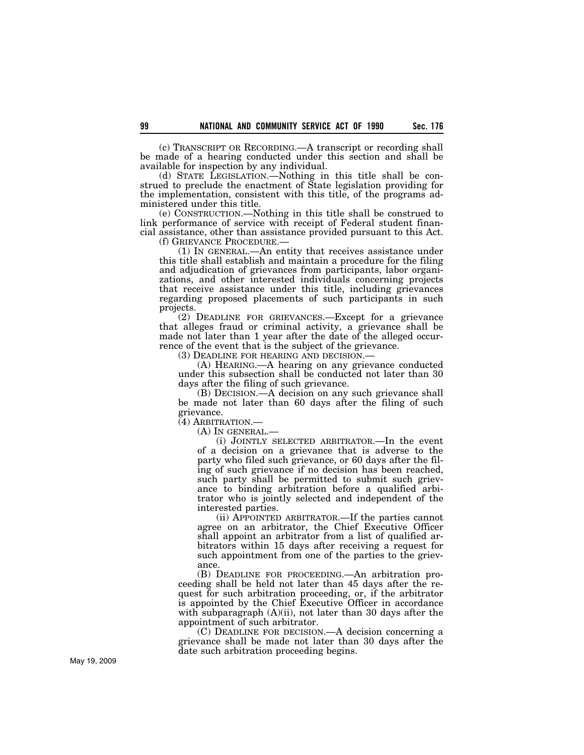(c) TRANSCRIPT OR RECORDING.—A transcript or recording shall be made of a hearing conducted under this section and shall be available for inspection by any individual.

(d) STATE LEGISLATION.—Nothing in this title shall be construed to preclude the enactment of State legislation providing for the implementation, consistent with this title, of the programs administered under this title.

(e) CONSTRUCTION.—Nothing in this title shall be construed to link performance of service with receipt of Federal student financial assistance, other than assistance provided pursuant to this Act.<br>
(f) GRIEVANCE PROCEDURE.—

 $(1)$  In GENERAL.—An entity that receives assistance under this title shall establish and maintain a procedure for the filing and adjudication of grievances from participants, labor organizations, and other interested individuals concerning projects that receive assistance under this title, including grievances regarding proposed placements of such participants in such projects.

(2) DEADLINE FOR GRIEVANCES.—Except for a grievance that alleges fraud or criminal activity, a grievance shall be made not later than 1 year after the date of the alleged occurrence of the event that is the subject of the grievance.<br>(3) DEADLINE FOR HEARING AND DECISION.—

(A) HEARING.—A hearing on any grievance conducted. under this subsection shall be conducted not later than 30 days after the filing of such grievance.

(B) DECISION.—A decision on any such grievance shall be made not later than 60 days after the filing of such grievance.

(4) ARBITRATION.—

(A) IN GENERAL.—

(i) JOINTLY SELECTED ARBITRATOR.—In the event of a decision on a grievance that is adverse to the party who filed such grievance, or 60 days after the filing of such grievance if no decision has been reached, such party shall be permitted to submit such grievance to binding arbitration before a qualified arbitrator who is jointly selected and independent of the interested parties.

(ii) APPOINTED ARBITRATOR.—If the parties cannot agree on an arbitrator, the Chief Executive Officer shall appoint an arbitrator from a list of qualified arbitrators within 15 days after receiving a request for such appointment from one of the parties to the grievance.

(B) DEADLINE FOR PROCEEDING.—An arbitration proceeding shall be held not later than 45 days after the request for such arbitration proceeding, or, if the arbitrator is appointed by the Chief Executive Officer in accordance with subparagraph (A)(ii), not later than 30 days after the appointment of such arbitrator.

(C) DEADLINE FOR DECISION.—A decision concerning a grievance shall be made not later than 30 days after the date such arbitration proceeding begins.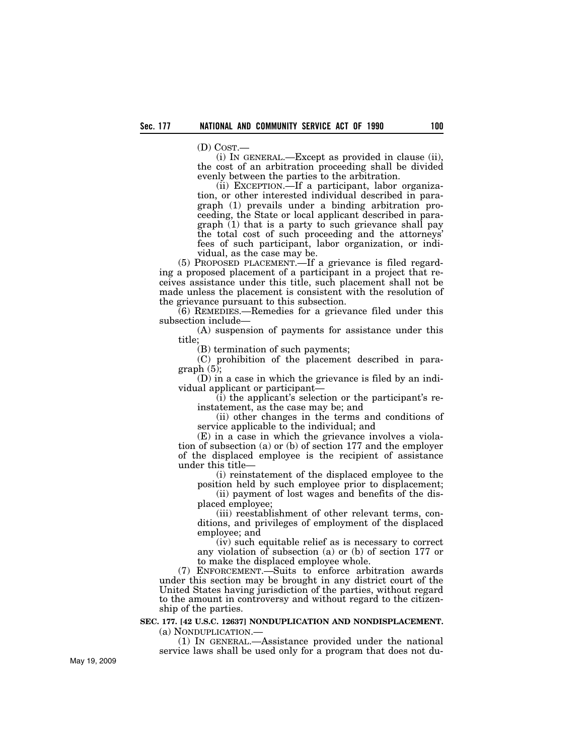(D) COST.—

(i) IN GENERAL.—Except as provided in clause (ii), the cost of an arbitration proceeding shall be divided evenly between the parties to the arbitration.

(ii) EXCEPTION.—If a participant, labor organization, or other interested individual described in paragraph (1) prevails under a binding arbitration proceeding, the State or local applicant described in para $graph(1)$  that is a party to such grievance shall pay the total cost of such proceeding and the attorneys' fees of such participant, labor organization, or individual, as the case may be.

(5) PROPOSED PLACEMENT.—If a grievance is filed regarding a proposed placement of a participant in a project that receives assistance under this title, such placement shall not be made unless the placement is consistent with the resolution of the grievance pursuant to this subsection.

(6) REMEDIES.—Remedies for a grievance filed under this subsection include—

(A) suspension of payments for assistance under this title;

(B) termination of such payments;

(C) prohibition of the placement described in paragraph  $(5)$ ;

(D) in a case in which the grievance is filed by an individual applicant or participant—

(i) the applicant's selection or the participant's reinstatement, as the case may be; and

(ii) other changes in the terms and conditions of service applicable to the individual; and

(E) in a case in which the grievance involves a violation of subsection (a) or (b) of section 177 and the employer of the displaced employee is the recipient of assistance under this title—

(i) reinstatement of the displaced employee to the position held by such employee prior to displacement;

(ii) payment of lost wages and benefits of the displaced employee;

(iii) reestablishment of other relevant terms, conditions, and privileges of employment of the displaced employee; and

(iv) such equitable relief as is necessary to correct any violation of subsection (a) or (b) of section 177 or to make the displaced employee whole.

(7) ENFORCEMENT.—Suits to enforce arbitration awards under this section may be brought in any district court of the United States having jurisdiction of the parties, without regard to the amount in controversy and without regard to the citizenship of the parties.

#### **SEC. 177. [42 U.S.C. 12637] NONDUPLICATION AND NONDISPLACEMENT.**  (a) NONDUPLICATION.—

(1) IN GENERAL.—Assistance provided under the national service laws shall be used only for a program that does not du-

May 19, 2009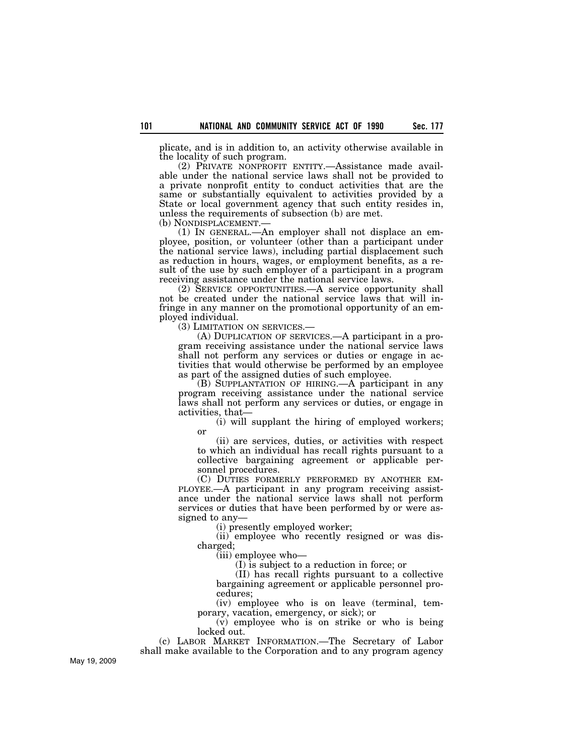plicate, and is in addition to, an activity otherwise available in the locality of such program.

(2) PRIVATE NONPROFIT ENTITY.—Assistance made available under the national service laws shall not be provided to a private nonprofit entity to conduct activities that are the same or substantially equivalent to activities provided by a State or local government agency that such entity resides in, unless the requirements of subsection (b) are met.

(b) NONDISPLACEMENT.— (1) IN GENERAL.—An employer shall not displace an employee, position, or volunteer (other than a participant under the national service laws), including partial displacement such as reduction in hours, wages, or employment benefits, as a result of the use by such employer of a participant in a program receiving assistance under the national service laws.

(2) SERVICE OPPORTUNITIES.—A service opportunity shall not be created under the national service laws that will infringe in any manner on the promotional opportunity of an employed individual.<br>(3) LIMITATION ON SERVICES.

 $(A)$  DUPLICATION OF SERVICES.—A participant in a program receiving assistance under the national service laws shall not perform any services or duties or engage in activities that would otherwise be performed by an employee as part of the assigned duties of such employee.

(B) SUPPLANTATION OF HIRING.—A participant in any program receiving assistance under the national service laws shall not perform any services or duties, or engage in activities, that—

(i) will supplant the hiring of employed workers; or

(ii) are services, duties, or activities with respect to which an individual has recall rights pursuant to a collective bargaining agreement or applicable personnel procedures.

(C) DUTIES FORMERLY PERFORMED BY ANOTHER EM-PLOYEE.—A participant in any program receiving assistance under the national service laws shall not perform services or duties that have been performed by or were assigned to any—

(i) presently employed worker;

(ii) employee who recently resigned or was discharged;

(iii) employee who—

(I) is subject to a reduction in force; or

(II) has recall rights pursuant to a collective bargaining agreement or applicable personnel procedures;

(iv) employee who is on leave (terminal, temporary, vacation, emergency, or sick); or

(v) employee who is on strike or who is being locked out.

(c) LABOR MARKET INFORMATION.—The Secretary of Labor

May 19, 2009

shall make available to the Corporation and to any program agency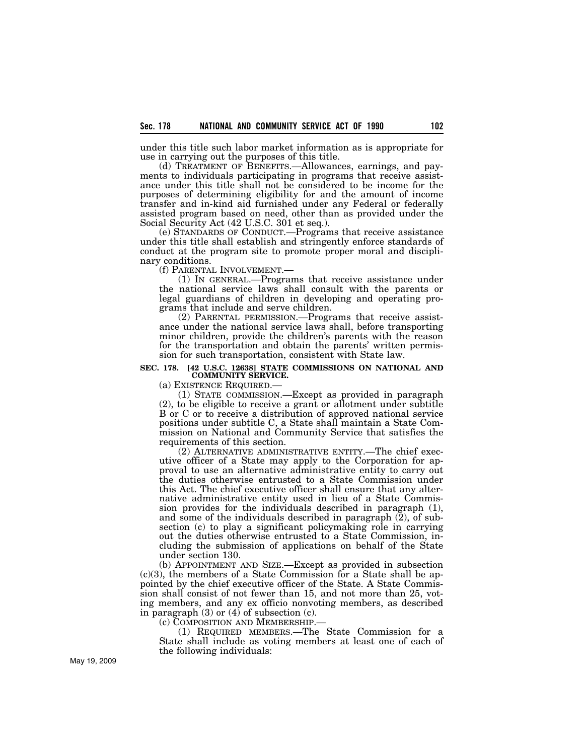under this title such labor market information as is appropriate for use in carrying out the purposes of this title.

(d) TREATMENT OF BENEFITS.—Allowances, earnings, and payments to individuals participating in programs that receive assistance under this title shall not be considered to be income for the purposes of determining eligibility for and the amount of income transfer and in-kind aid furnished under any Federal or federally assisted program based on need, other than as provided under the Social Security Act (42 U.S.C. 301 et seq.).

(e) STANDARDS OF CONDUCT.—Programs that receive assistance under this title shall establish and stringently enforce standards of conduct at the program site to promote proper moral and disciplinary conditions.<br>(f) PARENTAL INVOLVEMENT.—

 $(1)$  In GENERAL.—Programs that receive assistance under the national service laws shall consult with the parents or legal guardians of children in developing and operating programs that include and serve children.

(2) PARENTAL PERMISSION.—Programs that receive assistance under the national service laws shall, before transporting minor children, provide the children's parents with the reason for the transportation and obtain the parents' written permission for such transportation, consistent with State law.

# **SEC. 178. [42 U.S.C. 12638] STATE COMMISSIONS ON NATIONAL AND COMMUNITY SERVICE.**

(a) EXISTENCE REQUIRED.— (1) STATE COMMISSION.—Except as provided in paragraph (2), to be eligible to receive a grant or allotment under subtitle B or C or to receive a distribution of approved national service positions under subtitle C, a State shall maintain a State Commission on National and Community Service that satisfies the requirements of this section.

(2) ALTERNATIVE ADMINISTRATIVE ENTITY.—The chief executive officer of a State may apply to the Corporation for approval to use an alternative administrative entity to carry out the duties otherwise entrusted to a State Commission under this Act. The chief executive officer shall ensure that any alternative administrative entity used in lieu of a State Commission provides for the individuals described in paragraph (1), and some of the individuals described in paragraph  $(2)$ , of subsection (c) to play a significant policymaking role in carrying out the duties otherwise entrusted to a State Commission, including the submission of applications on behalf of the State under section 130.

(b) APPOINTMENT AND SIZE.—Except as provided in subsection (c)(3), the members of a State Commission for a State shall be appointed by the chief executive officer of the State. A State Commission shall consist of not fewer than 15, and not more than 25, voting members, and any ex officio nonvoting members, as described in paragraph  $(3)$  or  $(4)$  of subsection  $(c)$ .

(c) COMPOSITION AND MEMBERSHIP.—

(1) REQUIRED MEMBERS.—The State Commission for a State shall include as voting members at least one of each of the following individuals: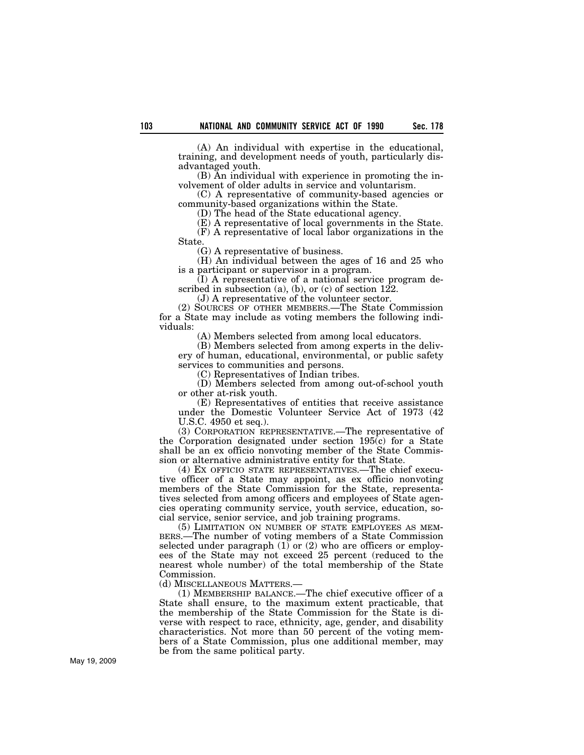(A) An individual with expertise in the educational, training, and development needs of youth, particularly disadvantaged youth.

(B) An individual with experience in promoting the involvement of older adults in service and voluntarism.

(C) A representative of community-based agencies or community-based organizations within the State.

(D) The head of the State educational agency.

(E) A representative of local governments in the State. (F) A representative of local labor organizations in the State.

(G) A representative of business.

(H) An individual between the ages of 16 and 25 who is a participant or supervisor in a program.

(I) A representative of a national service program described in subsection  $(a)$ ,  $(b)$ , or  $(c)$  of section 122.

(J) A representative of the volunteer sector.

(2) SOURCES OF OTHER MEMBERS.—The State Commission for a State may include as voting members the following individuals:

(A) Members selected from among local educators.

(B) Members selected from among experts in the delivery of human, educational, environmental, or public safety services to communities and persons.

(C) Representatives of Indian tribes.

(D) Members selected from among out-of-school youth or other at-risk youth.

(E) Representatives of entities that receive assistance under the Domestic Volunteer Service Act of 1973 (42 U.S.C. 4950 et seq.).

(3) CORPORATION REPRESENTATIVE.—The representative of the Corporation designated under section 195(c) for a State shall be an ex officio nonvoting member of the State Commission or alternative administrative entity for that State.

(4) EX OFFICIO STATE REPRESENTATIVES.—The chief executive officer of a State may appoint, as ex officio nonvoting members of the State Commission for the State, representatives selected from among officers and employees of State agencies operating community service, youth service, education, social service, senior service, and job training programs.

(5) LIMITATION ON NUMBER OF STATE EMPLOYEES AS MEM-BERS.—The number of voting members of a State Commission selected under paragraph  $(1)$  or  $(2)$  who are officers or employees of the State may not exceed 25 percent (reduced to the nearest whole number) of the total membership of the State Commission.

(d) MISCELLANEOUS MATTERS.—

(1) MEMBERSHIP BALANCE.—The chief executive officer of a State shall ensure, to the maximum extent practicable, that the membership of the State Commission for the State is diverse with respect to race, ethnicity, age, gender, and disability characteristics. Not more than 50 percent of the voting members of a State Commission, plus one additional member, may be from the same political party.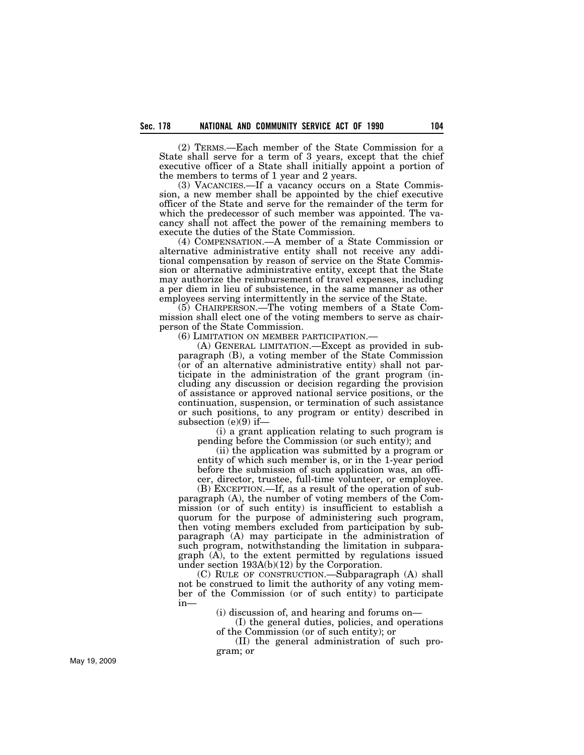(2) TERMS.—Each member of the State Commission for a State shall serve for a term of 3 years, except that the chief executive officer of a State shall initially appoint a portion of the members to terms of 1 year and 2 years.

(3) VACANCIES.—If a vacancy occurs on a State Commission, a new member shall be appointed by the chief executive officer of the State and serve for the remainder of the term for which the predecessor of such member was appointed. The vacancy shall not affect the power of the remaining members to execute the duties of the State Commission.

(4) COMPENSATION.—A member of a State Commission or alternative administrative entity shall not receive any additional compensation by reason of service on the State Commission or alternative administrative entity, except that the State may authorize the reimbursement of travel expenses, including a per diem in lieu of subsistence, in the same manner as other employees serving intermittently in the service of the State.

(5) CHAIRPERSON.—The voting members of a State Commission shall elect one of the voting members to serve as chairperson of the State Commission.

(6) LIMITATION ON MEMBER PARTICIPATION.— (A) GENERAL LIMITATION.—Except as provided in subparagraph (B), a voting member of the State Commission (or of an alternative administrative entity) shall not participate in the administration of the grant program (including any discussion or decision regarding the provision of assistance or approved national service positions, or the continuation, suspension, or termination of such assistance or such positions, to any program or entity) described in subsection (e)(9) if—

(i) a grant application relating to such program is pending before the Commission (or such entity); and

(ii) the application was submitted by a program or entity of which such member is, or in the 1-year period before the submission of such application was, an officer, director, trustee, full-time volunteer, or employee.

(B) EXCEPTION.—If, as a result of the operation of subparagraph (A), the number of voting members of the Commission (or of such entity) is insufficient to establish a quorum for the purpose of administering such program, then voting members excluded from participation by subparagraph (A) may participate in the administration of such program, notwithstanding the limitation in subparagraph (A), to the extent permitted by regulations issued under section 193A(b)(12) by the Corporation.

(C) RULE OF CONSTRUCTION.—Subparagraph (A) shall not be construed to limit the authority of any voting member of the Commission (or of such entity) to participate in—

(i) discussion of, and hearing and forums on—

(I) the general duties, policies, and operations of the Commission (or of such entity); or

(II) the general administration of such program; or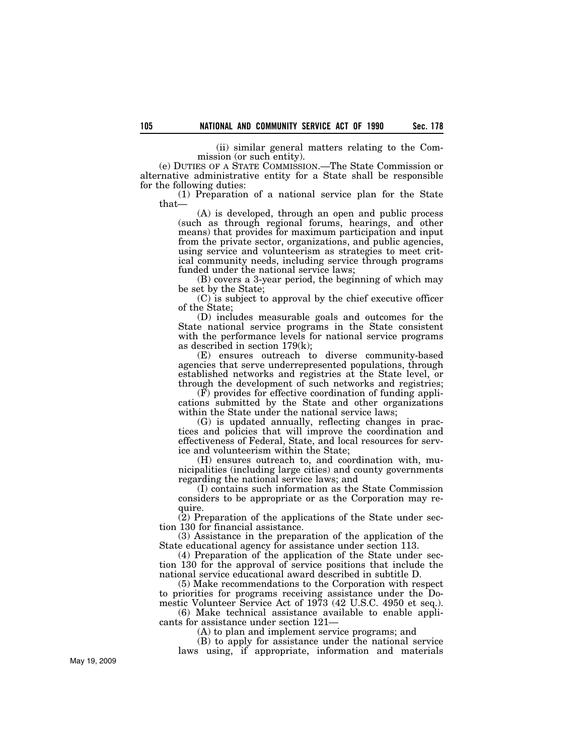(ii) similar general matters relating to the Commission (or such entity).

(e) DUTIES OF A STATE COMMISSION.—The State Commission or alternative administrative entity for a State shall be responsible for the following duties:

(1) Preparation of a national service plan for the State that—

(A) is developed, through an open and public process (such as through regional forums, hearings, and other means) that provides for maximum participation and input from the private sector, organizations, and public agencies, using service and volunteerism as strategies to meet critical community needs, including service through programs funded under the national service laws;

(B) covers a 3-year period, the beginning of which may be set by the State;

(C) is subject to approval by the chief executive officer of the State;

(D) includes measurable goals and outcomes for the State national service programs in the State consistent with the performance levels for national service programs as described in section 179(k);

(E) ensures outreach to diverse community-based agencies that serve underrepresented populations, through established networks and registries at the State level, or through the development of such networks and registries;

(F) provides for effective coordination of funding applications submitted by the State and other organizations within the State under the national service laws;

(G) is updated annually, reflecting changes in practices and policies that will improve the coordination and effectiveness of Federal, State, and local resources for service and volunteerism within the State;

(H) ensures outreach to, and coordination with, municipalities (including large cities) and county governments regarding the national service laws; and

(I) contains such information as the State Commission considers to be appropriate or as the Corporation may require.

(2) Preparation of the applications of the State under section 130 for financial assistance.

(3) Assistance in the preparation of the application of the State educational agency for assistance under section 113.

(4) Preparation of the application of the State under section 130 for the approval of service positions that include the national service educational award described in subtitle D.

(5) Make recommendations to the Corporation with respect to priorities for programs receiving assistance under the Domestic Volunteer Service Act of 1973 (42 U.S.C. 4950 et seq.).

(6) Make technical assistance available to enable applicants for assistance under section 121—

(A) to plan and implement service programs; and

(B) to apply for assistance under the national service laws using, if appropriate, information and materials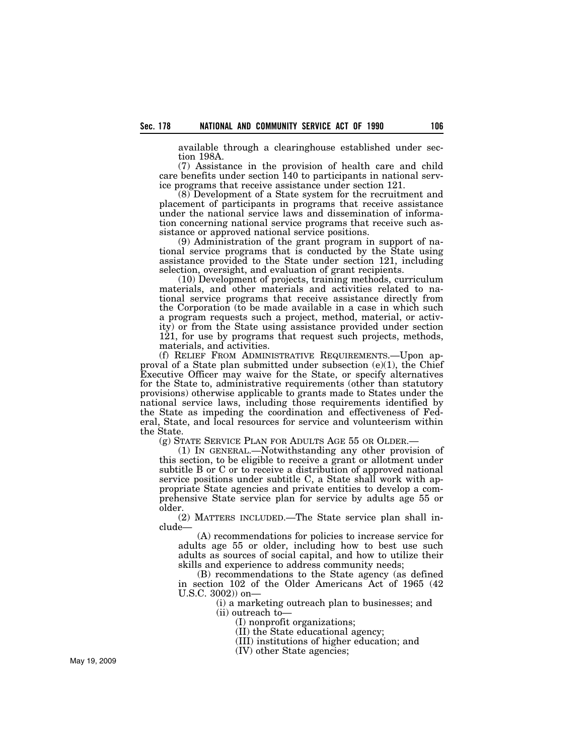available through a clearinghouse established under section 198A.

(7) Assistance in the provision of health care and child care benefits under section 140 to participants in national service programs that receive assistance under section 121.

(8) Development of a State system for the recruitment and placement of participants in programs that receive assistance under the national service laws and dissemination of information concerning national service programs that receive such assistance or approved national service positions.

(9) Administration of the grant program in support of national service programs that is conducted by the State using assistance provided to the State under section 121, including selection, oversight, and evaluation of grant recipients.

(10) Development of projects, training methods, curriculum materials, and other materials and activities related to national service programs that receive assistance directly from the Corporation (to be made available in a case in which such a program requests such a project, method, material, or activity) or from the State using assistance provided under section 121, for use by programs that request such projects, methods, materials, and activities.

(f) RELIEF FROM ADMINISTRATIVE REQUIREMENTS.—Upon approval of a State plan submitted under subsection  $(e)(1)$ , the Chief Executive Officer may waive for the State, or specify alternatives for the State to, administrative requirements (other than statutory provisions) otherwise applicable to grants made to States under the national service laws, including those requirements identified by the State as impeding the coordination and effectiveness of Federal, State, and local resources for service and volunteerism within the State.

(g) STATE SERVICE PLAN FOR ADULTS AGE 55 OR OLDER.—

(1) IN GENERAL.—Notwithstanding any other provision of this section, to be eligible to receive a grant or allotment under subtitle B or C or to receive a distribution of approved national service positions under subtitle C, a State shall work with appropriate State agencies and private entities to develop a comprehensive State service plan for service by adults age 55 or older.

(2) MATTERS INCLUDED.—The State service plan shall include—

(A) recommendations for policies to increase service for adults age 55 or older, including how to best use such adults as sources of social capital, and how to utilize their skills and experience to address community needs;

(B) recommendations to the State agency (as defined in section 102 of the Older Americans Act of 1965 (42 U.S.C. 3002)) on—

(i) a marketing outreach plan to businesses; and (ii) outreach to—

(I) nonprofit organizations;

(II) the State educational agency;

(III) institutions of higher education; and

(IV) other State agencies;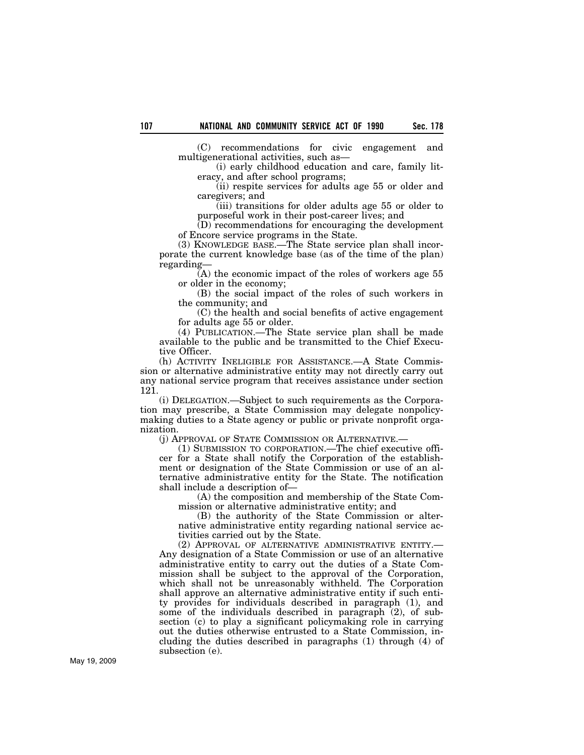(C) recommendations for civic engagement and multigenerational activities, such as—

(i) early childhood education and care, family literacy, and after school programs;

(ii) respite services for adults age 55 or older and caregivers; and

(iii) transitions for older adults age 55 or older to purposeful work in their post-career lives; and

(D) recommendations for encouraging the development of Encore service programs in the State.

(3) KNOWLEDGE BASE.—The State service plan shall incorporate the current knowledge base (as of the time of the plan) regarding—

 $\bar{A}$ ) the economic impact of the roles of workers age 55 or older in the economy;

(B) the social impact of the roles of such workers in the community; and

(C) the health and social benefits of active engagement for adults age 55 or older.

(4) PUBLICATION.—The State service plan shall be made available to the public and be transmitted to the Chief Executive Officer.

(h) ACTIVITY INELIGIBLE FOR ASSISTANCE.—A State Commission or alternative administrative entity may not directly carry out any national service program that receives assistance under section 121.

(i) DELEGATION.—Subject to such requirements as the Corporation may prescribe, a State Commission may delegate nonpolicymaking duties to a State agency or public or private nonprofit organization.

(j) APPROVAL OF STATE COMMISSION OR ALTERNATIVE.—

(1) SUBMISSION TO CORPORATION.—The chief executive officer for a State shall notify the Corporation of the establishment or designation of the State Commission or use of an alternative administrative entity for the State. The notification shall include a description of—

(A) the composition and membership of the State Commission or alternative administrative entity; and

(B) the authority of the State Commission or alternative administrative entity regarding national service activities carried out by the State.

(2) APPROVAL OF ALTERNATIVE ADMINISTRATIVE ENTITY.— Any designation of a State Commission or use of an alternative administrative entity to carry out the duties of a State Commission shall be subject to the approval of the Corporation, which shall not be unreasonably withheld. The Corporation shall approve an alternative administrative entity if such entity provides for individuals described in paragraph (1), and some of the individuals described in paragraph (2), of subsection (c) to play a significant policymaking role in carrying out the duties otherwise entrusted to a State Commission, including the duties described in paragraphs (1) through (4) of subsection (e).

May 19, 2009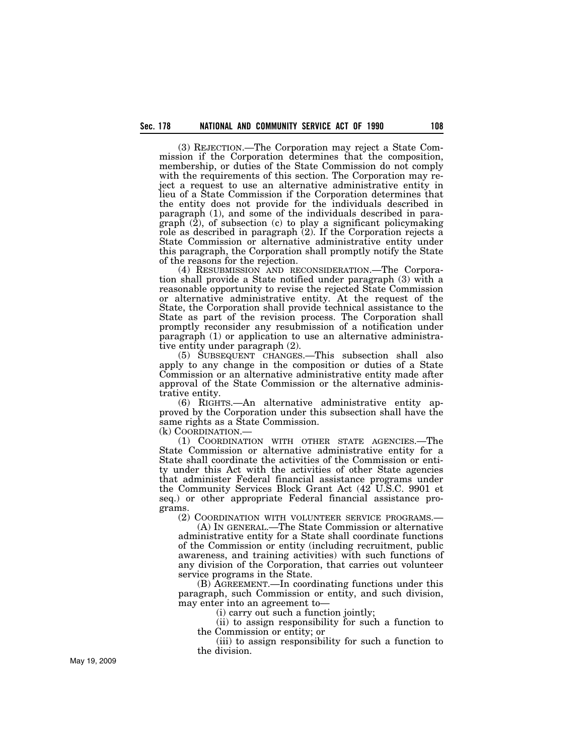(3) REJECTION.—The Corporation may reject a State Commission if the Corporation determines that the composition, membership, or duties of the State Commission do not comply with the requirements of this section. The Corporation may reject a request to use an alternative administrative entity in lieu of a State Commission if the Corporation determines that the entity does not provide for the individuals described in paragraph (1), and some of the individuals described in paragraph (2), of subsection (c) to play a significant policymaking role as described in paragraph (2). If the Corporation rejects a State Commission or alternative administrative entity under this paragraph, the Corporation shall promptly notify the State of the reasons for the rejection.

(4) RESUBMISSION AND RECONSIDERATION.—The Corporation shall provide a State notified under paragraph (3) with a reasonable opportunity to revise the rejected State Commission or alternative administrative entity. At the request of the State, the Corporation shall provide technical assistance to the State as part of the revision process. The Corporation shall promptly reconsider any resubmission of a notification under paragraph (1) or application to use an alternative administrative entity under paragraph (2).

(5) SUBSEQUENT CHANGES.—This subsection shall also apply to any change in the composition or duties of a State Commission or an alternative administrative entity made after approval of the State Commission or the alternative administrative entity.

(6) RIGHTS.—An alternative administrative entity approved by the Corporation under this subsection shall have the same rights as a State Commission.

(k) COORDINATION.—

(1) COORDINATION WITH OTHER STATE AGENCIES.—The State Commission or alternative administrative entity for a State shall coordinate the activities of the Commission or entity under this Act with the activities of other State agencies that administer Federal financial assistance programs under the Community Services Block Grant Act (42 U.S.C. 9901 et seq.) or other appropriate Federal financial assistance programs.

(2) COORDINATION WITH VOLUNTEER SERVICE PROGRAMS.—

(A) IN GENERAL.—The State Commission or alternative administrative entity for a State shall coordinate functions of the Commission or entity (including recruitment, public awareness, and training activities) with such functions of any division of the Corporation, that carries out volunteer service programs in the State.

(B) AGREEMENT.—In coordinating functions under this paragraph, such Commission or entity, and such division, may enter into an agreement to—

(i) carry out such a function jointly;

(ii) to assign responsibility for such a function to the Commission or entity; or

(iii) to assign responsibility for such a function to the division.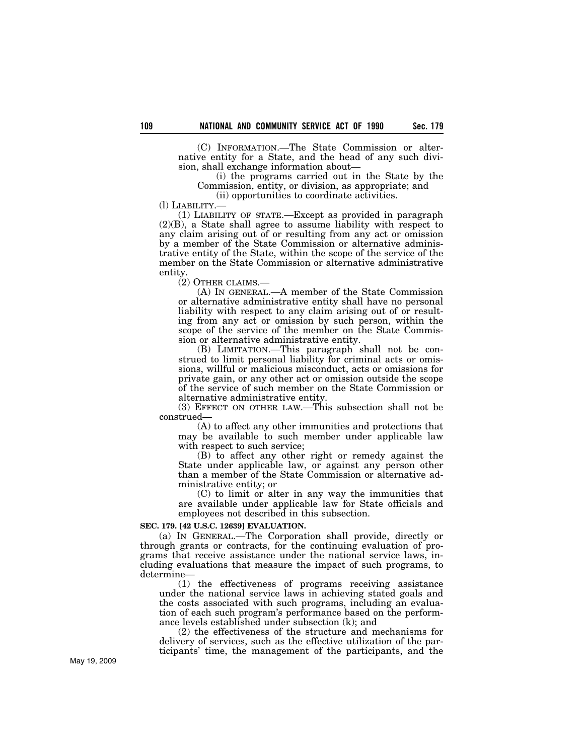(C) INFORMATION.—The State Commission or alternative entity for a State, and the head of any such division, shall exchange information about—

(i) the programs carried out in the State by the Commission, entity, or division, as appropriate; and

(ii) opportunities to coordinate activities.

(l) LIABILITY.—

(1) LIABILITY OF STATE.—Except as provided in paragraph (2)(B), a State shall agree to assume liability with respect to any claim arising out of or resulting from any act or omission by a member of the State Commission or alternative administrative entity of the State, within the scope of the service of the member on the State Commission or alternative administrative entity.

(2) OTHER CLAIMS.—

(A) IN GENERAL.—A member of the State Commission or alternative administrative entity shall have no personal liability with respect to any claim arising out of or resulting from any act or omission by such person, within the scope of the service of the member on the State Commission or alternative administrative entity.

(B) LIMITATION.—This paragraph shall not be construed to limit personal liability for criminal acts or omissions, willful or malicious misconduct, acts or omissions for private gain, or any other act or omission outside the scope of the service of such member on the State Commission or alternative administrative entity.

(3) EFFECT ON OTHER LAW.—This subsection shall not be construed—

(A) to affect any other immunities and protections that may be available to such member under applicable law with respect to such service;

(B) to affect any other right or remedy against the State under applicable law, or against any person other than a member of the State Commission or alternative administrative entity; or

(C) to limit or alter in any way the immunities that are available under applicable law for State officials and employees not described in this subsection.

#### **SEC. 179. [42 U.S.C. 12639] EVALUATION.**

(a) IN GENERAL.—The Corporation shall provide, directly or through grants or contracts, for the continuing evaluation of programs that receive assistance under the national service laws, including evaluations that measure the impact of such programs, to determine—

(1) the effectiveness of programs receiving assistance under the national service laws in achieving stated goals and the costs associated with such programs, including an evaluation of each such program's performance based on the performance levels established under subsection (k); and

(2) the effectiveness of the structure and mechanisms for delivery of services, such as the effective utilization of the participants' time, the management of the participants, and the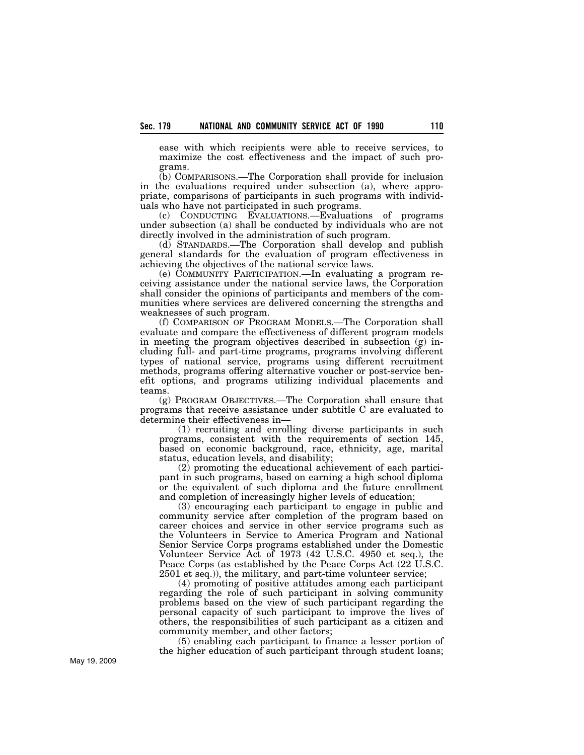ease with which recipients were able to receive services, to maximize the cost effectiveness and the impact of such programs.

(b) COMPARISONS.—The Corporation shall provide for inclusion in the evaluations required under subsection (a), where appropriate, comparisons of participants in such programs with individuals who have not participated in such programs.

(c) CONDUCTING EVALUATIONS.—Evaluations of programs under subsection (a) shall be conducted by individuals who are not directly involved in the administration of such program.

(d) STANDARDS.—The Corporation shall develop and publish general standards for the evaluation of program effectiveness in achieving the objectives of the national service laws.

(e) COMMUNITY PARTICIPATION.—In evaluating a program receiving assistance under the national service laws, the Corporation shall consider the opinions of participants and members of the communities where services are delivered concerning the strengths and weaknesses of such program.

(f) COMPARISON OF PROGRAM MODELS.—The Corporation shall evaluate and compare the effectiveness of different program models in meeting the program objectives described in subsection (g) including full- and part-time programs, programs involving different types of national service, programs using different recruitment methods, programs offering alternative voucher or post-service benefit options, and programs utilizing individual placements and teams.

(g) PROGRAM OBJECTIVES.—The Corporation shall ensure that programs that receive assistance under subtitle C are evaluated to determine their effectiveness in—

(1) recruiting and enrolling diverse participants in such programs, consistent with the requirements of section 145, based on economic background, race, ethnicity, age, marital status, education levels, and disability;

(2) promoting the educational achievement of each participant in such programs, based on earning a high school diploma or the equivalent of such diploma and the future enrollment and completion of increasingly higher levels of education;

(3) encouraging each participant to engage in public and community service after completion of the program based on career choices and service in other service programs such as the Volunteers in Service to America Program and National Senior Service Corps programs established under the Domestic Volunteer Service Act of 1973 (42 U.S.C. 4950 et seq.), the Peace Corps (as established by the Peace Corps Act (22 U.S.C. 2501 et seq.)), the military, and part-time volunteer service;

(4) promoting of positive attitudes among each participant regarding the role of such participant in solving community problems based on the view of such participant regarding the personal capacity of such participant to improve the lives of others, the responsibilities of such participant as a citizen and community member, and other factors;

(5) enabling each participant to finance a lesser portion of the higher education of such participant through student loans;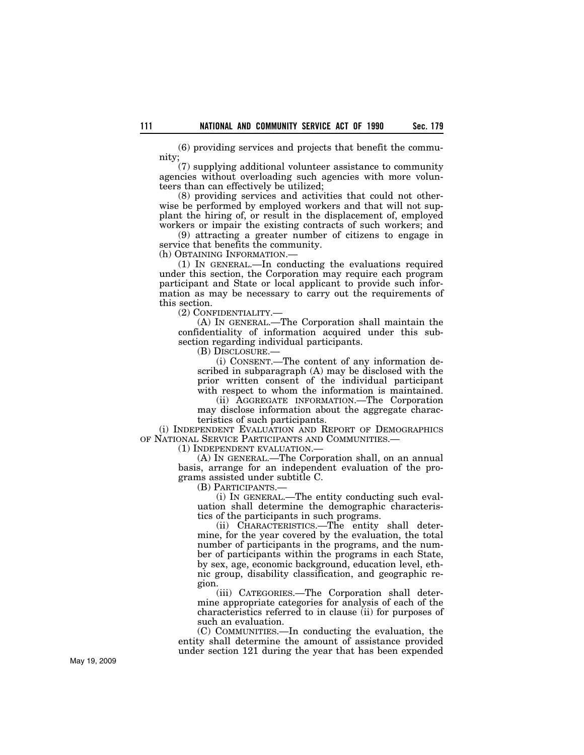(6) providing services and projects that benefit the community;

(7) supplying additional volunteer assistance to community agencies without overloading such agencies with more volunteers than can effectively be utilized;

(8) providing services and activities that could not otherwise be performed by employed workers and that will not supplant the hiring of, or result in the displacement of, employed workers or impair the existing contracts of such workers; and

(9) attracting a greater number of citizens to engage in service that benefits the community.

(h) OBTAINING INFORMATION.—

(1) IN GENERAL.—In conducting the evaluations required under this section, the Corporation may require each program participant and State or local applicant to provide such information as may be necessary to carry out the requirements of this section.

(2) CONFIDENTIALITY.—

(A) IN GENERAL.—The Corporation shall maintain the confidentiality of information acquired under this subsection regarding individual participants.

(B) DISCLOSURE.—

(i) CONSENT.—The content of any information described in subparagraph (A) may be disclosed with the prior written consent of the individual participant with respect to whom the information is maintained.

(ii) AGGREGATE INFORMATION.—The Corporation may disclose information about the aggregate characteristics of such participants.

(i) INDEPENDENT EVALUATION AND REPORT OF DEMOGRAPHICS OF NATIONAL SERVICE PARTICIPANTS AND COMMUNITIES.—

(1) INDEPENDENT EVALUATION.—

(A) IN GENERAL.—The Corporation shall, on an annual basis, arrange for an independent evaluation of the programs assisted under subtitle C.

(B) PARTICIPANTS.—

(i) IN GENERAL.—The entity conducting such evaluation shall determine the demographic characteristics of the participants in such programs.

(ii) CHARACTERISTICS.—The entity shall determine, for the year covered by the evaluation, the total number of participants in the programs, and the number of participants within the programs in each State, by sex, age, economic background, education level, ethnic group, disability classification, and geographic region.

(iii) CATEGORIES.—The Corporation shall determine appropriate categories for analysis of each of the characteristics referred to in clause (ii) for purposes of such an evaluation.

(C) COMMUNITIES.—In conducting the evaluation, the entity shall determine the amount of assistance provided under section 121 during the year that has been expended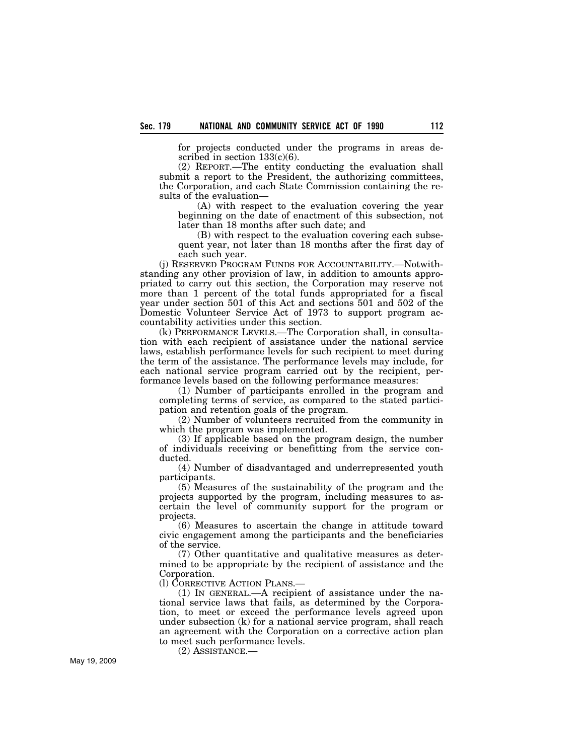for projects conducted under the programs in areas described in section  $133(c)(6)$ .

(2) REPORT.—The entity conducting the evaluation shall submit a report to the President, the authorizing committees, the Corporation, and each State Commission containing the results of the evaluation—

(A) with respect to the evaluation covering the year beginning on the date of enactment of this subsection, not later than 18 months after such date; and

(B) with respect to the evaluation covering each subsequent year, not later than 18 months after the first day of each such year.

(j) RESERVED PROGRAM FUNDS FOR ACCOUNTABILITY.—Notwithstanding any other provision of law, in addition to amounts appropriated to carry out this section, the Corporation may reserve not more than 1 percent of the total funds appropriated for a fiscal year under section 501 of this Act and sections 501 and 502 of the Domestic Volunteer Service Act of 1973 to support program accountability activities under this section.

(k) PERFORMANCE LEVELS.—The Corporation shall, in consultation with each recipient of assistance under the national service laws, establish performance levels for such recipient to meet during the term of the assistance. The performance levels may include, for each national service program carried out by the recipient, performance levels based on the following performance measures:

(1) Number of participants enrolled in the program and completing terms of service, as compared to the stated participation and retention goals of the program.

(2) Number of volunteers recruited from the community in which the program was implemented.

(3) If applicable based on the program design, the number of individuals receiving or benefitting from the service conducted.

(4) Number of disadvantaged and underrepresented youth participants.

(5) Measures of the sustainability of the program and the projects supported by the program, including measures to ascertain the level of community support for the program or projects.

(6) Measures to ascertain the change in attitude toward civic engagement among the participants and the beneficiaries of the service.

(7) Other quantitative and qualitative measures as determined to be appropriate by the recipient of assistance and the Corporation.

(l) CORRECTIVE ACTION PLANS.—

(1) IN GENERAL.—A recipient of assistance under the national service laws that fails, as determined by the Corporation, to meet or exceed the performance levels agreed upon under subsection (k) for a national service program, shall reach an agreement with the Corporation on a corrective action plan to meet such performance levels.

(2) ASSISTANCE.—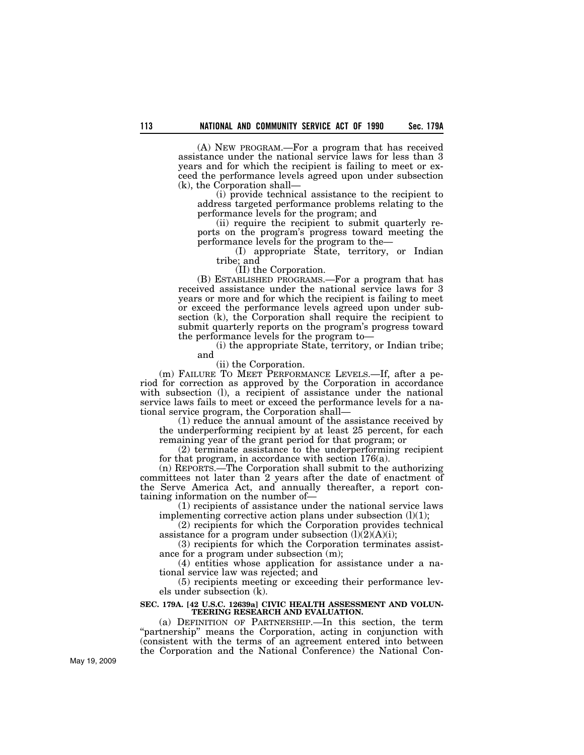(A) NEW PROGRAM.—For a program that has received assistance under the national service laws for less than 3 years and for which the recipient is failing to meet or exceed the performance levels agreed upon under subsection (k), the Corporation shall—

(i) provide technical assistance to the recipient to address targeted performance problems relating to the performance levels for the program; and

(ii) require the recipient to submit quarterly reports on the program's progress toward meeting the performance levels for the program to the—

(I) appropriate State, territory, or Indian tribe; and

(II) the Corporation.

(B) ESTABLISHED PROGRAMS.—For a program that has received assistance under the national service laws for 3 years or more and for which the recipient is failing to meet or exceed the performance levels agreed upon under subsection (k), the Corporation shall require the recipient to submit quarterly reports on the program's progress toward the performance levels for the program to—

(i) the appropriate State, territory, or Indian tribe; and

(ii) the Corporation.

(m) FAILURE TO MEET PERFORMANCE LEVELS.—If, after a period for correction as approved by the Corporation in accordance with subsection (l), a recipient of assistance under the national service laws fails to meet or exceed the performance levels for a national service program, the Corporation shall—

(1) reduce the annual amount of the assistance received by the underperforming recipient by at least 25 percent, for each remaining year of the grant period for that program; or

(2) terminate assistance to the underperforming recipient for that program, in accordance with section 176(a).

(n) REPORTS.—The Corporation shall submit to the authorizing committees not later than 2 years after the date of enactment of the Serve America Act, and annually thereafter, a report containing information on the number of—

(1) recipients of assistance under the national service laws implementing corrective action plans under subsection  $(l)(1)$ ;

(2) recipients for which the Corporation provides technical assistance for a program under subsection  $(l)(2)(A)(i)$ ;

(3) recipients for which the Corporation terminates assistance for a program under subsection (m);

(4) entities whose application for assistance under a national service law was rejected; and

(5) recipients meeting or exceeding their performance levels under subsection (k).

#### **SEC. 179A. [42 U.S.C. 12639a] CIVIC HEALTH ASSESSMENT AND VOLUN-TEERING RESEARCH AND EVALUATION.**

(a) DEFINITION OF PARTNERSHIP.—In this section, the term "partnership" means the Corporation, acting in conjunction with (consistent with the terms of an agreement entered into between the Corporation and the National Conference) the National Con-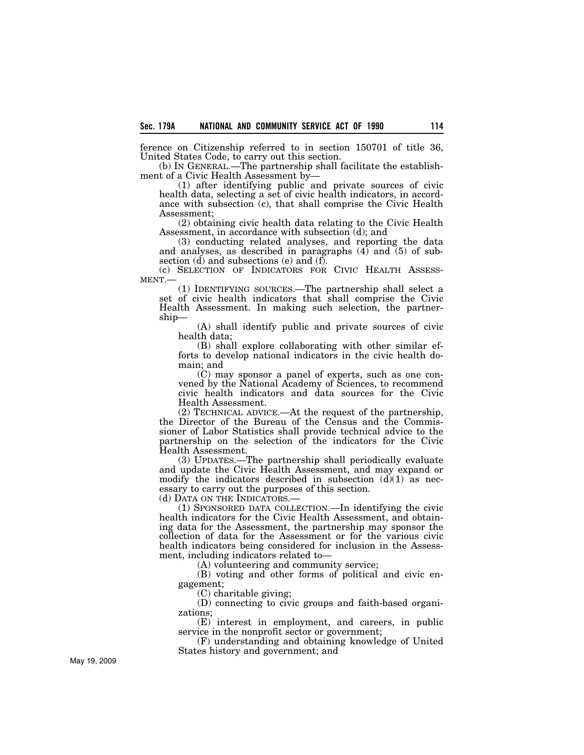ference on Citizenship referred to in section 150701 of title 36, United States Code, to carry out this section.

(b) IN GENERAL.—The partnership shall facilitate the establishment of a Civic Health Assessment by—

(1) after identifying public and private sources of civic health data, selecting a set of civic health indicators, in accordance with subsection (c), that shall comprise the Civic Health Assessment;

(2) obtaining civic health data relating to the Civic Health Assessment, in accordance with subsection (d); and

(3) conducting related analyses, and reporting the data and analyses, as described in paragraphs  $(4)$  and  $(5)$  of subsection (d) and subsections (e) and (f).<br>
(c) SELECTION OF INDICATORS FOR CIVIC HEALTH ASSESS-

MENT.—<br>(1) IDENTIFYING SOURCES.—The partnership shall select a

set of civic health indicators that shall comprise the Civic Health Assessment. In making such selection, the partnership—

(A) shall identify public and private sources of civic health data;

(B) shall explore collaborating with other similar efforts to develop national indicators in the civic health domain; and

(C) may sponsor a panel of experts, such as one convened by the National Academy of Sciences, to recommend civic health indicators and data sources for the Civic Health Assessment.

(2) TECHNICAL ADVICE.—At the request of the partnership, the Director of the Bureau of the Census and the Commissioner of Labor Statistics shall provide technical advice to the partnership on the selection of the indicators for the Civic Health Assessment.

(3) UPDATES.—The partnership shall periodically evaluate and update the Civic Health Assessment, and may expand or modify the indicators described in subsection  $(d)(1)$  as necessary to carry out the purposes of this section.

(d) DATA ON THE INDICATORS.—

(1) SPONSORED DATA COLLECTION.—In identifying the civic health indicators for the Civic Health Assessment, and obtaining data for the Assessment, the partnership may sponsor the collection of data for the Assessment or for the various civic health indicators being considered for inclusion in the Assessment, including indicators related to—

(A) volunteering and community service;

(B) voting and other forms of political and civic engagement;

(C) charitable giving;

(D) connecting to civic groups and faith-based organizations;

(E) interest in employment, and careers, in public service in the nonprofit sector or government;

(F) understanding and obtaining knowledge of United States history and government; and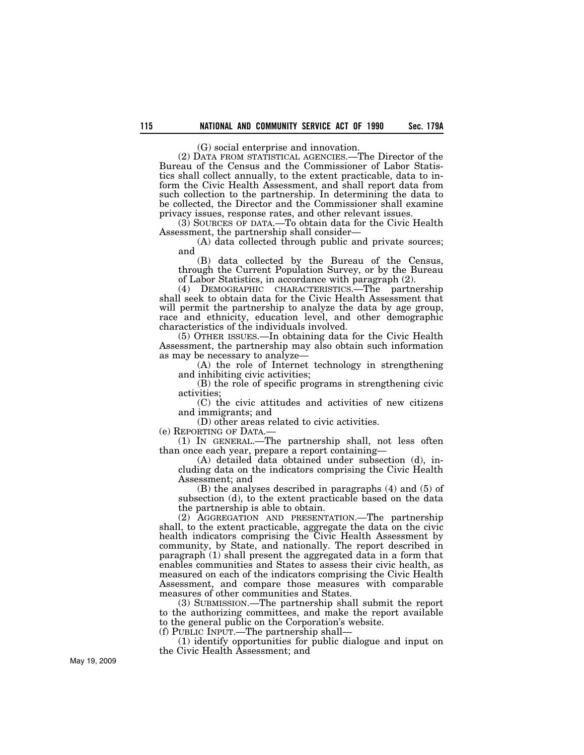(G) social enterprise and innovation.

(2) DATA FROM STATISTICAL AGENCIES.—The Director of the Bureau of the Census and the Commissioner of Labor Statistics shall collect annually, to the extent practicable, data to inform the Civic Health Assessment, and shall report data from such collection to the partnership. In determining the data to be collected, the Director and the Commissioner shall examine privacy issues, response rates, and other relevant issues.

(3) SOURCES OF DATA.—To obtain data for the Civic Health Assessment, the partnership shall consider—

(A) data collected through public and private sources; and

(B) data collected by the Bureau of the Census, through the Current Population Survey, or by the Bureau of Labor Statistics, in accordance with paragraph (2).

(4) DEMOGRAPHIC CHARACTERISTICS.—The partnership shall seek to obtain data for the Civic Health Assessment that will permit the partnership to analyze the data by age group, race and ethnicity, education level, and other demographic characteristics of the individuals involved.

(5) OTHER ISSUES.—In obtaining data for the Civic Health Assessment, the partnership may also obtain such information as may be necessary to analyze—

(A) the role of Internet technology in strengthening and inhibiting civic activities;

(B) the role of specific programs in strengthening civic activities;

(C) the civic attitudes and activities of new citizens and immigrants; and

(D) other areas related to civic activities.

(e) REPORTING OF DATA.—

(1) IN GENERAL.—The partnership shall, not less often than once each year, prepare a report containing—

(A) detailed data obtained under subsection (d), including data on the indicators comprising the Civic Health Assessment; and

(B) the analyses described in paragraphs (4) and (5) of subsection (d), to the extent practicable based on the data the partnership is able to obtain.

(2) AGGREGATION AND PRESENTATION.—The partnership shall, to the extent practicable, aggregate the data on the civic health indicators comprising the Civic Health Assessment by community, by State, and nationally. The report described in paragraph (1) shall present the aggregated data in a form that enables communities and States to assess their civic health, as measured on each of the indicators comprising the Civic Health Assessment, and compare those measures with comparable measures of other communities and States.

(3) SUBMISSION.—The partnership shall submit the report to the authorizing committees, and make the report available to the general public on the Corporation's website.

(f) PUBLIC INPUT.—The partnership shall—

(1) identify opportunities for public dialogue and input on the Civic Health Assessment; and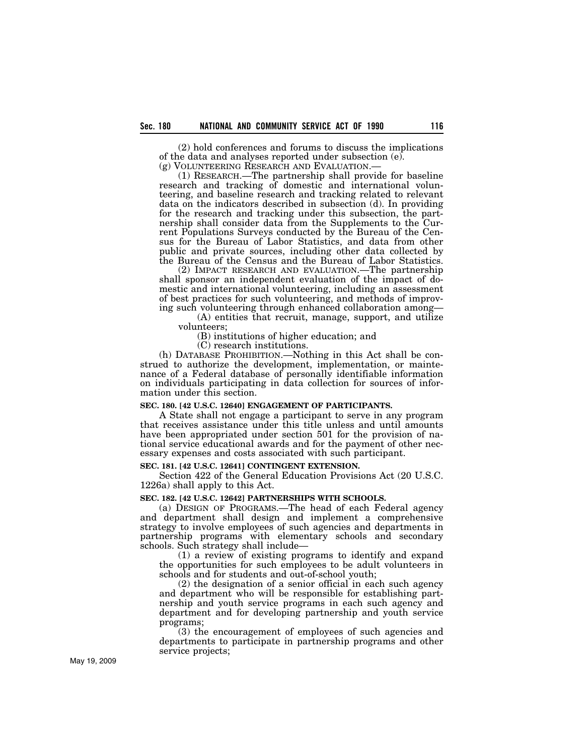(2) hold conferences and forums to discuss the implications of the data and analyses reported under subsection (e).<br>(g) VOLUNTEERING RESEARCH AND EVALUATION.—

 $(1)$  RESEARCH.—The partnership shall provide for baseline research and tracking of domestic and international volunteering, and baseline research and tracking related to relevant data on the indicators described in subsection (d). In providing for the research and tracking under this subsection, the partnership shall consider data from the Supplements to the Current Populations Surveys conducted by the Bureau of the Census for the Bureau of Labor Statistics, and data from other public and private sources, including other data collected by the Bureau of the Census and the Bureau of Labor Statistics.

(2) IMPACT RESEARCH AND EVALUATION.—The partnership shall sponsor an independent evaluation of the impact of domestic and international volunteering, including an assessment of best practices for such volunteering, and methods of improving such volunteering through enhanced collaboration among—

(A) entities that recruit, manage, support, and utilize volunteers;

(B) institutions of higher education; and

(C) research institutions.

(h) DATABASE PROHIBITION.—Nothing in this Act shall be construed to authorize the development, implementation, or maintenance of a Federal database of personally identifiable information on individuals participating in data collection for sources of information under this section.

#### **SEC. 180. [42 U.S.C. 12640] ENGAGEMENT OF PARTICIPANTS.**

A State shall not engage a participant to serve in any program that receives assistance under this title unless and until amounts have been appropriated under section 501 for the provision of national service educational awards and for the payment of other necessary expenses and costs associated with such participant.

### **SEC. 181. [42 U.S.C. 12641] CONTINGENT EXTENSION.**

Section 422 of the General Education Provisions Act (20 U.S.C. 1226a) shall apply to this Act.

### **SEC. 182. [42 U.S.C. 12642] PARTNERSHIPS WITH SCHOOLS.**

(a) DESIGN OF PROGRAMS.—The head of each Federal agency and department shall design and implement a comprehensive strategy to involve employees of such agencies and departments in partnership programs with elementary schools and secondary schools. Such strategy shall include—

(1) a review of existing programs to identify and expand the opportunities for such employees to be adult volunteers in schools and for students and out-of-school youth;

(2) the designation of a senior official in each such agency and department who will be responsible for establishing partnership and youth service programs in each such agency and department and for developing partnership and youth service programs;

(3) the encouragement of employees of such agencies and departments to participate in partnership programs and other service projects;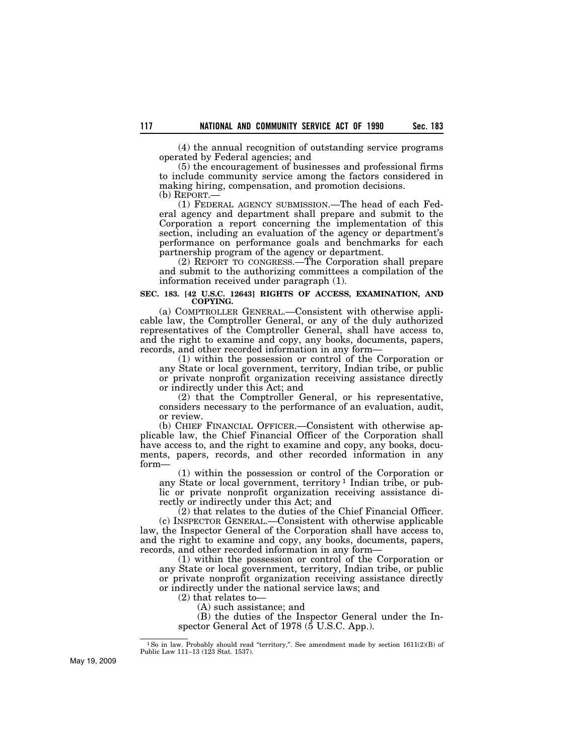(4) the annual recognition of outstanding service programs operated by Federal agencies; and

(5) the encouragement of businesses and professional firms to include community service among the factors considered in making hiring, compensation, and promotion decisions.

(b) REPORT.—

(1) FEDERAL AGENCY SUBMISSION.—The head of each Federal agency and department shall prepare and submit to the Corporation a report concerning the implementation of this section, including an evaluation of the agency or department's performance on performance goals and benchmarks for each partnership program of the agency or department.

(2) REPORT TO CONGRESS.—The Corporation shall prepare and submit to the authorizing committees a compilation of the information received under paragraph (1).

#### **SEC. 183. [42 U.S.C. 12643] RIGHTS OF ACCESS, EXAMINATION, AND COPYING.**

(a) COMPTROLLER GENERAL.—Consistent with otherwise applicable law, the Comptroller General, or any of the duly authorized representatives of the Comptroller General, shall have access to, and the right to examine and copy, any books, documents, papers, records, and other recorded information in any form—

(1) within the possession or control of the Corporation or any State or local government, territory, Indian tribe, or public or private nonprofit organization receiving assistance directly or indirectly under this Act; and

(2) that the Comptroller General, or his representative, considers necessary to the performance of an evaluation, audit, or review.

(b) CHIEF FINANCIAL OFFICER.—Consistent with otherwise applicable law, the Chief Financial Officer of the Corporation shall have access to, and the right to examine and copy, any books, documents, papers, records, and other recorded information in any form—

(1) within the possession or control of the Corporation or any State or local government, territory 1 Indian tribe, or public or private nonprofit organization receiving assistance directly or indirectly under this Act; and

(2) that relates to the duties of the Chief Financial Officer. (c) INSPECTOR GENERAL.—Consistent with otherwise applicable law, the Inspector General of the Corporation shall have access to, and the right to examine and copy, any books, documents, papers, records, and other recorded information in any form—

(1) within the possession or control of the Corporation or any State or local government, territory, Indian tribe, or public or private nonprofit organization receiving assistance directly or indirectly under the national service laws; and

(2) that relates to—

(A) such assistance; and

(B) the duties of the Inspector General under the Inspector General Act of 1978 (5 U.S.C. App.).

<sup>&</sup>lt;sup>1</sup>So in law. Probably should read "territory,". See amendment made by section 1611(2)(B) of Public Law 111–13 (123 Stat. 1537).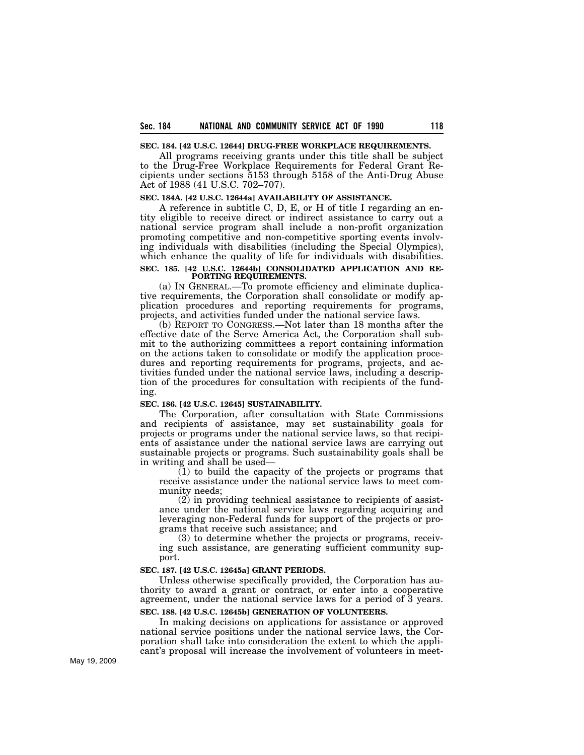#### **SEC. 184. [42 U.S.C. 12644] DRUG-FREE WORKPLACE REQUIREMENTS.**

All programs receiving grants under this title shall be subject to the Drug-Free Workplace Requirements for Federal Grant Recipients under sections 5153 through 5158 of the Anti-Drug Abuse Act of 1988 (41 U.S.C. 702–707).

#### **SEC. 184A. [42 U.S.C. 12644a] AVAILABILITY OF ASSISTANCE.**

A reference in subtitle C, D, E, or H of title I regarding an entity eligible to receive direct or indirect assistance to carry out a national service program shall include a non-profit organization promoting competitive and non-competitive sporting events involving individuals with disabilities (including the Special Olympics), which enhance the quality of life for individuals with disabilities.

#### **SEC. 185. [42 U.S.C. 12644b] CONSOLIDATED APPLICATION AND RE-PORTING REQUIREMENTS.**

(a) IN GENERAL.—To promote efficiency and eliminate duplicative requirements, the Corporation shall consolidate or modify application procedures and reporting requirements for programs, projects, and activities funded under the national service laws.

(b) REPORT TO CONGRESS.—Not later than 18 months after the effective date of the Serve America Act, the Corporation shall submit to the authorizing committees a report containing information on the actions taken to consolidate or modify the application procedures and reporting requirements for programs, projects, and activities funded under the national service laws, including a description of the procedures for consultation with recipients of the funding.

#### **SEC. 186. [42 U.S.C. 12645] SUSTAINABILITY.**

The Corporation, after consultation with State Commissions and recipients of assistance, may set sustainability goals for projects or programs under the national service laws, so that recipients of assistance under the national service laws are carrying out sustainable projects or programs. Such sustainability goals shall be in writing and shall be used—

(1) to build the capacity of the projects or programs that receive assistance under the national service laws to meet community needs;

(2) in providing technical assistance to recipients of assistance under the national service laws regarding acquiring and leveraging non-Federal funds for support of the projects or programs that receive such assistance; and

(3) to determine whether the projects or programs, receiving such assistance, are generating sufficient community support.

#### **SEC. 187. [42 U.S.C. 12645a] GRANT PERIODS.**

Unless otherwise specifically provided, the Corporation has authority to award a grant or contract, or enter into a cooperative agreement, under the national service laws for a period of 3 years.

## **SEC. 188. [42 U.S.C. 12645b] GENERATION OF VOLUNTEERS.**

In making decisions on applications for assistance or approved national service positions under the national service laws, the Corporation shall take into consideration the extent to which the applicant's proposal will increase the involvement of volunteers in meet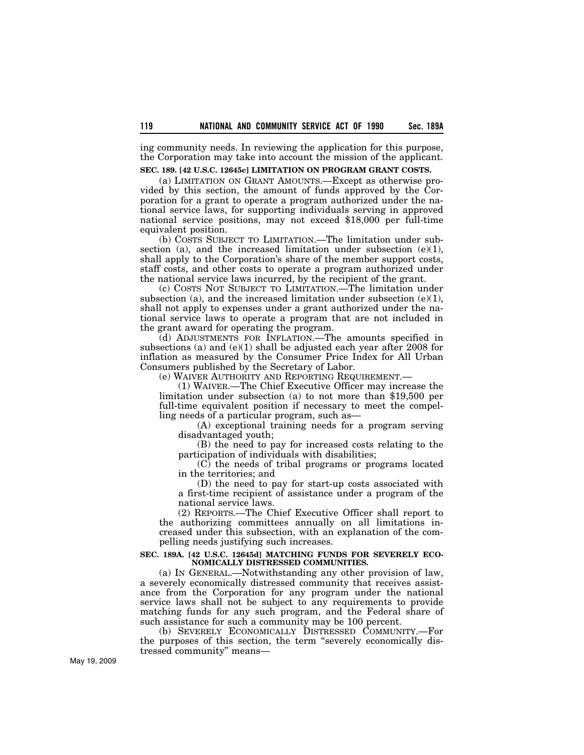ing community needs. In reviewing the application for this purpose, the Corporation may take into account the mission of the applicant.

### **SEC. 189. [42 U.S.C. 12645c] LIMITATION ON PROGRAM GRANT COSTS.**

(a) LIMITATION ON GRANT AMOUNTS.—Except as otherwise provided by this section, the amount of funds approved by the Corporation for a grant to operate a program authorized under the national service laws, for supporting individuals serving in approved national service positions, may not exceed \$18,000 per full-time equivalent position.

(b) COSTS SUBJECT TO LIMITATION.—The limitation under subsection (a), and the increased limitation under subsection  $(e)(1)$ , shall apply to the Corporation's share of the member support costs, staff costs, and other costs to operate a program authorized under the national service laws incurred, by the recipient of the grant.

(c) COSTS NOT SUBJECT TO LIMITATION.—The limitation under subsection (a), and the increased limitation under subsection  $(e)(1)$ , shall not apply to expenses under a grant authorized under the national service laws to operate a program that are not included in the grant award for operating the program.

(d) ADJUSTMENTS FOR INFLATION.—The amounts specified in subsections (a) and  $(e)(1)$  shall be adjusted each year after 2008 for inflation as measured by the Consumer Price Index for All Urban Consumers published by the Secretary of Labor.

(e) WAIVER AUTHORITY AND REPORTING REQUIREMENT.—

(1) WAIVER.—The Chief Executive Officer may increase the limitation under subsection (a) to not more than \$19,500 per full-time equivalent position if necessary to meet the compelling needs of a particular program, such as—

(A) exceptional training needs for a program serving disadvantaged youth;

(B) the need to pay for increased costs relating to the participation of individuals with disabilities;

(C) the needs of tribal programs or programs located in the territories; and

(D) the need to pay for start-up costs associated with a first-time recipient of assistance under a program of the national service laws.

(2) REPORTS.—The Chief Executive Officer shall report to the authorizing committees annually on all limitations increased under this subsection, with an explanation of the compelling needs justifying such increases.

#### **SEC. 189A. [42 U.S.C. 12645d] MATCHING FUNDS FOR SEVERELY ECO-NOMICALLY DISTRESSED COMMUNITIES.**

(a) IN GENERAL.—Notwithstanding any other provision of law, a severely economically distressed community that receives assistance from the Corporation for any program under the national service laws shall not be subject to any requirements to provide matching funds for any such program, and the Federal share of such assistance for such a community may be 100 percent.

(b) SEVERELY ECONOMICALLY DISTRESSED COMMUNITY.—For the purposes of this section, the term ''severely economically distressed community'' means—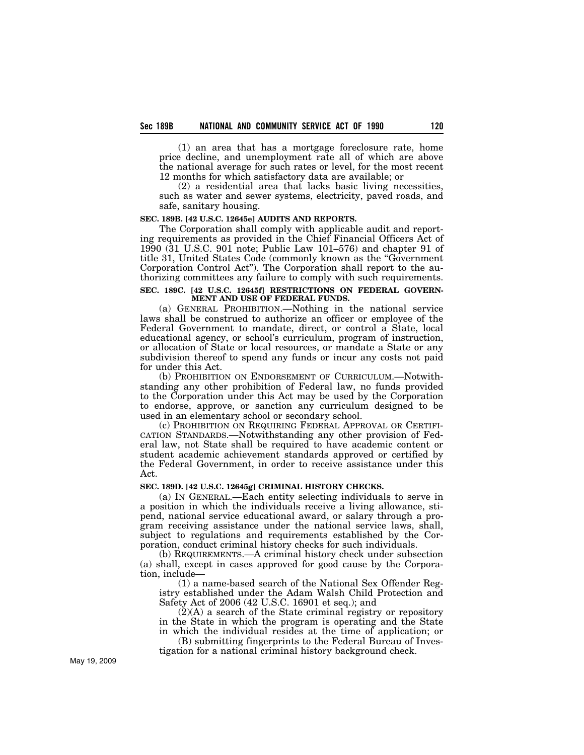(1) an area that has a mortgage foreclosure rate, home price decline, and unemployment rate all of which are above the national average for such rates or level, for the most recent 12 months for which satisfactory data are available; or

(2) a residential area that lacks basic living necessities, such as water and sewer systems, electricity, paved roads, and safe, sanitary housing.

### **SEC. 189B. [42 U.S.C. 12645e] AUDITS AND REPORTS.**

The Corporation shall comply with applicable audit and reporting requirements as provided in the Chief Financial Officers Act of 1990 (31 U.S.C. 901 note; Public Law 101–576) and chapter 91 of title 31, United States Code (commonly known as the ''Government Corporation Control Act''). The Corporation shall report to the authorizing committees any failure to comply with such requirements.

#### **SEC. 189C. [42 U.S.C. 12645f] RESTRICTIONS ON FEDERAL GOVERN-MENT AND USE OF FEDERAL FUNDS.**

(a) GENERAL PROHIBITION.—Nothing in the national service laws shall be construed to authorize an officer or employee of the Federal Government to mandate, direct, or control a State, local educational agency, or school's curriculum, program of instruction, or allocation of State or local resources, or mandate a State or any subdivision thereof to spend any funds or incur any costs not paid for under this Act.

(b) PROHIBITION ON ENDORSEMENT OF CURRICULUM.—Notwithstanding any other prohibition of Federal law, no funds provided to the Corporation under this Act may be used by the Corporation to endorse, approve, or sanction any curriculum designed to be used in an elementary school or secondary school.

(c) PROHIBITION ON REQUIRING FEDERAL APPROVAL OR CERTIFI-CATION STANDARDS.—Notwithstanding any other provision of Federal law, not State shall be required to have academic content or student academic achievement standards approved or certified by the Federal Government, in order to receive assistance under this Act.

### **SEC. 189D. [42 U.S.C. 12645g] CRIMINAL HISTORY CHECKS.**

(a) IN GENERAL.—Each entity selecting individuals to serve in a position in which the individuals receive a living allowance, stipend, national service educational award, or salary through a program receiving assistance under the national service laws, shall, subject to regulations and requirements established by the Corporation, conduct criminal history checks for such individuals.

(b) REQUIREMENTS.—A criminal history check under subsection (a) shall, except in cases approved for good cause by the Corporation, include—

(1) a name-based search of the National Sex Offender Registry established under the Adam Walsh Child Protection and Safety Act of 2006 (42 U.S.C. 16901 et seq.); and

 $(2)(A)$  a search of the State criminal registry or repository in the State in which the program is operating and the State in which the individual resides at the time of application; or

(B) submitting fingerprints to the Federal Bureau of Investigation for a national criminal history background check.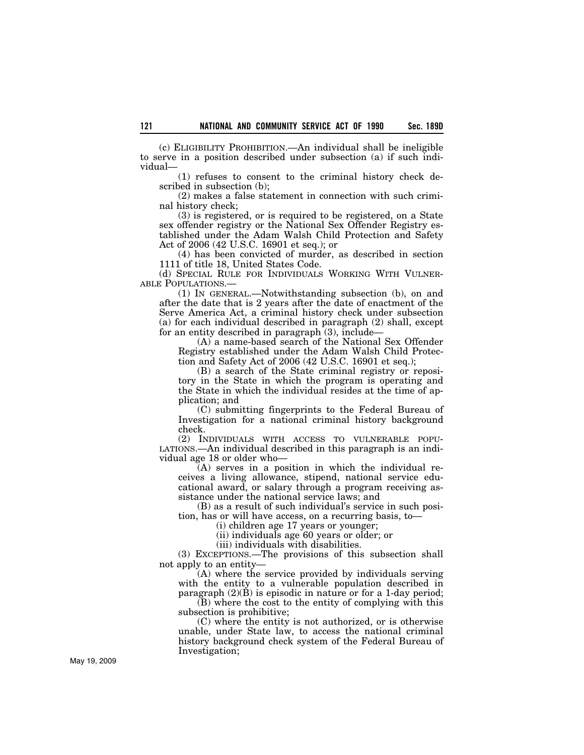(c) ELIGIBILITY PROHIBITION.—An individual shall be ineligible to serve in a position described under subsection (a) if such individual—

(1) refuses to consent to the criminal history check described in subsection (b);

(2) makes a false statement in connection with such criminal history check;

(3) is registered, or is required to be registered, on a State sex offender registry or the National Sex Offender Registry established under the Adam Walsh Child Protection and Safety Act of 2006 (42 U.S.C. 16901 et seq.); or

(4) has been convicted of murder, as described in section 1111 of title 18, United States Code.

(d) SPECIAL RULE FOR INDIVIDUALS WORKING WITH VULNER-ABLE POPULATIONS.—

(1) IN GENERAL.—Notwithstanding subsection (b), on and after the date that is 2 years after the date of enactment of the Serve America Act, a criminal history check under subsection (a) for each individual described in paragraph (2) shall, except for an entity described in paragraph (3), include—

(A) a name-based search of the National Sex Offender Registry established under the Adam Walsh Child Protection and Safety Act of 2006 (42 U.S.C. 16901 et seq.);

(B) a search of the State criminal registry or repository in the State in which the program is operating and the State in which the individual resides at the time of application; and

(C) submitting fingerprints to the Federal Bureau of Investigation for a national criminal history background check.

(2) INDIVIDUALS WITH ACCESS TO VULNERABLE POPU-LATIONS.—An individual described in this paragraph is an individual age 18 or older who—

(A) serves in a position in which the individual receives a living allowance, stipend, national service educational award, or salary through a program receiving assistance under the national service laws; and

(B) as a result of such individual's service in such position, has or will have access, on a recurring basis, to—

(i) children age 17 years or younger;

(ii) individuals age 60 years or older; or

(iii) individuals with disabilities.

(3) EXCEPTIONS.—The provisions of this subsection shall not apply to an entity—

(A) where the service provided by individuals serving with the entity to a vulnerable population described in paragraph  $(2)(\overline{B})$  is episodic in nature or for a 1-day period;

(B) where the cost to the entity of complying with this subsection is prohibitive;

(C) where the entity is not authorized, or is otherwise unable, under State law, to access the national criminal history background check system of the Federal Bureau of Investigation;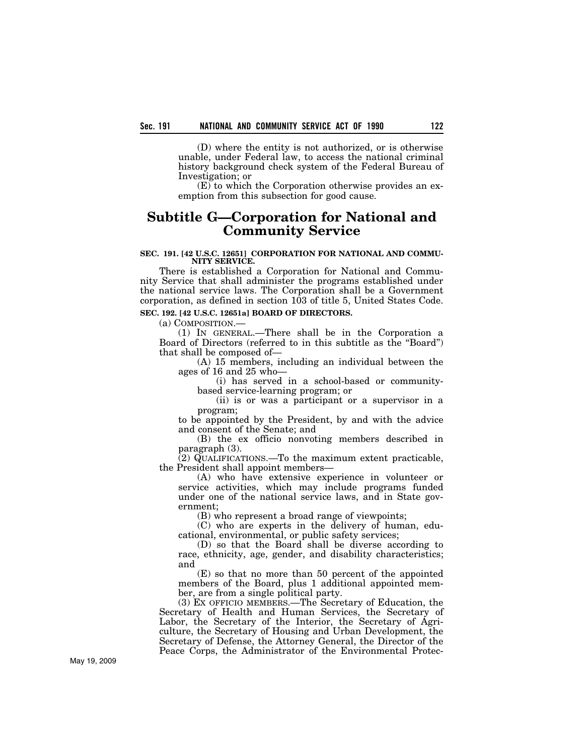(D) where the entity is not authorized, or is otherwise unable, under Federal law, to access the national criminal history background check system of the Federal Bureau of Investigation; or

(E) to which the Corporation otherwise provides an exemption from this subsection for good cause.

# **Subtitle G—Corporation for National and Community Service**

#### **SEC. 191. [42 U.S.C. 12651] CORPORATION FOR NATIONAL AND COMMU-NITY SERVICE.**

There is established a Corporation for National and Community Service that shall administer the programs established under the national service laws. The Corporation shall be a Government corporation, as defined in section 103 of title 5, United States Code.

# **SEC. 192. [42 U.S.C. 12651a] BOARD OF DIRECTORS.**

(a) COMPOSITION.—

(1) IN GENERAL.—There shall be in the Corporation a Board of Directors (referred to in this subtitle as the ''Board'') that shall be composed of—

(A) 15 members, including an individual between the ages of 16 and 25 who—

(i) has served in a school-based or communitybased service-learning program; or

(ii) is or was a participant or a supervisor in a program;

to be appointed by the President, by and with the advice and consent of the Senate; and

(B) the ex officio nonvoting members described in paragraph (3).

 $(2)$  QUALIFICATIONS.—To the maximum extent practicable, the President shall appoint members—

(A) who have extensive experience in volunteer or service activities, which may include programs funded under one of the national service laws, and in State government;

(B) who represent a broad range of viewpoints;

(C) who are experts in the delivery of human, educational, environmental, or public safety services;

(D) so that the Board shall be diverse according to race, ethnicity, age, gender, and disability characteristics; and

(E) so that no more than 50 percent of the appointed members of the Board, plus 1 additional appointed member, are from a single political party.

(3) EX OFFICIO MEMBERS.—The Secretary of Education, the Secretary of Health and Human Services, the Secretary of Labor, the Secretary of the Interior, the Secretary of Agriculture, the Secretary of Housing and Urban Development, the Secretary of Defense, the Attorney General, the Director of the Peace Corps, the Administrator of the Environmental Protec-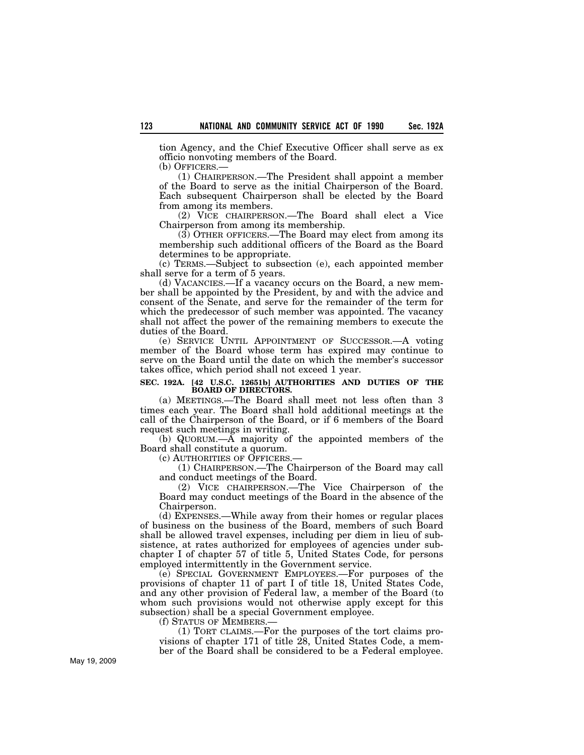tion Agency, and the Chief Executive Officer shall serve as ex officio nonvoting members of the Board.

(b) OFFICERS.—

(1) CHAIRPERSON.—The President shall appoint a member of the Board to serve as the initial Chairperson of the Board. Each subsequent Chairperson shall be elected by the Board from among its members.

(2) VICE CHAIRPERSON.—The Board shall elect a Vice Chairperson from among its membership.

(3) OTHER OFFICERS.—The Board may elect from among its membership such additional officers of the Board as the Board determines to be appropriate.

(c) TERMS.—Subject to subsection (e), each appointed member shall serve for a term of 5 years.

(d) VACANCIES.—If a vacancy occurs on the Board, a new member shall be appointed by the President, by and with the advice and consent of the Senate, and serve for the remainder of the term for which the predecessor of such member was appointed. The vacancy shall not affect the power of the remaining members to execute the duties of the Board.

(e) SERVICE UNTIL APPOINTMENT OF SUCCESSOR.—A voting member of the Board whose term has expired may continue to serve on the Board until the date on which the member's successor takes office, which period shall not exceed 1 year.

#### **SEC. 192A. [42 U.S.C. 12651b] AUTHORITIES AND DUTIES OF THE BOARD OF DIRECTORS.**

(a) MEETINGS.—The Board shall meet not less often than 3 times each year. The Board shall hold additional meetings at the call of the Chairperson of the Board, or if 6 members of the Board request such meetings in writing.

(b) QUORUM.—A majority of the appointed members of the Board shall constitute a quorum.

(c) AUTHORITIES OF OFFICERS.—

(1) CHAIRPERSON.—The Chairperson of the Board may call and conduct meetings of the Board.

(2) VICE CHAIRPERSON.—The Vice Chairperson of the Board may conduct meetings of the Board in the absence of the Chairperson.

(d) EXPENSES.—While away from their homes or regular places of business on the business of the Board, members of such Board shall be allowed travel expenses, including per diem in lieu of subsistence, at rates authorized for employees of agencies under subchapter I of chapter 57 of title 5, United States Code, for persons employed intermittently in the Government service.

(e) SPECIAL GOVERNMENT EMPLOYEES.—For purposes of the provisions of chapter 11 of part I of title 18, United States Code, and any other provision of Federal law, a member of the Board (to whom such provisions would not otherwise apply except for this subsection) shall be a special Government employee.

(f) STATUS OF MEMBERS.—

(1) TORT CLAIMS.—For the purposes of the tort claims provisions of chapter 171 of title 28, United States Code, a member of the Board shall be considered to be a Federal employee.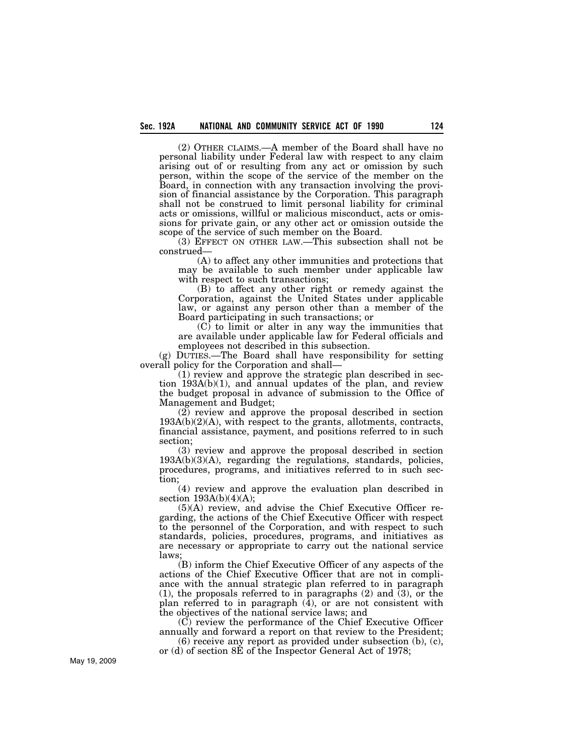(2) OTHER CLAIMS.—A member of the Board shall have no personal liability under Federal law with respect to any claim arising out of or resulting from any act or omission by such person, within the scope of the service of the member on the Board, in connection with any transaction involving the provision of financial assistance by the Corporation. This paragraph shall not be construed to limit personal liability for criminal acts or omissions, willful or malicious misconduct, acts or omissions for private gain, or any other act or omission outside the scope of the service of such member on the Board.

(3) EFFECT ON OTHER LAW.—This subsection shall not be construed—

(A) to affect any other immunities and protections that may be available to such member under applicable law with respect to such transactions;

(B) to affect any other right or remedy against the Corporation, against the United States under applicable law, or against any person other than a member of the Board participating in such transactions; or

(C) to limit or alter in any way the immunities that are available under applicable law for Federal officials and employees not described in this subsection.

(g) DUTIES.—The Board shall have responsibility for setting overall policy for the Corporation and shall—

(1) review and approve the strategic plan described in section 193A(b)(1), and annual updates of the plan, and review the budget proposal in advance of submission to the Office of Management and Budget;

(2) review and approve the proposal described in section 193A(b)(2)(A), with respect to the grants, allotments, contracts, financial assistance, payment, and positions referred to in such section;

(3) review and approve the proposal described in section  $193A(b)(3)(A)$ , regarding the regulations, standards, policies, procedures, programs, and initiatives referred to in such section;

(4) review and approve the evaluation plan described in section  $193A(b)(4)(A)$ ;

(5)(A) review, and advise the Chief Executive Officer regarding, the actions of the Chief Executive Officer with respect to the personnel of the Corporation, and with respect to such standards, policies, procedures, programs, and initiatives as are necessary or appropriate to carry out the national service laws;

(B) inform the Chief Executive Officer of any aspects of the actions of the Chief Executive Officer that are not in compliance with the annual strategic plan referred to in paragraph (1), the proposals referred to in paragraphs (2) and (3), or the plan referred to in paragraph (4), or are not consistent with the objectives of the national service laws; and

(C) review the performance of the Chief Executive Officer annually and forward a report on that review to the President;

(6) receive any report as provided under subsection (b), (c), or (d) of section 8E of the Inspector General Act of 1978;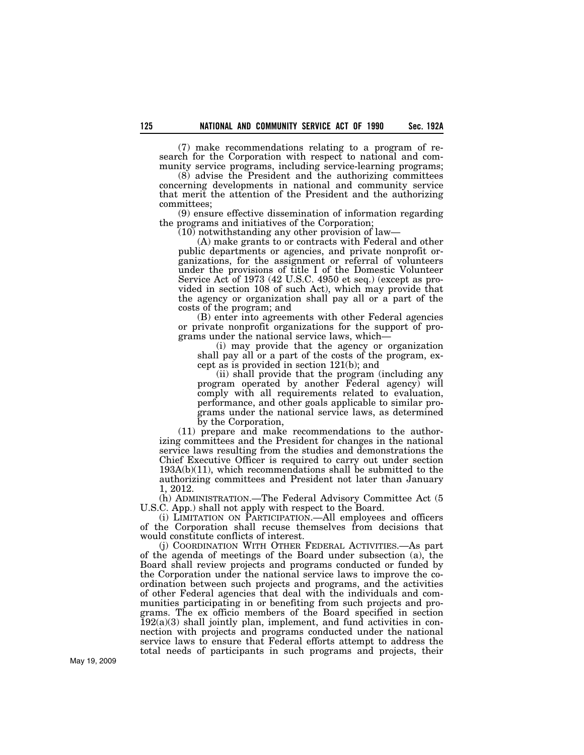(7) make recommendations relating to a program of research for the Corporation with respect to national and community service programs, including service-learning programs;

(8) advise the President and the authorizing committees concerning developments in national and community service that merit the attention of the President and the authorizing committees;

(9) ensure effective dissemination of information regarding the programs and initiatives of the Corporation;

(10) notwithstanding any other provision of law—

(A) make grants to or contracts with Federal and other public departments or agencies, and private nonprofit organizations, for the assignment or referral of volunteers under the provisions of title I of the Domestic Volunteer Service Act of 1973 (42 U.S.C. 4950 et seq.) (except as provided in section 108 of such Act), which may provide that the agency or organization shall pay all or a part of the costs of the program; and

(B) enter into agreements with other Federal agencies or private nonprofit organizations for the support of programs under the national service laws, which—

(i) may provide that the agency or organization shall pay all or a part of the costs of the program, except as is provided in section 121(b); and

(ii) shall provide that the program (including any program operated by another Federal agency) will comply with all requirements related to evaluation, performance, and other goals applicable to similar programs under the national service laws, as determined by the Corporation,

(11) prepare and make recommendations to the authorizing committees and the President for changes in the national service laws resulting from the studies and demonstrations the Chief Executive Officer is required to carry out under section  $193A(b)(11)$ , which recommendations shall be submitted to the authorizing committees and President not later than January 1, 2012.

(h) ADMINISTRATION.—The Federal Advisory Committee Act (5 U.S.C. App.) shall not apply with respect to the Board.

(i) LIMITATION ON PARTICIPATION.—All employees and officers of the Corporation shall recuse themselves from decisions that would constitute conflicts of interest.

(j) COORDINATION WITH OTHER FEDERAL ACTIVITIES.—As part of the agenda of meetings of the Board under subsection (a), the Board shall review projects and programs conducted or funded by the Corporation under the national service laws to improve the coordination between such projects and programs, and the activities of other Federal agencies that deal with the individuals and communities participating in or benefiting from such projects and programs. The ex officio members of the Board specified in section  $192(a)(3)$  shall jointly plan, implement, and fund activities in connection with projects and programs conducted under the national service laws to ensure that Federal efforts attempt to address the total needs of participants in such programs and projects, their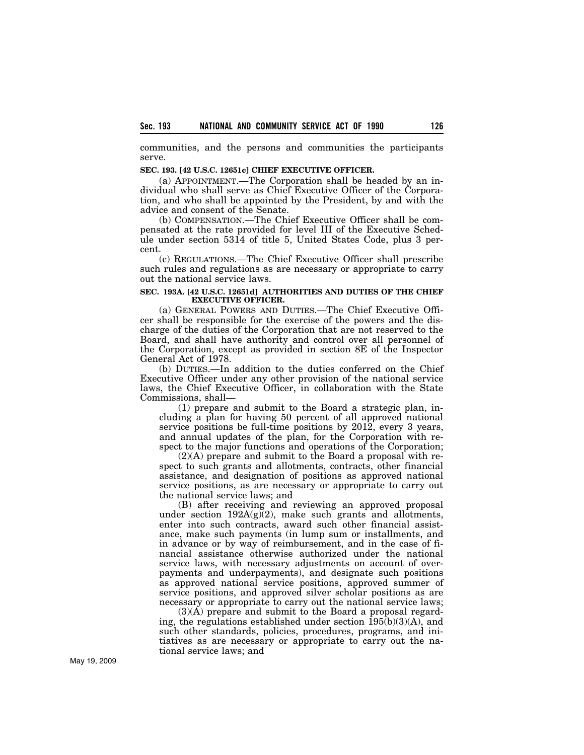communities, and the persons and communities the participants serve.

### **SEC. 193. [42 U.S.C. 12651c] CHIEF EXECUTIVE OFFICER.**

(a) APPOINTMENT.—The Corporation shall be headed by an individual who shall serve as Chief Executive Officer of the Corporation, and who shall be appointed by the President, by and with the advice and consent of the Senate.

(b) COMPENSATION.—The Chief Executive Officer shall be compensated at the rate provided for level III of the Executive Schedule under section 5314 of title 5, United States Code, plus 3 percent.

(c) REGULATIONS.—The Chief Executive Officer shall prescribe such rules and regulations as are necessary or appropriate to carry out the national service laws.

#### **SEC. 193A. [42 U.S.C. 12651d] AUTHORITIES AND DUTIES OF THE CHIEF EXECUTIVE OFFICER.**

(a) GENERAL POWERS AND DUTIES.—The Chief Executive Officer shall be responsible for the exercise of the powers and the discharge of the duties of the Corporation that are not reserved to the Board, and shall have authority and control over all personnel of the Corporation, except as provided in section 8E of the Inspector General Act of 1978.

(b) DUTIES.—In addition to the duties conferred on the Chief Executive Officer under any other provision of the national service laws, the Chief Executive Officer, in collaboration with the State Commissions, shall—

(1) prepare and submit to the Board a strategic plan, including a plan for having 50 percent of all approved national service positions be full-time positions by 2012, every 3 years, and annual updates of the plan, for the Corporation with respect to the major functions and operations of the Corporation;

(2)(A) prepare and submit to the Board a proposal with respect to such grants and allotments, contracts, other financial assistance, and designation of positions as approved national service positions, as are necessary or appropriate to carry out the national service laws; and

(B) after receiving and reviewing an approved proposal under section  $192A(g)(2)$ , make such grants and allotments, enter into such contracts, award such other financial assistance, make such payments (in lump sum or installments, and in advance or by way of reimbursement, and in the case of financial assistance otherwise authorized under the national service laws, with necessary adjustments on account of overpayments and underpayments), and designate such positions as approved national service positions, approved summer of service positions, and approved silver scholar positions as are necessary or appropriate to carry out the national service laws;

 $(3)(\overline{A})$  prepare and submit to the Board a proposal regarding, the regulations established under section  $\overline{195(b)(3)(A)}$ , and such other standards, policies, procedures, programs, and initiatives as are necessary or appropriate to carry out the national service laws; and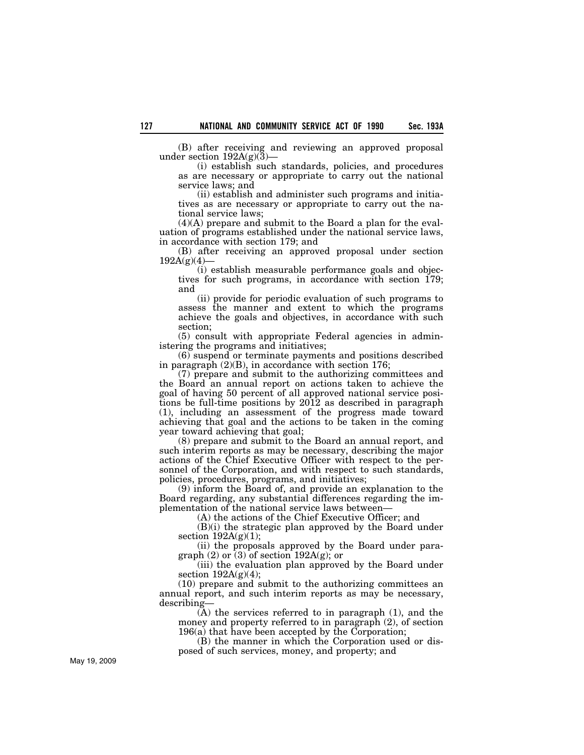(B) after receiving and reviewing an approved proposal under section  $192A(g)(3)$ 

(i) establish such standards, policies, and procedures as are necessary or appropriate to carry out the national service laws; and

(ii) establish and administer such programs and initiatives as are necessary or appropriate to carry out the national service laws;

(4)(A) prepare and submit to the Board a plan for the evaluation of programs established under the national service laws, in accordance with section 179; and

(B) after receiving an approved proposal under section  $192A(g)(4)$ 

(i) establish measurable performance goals and objectives for such programs, in accordance with section 179; and

(ii) provide for periodic evaluation of such programs to assess the manner and extent to which the programs achieve the goals and objectives, in accordance with such section;

(5) consult with appropriate Federal agencies in administering the programs and initiatives;

(6) suspend or terminate payments and positions described in paragraph (2)(B), in accordance with section 176;

(7) prepare and submit to the authorizing committees and the Board an annual report on actions taken to achieve the goal of having 50 percent of all approved national service positions be full-time positions by 2012 as described in paragraph (1), including an assessment of the progress made toward achieving that goal and the actions to be taken in the coming year toward achieving that goal;

(8) prepare and submit to the Board an annual report, and such interim reports as may be necessary, describing the major actions of the Chief Executive Officer with respect to the personnel of the Corporation, and with respect to such standards, policies, procedures, programs, and initiatives;

(9) inform the Board of, and provide an explanation to the Board regarding, any substantial differences regarding the implementation of the national service laws between—

(A) the actions of the Chief Executive Officer; and

(B)(i) the strategic plan approved by the Board under section  $192A(g)(1)$ ;

(ii) the proposals approved by the Board under paragraph  $(2)$  or  $(3)$  of section 192A $(g)$ ; or

(iii) the evaluation plan approved by the Board under section  $192A(g)(4)$ ;

(10) prepare and submit to the authorizing committees an annual report, and such interim reports as may be necessary, describing—

 $(A)$  the services referred to in paragraph  $(1)$ , and the money and property referred to in paragraph (2), of section 196(a) that have been accepted by the Corporation;

(B) the manner in which the Corporation used or disposed of such services, money, and property; and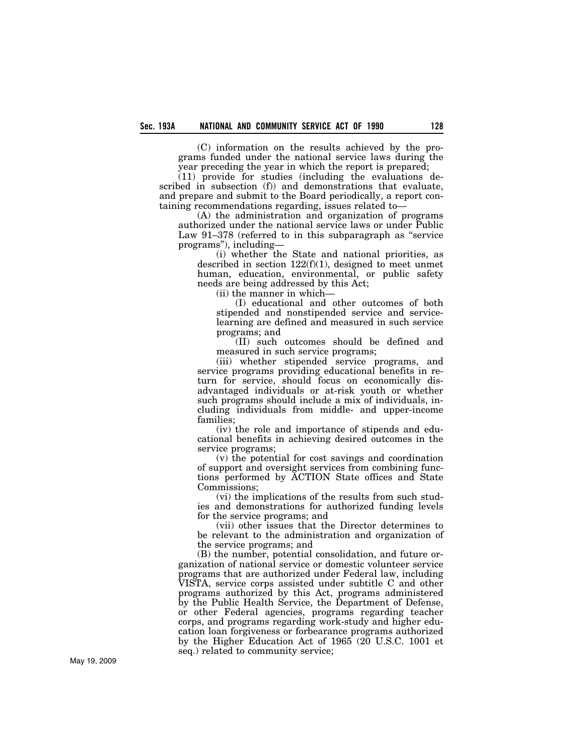(C) information on the results achieved by the programs funded under the national service laws during the year preceding the year in which the report is prepared;

(11) provide for studies (including the evaluations described in subsection (f)) and demonstrations that evaluate, and prepare and submit to the Board periodically, a report containing recommendations regarding, issues related to—

(A) the administration and organization of programs authorized under the national service laws or under Public Law 91–378 (referred to in this subparagraph as "service" programs''), including—

(i) whether the State and national priorities, as described in section  $122(f)(1)$ , designed to meet unmet human, education, environmental, or public safety needs are being addressed by this Act;

(ii) the manner in which—

(I) educational and other outcomes of both stipended and nonstipended service and servicelearning are defined and measured in such service programs; and

(II) such outcomes should be defined and measured in such service programs;

(iii) whether stipended service programs, and service programs providing educational benefits in return for service, should focus on economically disadvantaged individuals or at-risk youth or whether such programs should include a mix of individuals, including individuals from middle- and upper-income families;

(iv) the role and importance of stipends and educational benefits in achieving desired outcomes in the service programs;

(v) the potential for cost savings and coordination of support and oversight services from combining functions performed by ACTION State offices and State Commissions;

(vi) the implications of the results from such studies and demonstrations for authorized funding levels for the service programs; and

(vii) other issues that the Director determines to be relevant to the administration and organization of the service programs; and

(B) the number, potential consolidation, and future organization of national service or domestic volunteer service programs that are authorized under Federal law, including VISTA, service corps assisted under subtitle C and other programs authorized by this Act, programs administered by the Public Health Service, the Department of Defense, or other Federal agencies, programs regarding teacher corps, and programs regarding work-study and higher education loan forgiveness or forbearance programs authorized by the Higher Education Act of 1965 (20 U.S.C. 1001 et seq.) related to community service;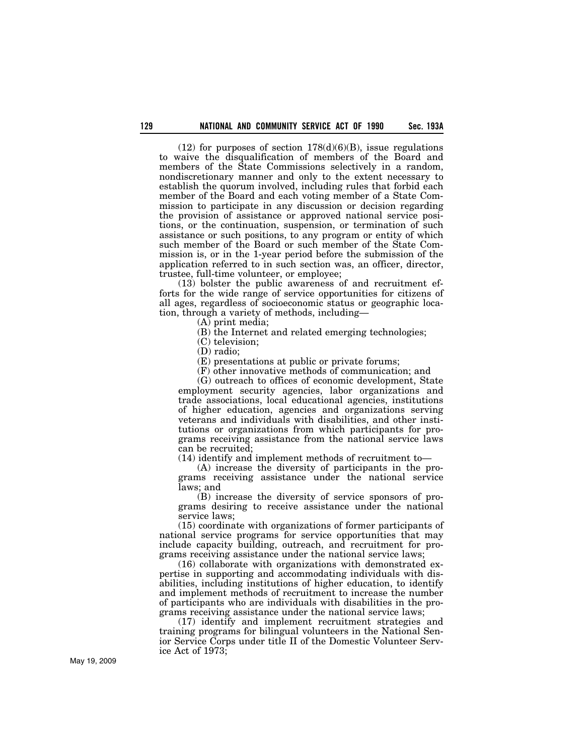$(12)$  for purposes of section  $178(d)(6)(B)$ , issue regulations to waive the disqualification of members of the Board and members of the State Commissions selectively in a random, nondiscretionary manner and only to the extent necessary to establish the quorum involved, including rules that forbid each member of the Board and each voting member of a State Commission to participate in any discussion or decision regarding the provision of assistance or approved national service positions, or the continuation, suspension, or termination of such assistance or such positions, to any program or entity of which such member of the Board or such member of the State Commission is, or in the 1-year period before the submission of the application referred to in such section was, an officer, director, trustee, full-time volunteer, or employee;

(13) bolster the public awareness of and recruitment efforts for the wide range of service opportunities for citizens of all ages, regardless of socioeconomic status or geographic location, through a variety of methods, including—

(A) print media;

(B) the Internet and related emerging technologies;

(C) television;

(D) radio;

(E) presentations at public or private forums;

(F) other innovative methods of communication; and

(G) outreach to offices of economic development, State employment security agencies, labor organizations and trade associations, local educational agencies, institutions of higher education, agencies and organizations serving veterans and individuals with disabilities, and other institutions or organizations from which participants for programs receiving assistance from the national service laws can be recruited;

(14) identify and implement methods of recruitment to—

(A) increase the diversity of participants in the programs receiving assistance under the national service laws; and

(B) increase the diversity of service sponsors of programs desiring to receive assistance under the national service laws;

(15) coordinate with organizations of former participants of national service programs for service opportunities that may include capacity building, outreach, and recruitment for programs receiving assistance under the national service laws;

(16) collaborate with organizations with demonstrated expertise in supporting and accommodating individuals with disabilities, including institutions of higher education, to identify and implement methods of recruitment to increase the number of participants who are individuals with disabilities in the programs receiving assistance under the national service laws;

(17) identify and implement recruitment strategies and training programs for bilingual volunteers in the National Senior Service Corps under title II of the Domestic Volunteer Service Act of 1973;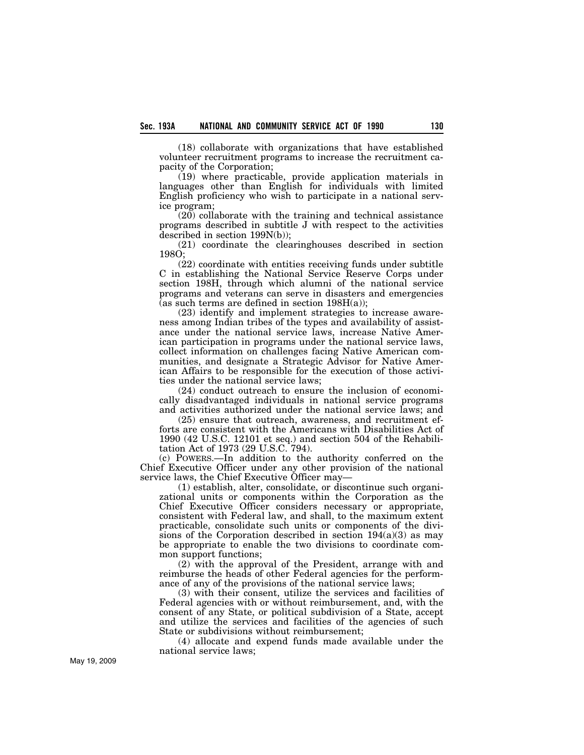(18) collaborate with organizations that have established volunteer recruitment programs to increase the recruitment capacity of the Corporation;

(19) where practicable, provide application materials in languages other than English for individuals with limited English proficiency who wish to participate in a national service program;

(20) collaborate with the training and technical assistance programs described in subtitle J with respect to the activities described in section 199N(b));

(21) coordinate the clearinghouses described in section 198O;

(22) coordinate with entities receiving funds under subtitle C in establishing the National Service Reserve Corps under section 198H, through which alumni of the national service programs and veterans can serve in disasters and emergencies (as such terms are defined in section  $198H(a)$ );

(23) identify and implement strategies to increase awareness among Indian tribes of the types and availability of assistance under the national service laws, increase Native American participation in programs under the national service laws, collect information on challenges facing Native American communities, and designate a Strategic Advisor for Native American Affairs to be responsible for the execution of those activities under the national service laws;

(24) conduct outreach to ensure the inclusion of economically disadvantaged individuals in national service programs and activities authorized under the national service laws; and

(25) ensure that outreach, awareness, and recruitment efforts are consistent with the Americans with Disabilities Act of 1990 (42 U.S.C. 12101 et seq.) and section 504 of the Rehabilitation Act of 1973 (29 U.S.C. 794).

(c) POWERS.—In addition to the authority conferred on the Chief Executive Officer under any other provision of the national service laws, the Chief Executive Officer may—

(1) establish, alter, consolidate, or discontinue such organizational units or components within the Corporation as the Chief Executive Officer considers necessary or appropriate, consistent with Federal law, and shall, to the maximum extent practicable, consolidate such units or components of the divisions of the Corporation described in section  $194(a)(3)$  as may be appropriate to enable the two divisions to coordinate common support functions;

(2) with the approval of the President, arrange with and reimburse the heads of other Federal agencies for the performance of any of the provisions of the national service laws;

(3) with their consent, utilize the services and facilities of Federal agencies with or without reimbursement, and, with the consent of any State, or political subdivision of a State, accept and utilize the services and facilities of the agencies of such State or subdivisions without reimbursement;

(4) allocate and expend funds made available under the national service laws;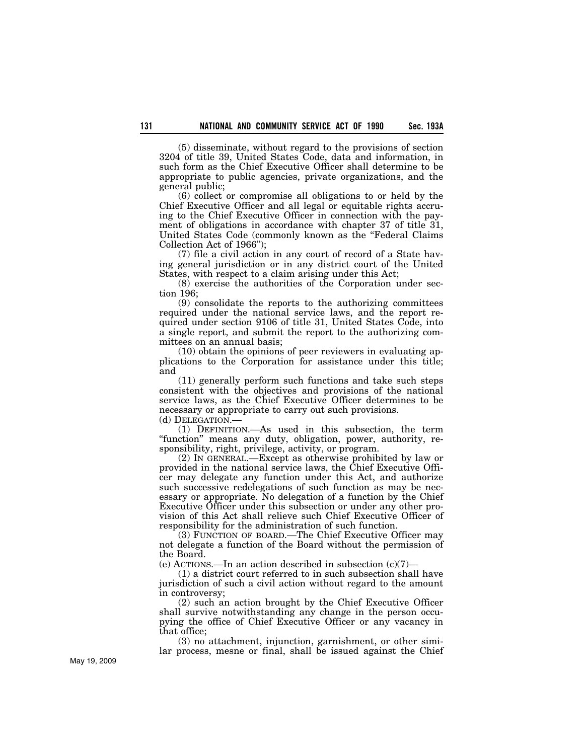(5) disseminate, without regard to the provisions of section 3204 of title 39, United States Code, data and information, in such form as the Chief Executive Officer shall determine to be appropriate to public agencies, private organizations, and the general public;

(6) collect or compromise all obligations to or held by the Chief Executive Officer and all legal or equitable rights accruing to the Chief Executive Officer in connection with the payment of obligations in accordance with chapter 37 of title 31, United States Code (commonly known as the ''Federal Claims Collection Act of 1966'');

(7) file a civil action in any court of record of a State having general jurisdiction or in any district court of the United States, with respect to a claim arising under this Act;

(8) exercise the authorities of the Corporation under section 196;

(9) consolidate the reports to the authorizing committees required under the national service laws, and the report required under section 9106 of title 31, United States Code, into a single report, and submit the report to the authorizing committees on an annual basis;

(10) obtain the opinions of peer reviewers in evaluating applications to the Corporation for assistance under this title; and

(11) generally perform such functions and take such steps consistent with the objectives and provisions of the national service laws, as the Chief Executive Officer determines to be necessary or appropriate to carry out such provisions.

(d) DELEGATION.—

(1) DEFINITION.—As used in this subsection, the term "function" means any duty, obligation, power, authority, responsibility, right, privilege, activity, or program.

(2) IN GENERAL.—Except as otherwise prohibited by law or provided in the national service laws, the Chief Executive Officer may delegate any function under this Act, and authorize such successive redelegations of such function as may be necessary or appropriate. No delegation of a function by the Chief Executive Officer under this subsection or under any other provision of this Act shall relieve such Chief Executive Officer of responsibility for the administration of such function.

(3) FUNCTION OF BOARD.—The Chief Executive Officer may not delegate a function of the Board without the permission of the Board.

 $(e)$  ACTIONS.—In an action described in subsection  $(c)(7)$ -

(1) a district court referred to in such subsection shall have jurisdiction of such a civil action without regard to the amount in controversy;

(2) such an action brought by the Chief Executive Officer shall survive notwithstanding any change in the person occupying the office of Chief Executive Officer or any vacancy in that office;

(3) no attachment, injunction, garnishment, or other similar process, mesne or final, shall be issued against the Chief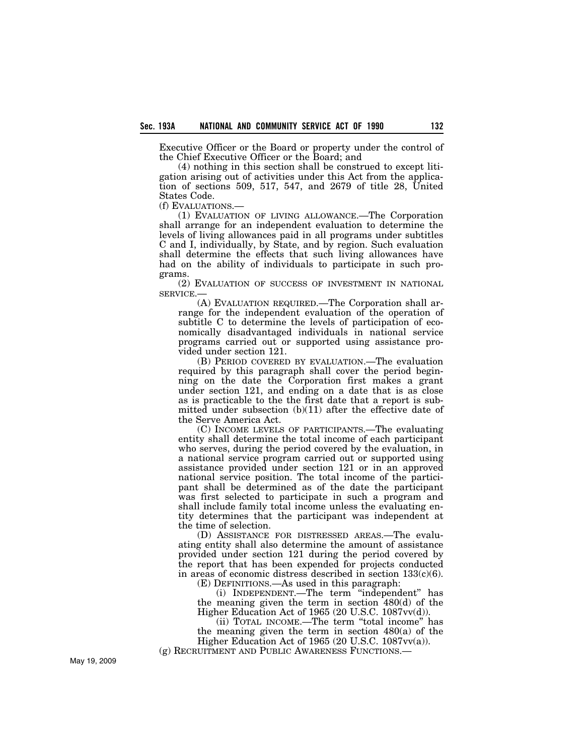Executive Officer or the Board or property under the control of the Chief Executive Officer or the Board; and

(4) nothing in this section shall be construed to except litigation arising out of activities under this Act from the application of sections 509, 517, 547, and 2679 of title 28, United States Code.

(f) EVALUATIONS.—

(1) EVALUATION OF LIVING ALLOWANCE.—The Corporation shall arrange for an independent evaluation to determine the levels of living allowances paid in all programs under subtitles C and I, individually, by State, and by region. Such evaluation shall determine the effects that such living allowances have had on the ability of individuals to participate in such programs.

(2) EVALUATION OF SUCCESS OF INVESTMENT IN NATIONAL SERVICE.—

(A) EVALUATION REQUIRED.—The Corporation shall arrange for the independent evaluation of the operation of subtitle C to determine the levels of participation of economically disadvantaged individuals in national service programs carried out or supported using assistance provided under section 121.

(B) PERIOD COVERED BY EVALUATION.—The evaluation required by this paragraph shall cover the period beginning on the date the Corporation first makes a grant under section 121, and ending on a date that is as close as is practicable to the the first date that a report is submitted under subsection (b)(11) after the effective date of the Serve America Act.

(C) INCOME LEVELS OF PARTICIPANTS.—The evaluating entity shall determine the total income of each participant who serves, during the period covered by the evaluation, in a national service program carried out or supported using assistance provided under section 121 or in an approved national service position. The total income of the participant shall be determined as of the date the participant was first selected to participate in such a program and shall include family total income unless the evaluating entity determines that the participant was independent at the time of selection.

(D) ASSISTANCE FOR DISTRESSED AREAS.—The evaluating entity shall also determine the amount of assistance provided under section 121 during the period covered by the report that has been expended for projects conducted in areas of economic distress described in section  $133(c)(6)$ . (E) DEFINITIONS.—As used in this paragraph:

(i) INDEPENDENT.—The term ''independent'' has the meaning given the term in section 480(d) of the Higher Education Act of 1965 (20 U.S.C. 1087vv(d)).

(ii) TOTAL INCOME.—The term ''total income'' has the meaning given the term in section 480(a) of the Higher Education Act of 1965 (20 U.S.C. 1087vv(a)).

(g) RECRUITMENT AND PUBLIC AWARENESS FUNCTIONS.—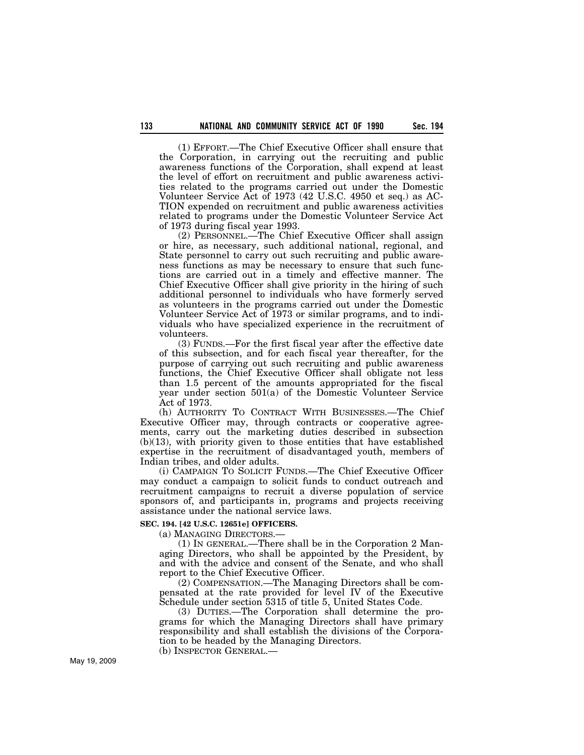(1) EFFORT.—The Chief Executive Officer shall ensure that the Corporation, in carrying out the recruiting and public awareness functions of the Corporation, shall expend at least the level of effort on recruitment and public awareness activities related to the programs carried out under the Domestic Volunteer Service Act of 1973 (42 U.S.C. 4950 et seq.) as AC-TION expended on recruitment and public awareness activities related to programs under the Domestic Volunteer Service Act of 1973 during fiscal year 1993.

(2) PERSONNEL.—The Chief Executive Officer shall assign or hire, as necessary, such additional national, regional, and State personnel to carry out such recruiting and public awareness functions as may be necessary to ensure that such functions are carried out in a timely and effective manner. The Chief Executive Officer shall give priority in the hiring of such additional personnel to individuals who have formerly served as volunteers in the programs carried out under the Domestic Volunteer Service Act of 1973 or similar programs, and to individuals who have specialized experience in the recruitment of volunteers.

(3) FUNDS.—For the first fiscal year after the effective date of this subsection, and for each fiscal year thereafter, for the purpose of carrying out such recruiting and public awareness functions, the Chief Executive Officer shall obligate not less than 1.5 percent of the amounts appropriated for the fiscal year under section 501(a) of the Domestic Volunteer Service Act of 1973.

(h) AUTHORITY TO CONTRACT WITH BUSINESSES.—The Chief Executive Officer may, through contracts or cooperative agreements, carry out the marketing duties described in subsection (b)(13), with priority given to those entities that have established expertise in the recruitment of disadvantaged youth, members of Indian tribes, and older adults.

(i) CAMPAIGN TO SOLICIT FUNDS.—The Chief Executive Officer may conduct a campaign to solicit funds to conduct outreach and recruitment campaigns to recruit a diverse population of service sponsors of, and participants in, programs and projects receiving assistance under the national service laws.

### **SEC. 194. [42 U.S.C. 12651e] OFFICERS.**

(a) MANAGING DIRECTORS.—

(1) IN GENERAL.—There shall be in the Corporation 2 Managing Directors, who shall be appointed by the President, by and with the advice and consent of the Senate, and who shall report to the Chief Executive Officer.

(2) COMPENSATION.—The Managing Directors shall be compensated at the rate provided for level IV of the Executive Schedule under section 5315 of title 5, United States Code.

(3) DUTIES.—The Corporation shall determine the programs for which the Managing Directors shall have primary responsibility and shall establish the divisions of the Corporation to be headed by the Managing Directors.

(b) INSPECTOR GENERAL.—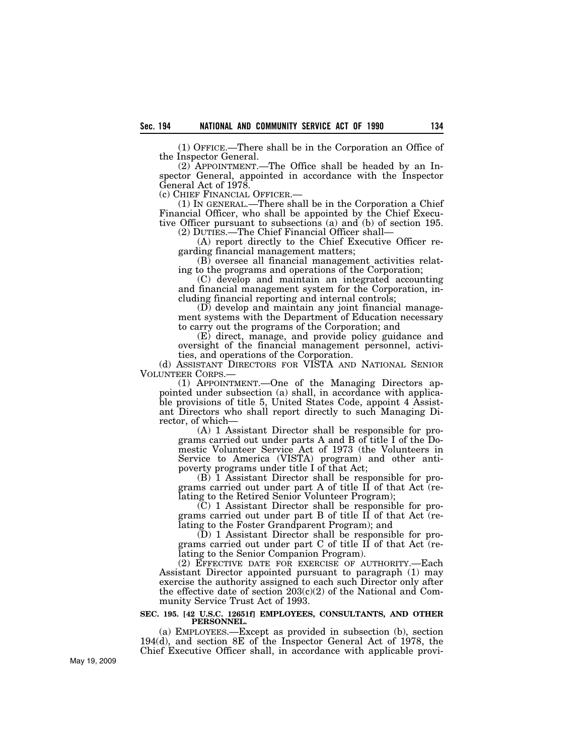(1) OFFICE.—There shall be in the Corporation an Office of the Inspector General.

(2) APPOINTMENT.—The Office shall be headed by an Inspector General, appointed in accordance with the Inspector General Act of 1978.<sup>2</sup><br>(c) CHIEF FINANCIAL OFFICER.

 $(1)$  In GENERAL.—There shall be in the Corporation a Chief Financial Officer, who shall be appointed by the Chief Executive Officer pursuant to subsections (a) and (b) of section 195. (2) DUTIES.—The Chief Financial Officer shall—

(A) report directly to the Chief Executive Officer re-

garding financial management matters;

(B) oversee all financial management activities relating to the programs and operations of the Corporation;

(C) develop and maintain an integrated accounting and financial management system for the Corporation, including financial reporting and internal controls;

(D) develop and maintain any joint financial management systems with the Department of Education necessary to carry out the programs of the Corporation; and

(E) direct, manage, and provide policy guidance and oversight of the financial management personnel, activities, and operations of the Corporation.

(d) ASSISTANT DIRECTORS FOR VISTA AND NATIONAL SENIOR VOLUNTEER CORPS.—

 $(1)$  APPOINTMENT.—One of the Managing Directors appointed under subsection (a) shall, in accordance with applicable provisions of title 5, United States Code, appoint 4 Assistant Directors who shall report directly to such Managing Director, of which—

(A) 1 Assistant Director shall be responsible for programs carried out under parts A and B of title I of the Domestic Volunteer Service Act of 1973 (the Volunteers in Service to America (VISTA) program) and other antipoverty programs under title I of that Act;

(B) 1 Assistant Director shall be responsible for programs carried out under part A of title II of that Act (relating to the Retired Senior Volunteer Program);

(C) 1 Assistant Director shall be responsible for programs carried out under part B of title II of that Act (relating to the Foster Grandparent Program); and

(D) 1 Assistant Director shall be responsible for programs carried out under part C of title II of that Act (relating to the Senior Companion Program).

(2) EFFECTIVE DATE FOR EXERCISE OF AUTHORITY.—Each Assistant Director appointed pursuant to paragraph (1) may exercise the authority assigned to each such Director only after the effective date of section  $203(c)(2)$  of the National and Community Service Trust Act of 1993.

#### **SEC. 195. [42 U.S.C. 12651f] EMPLOYEES, CONSULTANTS, AND OTHER PERSONNEL.**

(a) EMPLOYEES.—Except as provided in subsection (b), section 194(d), and section 8E of the Inspector General Act of 1978, the Chief Executive Officer shall, in accordance with applicable provi-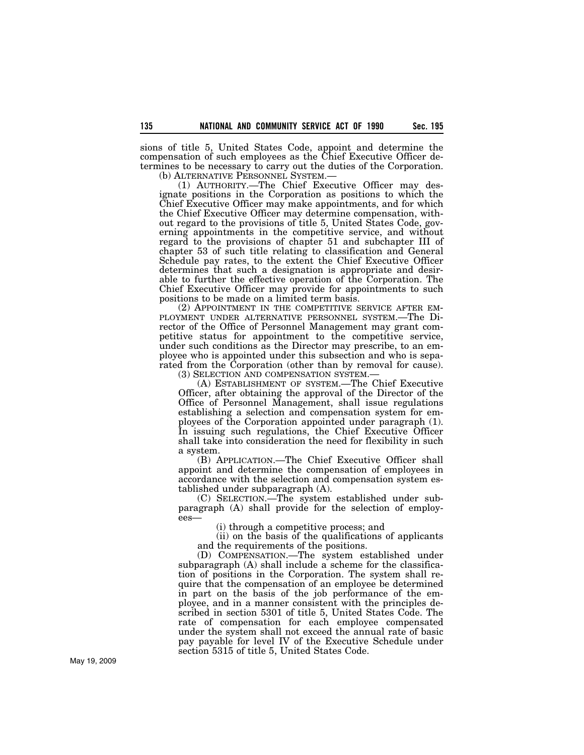sions of title 5, United States Code, appoint and determine the compensation of such employees as the Chief Executive Officer determines to be necessary to carry out the duties of the Corporation.

(b) ALTERNATIVE PERSONNEL SYSTEM.— (1) AUTHORITY.—The Chief Executive Officer may designate positions in the Corporation as positions to which the Chief Executive Officer may make appointments, and for which the Chief Executive Officer may determine compensation, without regard to the provisions of title 5, United States Code, governing appointments in the competitive service, and without regard to the provisions of chapter 51 and subchapter III of chapter 53 of such title relating to classification and General Schedule pay rates, to the extent the Chief Executive Officer determines that such a designation is appropriate and desirable to further the effective operation of the Corporation. The Chief Executive Officer may provide for appointments to such positions to be made on a limited term basis.<br>(2) APPOINTMENT IN THE COMPETITIVE SERVICE AFTER EM-

PLOYMENT UNDER ALTERNATIVE PERSONNEL SYSTEM.—The Director of the Office of Personnel Management may grant competitive status for appointment to the competitive service, under such conditions as the Director may prescribe, to an employee who is appointed under this subsection and who is separated from the Corporation (other than by removal for cause). (3) SELECTION AND COMPENSATION SYSTEM.—

(A) ESTABLISHMENT OF SYSTEM.—The Chief Executive Officer, after obtaining the approval of the Director of the Office of Personnel Management, shall issue regulations establishing a selection and compensation system for employees of the Corporation appointed under paragraph (1). In issuing such regulations, the Chief Executive Officer shall take into consideration the need for flexibility in such a system.

(B) APPLICATION.—The Chief Executive Officer shall appoint and determine the compensation of employees in accordance with the selection and compensation system established under subparagraph (A).

(C) SELECTION.—The system established under subparagraph (A) shall provide for the selection of employees—

(i) through a competitive process; and

(ii) on the basis of the qualifications of applicants and the requirements of the positions.

(D) COMPENSATION.—The system established under subparagraph (A) shall include a scheme for the classification of positions in the Corporation. The system shall require that the compensation of an employee be determined in part on the basis of the job performance of the employee, and in a manner consistent with the principles described in section 5301 of title 5, United States Code. The rate of compensation for each employee compensated under the system shall not exceed the annual rate of basic pay payable for level IV of the Executive Schedule under section 5315 of title 5, United States Code.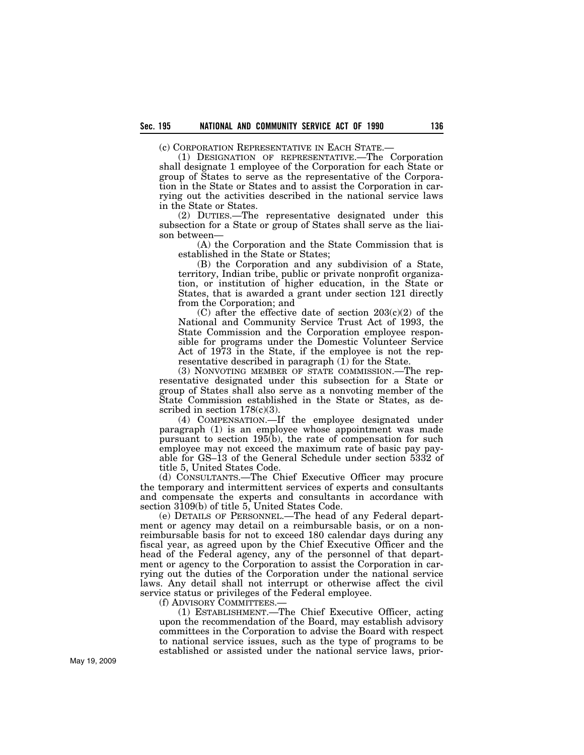(c) CORPORATION REPRESENTATIVE IN EACH STATE.—

(1) DESIGNATION OF REPRESENTATIVE.—The Corporation shall designate 1 employee of the Corporation for each State or group of States to serve as the representative of the Corporation in the State or States and to assist the Corporation in carrying out the activities described in the national service laws in the State or States.

(2) DUTIES.—The representative designated under this subsection for a State or group of States shall serve as the liaison between—

(A) the Corporation and the State Commission that is established in the State or States;

(B) the Corporation and any subdivision of a State, territory, Indian tribe, public or private nonprofit organization, or institution of higher education, in the State or States, that is awarded a grant under section 121 directly from the Corporation; and

(C) after the effective date of section 203(c)(2) of the National and Community Service Trust Act of 1993, the State Commission and the Corporation employee responsible for programs under the Domestic Volunteer Service Act of 1973 in the State, if the employee is not the representative described in paragraph (1) for the State.

(3) NONVOTING MEMBER OF STATE COMMISSION.—The representative designated under this subsection for a State or group of States shall also serve as a nonvoting member of the State Commission established in the State or States, as described in section  $178(c)(3)$ .

(4) COMPENSATION.—If the employee designated under paragraph (1) is an employee whose appointment was made pursuant to section 195(b), the rate of compensation for such employee may not exceed the maximum rate of basic pay payable for GS–13 of the General Schedule under section 5332 of title 5, United States Code.

(d) CONSULTANTS.—The Chief Executive Officer may procure the temporary and intermittent services of experts and consultants and compensate the experts and consultants in accordance with section 3109(b) of title 5, United States Code.

(e) DETAILS OF PERSONNEL.—The head of any Federal department or agency may detail on a reimbursable basis, or on a nonreimbursable basis for not to exceed 180 calendar days during any fiscal year, as agreed upon by the Chief Executive Officer and the head of the Federal agency, any of the personnel of that department or agency to the Corporation to assist the Corporation in carrying out the duties of the Corporation under the national service laws. Any detail shall not interrupt or otherwise affect the civil service status or privileges of the Federal employee.

(f) ADVISORY COMMITTEES.—

(1) ESTABLISHMENT.—The Chief Executive Officer, acting upon the recommendation of the Board, may establish advisory committees in the Corporation to advise the Board with respect to national service issues, such as the type of programs to be established or assisted under the national service laws, prior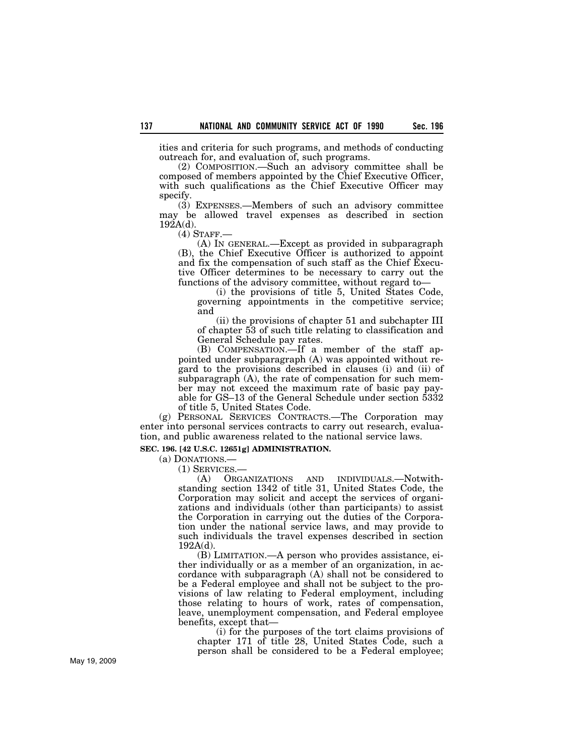ities and criteria for such programs, and methods of conducting outreach for, and evaluation of, such programs.

(2) COMPOSITION.—Such an advisory committee shall be composed of members appointed by the Chief Executive Officer, with such qualifications as the Chief Executive Officer may specify.

(3) EXPENSES.—Members of such an advisory committee may be allowed travel expenses as described in section  $192A(d)$ .

(4) STAFF.—

(A) IN GENERAL.—Except as provided in subparagraph (B), the Chief Executive Officer is authorized to appoint and fix the compensation of such staff as the Chief Executive Officer determines to be necessary to carry out the functions of the advisory committee, without regard to—

(i) the provisions of title 5, United States Code, governing appointments in the competitive service; and

(ii) the provisions of chapter 51 and subchapter III of chapter 53 of such title relating to classification and General Schedule pay rates.

(B) COMPENSATION.—If a member of the staff appointed under subparagraph (A) was appointed without regard to the provisions described in clauses (i) and (ii) of subparagraph (A), the rate of compensation for such member may not exceed the maximum rate of basic pay payable for GS–13 of the General Schedule under section 5332 of title 5, United States Code.

(g) PERSONAL SERVICES CONTRACTS.—The Corporation may enter into personal services contracts to carry out research, evaluation, and public awareness related to the national service laws.

#### **SEC. 196. [42 U.S.C. 12651g] ADMINISTRATION.**

(a) DONATIONS.—

(1) SERVICES.—

(A) ORGANIZATIONS AND INDIVIDUALS.—Notwithstanding section 1342 of title 31, United States Code, the Corporation may solicit and accept the services of organizations and individuals (other than participants) to assist the Corporation in carrying out the duties of the Corporation under the national service laws, and may provide to such individuals the travel expenses described in section 192A(d).

(B) LIMITATION.—A person who provides assistance, either individually or as a member of an organization, in accordance with subparagraph (A) shall not be considered to be a Federal employee and shall not be subject to the provisions of law relating to Federal employment, including those relating to hours of work, rates of compensation, leave, unemployment compensation, and Federal employee benefits, except that—

(i) for the purposes of the tort claims provisions of chapter 171 of title 28, United States Code, such a person shall be considered to be a Federal employee;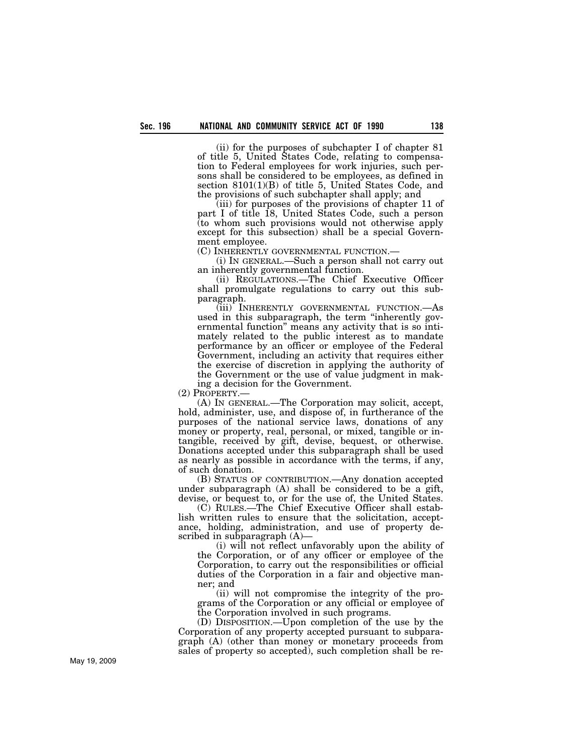(ii) for the purposes of subchapter I of chapter 81 of title 5, United States Code, relating to compensation to Federal employees for work injuries, such persons shall be considered to be employees, as defined in section 8101(1)(B) of title 5, United States Code, and the provisions of such subchapter shall apply; and

(iii) for purposes of the provisions of chapter 11 of part I of title 18, United States Code, such a person (to whom such provisions would not otherwise apply except for this subsection) shall be a special Government employee.<br>(C) INHERENTLY GOVERNMENTAL FUNCTION.—

 $(i)$  In GENERAL.—Such a person shall not carry out an inherently governmental function.

(ii) REGULATIONS.—The Chief Executive Officer shall promulgate regulations to carry out this subparagraph.

(iii) INHERENTLY GOVERNMENTAL FUNCTION.—As used in this subparagraph, the term ''inherently governmental function'' means any activity that is so intimately related to the public interest as to mandate performance by an officer or employee of the Federal Government, including an activity that requires either the exercise of discretion in applying the authority of the Government or the use of value judgment in mak-

ing a decision for the Government.

(2) PROPERTY.—

(A) IN GENERAL.—The Corporation may solicit, accept, hold, administer, use, and dispose of, in furtherance of the purposes of the national service laws, donations of any money or property, real, personal, or mixed, tangible or intangible, received by gift, devise, bequest, or otherwise. Donations accepted under this subparagraph shall be used as nearly as possible in accordance with the terms, if any, of such donation.

(B) STATUS OF CONTRIBUTION.—Any donation accepted under subparagraph (A) shall be considered to be a gift, devise, or bequest to, or for the use of, the United States.

(C) RULES.—The Chief Executive Officer shall establish written rules to ensure that the solicitation, acceptance, holding, administration, and use of property described in subparagraph (A)—

(i) will not reflect unfavorably upon the ability of the Corporation, or of any officer or employee of the Corporation, to carry out the responsibilities or official duties of the Corporation in a fair and objective manner; and

(ii) will not compromise the integrity of the programs of the Corporation or any official or employee of the Corporation involved in such programs.

(D) DISPOSITION.—Upon completion of the use by the Corporation of any property accepted pursuant to subparagraph (A) (other than money or monetary proceeds from sales of property so accepted), such completion shall be re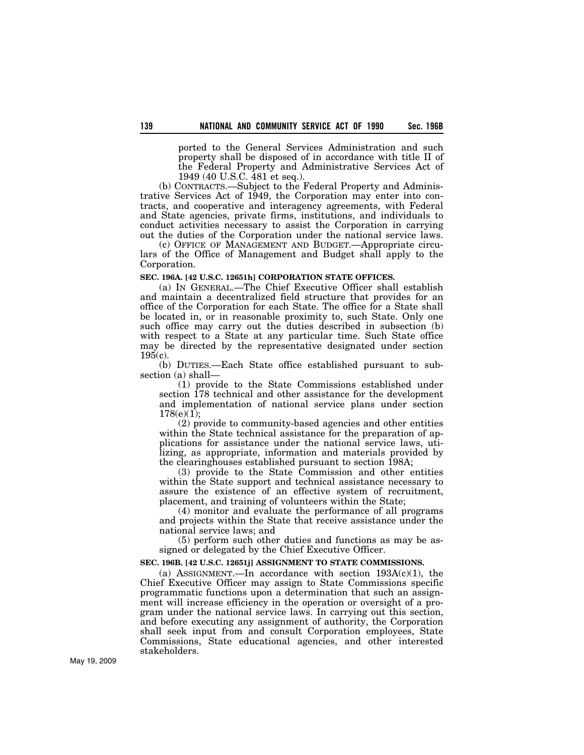ported to the General Services Administration and such property shall be disposed of in accordance with title II of the Federal Property and Administrative Services Act of 1949 (40 U.S.C. 481 et seq.).

(b) CONTRACTS.—Subject to the Federal Property and Administrative Services Act of 1949, the Corporation may enter into contracts, and cooperative and interagency agreements, with Federal and State agencies, private firms, institutions, and individuals to conduct activities necessary to assist the Corporation in carrying out the duties of the Corporation under the national service laws.

(c) OFFICE OF MANAGEMENT AND BUDGET.—Appropriate circulars of the Office of Management and Budget shall apply to the Corporation.

### **SEC. 196A. [42 U.S.C. 12651h] CORPORATION STATE OFFICES.**

(a) IN GENERAL.—The Chief Executive Officer shall establish and maintain a decentralized field structure that provides for an office of the Corporation for each State. The office for a State shall be located in, or in reasonable proximity to, such State. Only one such office may carry out the duties described in subsection (b) with respect to a State at any particular time. Such State office may be directed by the representative designated under section  $195(c)$ .

(b) DUTIES.—Each State office established pursuant to subsection (a) shall—

(1) provide to the State Commissions established under section 178 technical and other assistance for the development and implementation of national service plans under section 178(e)(1);

(2) provide to community-based agencies and other entities within the State technical assistance for the preparation of applications for assistance under the national service laws, utilizing, as appropriate, information and materials provided by the clearinghouses established pursuant to section 198A;

(3) provide to the State Commission and other entities within the State support and technical assistance necessary to assure the existence of an effective system of recruitment, placement, and training of volunteers within the State;

(4) monitor and evaluate the performance of all programs and projects within the State that receive assistance under the national service laws; and

(5) perform such other duties and functions as may be assigned or delegated by the Chief Executive Officer.

#### **SEC. 196B. [42 U.S.C. 12651j] ASSIGNMENT TO STATE COMMISSIONS.**

(a) ASSIGNMENT.—In accordance with section  $193A(c)(1)$ , the Chief Executive Officer may assign to State Commissions specific programmatic functions upon a determination that such an assignment will increase efficiency in the operation or oversight of a program under the national service laws. In carrying out this section, and before executing any assignment of authority, the Corporation shall seek input from and consult Corporation employees, State Commissions, State educational agencies, and other interested stakeholders.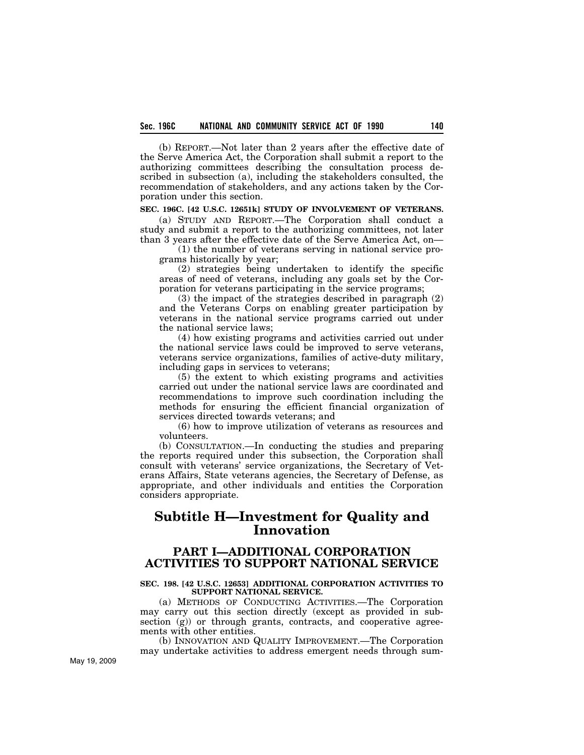(b) REPORT.—Not later than 2 years after the effective date of the Serve America Act, the Corporation shall submit a report to the authorizing committees describing the consultation process described in subsection (a), including the stakeholders consulted, the recommendation of stakeholders, and any actions taken by the Corporation under this section.

### **SEC. 196C. [42 U.S.C. 12651k] STUDY OF INVOLVEMENT OF VETERANS.**

(a) STUDY AND REPORT.—The Corporation shall conduct a study and submit a report to the authorizing committees, not later than 3 years after the effective date of the Serve America Act, on—

(1) the number of veterans serving in national service programs historically by year;

(2) strategies being undertaken to identify the specific areas of need of veterans, including any goals set by the Corporation for veterans participating in the service programs;

(3) the impact of the strategies described in paragraph (2) and the Veterans Corps on enabling greater participation by veterans in the national service programs carried out under the national service laws;

(4) how existing programs and activities carried out under the national service laws could be improved to serve veterans, veterans service organizations, families of active-duty military, including gaps in services to veterans;

(5) the extent to which existing programs and activities carried out under the national service laws are coordinated and recommendations to improve such coordination including the methods for ensuring the efficient financial organization of services directed towards veterans; and

(6) how to improve utilization of veterans as resources and volunteers.

(b) CONSULTATION.—In conducting the studies and preparing the reports required under this subsection, the Corporation shall consult with veterans' service organizations, the Secretary of Veterans Affairs, State veterans agencies, the Secretary of Defense, as appropriate, and other individuals and entities the Corporation considers appropriate.

# **Subtitle H—Investment for Quality and Innovation**

# **PART I—ADDITIONAL CORPORATION ACTIVITIES TO SUPPORT NATIONAL SERVICE**

#### **SEC. 198. [42 U.S.C. 12653] ADDITIONAL CORPORATION ACTIVITIES TO SUPPORT NATIONAL SERVICE.**

(a) METHODS OF CONDUCTING ACTIVITIES.—The Corporation may carry out this section directly (except as provided in subsection (g)) or through grants, contracts, and cooperative agreements with other entities.

(b) INNOVATION AND QUALITY IMPROVEMENT.—The Corporation may undertake activities to address emergent needs through sum-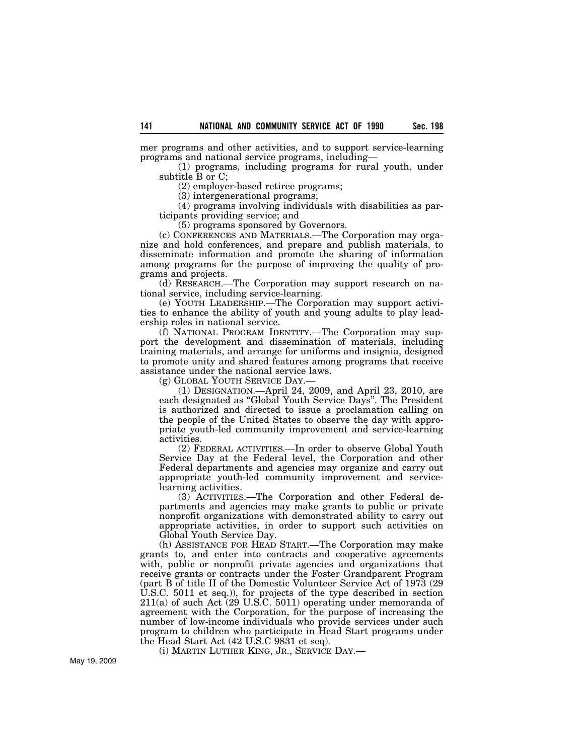mer programs and other activities, and to support service-learning programs and national service programs, including—

(1) programs, including programs for rural youth, under subtitle B or C;

(2) employer-based retiree programs;

(3) intergenerational programs;

(4) programs involving individuals with disabilities as participants providing service; and

(5) programs sponsored by Governors.

(c) CONFERENCES AND MATERIALS.—The Corporation may organize and hold conferences, and prepare and publish materials, to disseminate information and promote the sharing of information among programs for the purpose of improving the quality of programs and projects.

(d) RESEARCH.—The Corporation may support research on national service, including service-learning.

(e) YOUTH LEADERSHIP.—The Corporation may support activities to enhance the ability of youth and young adults to play leadership roles in national service.

(f) NATIONAL PROGRAM IDENTITY.—The Corporation may support the development and dissemination of materials, including training materials, and arrange for uniforms and insignia, designed to promote unity and shared features among programs that receive assistance under the national service laws.

(g) GLOBAL YOUTH SERVICE DAY.—

(1) DESIGNATION.—April 24, 2009, and April 23, 2010, are each designated as ''Global Youth Service Days''. The President is authorized and directed to issue a proclamation calling on the people of the United States to observe the day with appropriate youth-led community improvement and service-learning activities.

(2) FEDERAL ACTIVITIES.—In order to observe Global Youth Service Day at the Federal level, the Corporation and other Federal departments and agencies may organize and carry out appropriate youth-led community improvement and servicelearning activities.

(3) ACTIVITIES.—The Corporation and other Federal departments and agencies may make grants to public or private nonprofit organizations with demonstrated ability to carry out appropriate activities, in order to support such activities on Global Youth Service Day.

(h) ASSISTANCE FOR HEAD START.—The Corporation may make grants to, and enter into contracts and cooperative agreements with, public or nonprofit private agencies and organizations that receive grants or contracts under the Foster Grandparent Program (part B of title II of the Domestic Volunteer Service Act of 1973 (29 U.S.C. 5011 et seq.)), for projects of the type described in section  $211(a)$  of such Act (29 U.S.C. 5011) operating under memoranda of agreement with the Corporation, for the purpose of increasing the number of low-income individuals who provide services under such program to children who participate in Head Start programs under the Head Start Act (42 U.S.C 9831 et seq).

(i) MARTIN LUTHER KING, JR., SERVICE DAY.—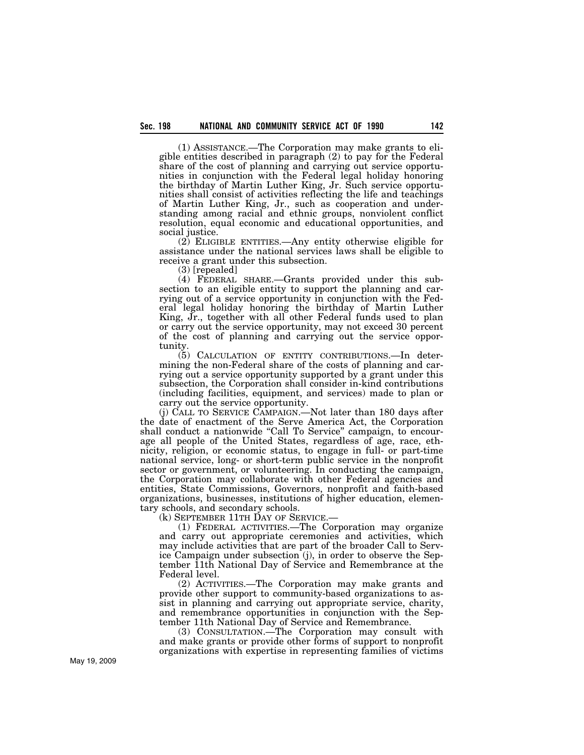(1) ASSISTANCE.—The Corporation may make grants to eligible entities described in paragraph (2) to pay for the Federal share of the cost of planning and carrying out service opportunities in conjunction with the Federal legal holiday honoring the birthday of Martin Luther King, Jr. Such service opportunities shall consist of activities reflecting the life and teachings of Martin Luther King, Jr., such as cooperation and understanding among racial and ethnic groups, nonviolent conflict resolution, equal economic and educational opportunities, and social justice.

(2) ELIGIBLE ENTITIES.—Any entity otherwise eligible for assistance under the national services laws shall be eligible to receive a grant under this subsection.

(3) [repealed]

(4) FEDERAL SHARE.—Grants provided under this subsection to an eligible entity to support the planning and carrying out of a service opportunity in conjunction with the Federal legal holiday honoring the birthday of Martin Luther King, Jr., together with all other Federal funds used to plan or carry out the service opportunity, may not exceed 30 percent of the cost of planning and carrying out the service opportunity.

(5) CALCULATION OF ENTITY CONTRIBUTIONS.—In determining the non-Federal share of the costs of planning and carrying out a service opportunity supported by a grant under this subsection, the Corporation shall consider in-kind contributions (including facilities, equipment, and services) made to plan or carry out the service opportunity.

(j) CALL TO SERVICE CAMPAIGN.—Not later than 180 days after the date of enactment of the Serve America Act, the Corporation shall conduct a nationwide "Call To Service" campaign, to encourage all people of the United States, regardless of age, race, ethnicity, religion, or economic status, to engage in full- or part-time national service, long- or short-term public service in the nonprofit sector or government, or volunteering. In conducting the campaign, the Corporation may collaborate with other Federal agencies and entities, State Commissions, Governors, nonprofit and faith-based organizations, businesses, institutions of higher education, elementary schools, and secondary schools.

(k) SEPTEMBER 11TH DAY OF SERVICE.—

(1) FEDERAL ACTIVITIES.—The Corporation may organize and carry out appropriate ceremonies and activities, which may include activities that are part of the broader Call to Service Campaign under subsection (j), in order to observe the September 11th National Day of Service and Remembrance at the Federal level.

(2) ACTIVITIES.—The Corporation may make grants and provide other support to community-based organizations to assist in planning and carrying out appropriate service, charity, and remembrance opportunities in conjunction with the September 11th National Day of Service and Remembrance.

(3) CONSULTATION.—The Corporation may consult with and make grants or provide other forms of support to nonprofit organizations with expertise in representing families of victims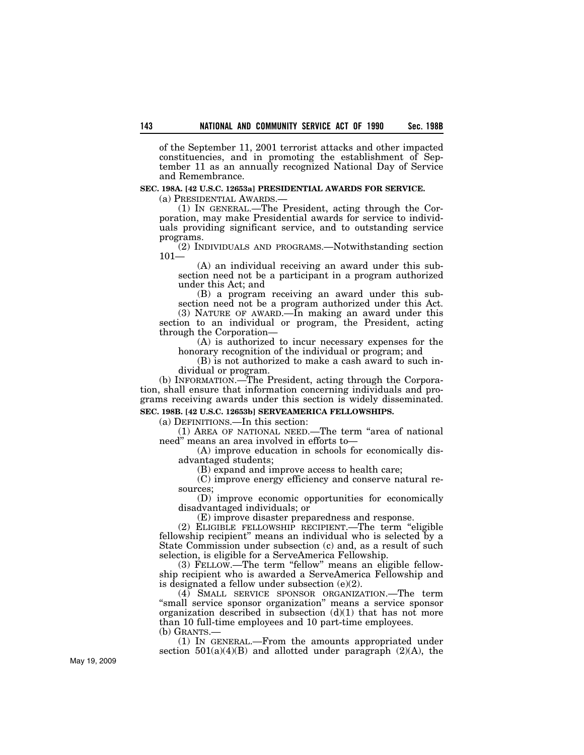of the September 11, 2001 terrorist attacks and other impacted constituencies, and in promoting the establishment of September 11 as an annually recognized National Day of Service and Remembrance.

### **SEC. 198A. [42 U.S.C. 12653a] PRESIDENTIAL AWARDS FOR SERVICE.**

(a) PRESIDENTIAL AWARDS.—

(1) IN GENERAL.—The President, acting through the Corporation, may make Presidential awards for service to individuals providing significant service, and to outstanding service programs.

(2) INDIVIDUALS AND PROGRAMS.—Notwithstanding section 101—

(A) an individual receiving an award under this subsection need not be a participant in a program authorized under this Act; and

(B) a program receiving an award under this subsection need not be a program authorized under this Act.

(3) NATURE OF AWARD.—In making an award under this section to an individual or program, the President, acting through the Corporation—

(A) is authorized to incur necessary expenses for the honorary recognition of the individual or program; and

(B) is not authorized to make a cash award to such individual or program.

(b) INFORMATION.—The President, acting through the Corporation, shall ensure that information concerning individuals and programs receiving awards under this section is widely disseminated. **SEC. 198B. [42 U.S.C. 12653b] SERVEAMERICA FELLOWSHIPS.** 

# (a) DEFINITIONS.—In this section:

(1) AREA OF NATIONAL NEED.—The term ''area of national need'' means an area involved in efforts to—

(A) improve education in schools for economically disadvantaged students;

(B) expand and improve access to health care;

(C) improve energy efficiency and conserve natural resources;

(D) improve economic opportunities for economically disadvantaged individuals; or

(E) improve disaster preparedness and response.

(2) ELIGIBLE FELLOWSHIP RECIPIENT.—The term ''eligible fellowship recipient'' means an individual who is selected by a State Commission under subsection (c) and, as a result of such selection, is eligible for a ServeAmerica Fellowship.

(3) FELLOW.—The term "fellow" means an eligible fellowship recipient who is awarded a ServeAmerica Fellowship and is designated a fellow under subsection (e)(2).

(4) SMALL SERVICE SPONSOR ORGANIZATION.—The term ''small service sponsor organization'' means a service sponsor organization described in subsection  $(d)(1)$  that has not more than 10 full-time employees and 10 part-time employees. (b) GRANTS.—

(1) IN GENERAL.—From the amounts appropriated under section  $501(a)(4)(B)$  and allotted under paragraph  $(2)(A)$ , the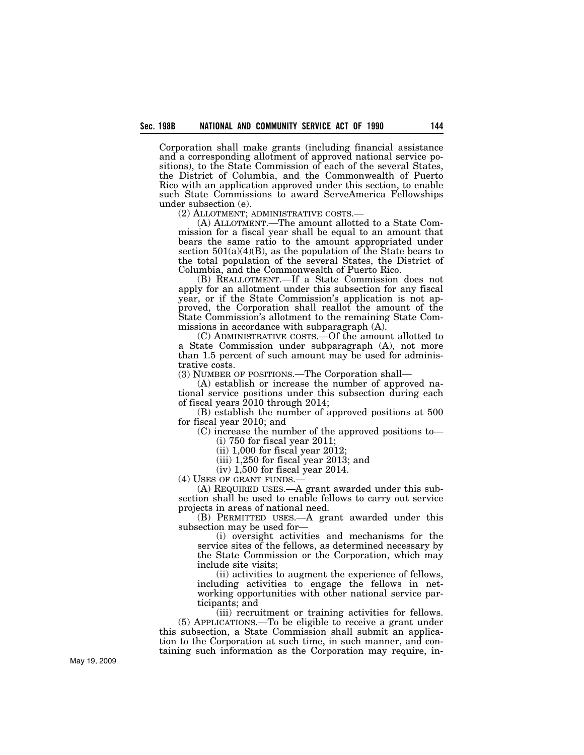Corporation shall make grants (including financial assistance and a corresponding allotment of approved national service positions), to the State Commission of each of the several States, the District of Columbia, and the Commonwealth of Puerto Rico with an application approved under this section, to enable such State Commissions to award ServeAmerica Fellowships under subsection (e).<br>
(2) ALLOTMENT; ADMINISTRATIVE COSTS.-

 $(A)$  ALLOTMENT.—The amount allotted to a State Commission for a fiscal year shall be equal to an amount that bears the same ratio to the amount appropriated under section  $501(a)(4)(B)$ , as the population of the State bears to the total population of the several States, the District of Columbia, and the Commonwealth of Puerto Rico.

(B) REALLOTMENT.—If a State Commission does not apply for an allotment under this subsection for any fiscal year, or if the State Commission's application is not approved, the Corporation shall reallot the amount of the State Commission's allotment to the remaining State Commissions in accordance with subparagraph (A).

(C) ADMINISTRATIVE COSTS.—Of the amount allotted to a State Commission under subparagraph (A), not more than 1.5 percent of such amount may be used for administrative costs.

(3) NUMBER OF POSITIONS.—The Corporation shall—

(A) establish or increase the number of approved national service positions under this subsection during each of fiscal years 2010 through 2014;

(B) establish the number of approved positions at 500 for fiscal year 2010; and

(C) increase the number of the approved positions to—

(i) 750 for fiscal year 2011;

(ii) 1,000 for fiscal year 2012;

(iii) 1,250 for fiscal year 2013; and

(iv) 1,500 for fiscal year 2014.

(4) USES OF GRANT FUNDS.—

(A) REQUIRED USES.—A grant awarded under this subsection shall be used to enable fellows to carry out service projects in areas of national need.

(B) PERMITTED USES.—A grant awarded under this subsection may be used for—

(i) oversight activities and mechanisms for the service sites of the fellows, as determined necessary by the State Commission or the Corporation, which may include site visits;

(ii) activities to augment the experience of fellows, including activities to engage the fellows in networking opportunities with other national service participants; and

(iii) recruitment or training activities for fellows. (5) APPLICATIONS.—To be eligible to receive a grant under this subsection, a State Commission shall submit an application to the Corporation at such time, in such manner, and containing such information as the Corporation may require, in-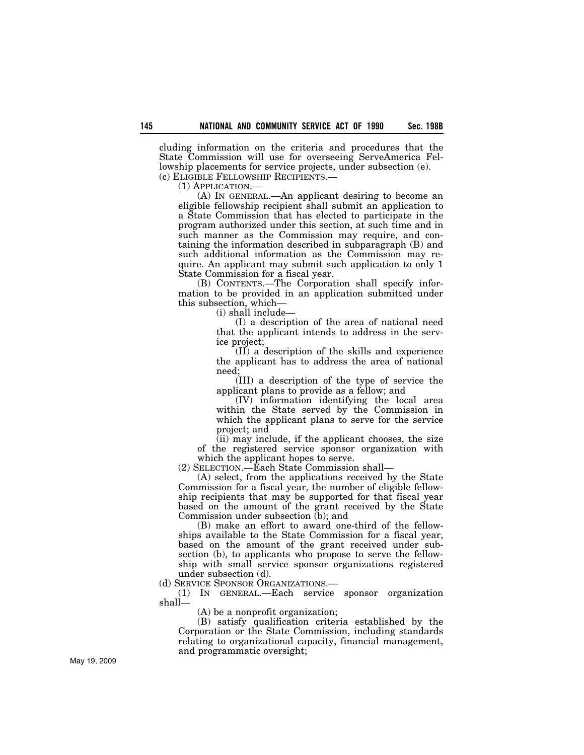cluding information on the criteria and procedures that the State Commission will use for overseeing ServeAmerica Fellowship placements for service projects, under subsection (e).

(c) ELIGIBLE FELLOWSHIP RECIPIENTS.—

(1) APPLICATION.—

(A) IN GENERAL.—An applicant desiring to become an eligible fellowship recipient shall submit an application to a State Commission that has elected to participate in the program authorized under this section, at such time and in such manner as the Commission may require, and containing the information described in subparagraph (B) and such additional information as the Commission may require. An applicant may submit such application to only 1 State Commission for a fiscal year.

(B) CONTENTS.—The Corporation shall specify information to be provided in an application submitted under this subsection, which—

(i) shall include—

(I) a description of the area of national need that the applicant intends to address in the service project;

(II) a description of the skills and experience the applicant has to address the area of national need;

(III) a description of the type of service the applicant plans to provide as a fellow; and

(IV) information identifying the local area within the State served by the Commission in which the applicant plans to serve for the service project; and

 $(iii)$  may include, if the applicant chooses, the size of the registered service sponsor organization with which the applicant hopes to serve.

(2) SELECTION.—Each State Commission shall—

(A) select, from the applications received by the State Commission for a fiscal year, the number of eligible fellowship recipients that may be supported for that fiscal year based on the amount of the grant received by the State Commission under subsection (b); and

(B) make an effort to award one-third of the fellowships available to the State Commission for a fiscal year, based on the amount of the grant received under subsection (b), to applicants who propose to serve the fellowship with small service sponsor organizations registered under subsection (d).

(d) SERVICE SPONSOR ORGANIZATIONS.—

(1) IN GENERAL.—Each service sponsor organization shall—

(A) be a nonprofit organization;

(B) satisfy qualification criteria established by the Corporation or the State Commission, including standards relating to organizational capacity, financial management, and programmatic oversight;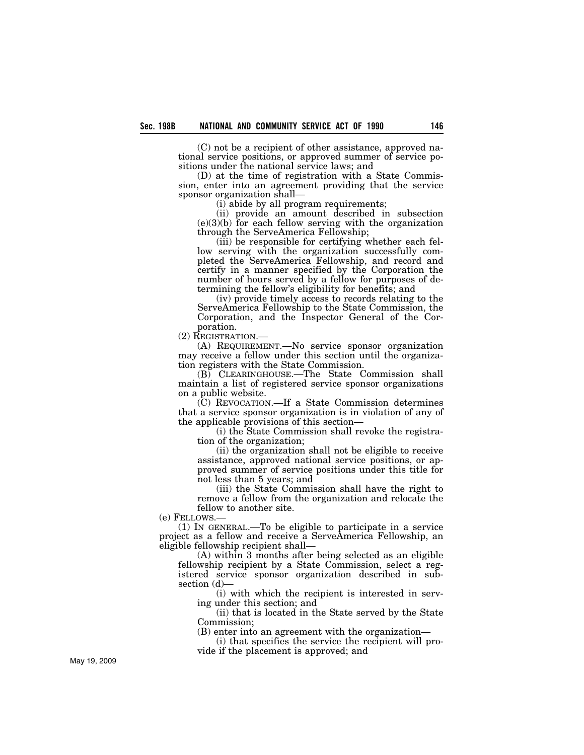(C) not be a recipient of other assistance, approved national service positions, or approved summer of service positions under the national service laws; and

(D) at the time of registration with a State Commission, enter into an agreement providing that the service sponsor organization shall—

(i) abide by all program requirements;

(ii) provide an amount described in subsection  $(e)(3)(b)$  for each fellow serving with the organization through the ServeAmerica Fellowship;

(iii) be responsible for certifying whether each fellow serving with the organization successfully completed the ServeAmerica Fellowship, and record and certify in a manner specified by the Corporation the number of hours served by a fellow for purposes of determining the fellow's eligibility for benefits; and

(iv) provide timely access to records relating to the ServeAmerica Fellowship to the State Commission, the Corporation, and the Inspector General of the Corporation.

(2) REGISTRATION.— (A) REQUIREMENT.—No service sponsor organization may receive a fellow under this section until the organization registers with the State Commission.

(B) CLEARINGHOUSE.—The State Commission shall maintain a list of registered service sponsor organizations on a public website.

(C) REVOCATION.—If a State Commission determines that a service sponsor organization is in violation of any of the applicable provisions of this section—

(i) the State Commission shall revoke the registration of the organization;

(ii) the organization shall not be eligible to receive assistance, approved national service positions, or approved summer of service positions under this title for not less than 5 years; and

(iii) the State Commission shall have the right to remove a fellow from the organization and relocate the fellow to another site.

(e) FELLOWS.—

(1) IN GENERAL.—To be eligible to participate in a service project as a fellow and receive a ServeAmerica Fellowship, an eligible fellowship recipient shall—

(A) within 3 months after being selected as an eligible fellowship recipient by a State Commission, select a registered service sponsor organization described in subsection (d)—

(i) with which the recipient is interested in serving under this section; and

(ii) that is located in the State served by the State Commission;

(B) enter into an agreement with the organization—

(i) that specifies the service the recipient will provide if the placement is approved; and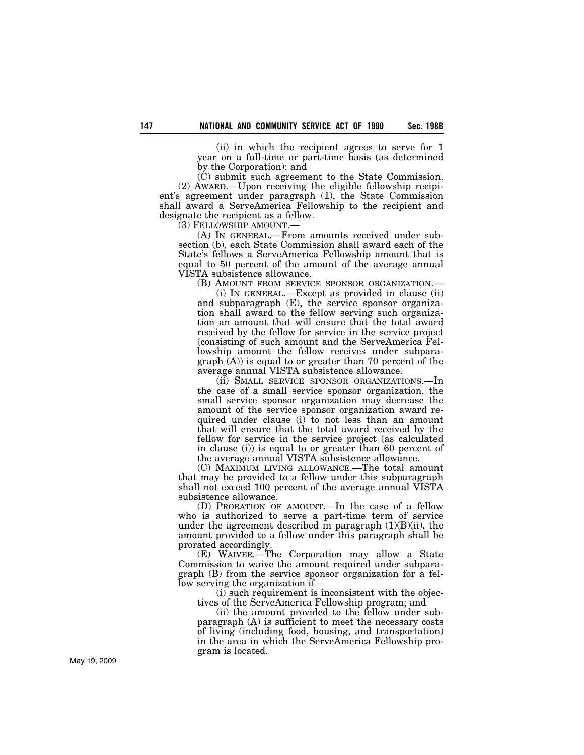(ii) in which the recipient agrees to serve for 1 year on a full-time or part-time basis (as determined by the Corporation); and

(C) submit such agreement to the State Commission. (2) AWARD.—Upon receiving the eligible fellowship recipient's agreement under paragraph (1), the State Commission shall award a ServeAmerica Fellowship to the recipient and designate the recipient as a fellow.

(3) FELLOWSHIP AMOUNT.—

(A) IN GENERAL.—From amounts received under subsection (b), each State Commission shall award each of the State's fellows a ServeAmerica Fellowship amount that is equal to 50 percent of the amount of the average annual VISTA subsistence allowance.

(B) AMOUNT FROM SERVICE SPONSOR ORGANIZATION.—

(i) IN GENERAL.—Except as provided in clause (ii) and subparagraph (E), the service sponsor organization shall award to the fellow serving such organization an amount that will ensure that the total award received by the fellow for service in the service project (consisting of such amount and the ServeAmerica Fellowship amount the fellow receives under subpara $graph(A)$  is equal to or greater than 70 percent of the average annual VISTA subsistence allowance.

(ii) SMALL SERVICE SPONSOR ORGANIZATIONS.—In the case of a small service sponsor organization, the small service sponsor organization may decrease the amount of the service sponsor organization award required under clause (i) to not less than an amount that will ensure that the total award received by the fellow for service in the service project (as calculated in clause (i)) is equal to or greater than 60 percent of the average annual VISTA subsistence allowance.

(C) MAXIMUM LIVING ALLOWANCE.—The total amount that may be provided to a fellow under this subparagraph shall not exceed 100 percent of the average annual VISTA subsistence allowance.

(D) PRORATION OF AMOUNT.—In the case of a fellow who is authorized to serve a part-time term of service under the agreement described in paragraph  $(1)(B)(ii)$ , the amount provided to a fellow under this paragraph shall be prorated accordingly.

(E) WAIVER.—The Corporation may allow a State Commission to waive the amount required under subparagraph (B) from the service sponsor organization for a fellow serving the organization if—

(i) such requirement is inconsistent with the objectives of the ServeAmerica Fellowship program; and

(ii) the amount provided to the fellow under subparagraph (A) is sufficient to meet the necessary costs of living (including food, housing, and transportation) in the area in which the ServeAmerica Fellowship program is located.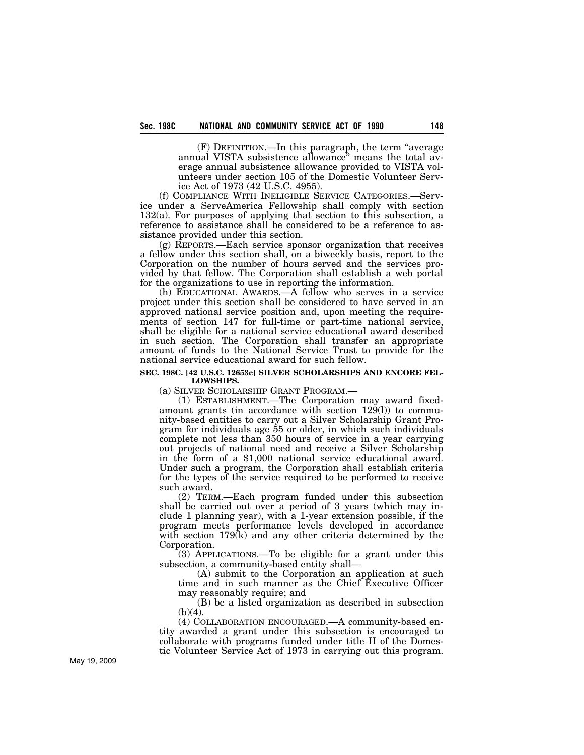(F) DEFINITION.—In this paragraph, the term ''average annual VISTA subsistence allowance'' means the total average annual subsistence allowance provided to VISTA volunteers under section 105 of the Domestic Volunteer Service Act of 1973 (42 U.S.C. 4955).

(f) COMPLIANCE WITH INELIGIBLE SERVICE CATEGORIES.—Service under a ServeAmerica Fellowship shall comply with section  $132(a)$ . For purposes of applying that section to this subsection, a reference to assistance shall be considered to be a reference to assistance provided under this section.

(g) REPORTS.—Each service sponsor organization that receives a fellow under this section shall, on a biweekly basis, report to the Corporation on the number of hours served and the services provided by that fellow. The Corporation shall establish a web portal for the organizations to use in reporting the information.

(h) EDUCATIONAL AWARDS.—A fellow who serves in a service project under this section shall be considered to have served in an approved national service position and, upon meeting the requirements of section 147 for full-time or part-time national service, shall be eligible for a national service educational award described in such section. The Corporation shall transfer an appropriate amount of funds to the National Service Trust to provide for the national service educational award for such fellow.

#### **SEC. 198C. [42 U.S.C. 12653c] SILVER SCHOLARSHIPS AND ENCORE FEL-LOWSHIPS.**

(a) SILVER SCHOLARSHIP GRANT PROGRAM.—

(1) ESTABLISHMENT.—The Corporation may award fixedamount grants (in accordance with section 129(l)) to community-based entities to carry out a Silver Scholarship Grant Program for individuals age 55 or older, in which such individuals complete not less than 350 hours of service in a year carrying out projects of national need and receive a Silver Scholarship in the form of a \$1,000 national service educational award. Under such a program, the Corporation shall establish criteria for the types of the service required to be performed to receive such award.

(2) TERM.—Each program funded under this subsection shall be carried out over a period of 3 years (which may include 1 planning year), with a 1-year extension possible, if the program meets performance levels developed in accordance with section  $179(k)$  and any other criteria determined by the Corporation.

(3) APPLICATIONS.—To be eligible for a grant under this subsection, a community-based entity shall—

(A) submit to the Corporation an application at such time and in such manner as the Chief Executive Officer may reasonably require; and

(B) be a listed organization as described in subsection  $(b)(4)$ .

(4) COLLABORATION ENCOURAGED.—A community-based entity awarded a grant under this subsection is encouraged to collaborate with programs funded under title II of the Domestic Volunteer Service Act of 1973 in carrying out this program.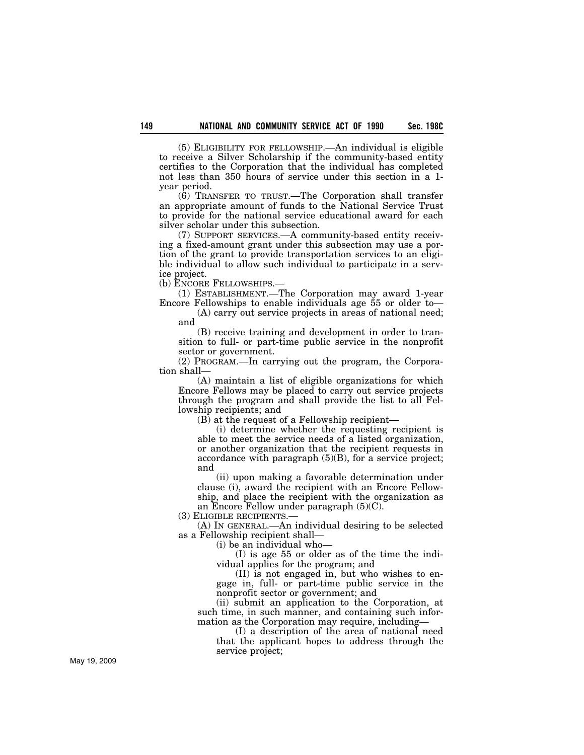(5) ELIGIBILITY FOR FELLOWSHIP.—An individual is eligible to receive a Silver Scholarship if the community-based entity certifies to the Corporation that the individual has completed not less than 350 hours of service under this section in a 1 year period.

(6) TRANSFER TO TRUST.—The Corporation shall transfer an appropriate amount of funds to the National Service Trust to provide for the national service educational award for each silver scholar under this subsection.

(7) SUPPORT SERVICES.—A community-based entity receiving a fixed-amount grant under this subsection may use a portion of the grant to provide transportation services to an eligible individual to allow such individual to participate in a service project.

(b) ENCORE FELLOWSHIPS.—

(1) ESTABLISHMENT.—The Corporation may award 1-year Encore Fellowships to enable individuals age 55 or older to—

(A) carry out service projects in areas of national need; and

(B) receive training and development in order to transition to full- or part-time public service in the nonprofit sector or government.

(2) PROGRAM.—In carrying out the program, the Corporation shall—

(A) maintain a list of eligible organizations for which Encore Fellows may be placed to carry out service projects through the program and shall provide the list to all Fellowship recipients; and

(B) at the request of a Fellowship recipient—

(i) determine whether the requesting recipient is able to meet the service needs of a listed organization, or another organization that the recipient requests in accordance with paragraph  $(5)(B)$ , for a service project; and

(ii) upon making a favorable determination under clause (i), award the recipient with an Encore Fellowship, and place the recipient with the organization as an Encore Fellow under paragraph (5)(C).

(3) ELIGIBLE RECIPIENTS.—

(A) IN GENERAL.—An individual desiring to be selected as a Fellowship recipient shall—

(i) be an individual who—

(I) is age 55 or older as of the time the individual applies for the program; and

(II) is not engaged in, but who wishes to engage in, full- or part-time public service in the nonprofit sector or government; and

(ii) submit an application to the Corporation, at such time, in such manner, and containing such information as the Corporation may require, including—

(I) a description of the area of national need

that the applicant hopes to address through the service project;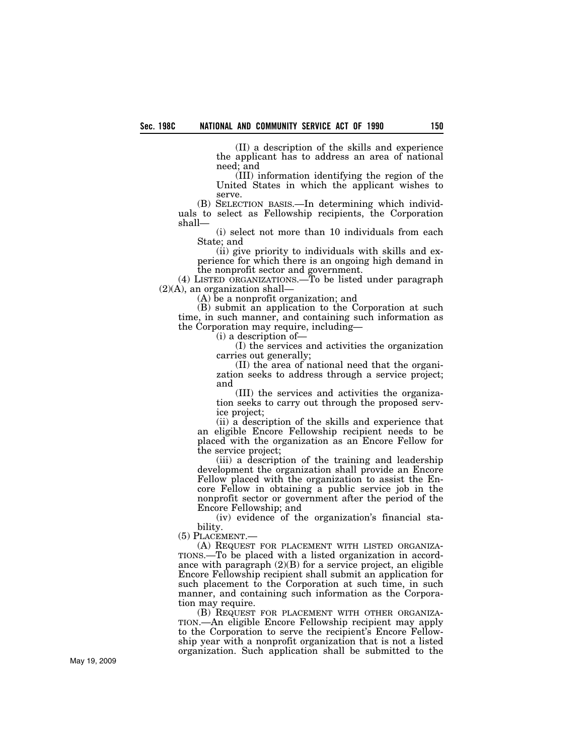(II) a description of the skills and experience the applicant has to address an area of national need; and

(III) information identifying the region of the United States in which the applicant wishes to serve.

(B) SELECTION BASIS.—In determining which individuals to select as Fellowship recipients, the Corporation shall—

(i) select not more than 10 individuals from each State; and

(ii) give priority to individuals with skills and experience for which there is an ongoing high demand in the nonprofit sector and government.

(4) LISTED ORGANIZATIONS.—To be listed under paragraph (2)(A), an organization shall—

(A) be a nonprofit organization; and

(B) submit an application to the Corporation at such time, in such manner, and containing such information as the Corporation may require, including—

(i) a description of—

(I) the services and activities the organization carries out generally;

(II) the area of national need that the organization seeks to address through a service project; and

(III) the services and activities the organization seeks to carry out through the proposed service project;

(ii) a description of the skills and experience that an eligible Encore Fellowship recipient needs to be placed with the organization as an Encore Fellow for the service project;

(iii) a description of the training and leadership development the organization shall provide an Encore Fellow placed with the organization to assist the Encore Fellow in obtaining a public service job in the nonprofit sector or government after the period of the Encore Fellowship; and

(iv) evidence of the organization's financial stability.

(5) PLACEMENT.—

(A) REQUEST FOR PLACEMENT WITH LISTED ORGANIZA-TIONS.—To be placed with a listed organization in accordance with paragraph (2)(B) for a service project, an eligible Encore Fellowship recipient shall submit an application for such placement to the Corporation at such time, in such manner, and containing such information as the Corporation may require.

(B) REQUEST FOR PLACEMENT WITH OTHER ORGANIZA-TION.—An eligible Encore Fellowship recipient may apply to the Corporation to serve the recipient's Encore Fellowship year with a nonprofit organization that is not a listed organization. Such application shall be submitted to the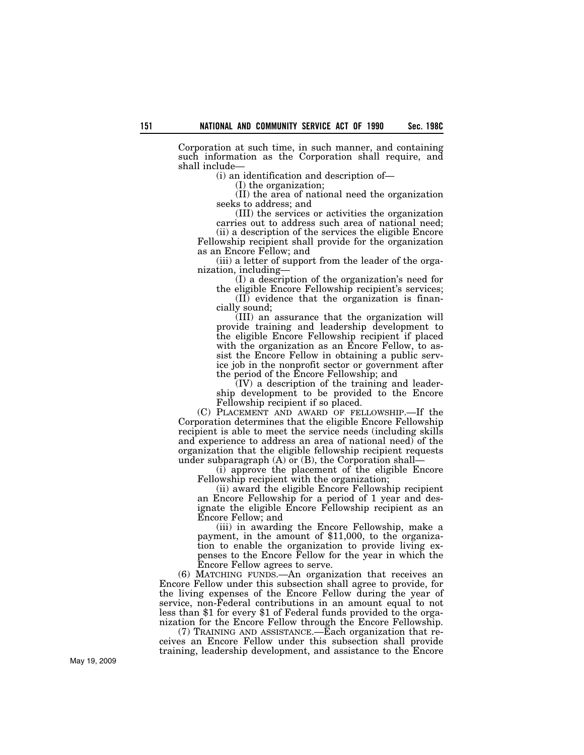Corporation at such time, in such manner, and containing such information as the Corporation shall require, and shall include—

(i) an identification and description of—

(I) the organization;

(II) the area of national need the organization seeks to address; and

(III) the services or activities the organization carries out to address such area of national need;

(ii) a description of the services the eligible Encore Fellowship recipient shall provide for the organization as an Encore Fellow; and

(iii) a letter of support from the leader of the organization, including—

(I) a description of the organization's need for the eligible Encore Fellowship recipient's services;

(II) evidence that the organization is financially sound;

(III) an assurance that the organization will provide training and leadership development to the eligible Encore Fellowship recipient if placed with the organization as an Encore Fellow, to assist the Encore Fellow in obtaining a public service job in the nonprofit sector or government after the period of the Encore Fellowship; and

(IV) a description of the training and leadership development to be provided to the Encore Fellowship recipient if so placed.

(C) PLACEMENT AND AWARD OF FELLOWSHIP.—If the Corporation determines that the eligible Encore Fellowship recipient is able to meet the service needs (including skills and experience to address an area of national need) of the organization that the eligible fellowship recipient requests under subparagraph  $(A)$  or  $(B)$ , the Corporation shall-

(i) approve the placement of the eligible Encore Fellowship recipient with the organization;

(ii) award the eligible Encore Fellowship recipient an Encore Fellowship for a period of 1 year and designate the eligible Encore Fellowship recipient as an Encore Fellow; and

(iii) in awarding the Encore Fellowship, make a payment, in the amount of \$11,000, to the organization to enable the organization to provide living expenses to the Encore Fellow for the year in which the Encore Fellow agrees to serve.

(6) MATCHING FUNDS.—An organization that receives an Encore Fellow under this subsection shall agree to provide, for the living expenses of the Encore Fellow during the year of service, non-Federal contributions in an amount equal to not less than \$1 for every \$1 of Federal funds provided to the organization for the Encore Fellow through the Encore Fellowship.

(7) TRAINING AND ASSISTANCE.—Each organization that receives an Encore Fellow under this subsection shall provide training, leadership development, and assistance to the Encore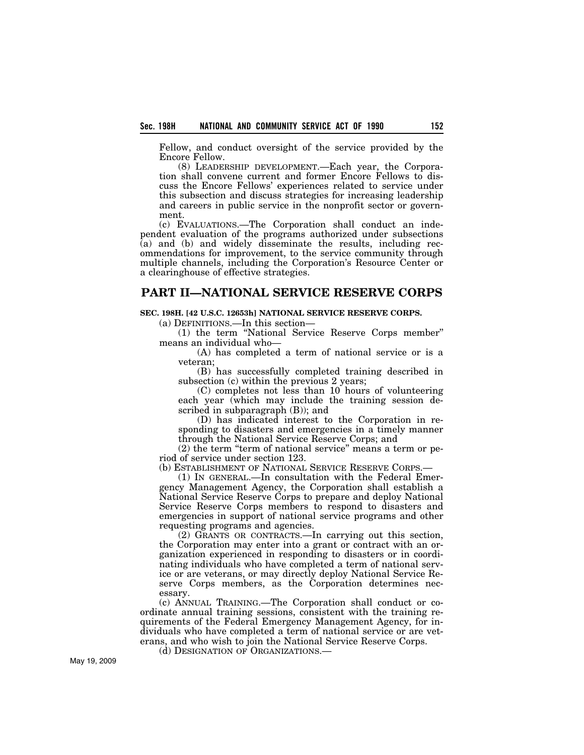Fellow, and conduct oversight of the service provided by the Encore Fellow.

(8) LEADERSHIP DEVELOPMENT.—Each year, the Corporation shall convene current and former Encore Fellows to discuss the Encore Fellows' experiences related to service under this subsection and discuss strategies for increasing leadership and careers in public service in the nonprofit sector or government.

(c) EVALUATIONS.—The Corporation shall conduct an independent evaluation of the programs authorized under subsections (a) and (b) and widely disseminate the results, including recommendations for improvement, to the service community through multiple channels, including the Corporation's Resource Center or a clearinghouse of effective strategies.

## **PART II—NATIONAL SERVICE RESERVE CORPS**

## **SEC. 198H. [42 U.S.C. 12653h] NATIONAL SERVICE RESERVE CORPS.**

(a) DEFINITIONS.—In this section—

(1) the term ''National Service Reserve Corps member'' means an individual who—

(A) has completed a term of national service or is a veteran;

(B) has successfully completed training described in subsection (c) within the previous 2 years;

(C) completes not less than 10 hours of volunteering each year (which may include the training session described in subparagraph (B)); and

(D) has indicated interest to the Corporation in responding to disasters and emergencies in a timely manner through the National Service Reserve Corps; and

(2) the term "term of national service" means a term or period of service under section 123.

(b) ESTABLISHMENT OF NATIONAL SERVICE RESERVE CORPS.—

(1) IN GENERAL.—In consultation with the Federal Emergency Management Agency, the Corporation shall establish a National Service Reserve Corps to prepare and deploy National Service Reserve Corps members to respond to disasters and emergencies in support of national service programs and other requesting programs and agencies.

(2) GRANTS OR CONTRACTS.—In carrying out this section, the Corporation may enter into a grant or contract with an organization experienced in responding to disasters or in coordinating individuals who have completed a term of national service or are veterans, or may directly deploy National Service Reserve Corps members, as the Corporation determines necessary.

(c) ANNUAL TRAINING.—The Corporation shall conduct or coordinate annual training sessions, consistent with the training requirements of the Federal Emergency Management Agency, for individuals who have completed a term of national service or are veterans, and who wish to join the National Service Reserve Corps.

(d) DESIGNATION OF ORGANIZATIONS.—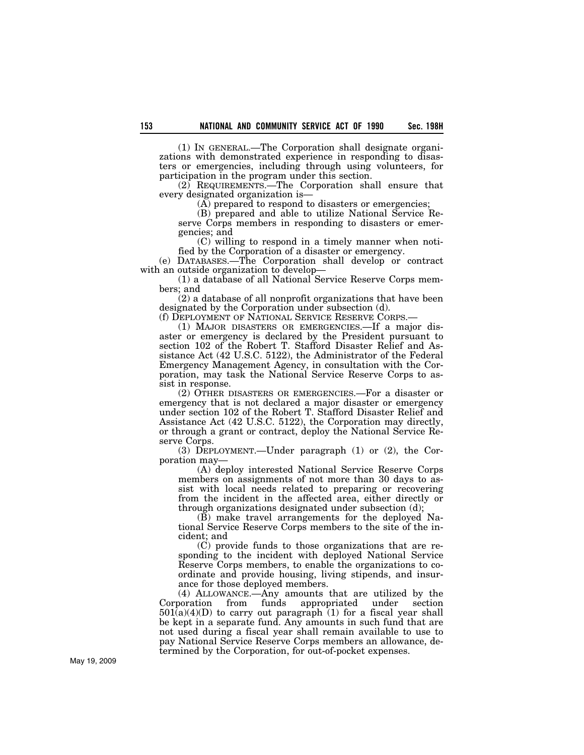(1) IN GENERAL.—The Corporation shall designate organizations with demonstrated experience in responding to disasters or emergencies, including through using volunteers, for participation in the program under this section.

(2) REQUIREMENTS.—The Corporation shall ensure that every designated organization is—

(A) prepared to respond to disasters or emergencies;

(B) prepared and able to utilize National Service Reserve Corps members in responding to disasters or emergencies; and

(C) willing to respond in a timely manner when notified by the Corporation of a disaster or emergency.

(e) DATABASES.—The Corporation shall develop or contract with an outside organization to develop-

(1) a database of all National Service Reserve Corps members; and

(2) a database of all nonprofit organizations that have been designated by the Corporation under subsection (d).

(f) DEPLOYMENT OF NATIONAL SERVICE RESERVE CORPS.— (1) MAJOR DISASTERS OR EMERGENCIES.—If a major dis-

aster or emergency is declared by the President pursuant to section 102 of the Robert T. Stafford Disaster Relief and Assistance Act (42 U.S.C. 5122), the Administrator of the Federal Emergency Management Agency, in consultation with the Corporation, may task the National Service Reserve Corps to assist in response.

(2) OTHER DISASTERS OR EMERGENCIES.—For a disaster or emergency that is not declared a major disaster or emergency under section 102 of the Robert T. Stafford Disaster Relief and Assistance Act (42 U.S.C. 5122), the Corporation may directly, or through a grant or contract, deploy the National Service Reserve Corps.

(3) DEPLOYMENT.—Under paragraph (1) or (2), the Corporation may—

(A) deploy interested National Service Reserve Corps members on assignments of not more than 30 days to assist with local needs related to preparing or recovering from the incident in the affected area, either directly or through organizations designated under subsection (d);

(B) make travel arrangements for the deployed National Service Reserve Corps members to the site of the incident; and

(C) provide funds to those organizations that are responding to the incident with deployed National Service Reserve Corps members, to enable the organizations to coordinate and provide housing, living stipends, and insurance for those deployed members.

(4) ALLOWANCE.—Any amounts that are utilized by the Corporation from funds appropriated under section  $501(a)(4)(D)$  to carry out paragraph (1) for a fiscal year shall be kept in a separate fund. Any amounts in such fund that are not used during a fiscal year shall remain available to use to pay National Service Reserve Corps members an allowance, determined by the Corporation, for out-of-pocket expenses.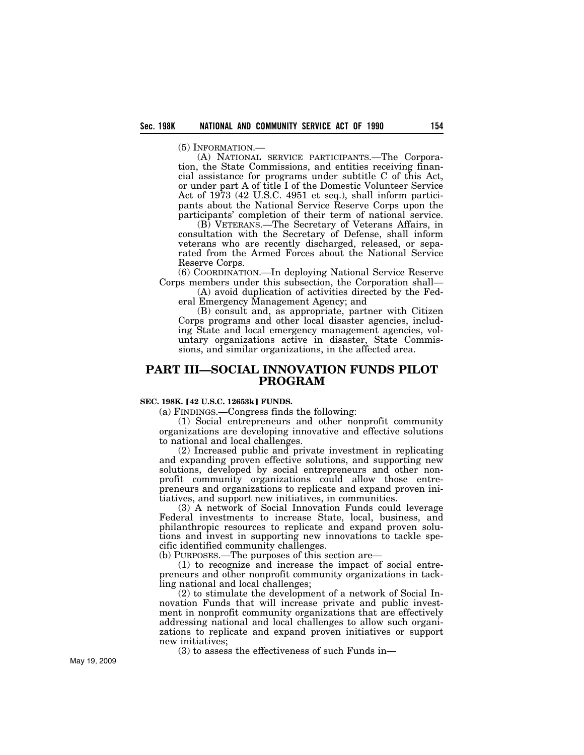(A) NATIONAL SERVICE PARTICIPANTS.—The Corporation, the State Commissions, and entities receiving financial assistance for programs under subtitle C of this Act, or under part A of title I of the Domestic Volunteer Service Act of 1973 (42 U.S.C. 4951 et seq.), shall inform participants about the National Service Reserve Corps upon the participants' completion of their term of national service.

(B) VETERANS.—The Secretary of Veterans Affairs, in consultation with the Secretary of Defense, shall inform veterans who are recently discharged, released, or separated from the Armed Forces about the National Service Reserve Corps.

(6) COORDINATION.—In deploying National Service Reserve Corps members under this subsection, the Corporation shall—

(A) avoid duplication of activities directed by the Federal Emergency Management Agency; and

(B) consult and, as appropriate, partner with Citizen Corps programs and other local disaster agencies, including State and local emergency management agencies, voluntary organizations active in disaster, State Commissions, and similar organizations, in the affected area.

## **PART III—SOCIAL INNOVATION FUNDS PILOT PROGRAM**

## **SEC. 198K. [42 U.S.C. 12653k] FUNDS.**

(a) FINDINGS.—Congress finds the following:

(1) Social entrepreneurs and other nonprofit community organizations are developing innovative and effective solutions to national and local challenges.

(2) Increased public and private investment in replicating and expanding proven effective solutions, and supporting new solutions, developed by social entrepreneurs and other nonprofit community organizations could allow those entrepreneurs and organizations to replicate and expand proven initiatives, and support new initiatives, in communities.

(3) A network of Social Innovation Funds could leverage Federal investments to increase State, local, business, and philanthropic resources to replicate and expand proven solutions and invest in supporting new innovations to tackle specific identified community challenges.

(b) PURPOSES.—The purposes of this section are—

(1) to recognize and increase the impact of social entrepreneurs and other nonprofit community organizations in tackling national and local challenges;

(2) to stimulate the development of a network of Social Innovation Funds that will increase private and public investment in nonprofit community organizations that are effectively addressing national and local challenges to allow such organizations to replicate and expand proven initiatives or support new initiatives;

(3) to assess the effectiveness of such Funds in—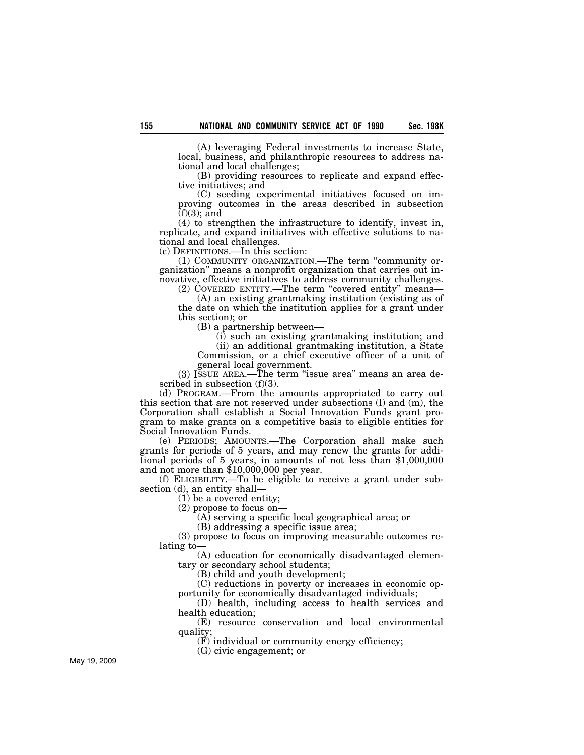(A) leveraging Federal investments to increase State, local, business, and philanthropic resources to address national and local challenges;

(B) providing resources to replicate and expand effective initiatives; and

(C) seeding experimental initiatives focused on improving outcomes in the areas described in subsection  $(f)(3)$ ; and

(4) to strengthen the infrastructure to identify, invest in, replicate, and expand initiatives with effective solutions to national and local challenges.

(c) DEFINITIONS.—In this section:

(1) COMMUNITY ORGANIZATION.—The term ''community organization'' means a nonprofit organization that carries out innovative, effective initiatives to address community challenges.

(2) COVERED ENTITY.—The term ''covered entity'' means— (A) an existing grantmaking institution (existing as of

the date on which the institution applies for a grant under this section); or

(B) a partnership between—

(i) such an existing grantmaking institution; and (ii) an additional grantmaking institution, a State

Commission, or a chief executive officer of a unit of general local government.

(3) ISSUE AREA.—The term ''issue area'' means an area described in subsection (f)(3).

(d) PROGRAM.—From the amounts appropriated to carry out this section that are not reserved under subsections (l) and (m), the Corporation shall establish a Social Innovation Funds grant program to make grants on a competitive basis to eligible entities for Social Innovation Funds.

(e) PERIODS; AMOUNTS.—The Corporation shall make such grants for periods of 5 years, and may renew the grants for additional periods of 5 years, in amounts of not less than \$1,000,000 and not more than \$10,000,000 per year.

(f) ELIGIBILITY.—To be eligible to receive a grant under subsection (d), an entity shall—

(1) be a covered entity;

(2) propose to focus on—

 $(A)$  serving a specific local geographical area; or

(B) addressing a specific issue area;

(3) propose to focus on improving measurable outcomes relating to—

(A) education for economically disadvantaged elementary or secondary school students;

(B) child and youth development;

(C) reductions in poverty or increases in economic opportunity for economically disadvantaged individuals;

(D) health, including access to health services and health education;

(E) resource conservation and local environmental quality;

(F) individual or community energy efficiency;

(G) civic engagement; or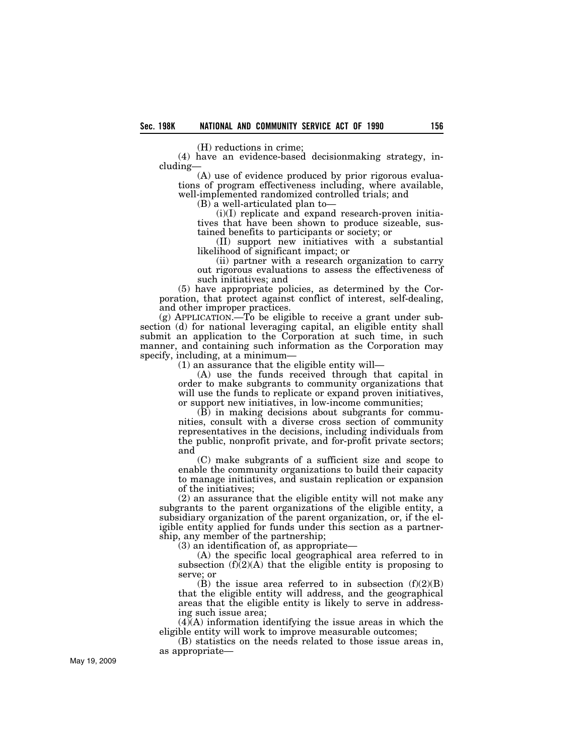(H) reductions in crime;

(4) have an evidence-based decisionmaking strategy, including—

(A) use of evidence produced by prior rigorous evaluations of program effectiveness including, where available, well-implemented randomized controlled trials; and

(B) a well-articulated plan to—

(i)(I) replicate and expand research-proven initiatives that have been shown to produce sizeable, sustained benefits to participants or society; or

(II) support new initiatives with a substantial likelihood of significant impact; or

(ii) partner with a research organization to carry out rigorous evaluations to assess the effectiveness of such initiatives; and

(5) have appropriate policies, as determined by the Corporation, that protect against conflict of interest, self-dealing, and other improper practices.

 $(g)$  APPLICATION.—To be eligible to receive a grant under subsection (d) for national leveraging capital, an eligible entity shall submit an application to the Corporation at such time, in such manner, and containing such information as the Corporation may specify, including, at a minimum—

(1) an assurance that the eligible entity will—

(A) use the funds received through that capital in order to make subgrants to community organizations that will use the funds to replicate or expand proven initiatives, or support new initiatives, in low-income communities;

(B) in making decisions about subgrants for communities, consult with a diverse cross section of community representatives in the decisions, including individuals from the public, nonprofit private, and for-profit private sectors; and

(C) make subgrants of a sufficient size and scope to enable the community organizations to build their capacity to manage initiatives, and sustain replication or expansion of the initiatives;

(2) an assurance that the eligible entity will not make any subgrants to the parent organizations of the eligible entity, a subsidiary organization of the parent organization, or, if the eligible entity applied for funds under this section as a partnership, any member of the partnership;

(3) an identification of, as appropriate—

(A) the specific local geographical area referred to in subsection  $(f)(2)(A)$  that the eligible entity is proposing to serve; or

 $(B)$  the issue area referred to in subsection  $(f)(2)(B)$ that the eligible entity will address, and the geographical areas that the eligible entity is likely to serve in addressing such issue area;

 $(4)$ (A) information identifying the issue areas in which the eligible entity will work to improve measurable outcomes;

(B) statistics on the needs related to those issue areas in, as appropriate—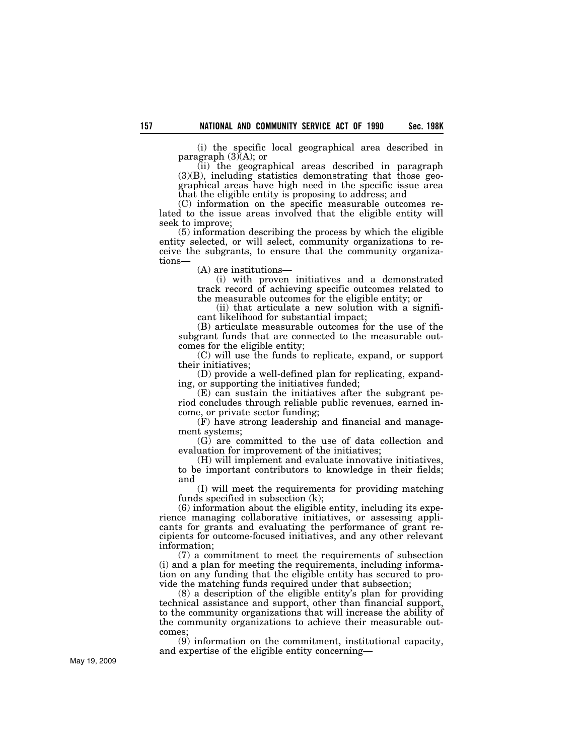(i) the specific local geographical area described in paragraph  $(3)(A)$ ; or

(ii) the geographical areas described in paragraph  $(3)(B)$ , including statistics demonstrating that those geographical areas have high need in the specific issue area that the eligible entity is proposing to address; and

(C) information on the specific measurable outcomes related to the issue areas involved that the eligible entity will seek to improve;

(5) information describing the process by which the eligible entity selected, or will select, community organizations to receive the subgrants, to ensure that the community organizations—

(A) are institutions—

(i) with proven initiatives and a demonstrated track record of achieving specific outcomes related to the measurable outcomes for the eligible entity; or

(ii) that articulate a new solution with a significant likelihood for substantial impact;

(B) articulate measurable outcomes for the use of the subgrant funds that are connected to the measurable outcomes for the eligible entity;

(C) will use the funds to replicate, expand, or support their initiatives;

(D) provide a well-defined plan for replicating, expanding, or supporting the initiatives funded;

(E) can sustain the initiatives after the subgrant period concludes through reliable public revenues, earned income, or private sector funding;

(F) have strong leadership and financial and management systems;

(G) are committed to the use of data collection and evaluation for improvement of the initiatives;

(H) will implement and evaluate innovative initiatives, to be important contributors to knowledge in their fields; and

(I) will meet the requirements for providing matching funds specified in subsection (k);

(6) information about the eligible entity, including its experience managing collaborative initiatives, or assessing applicants for grants and evaluating the performance of grant recipients for outcome-focused initiatives, and any other relevant information;

(7) a commitment to meet the requirements of subsection (i) and a plan for meeting the requirements, including information on any funding that the eligible entity has secured to provide the matching funds required under that subsection;

(8) a description of the eligible entity's plan for providing technical assistance and support, other than financial support, to the community organizations that will increase the ability of the community organizations to achieve their measurable outcomes;

(9) information on the commitment, institutional capacity, and expertise of the eligible entity concerning—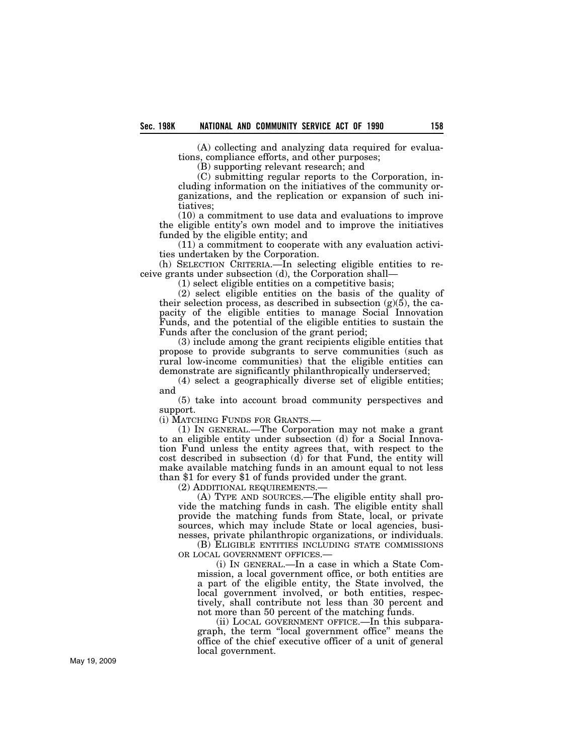(A) collecting and analyzing data required for evaluations, compliance efforts, and other purposes;

(B) supporting relevant research; and

(C) submitting regular reports to the Corporation, including information on the initiatives of the community organizations, and the replication or expansion of such initiatives;

(10) a commitment to use data and evaluations to improve the eligible entity's own model and to improve the initiatives funded by the eligible entity; and

(11) a commitment to cooperate with any evaluation activities undertaken by the Corporation.

(h) SELECTION CRITERIA.—In selecting eligible entities to receive grants under subsection (d), the Corporation shall—

(1) select eligible entities on a competitive basis;

(2) select eligible entities on the basis of the quality of their selection process, as described in subsection  $(g)(5)$ , the capacity of the eligible entities to manage Social Innovation Funds, and the potential of the eligible entities to sustain the Funds after the conclusion of the grant period;

(3) include among the grant recipients eligible entities that propose to provide subgrants to serve communities (such as rural low-income communities) that the eligible entities can demonstrate are significantly philanthropically underserved;

(4) select a geographically diverse set of eligible entities; and

(5) take into account broad community perspectives and support.

(i) MATCHING FUNDS FOR GRANTS.—

(1) IN GENERAL.—The Corporation may not make a grant to an eligible entity under subsection (d) for a Social Innovation Fund unless the entity agrees that, with respect to the cost described in subsection  $(d)$  for that Fund, the entity will make available matching funds in an amount equal to not less than \$1 for every \$1 of funds provided under the grant.

(2) ADDITIONAL REQUIREMENTS.—

(A) TYPE AND SOURCES.—The eligible entity shall provide the matching funds in cash. The eligible entity shall provide the matching funds from State, local, or private sources, which may include State or local agencies, businesses, private philanthropic organizations, or individuals.

(B) ELIGIBLE ENTITIES INCLUDING STATE COMMISSIONS OR LOCAL GOVERNMENT OFFICES.—

(i) IN GENERAL.—In a case in which a State Commission, a local government office, or both entities are a part of the eligible entity, the State involved, the local government involved, or both entities, respectively, shall contribute not less than 30 percent and not more than 50 percent of the matching funds.

(ii) LOCAL GOVERNMENT OFFICE.—In this subparagraph, the term ''local government office'' means the office of the chief executive officer of a unit of general local government.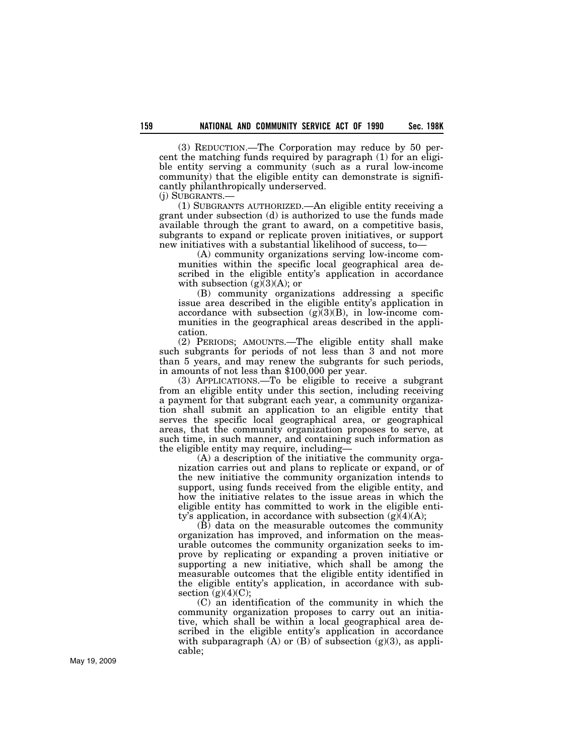(3) REDUCTION.—The Corporation may reduce by 50 percent the matching funds required by paragraph (1) for an eligible entity serving a community (such as a rural low-income community) that the eligible entity can demonstrate is significantly philanthropically underserved.

(j) SUBGRANTS.—

(1) SUBGRANTS AUTHORIZED.—An eligible entity receiving a grant under subsection (d) is authorized to use the funds made available through the grant to award, on a competitive basis, subgrants to expand or replicate proven initiatives, or support new initiatives with a substantial likelihood of success, to—

(A) community organizations serving low-income communities within the specific local geographical area described in the eligible entity's application in accordance with subsection  $(g)(3)(A)$ ; or

(B) community organizations addressing a specific issue area described in the eligible entity's application in accordance with subsection  $(g)(3)(B)$ , in low-income communities in the geographical areas described in the application.

(2) PERIODS; AMOUNTS.—The eligible entity shall make such subgrants for periods of not less than 3 and not more than 5 years, and may renew the subgrants for such periods, in amounts of not less than \$100,000 per year.

(3) APPLICATIONS.—To be eligible to receive a subgrant from an eligible entity under this section, including receiving a payment for that subgrant each year, a community organization shall submit an application to an eligible entity that serves the specific local geographical area, or geographical areas, that the community organization proposes to serve, at such time, in such manner, and containing such information as the eligible entity may require, including—

(A) a description of the initiative the community organization carries out and plans to replicate or expand, or of the new initiative the community organization intends to support, using funds received from the eligible entity, and how the initiative relates to the issue areas in which the eligible entity has committed to work in the eligible entity's application, in accordance with subsection  $(g)(4)(A);$ 

(B) data on the measurable outcomes the community organization has improved, and information on the measurable outcomes the community organization seeks to improve by replicating or expanding a proven initiative or supporting a new initiative, which shall be among the measurable outcomes that the eligible entity identified in the eligible entity's application, in accordance with subsection  $(g)(4)(C)$ ;

(C) an identification of the community in which the community organization proposes to carry out an initiative, which shall be within a local geographical area described in the eligible entity's application in accordance with subparagraph  $(A)$  or  $(B)$  of subsection  $(g)(3)$ , as applicable;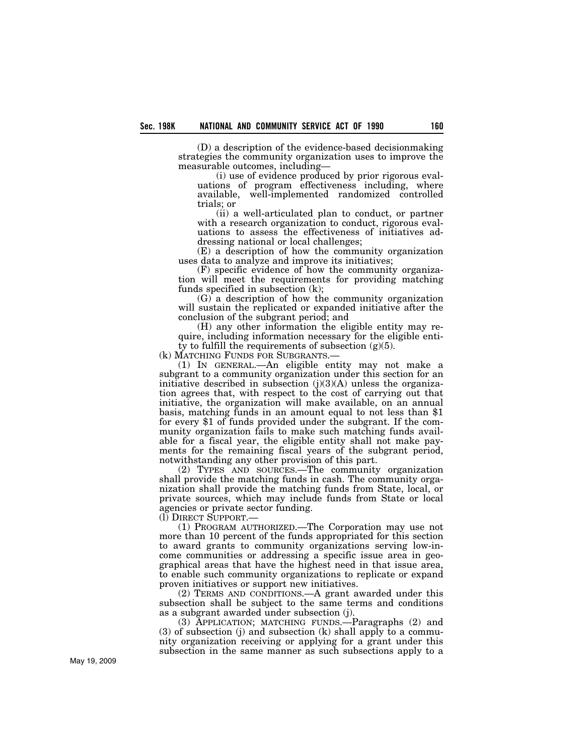(D) a description of the evidence-based decisionmaking strategies the community organization uses to improve the measurable outcomes, including—

(i) use of evidence produced by prior rigorous evaluations of program effectiveness including, where available, well-implemented randomized controlled trials; or

(ii) a well-articulated plan to conduct, or partner with a research organization to conduct, rigorous evaluations to assess the effectiveness of initiatives addressing national or local challenges;

(E) a description of how the community organization uses data to analyze and improve its initiatives;

(F) specific evidence of how the community organization will meet the requirements for providing matching funds specified in subsection (k);

(G) a description of how the community organization will sustain the replicated or expanded initiative after the conclusion of the subgrant period; and

(H) any other information the eligible entity may require, including information necessary for the eligible entity to fulfill the requirements of subsection (g)(5).<br>(k) MATCHING FUNDS FOR SUBGRANTS.—

(1) IN GENERAL.—An eligible entity may not make a subgrant to a community organization under this section for an initiative described in subsection  $(j)(3)(A)$  unless the organization agrees that, with respect to the cost of carrying out that initiative, the organization will make available, on an annual basis, matching funds in an amount equal to not less than \$1 for every \$1 of funds provided under the subgrant. If the community organization fails to make such matching funds available for a fiscal year, the eligible entity shall not make payments for the remaining fiscal years of the subgrant period, notwithstanding any other provision of this part.

(2) TYPES AND SOURCES.—The community organization shall provide the matching funds in cash. The community organization shall provide the matching funds from State, local, or private sources, which may include funds from State or local agencies or private sector funding.

(l) DIRECT SUPPORT.—

(1) PROGRAM AUTHORIZED.—The Corporation may use not more than 10 percent of the funds appropriated for this section to award grants to community organizations serving low-income communities or addressing a specific issue area in geographical areas that have the highest need in that issue area, to enable such community organizations to replicate or expand proven initiatives or support new initiatives.

(2) TERMS AND CONDITIONS.—A grant awarded under this subsection shall be subject to the same terms and conditions as a subgrant awarded under subsection (j).

(3) APPLICATION; MATCHING FUNDS.—Paragraphs (2) and (3) of subsection (j) and subsection (k) shall apply to a community organization receiving or applying for a grant under this subsection in the same manner as such subsections apply to a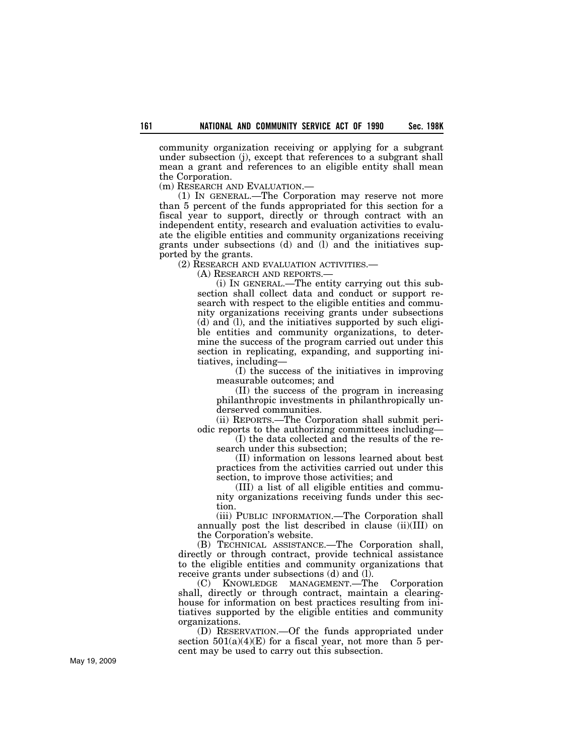community organization receiving or applying for a subgrant under subsection (j), except that references to a subgrant shall mean a grant and references to an eligible entity shall mean the Corporation.

(m) RESEARCH AND EVALUATION.—

(1) IN GENERAL.—The Corporation may reserve not more than 5 percent of the funds appropriated for this section for a fiscal year to support, directly or through contract with an independent entity, research and evaluation activities to evaluate the eligible entities and community organizations receiving grants under subsections (d) and (l) and the initiatives supported by the grants.

(2) RESEARCH AND EVALUATION ACTIVITIES.—

(A) RESEARCH AND REPORTS.—

(i) IN GENERAL.—The entity carrying out this subsection shall collect data and conduct or support research with respect to the eligible entities and community organizations receiving grants under subsections (d) and (l), and the initiatives supported by such eligible entities and community organizations, to determine the success of the program carried out under this section in replicating, expanding, and supporting initiatives, including—

(I) the success of the initiatives in improving measurable outcomes; and

(II) the success of the program in increasing philanthropic investments in philanthropically underserved communities.

(ii) REPORTS.—The Corporation shall submit periodic reports to the authorizing committees including—

(I) the data collected and the results of the research under this subsection;

(II) information on lessons learned about best practices from the activities carried out under this section, to improve those activities; and

(III) a list of all eligible entities and community organizations receiving funds under this section.

(iii) PUBLIC INFORMATION.—The Corporation shall annually post the list described in clause (ii)(III) on the Corporation's website.

(B) TECHNICAL ASSISTANCE.—The Corporation shall, directly or through contract, provide technical assistance to the eligible entities and community organizations that receive grants under subsections (d) and (l).

KNOWLEDGE MANAGEMENT.—The Corporation shall, directly or through contract, maintain a clearinghouse for information on best practices resulting from initiatives supported by the eligible entities and community organizations.

(D) RESERVATION.—Of the funds appropriated under section  $501(a)(4)(E)$  for a fiscal year, not more than 5 percent may be used to carry out this subsection.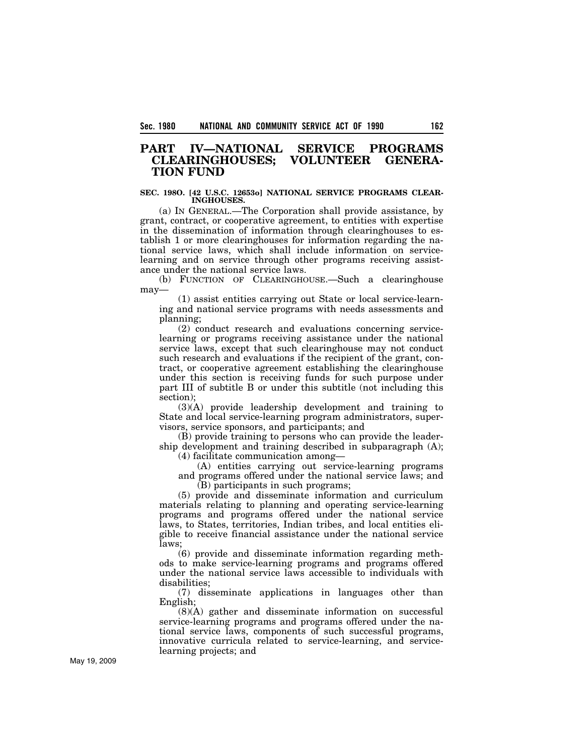## **PART IV—NATIONAL SERVICE PROGRAMS CLEARINGHOUSES; VOLUNTEER GENERA-TION FUND**

#### **SEC. 198O. [42 U.S.C. 12653o] NATIONAL SERVICE PROGRAMS CLEAR-INGHOUSES.**

(a) IN GENERAL.—The Corporation shall provide assistance, by grant, contract, or cooperative agreement, to entities with expertise in the dissemination of information through clearinghouses to establish 1 or more clearinghouses for information regarding the national service laws, which shall include information on servicelearning and on service through other programs receiving assistance under the national service laws.

(b) FUNCTION OF CLEARINGHOUSE.—Such a clearinghouse may—

(1) assist entities carrying out State or local service-learning and national service programs with needs assessments and planning;

(2) conduct research and evaluations concerning servicelearning or programs receiving assistance under the national service laws, except that such clearinghouse may not conduct such research and evaluations if the recipient of the grant, contract, or cooperative agreement establishing the clearinghouse under this section is receiving funds for such purpose under part III of subtitle B or under this subtitle (not including this section);

(3)(A) provide leadership development and training to State and local service-learning program administrators, supervisors, service sponsors, and participants; and

(B) provide training to persons who can provide the leadership development and training described in subparagraph (A); (4) facilitate communication among—

(A) entities carrying out service-learning programs

and programs offered under the national service laws; and (B) participants in such programs;

(5) provide and disseminate information and curriculum materials relating to planning and operating service-learning programs and programs offered under the national service laws, to States, territories, Indian tribes, and local entities eligible to receive financial assistance under the national service laws;

(6) provide and disseminate information regarding methods to make service-learning programs and programs offered under the national service laws accessible to individuals with disabilities;

(7) disseminate applications in languages other than English;

(8)(A) gather and disseminate information on successful service-learning programs and programs offered under the national service laws, components of such successful programs, innovative curricula related to service-learning, and servicelearning projects; and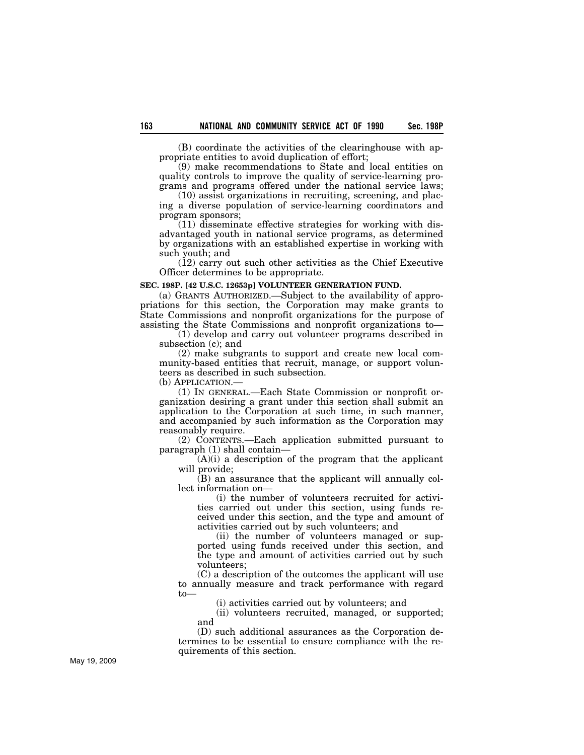(B) coordinate the activities of the clearinghouse with appropriate entities to avoid duplication of effort;

(9) make recommendations to State and local entities on quality controls to improve the quality of service-learning programs and programs offered under the national service laws;

(10) assist organizations in recruiting, screening, and placing a diverse population of service-learning coordinators and program sponsors;

(11) disseminate effective strategies for working with disadvantaged youth in national service programs, as determined by organizations with an established expertise in working with such youth; and

(12) carry out such other activities as the Chief Executive Officer determines to be appropriate.

## **SEC. 198P. [42 U.S.C. 12653p] VOLUNTEER GENERATION FUND.**

(a) GRANTS AUTHORIZED.—Subject to the availability of appropriations for this section, the Corporation may make grants to State Commissions and nonprofit organizations for the purpose of assisting the State Commissions and nonprofit organizations to—

(1) develop and carry out volunteer programs described in subsection (c); and

(2) make subgrants to support and create new local community-based entities that recruit, manage, or support volunteers as described in such subsection.

(b) APPLICATION.—

(1) IN GENERAL.—Each State Commission or nonprofit organization desiring a grant under this section shall submit an application to the Corporation at such time, in such manner, and accompanied by such information as the Corporation may reasonably require.

(2) CONTENTS.—Each application submitted pursuant to paragraph (1) shall contain—

 $(A)(i)$  a description of the program that the applicant will provide;

(B) an assurance that the applicant will annually collect information on—

(i) the number of volunteers recruited for activities carried out under this section, using funds received under this section, and the type and amount of activities carried out by such volunteers; and

(ii) the number of volunteers managed or supported using funds received under this section, and the type and amount of activities carried out by such volunteers;

(C) a description of the outcomes the applicant will use to annually measure and track performance with regard to—

(i) activities carried out by volunteers; and

(ii) volunteers recruited, managed, or supported; and

(D) such additional assurances as the Corporation determines to be essential to ensure compliance with the requirements of this section.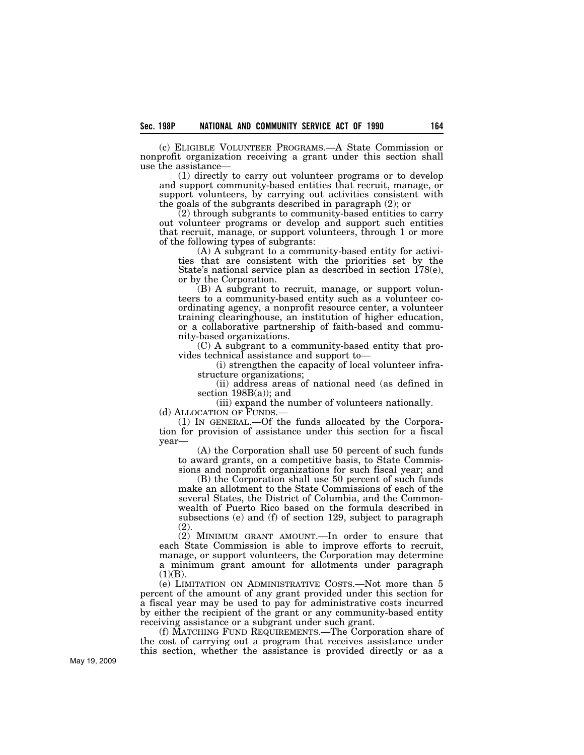(c) ELIGIBLE VOLUNTEER PROGRAMS.—A State Commission or nonprofit organization receiving a grant under this section shall use the assistance—

(1) directly to carry out volunteer programs or to develop and support community-based entities that recruit, manage, or support volunteers, by carrying out activities consistent with the goals of the subgrants described in paragraph (2); or

(2) through subgrants to community-based entities to carry out volunteer programs or develop and support such entities that recruit, manage, or support volunteers, through 1 or more of the following types of subgrants:

(A) A subgrant to a community-based entity for activities that are consistent with the priorities set by the State's national service plan as described in section 178(e), or by the Corporation.

(B) A subgrant to recruit, manage, or support volunteers to a community-based entity such as a volunteer coordinating agency, a nonprofit resource center, a volunteer training clearinghouse, an institution of higher education, or a collaborative partnership of faith-based and community-based organizations.

(C) A subgrant to a community-based entity that provides technical assistance and support to—

(i) strengthen the capacity of local volunteer infrastructure organizations;

(ii) address areas of national need (as defined in section 198B(a)); and

(iii) expand the number of volunteers nationally.

(d) ALLOCATION OF FUNDS.—

(1) IN GENERAL.—Of the funds allocated by the Corporation for provision of assistance under this section for a fiscal year—

(A) the Corporation shall use 50 percent of such funds to award grants, on a competitive basis, to State Commissions and nonprofit organizations for such fiscal year; and

(B) the Corporation shall use 50 percent of such funds make an allotment to the State Commissions of each of the several States, the District of Columbia, and the Commonwealth of Puerto Rico based on the formula described in subsections (e) and (f) of section 129, subject to paragraph (2).

(2) MINIMUM GRANT AMOUNT.—In order to ensure that each State Commission is able to improve efforts to recruit, manage, or support volunteers, the Corporation may determine a minimum grant amount for allotments under paragraph  $(1)(B)$ .

(e) LIMITATION ON ADMINISTRATIVE COSTS.—Not more than 5 percent of the amount of any grant provided under this section for a fiscal year may be used to pay for administrative costs incurred by either the recipient of the grant or any community-based entity receiving assistance or a subgrant under such grant.

(f) MATCHING FUND REQUIREMENTS.—The Corporation share of the cost of carrying out a program that receives assistance under this section, whether the assistance is provided directly or as a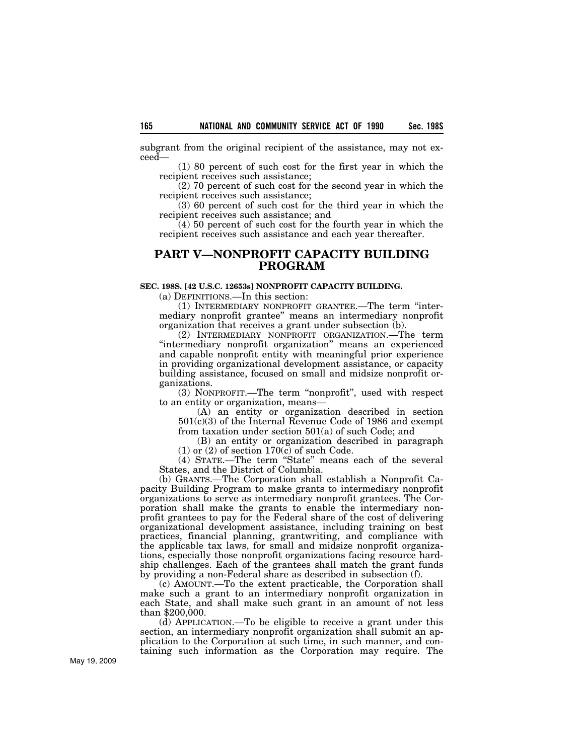subgrant from the original recipient of the assistance, may not exceed—

(1) 80 percent of such cost for the first year in which the recipient receives such assistance;

(2) 70 percent of such cost for the second year in which the recipient receives such assistance;

(3) 60 percent of such cost for the third year in which the recipient receives such assistance; and

(4) 50 percent of such cost for the fourth year in which the recipient receives such assistance and each year thereafter.

## **PART V—NONPROFIT CAPACITY BUILDING PROGRAM**

## **SEC. 198S. [42 U.S.C. 12653s] NONPROFIT CAPACITY BUILDING.**

(a) DEFINITIONS.—In this section:

(1) INTERMEDIARY NONPROFIT GRANTEE.—The term ''intermediary nonprofit grantee'' means an intermediary nonprofit organization that receives a grant under subsection (b).

(2) INTERMEDIARY NONPROFIT ORGANIZATION.—The term ''intermediary nonprofit organization'' means an experienced and capable nonprofit entity with meaningful prior experience in providing organizational development assistance, or capacity building assistance, focused on small and midsize nonprofit organizations.

(3) NONPROFIT.—The term ''nonprofit'', used with respect to an entity or organization, means—

(A) an entity or organization described in section 501(c)(3) of the Internal Revenue Code of 1986 and exempt from taxation under section 501(a) of such Code; and

(B) an entity or organization described in paragraph  $(1)$  or  $(2)$  of section 170 $(c)$  of such Code.

(4) STATE.—The term ''State'' means each of the several States, and the District of Columbia.

(b) GRANTS.—The Corporation shall establish a Nonprofit Capacity Building Program to make grants to intermediary nonprofit organizations to serve as intermediary nonprofit grantees. The Corporation shall make the grants to enable the intermediary nonprofit grantees to pay for the Federal share of the cost of delivering organizational development assistance, including training on best practices, financial planning, grantwriting, and compliance with the applicable tax laws, for small and midsize nonprofit organizations, especially those nonprofit organizations facing resource hardship challenges. Each of the grantees shall match the grant funds by providing a non-Federal share as described in subsection (f).

(c) AMOUNT.—To the extent practicable, the Corporation shall make such a grant to an intermediary nonprofit organization in each State, and shall make such grant in an amount of not less than \$200,000.

(d) APPLICATION.—To be eligible to receive a grant under this section, an intermediary nonprofit organization shall submit an application to the Corporation at such time, in such manner, and containing such information as the Corporation may require. The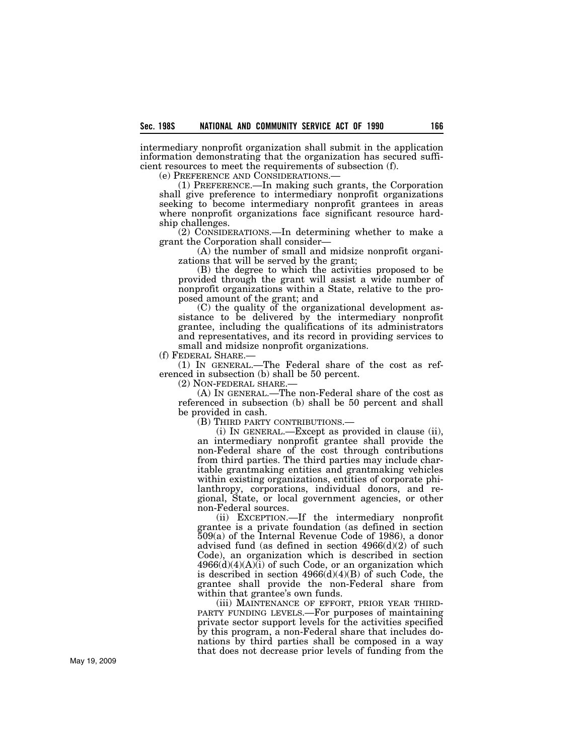intermediary nonprofit organization shall submit in the application information demonstrating that the organization has secured sufficient resources to meet the requirements of subsection (f).

(e) PREFERENCE AND CONSIDERATIONS.— (1) PREFERENCE.—In making such grants, the Corporation shall give preference to intermediary nonprofit organizations seeking to become intermediary nonprofit grantees in areas where nonprofit organizations face significant resource hardship challenges.

(2) CONSIDERATIONS.—In determining whether to make a grant the Corporation shall consider—

(A) the number of small and midsize nonprofit organizations that will be served by the grant;

(B) the degree to which the activities proposed to be provided through the grant will assist a wide number of nonprofit organizations within a State, relative to the proposed amount of the grant; and

(C) the quality of the organizational development assistance to be delivered by the intermediary nonprofit grantee, including the qualifications of its administrators and representatives, and its record in providing services to small and midsize nonprofit organizations.<br>(f) FEDERAL SHARE.—

 $(1)$  In GENERAL.—The Federal share of the cost as referenced in subsection (b) shall be 50 percent.

(2) NON-FEDERAL SHARE.—

(A) IN GENERAL.—The non-Federal share of the cost as referenced in subsection (b) shall be 50 percent and shall be provided in cash.

(B) THIRD PARTY CONTRIBUTIONS.—

(i) IN GENERAL.—Except as provided in clause (ii), an intermediary nonprofit grantee shall provide the non-Federal share of the cost through contributions from third parties. The third parties may include charitable grantmaking entities and grantmaking vehicles within existing organizations, entities of corporate philanthropy, corporations, individual donors, and regional, State, or local government agencies, or other non-Federal sources.

(ii) EXCEPTION.—If the intermediary nonprofit grantee is a private foundation (as defined in section 509(a) of the Internal Revenue Code of 1986), a donor advised fund (as defined in section  $4966(d)(2)$  of such Code), an organization which is described in section  $4966(d)(4)(A)(i)$  of such Code, or an organization which is described in section 4966(d)(4)(B) of such Code, the grantee shall provide the non-Federal share from within that grantee's own funds.

(iii) MAINTENANCE OF EFFORT, PRIOR YEAR THIRD- PARTY FUNDING LEVELS.—For purposes of maintaining private sector support levels for the activities specified by this program, a non-Federal share that includes donations by third parties shall be composed in a way that does not decrease prior levels of funding from the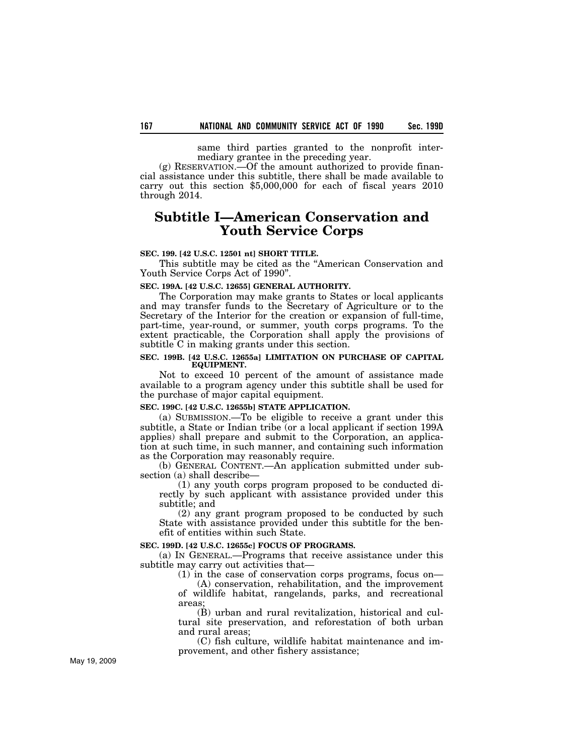same third parties granted to the nonprofit intermediary grantee in the preceding year.

(g) RESERVATION.—Of the amount authorized to provide financial assistance under this subtitle, there shall be made available to carry out this section \$5,000,000 for each of fiscal years 2010 through 2014.

# **Subtitle I—American Conservation and Youth Service Corps**

## **SEC. 199. [42 U.S.C. 12501 nt] SHORT TITLE.**

This subtitle may be cited as the ''American Conservation and Youth Service Corps Act of 1990''.

### **SEC. 199A. [42 U.S.C. 12655] GENERAL AUTHORITY.**

The Corporation may make grants to States or local applicants and may transfer funds to the Secretary of Agriculture or to the Secretary of the Interior for the creation or expansion of full-time, part-time, year-round, or summer, youth corps programs. To the extent practicable, the Corporation shall apply the provisions of subtitle C in making grants under this section.

## **SEC. 199B. [42 U.S.C. 12655a] LIMITATION ON PURCHASE OF CAPITAL EQUIPMENT.**

Not to exceed 10 percent of the amount of assistance made available to a program agency under this subtitle shall be used for the purchase of major capital equipment.

## **SEC. 199C. [42 U.S.C. 12655b] STATE APPLICATION.**

(a) SUBMISSION.—To be eligible to receive a grant under this subtitle, a State or Indian tribe (or a local applicant if section 199A applies) shall prepare and submit to the Corporation, an application at such time, in such manner, and containing such information as the Corporation may reasonably require.

(b) GENERAL CONTENT.—An application submitted under subsection (a) shall describe—

(1) any youth corps program proposed to be conducted directly by such applicant with assistance provided under this subtitle; and

(2) any grant program proposed to be conducted by such State with assistance provided under this subtitle for the benefit of entities within such State.

## **SEC. 199D. [42 U.S.C. 12655c] FOCUS OF PROGRAMS.**

(a) IN GENERAL.—Programs that receive assistance under this subtitle may carry out activities that—

(1) in the case of conservation corps programs, focus on—

(A) conservation, rehabilitation, and the improvement of wildlife habitat, rangelands, parks, and recreational areas;

(B) urban and rural revitalization, historical and cultural site preservation, and reforestation of both urban and rural areas;

(C) fish culture, wildlife habitat maintenance and improvement, and other fishery assistance;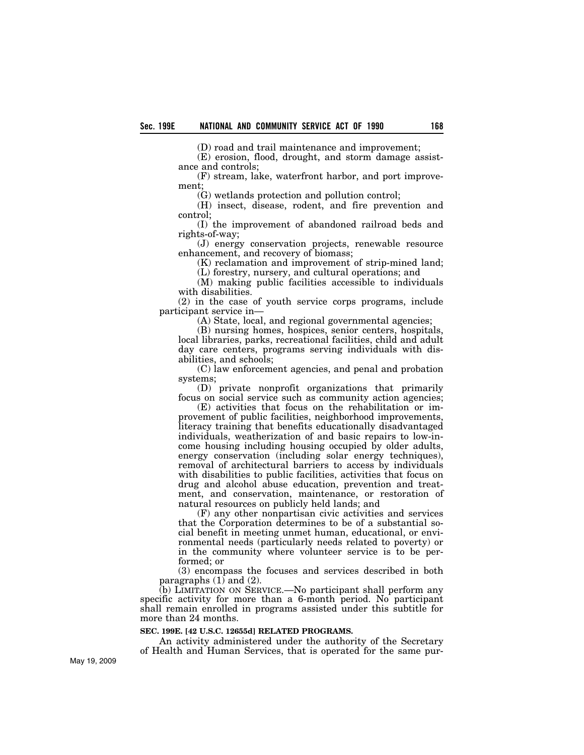(D) road and trail maintenance and improvement;

(E) erosion, flood, drought, and storm damage assistance and controls;

(F) stream, lake, waterfront harbor, and port improvement;

(G) wetlands protection and pollution control;

(H) insect, disease, rodent, and fire prevention and control;

(I) the improvement of abandoned railroad beds and rights-of-way;

(J) energy conservation projects, renewable resource enhancement, and recovery of biomass;

(K) reclamation and improvement of strip-mined land;

(L) forestry, nursery, and cultural operations; and

(M) making public facilities accessible to individuals with disabilities.

(2) in the case of youth service corps programs, include participant service in—

(A) State, local, and regional governmental agencies;

(B) nursing homes, hospices, senior centers, hospitals, local libraries, parks, recreational facilities, child and adult day care centers, programs serving individuals with disabilities, and schools;

(C) law enforcement agencies, and penal and probation systems;

(D) private nonprofit organizations that primarily focus on social service such as community action agencies;

(E) activities that focus on the rehabilitation or improvement of public facilities, neighborhood improvements, literacy training that benefits educationally disadvantaged individuals, weatherization of and basic repairs to low-income housing including housing occupied by older adults, energy conservation (including solar energy techniques), removal of architectural barriers to access by individuals with disabilities to public facilities, activities that focus on drug and alcohol abuse education, prevention and treatment, and conservation, maintenance, or restoration of natural resources on publicly held lands; and

(F) any other nonpartisan civic activities and services that the Corporation determines to be of a substantial social benefit in meeting unmet human, educational, or environmental needs (particularly needs related to poverty) or in the community where volunteer service is to be performed; or

(3) encompass the focuses and services described in both paragraphs (1) and (2).

(b) LIMITATION ON SERVICE.—No participant shall perform any specific activity for more than a 6-month period. No participant shall remain enrolled in programs assisted under this subtitle for more than 24 months.

#### **SEC. 199E. [42 U.S.C. 12655d] RELATED PROGRAMS.**

An activity administered under the authority of the Secretary of Health and Human Services, that is operated for the same pur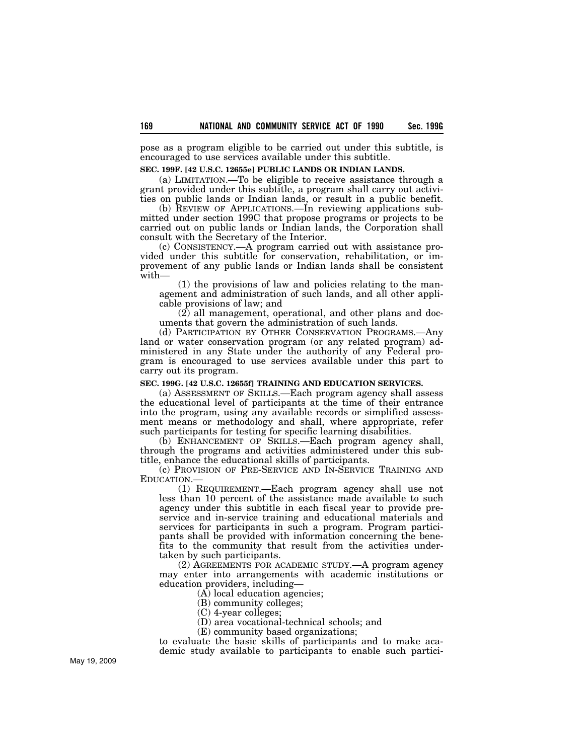pose as a program eligible to be carried out under this subtitle, is encouraged to use services available under this subtitle.

### **SEC. 199F. [42 U.S.C. 12655e] PUBLIC LANDS OR INDIAN LANDS.**

(a) LIMITATION.—To be eligible to receive assistance through a grant provided under this subtitle, a program shall carry out activities on public lands or Indian lands, or result in a public benefit.

(b) REVIEW OF APPLICATIONS.—In reviewing applications submitted under section 199C that propose programs or projects to be carried out on public lands or Indian lands, the Corporation shall consult with the Secretary of the Interior.

(c) CONSISTENCY.—A program carried out with assistance provided under this subtitle for conservation, rehabilitation, or improvement of any public lands or Indian lands shall be consistent with—

(1) the provisions of law and policies relating to the management and administration of such lands, and all other applicable provisions of law; and

(2) all management, operational, and other plans and documents that govern the administration of such lands.

(d) PARTICIPATION BY OTHER CONSERVATION PROGRAMS.—Any land or water conservation program (or any related program) administered in any State under the authority of any Federal program is encouraged to use services available under this part to carry out its program.

## **SEC. 199G. [42 U.S.C. 12655f] TRAINING AND EDUCATION SERVICES.**

(a) ASSESSMENT OF SKILLS.—Each program agency shall assess the educational level of participants at the time of their entrance into the program, using any available records or simplified assessment means or methodology and shall, where appropriate, refer such participants for testing for specific learning disabilities.

(b) ENHANCEMENT OF SKILLS.—Each program agency shall, through the programs and activities administered under this subtitle, enhance the educational skills of participants.

(c) PROVISION OF PRE-SERVICE AND IN-SERVICE TRAINING AND

EDUCATION.— (1) REQUIREMENT.—Each program agency shall use not less than 10 percent of the assistance made available to such agency under this subtitle in each fiscal year to provide preservice and in-service training and educational materials and services for participants in such a program. Program participants shall be provided with information concerning the benefits to the community that result from the activities undertaken by such participants.

(2) AGREEMENTS FOR ACADEMIC STUDY.—A program agency may enter into arrangements with academic institutions or education providers, including—

(A) local education agencies;

(B) community colleges;

(C) 4-year colleges;

(D) area vocational-technical schools; and

(E) community based organizations;

to evaluate the basic skills of participants and to make academic study available to participants to enable such partici-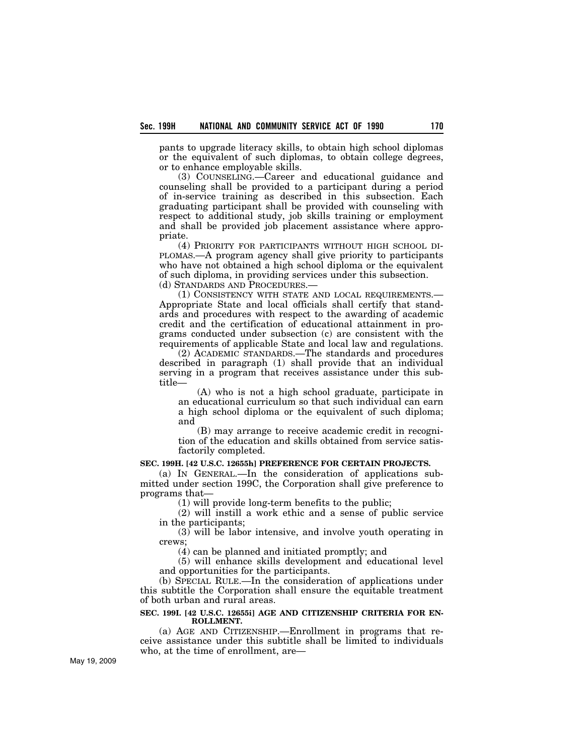pants to upgrade literacy skills, to obtain high school diplomas or the equivalent of such diplomas, to obtain college degrees, or to enhance employable skills.

(3) COUNSELING.—Career and educational guidance and counseling shall be provided to a participant during a period of in-service training as described in this subsection. Each graduating participant shall be provided with counseling with respect to additional study, job skills training or employment and shall be provided job placement assistance where appropriate.

(4) PRIORITY FOR PARTICIPANTS WITHOUT HIGH SCHOOL DI-PLOMAS.—A program agency shall give priority to participants who have not obtained a high school diploma or the equivalent of such diploma, in providing services under this subsection. (d) STANDARDS AND PROCEDURES.—

(1) CONSISTENCY WITH STATE AND LOCAL REQUIREMENTS.— Appropriate State and local officials shall certify that standards and procedures with respect to the awarding of academic credit and the certification of educational attainment in programs conducted under subsection (c) are consistent with the requirements of applicable State and local law and regulations.

(2) ACADEMIC STANDARDS.—The standards and procedures described in paragraph (1) shall provide that an individual serving in a program that receives assistance under this subtitle—

(A) who is not a high school graduate, participate in an educational curriculum so that such individual can earn a high school diploma or the equivalent of such diploma; and

(B) may arrange to receive academic credit in recognition of the education and skills obtained from service satisfactorily completed.

## **SEC. 199H. [42 U.S.C. 12655h] PREFERENCE FOR CERTAIN PROJECTS.**

(a) IN GENERAL.—In the consideration of applications submitted under section 199C, the Corporation shall give preference to programs that—

(1) will provide long-term benefits to the public;

(2) will instill a work ethic and a sense of public service in the participants;

(3) will be labor intensive, and involve youth operating in crews;

(4) can be planned and initiated promptly; and

(5) will enhance skills development and educational level and opportunities for the participants.

(b) SPECIAL RULE.—In the consideration of applications under this subtitle the Corporation shall ensure the equitable treatment of both urban and rural areas.

## **SEC. 199I. [42 U.S.C. 12655i] AGE AND CITIZENSHIP CRITERIA FOR EN-ROLLMENT.**

(a) AGE AND CITIZENSHIP.—Enrollment in programs that receive assistance under this subtitle shall be limited to individuals who, at the time of enrollment, are—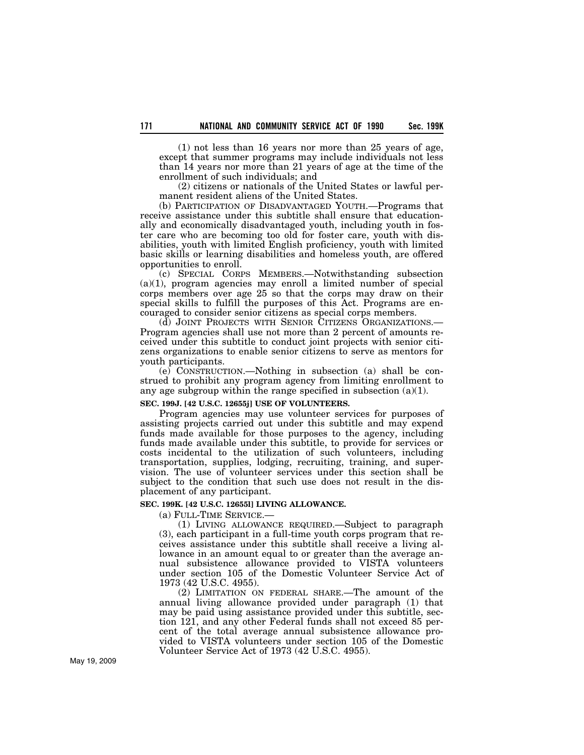(1) not less than 16 years nor more than 25 years of age, except that summer programs may include individuals not less than 14 years nor more than 21 years of age at the time of the enrollment of such individuals; and

(2) citizens or nationals of the United States or lawful permanent resident aliens of the United States.

(b) PARTICIPATION OF DISADVANTAGED YOUTH.—Programs that receive assistance under this subtitle shall ensure that educationally and economically disadvantaged youth, including youth in foster care who are becoming too old for foster care, youth with disabilities, youth with limited English proficiency, youth with limited basic skills or learning disabilities and homeless youth, are offered opportunities to enroll.

(c) SPECIAL CORPS MEMBERS.—Notwithstanding subsection  $(a)(1)$ , program agencies may enroll a limited number of special corps members over age 25 so that the corps may draw on their special skills to fulfill the purposes of this Act. Programs are encouraged to consider senior citizens as special corps members.

(d) JOINT PROJECTS WITH SENIOR CITIZENS ORGANIZATIONS.— Program agencies shall use not more than 2 percent of amounts received under this subtitle to conduct joint projects with senior citizens organizations to enable senior citizens to serve as mentors for youth participants.

(e) CONSTRUCTION.—Nothing in subsection (a) shall be construed to prohibit any program agency from limiting enrollment to any age subgroup within the range specified in subsection  $(a)(1)$ .

## **SEC. 199J. [42 U.S.C. 12655j] USE OF VOLUNTEERS.**

Program agencies may use volunteer services for purposes of assisting projects carried out under this subtitle and may expend funds made available for those purposes to the agency, including funds made available under this subtitle, to provide for services or costs incidental to the utilization of such volunteers, including transportation, supplies, lodging, recruiting, training, and supervision. The use of volunteer services under this section shall be subject to the condition that such use does not result in the displacement of any participant.

#### **SEC. 199K. [42 U.S.C. 12655l] LIVING ALLOWANCE.**

(a) FULL-TIME SERVICE.—

(1) LIVING ALLOWANCE REQUIRED.—Subject to paragraph (3), each participant in a full-time youth corps program that receives assistance under this subtitle shall receive a living allowance in an amount equal to or greater than the average annual subsistence allowance provided to VISTA volunteers under section 105 of the Domestic Volunteer Service Act of 1973 (42 U.S.C. 4955).

(2) LIMITATION ON FEDERAL SHARE.—The amount of the annual living allowance provided under paragraph (1) that may be paid using assistance provided under this subtitle, section 121, and any other Federal funds shall not exceed 85 percent of the total average annual subsistence allowance provided to VISTA volunteers under section 105 of the Domestic Volunteer Service Act of 1973 (42 U.S.C. 4955).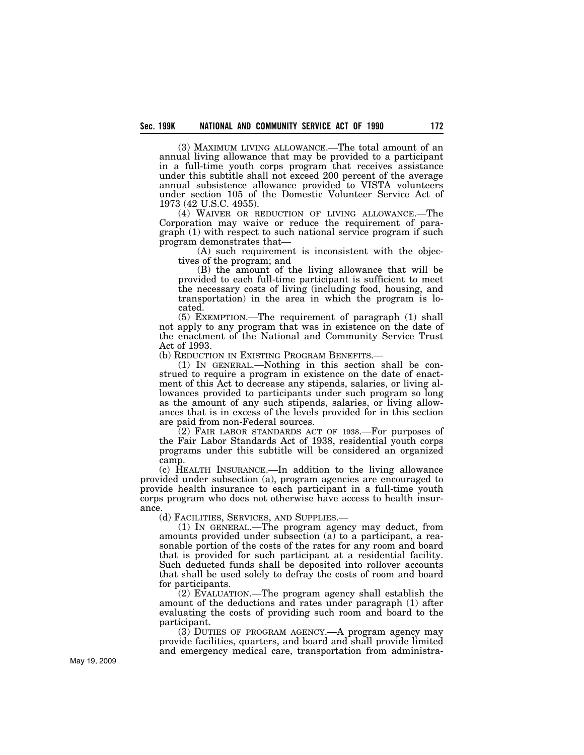(3) MAXIMUM LIVING ALLOWANCE.—The total amount of an annual living allowance that may be provided to a participant in a full-time youth corps program that receives assistance under this subtitle shall not exceed 200 percent of the average annual subsistence allowance provided to VISTA volunteers under section 105 of the Domestic Volunteer Service Act of 1973 (42 U.S.C. 4955).

(4) WAIVER OR REDUCTION OF LIVING ALLOWANCE.—The Corporation may waive or reduce the requirement of paragraph (1) with respect to such national service program if such program demonstrates that—

(A) such requirement is inconsistent with the objectives of the program; and

(B) the amount of the living allowance that will be provided to each full-time participant is sufficient to meet the necessary costs of living (including food, housing, and transportation) in the area in which the program is located.

(5) EXEMPTION.—The requirement of paragraph (1) shall not apply to any program that was in existence on the date of the enactment of the National and Community Service Trust Act of 1993.<br>(b) Reduction in Existing Program Benefits.—

 $(1)$  In GENERAL.—Nothing in this section shall be construed to require a program in existence on the date of enactment of this Act to decrease any stipends, salaries, or living allowances provided to participants under such program so long as the amount of any such stipends, salaries, or living allowances that is in excess of the levels provided for in this section are paid from non-Federal sources.

(2) FAIR LABOR STANDARDS ACT OF 1938.—For purposes of the Fair Labor Standards Act of 1938, residential youth corps programs under this subtitle will be considered an organized camp.

(c) HEALTH INSURANCE.—In addition to the living allowance provided under subsection (a), program agencies are encouraged to provide health insurance to each participant in a full-time youth corps program who does not otherwise have access to health insurance.

(d) FACILITIES, SERVICES, AND SUPPLIES.—

(1) IN GENERAL.—The program agency may deduct, from amounts provided under subsection (a) to a participant, a reasonable portion of the costs of the rates for any room and board that is provided for such participant at a residential facility. Such deducted funds shall be deposited into rollover accounts that shall be used solely to defray the costs of room and board for participants.

(2) EVALUATION.—The program agency shall establish the amount of the deductions and rates under paragraph (1) after evaluating the costs of providing such room and board to the participant.

 $(3)$  DUTIES OF PROGRAM AGENCY.—A program agency may provide facilities, quarters, and board and shall provide limited and emergency medical care, transportation from administra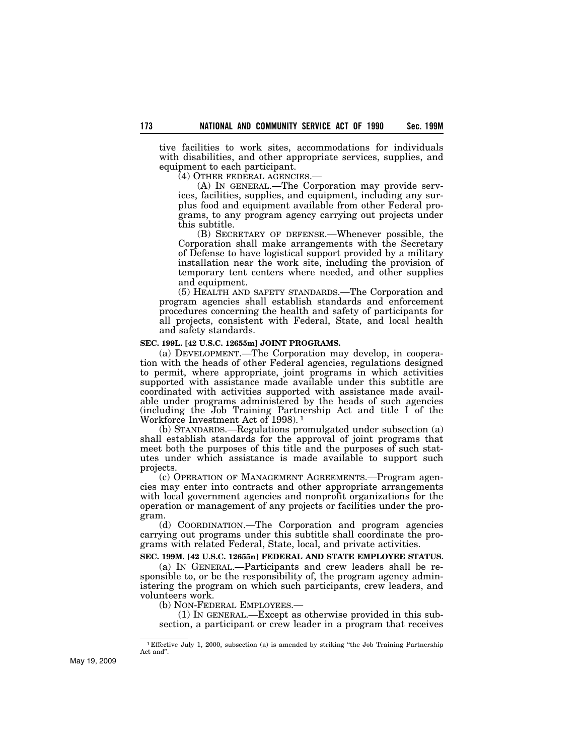tive facilities to work sites, accommodations for individuals with disabilities, and other appropriate services, supplies, and equipment to each participant.

(4) OTHER FEDERAL AGENCIES.—

(A) IN GENERAL.—The Corporation may provide services, facilities, supplies, and equipment, including any surplus food and equipment available from other Federal programs, to any program agency carrying out projects under this subtitle.

(B) SECRETARY OF DEFENSE.—Whenever possible, the Corporation shall make arrangements with the Secretary of Defense to have logistical support provided by a military installation near the work site, including the provision of temporary tent centers where needed, and other supplies and equipment.

(5) HEALTH AND SAFETY STANDARDS.—The Corporation and program agencies shall establish standards and enforcement procedures concerning the health and safety of participants for all projects, consistent with Federal, State, and local health and safety standards.

### **SEC. 199L. [42 U.S.C. 12655m] JOINT PROGRAMS.**

(a) DEVELOPMENT.—The Corporation may develop, in cooperation with the heads of other Federal agencies, regulations designed to permit, where appropriate, joint programs in which activities supported with assistance made available under this subtitle are coordinated with activities supported with assistance made available under programs administered by the heads of such agencies (including the Job Training Partnership Act and title I of the Workforce Investment Act of 1998). 1

(b) STANDARDS.—Regulations promulgated under subsection (a) shall establish standards for the approval of joint programs that meet both the purposes of this title and the purposes of such statutes under which assistance is made available to support such projects.

(c) OPERATION OF MANAGEMENT AGREEMENTS.—Program agencies may enter into contracts and other appropriate arrangements with local government agencies and nonprofit organizations for the operation or management of any projects or facilities under the program.

(d) COORDINATION.—The Corporation and program agencies carrying out programs under this subtitle shall coordinate the programs with related Federal, State, local, and private activities.

## **SEC. 199M. [42 U.S.C. 12655n] FEDERAL AND STATE EMPLOYEE STATUS.**

(a) IN GENERAL.—Participants and crew leaders shall be responsible to, or be the responsibility of, the program agency administering the program on which such participants, crew leaders, and volunteers work.

(b) NON-FEDERAL EMPLOYEES.— (1) IN GENERAL.—Except as otherwise provided in this subsection, a participant or crew leader in a program that receives

<sup>1</sup> Effective July 1, 2000, subsection (a) is amended by striking ''the Job Training Partnership Act and''.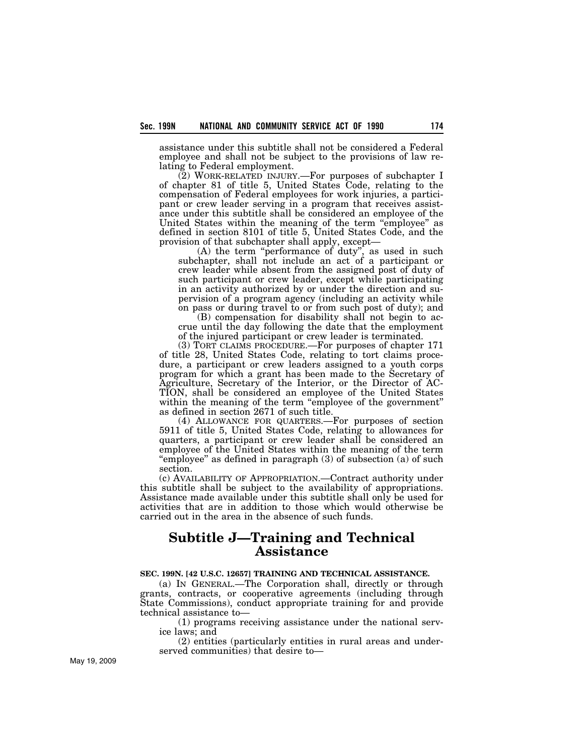assistance under this subtitle shall not be considered a Federal employee and shall not be subject to the provisions of law relating to Federal employment.

(2) WORK-RELATED INJURY.—For purposes of subchapter I of chapter 81 of title 5, United States Code, relating to the compensation of Federal employees for work injuries, a participant or crew leader serving in a program that receives assistance under this subtitle shall be considered an employee of the United States within the meaning of the term "employee" as defined in section 8101 of title 5, United States Code, and the provision of that subchapter shall apply, except—

(A) the term "performance of duty", as used in such subchapter, shall not include an act of a participant or crew leader while absent from the assigned post of duty of such participant or crew leader, except while participating in an activity authorized by or under the direction and supervision of a program agency (including an activity while on pass or during travel to or from such post of duty); and

(B) compensation for disability shall not begin to accrue until the day following the date that the employment of the injured participant or crew leader is terminated.

(3) TORT CLAIMS PROCEDURE.—For purposes of chapter 171 of title 28, United States Code, relating to tort claims procedure, a participant or crew leaders assigned to a youth corps program for which a grant has been made to the Secretary of Agriculture, Secretary of the Interior, or the Director of AC-TION, shall be considered an employee of the United States within the meaning of the term "employee of the government" as defined in section 2671 of such title.

(4) ALLOWANCE FOR QUARTERS.—For purposes of section 5911 of title 5, United States Code, relating to allowances for quarters, a participant or crew leader shall be considered an employee of the United States within the meaning of the term "employee" as defined in paragraph (3) of subsection (a) of such section.

(c) AVAILABILITY OF APPROPRIATION.—Contract authority under this subtitle shall be subject to the availability of appropriations. Assistance made available under this subtitle shall only be used for activities that are in addition to those which would otherwise be carried out in the area in the absence of such funds.

# **Subtitle J—Training and Technical Assistance**

### **SEC. 199N. [42 U.S.C. 12657] TRAINING AND TECHNICAL ASSISTANCE.**

(a) IN GENERAL.—The Corporation shall, directly or through grants, contracts, or cooperative agreements (including through State Commissions), conduct appropriate training for and provide technical assistance to—

(1) programs receiving assistance under the national service laws; and

(2) entities (particularly entities in rural areas and underserved communities) that desire to—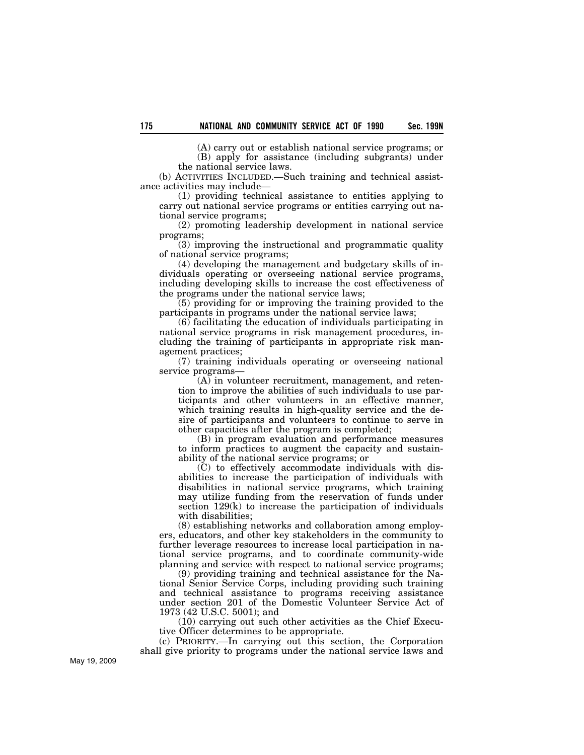(A) carry out or establish national service programs; or (B) apply for assistance (including subgrants) under the national service laws.

(b) ACTIVITIES INCLUDED.—Such training and technical assistance activities may include—

(1) providing technical assistance to entities applying to carry out national service programs or entities carrying out national service programs;

(2) promoting leadership development in national service programs;

(3) improving the instructional and programmatic quality of national service programs;

(4) developing the management and budgetary skills of individuals operating or overseeing national service programs, including developing skills to increase the cost effectiveness of the programs under the national service laws;

(5) providing for or improving the training provided to the participants in programs under the national service laws;

(6) facilitating the education of individuals participating in national service programs in risk management procedures, including the training of participants in appropriate risk management practices;

(7) training individuals operating or overseeing national service programs—

(A) in volunteer recruitment, management, and retention to improve the abilities of such individuals to use participants and other volunteers in an effective manner, which training results in high-quality service and the desire of participants and volunteers to continue to serve in other capacities after the program is completed;

(B) in program evaluation and performance measures to inform practices to augment the capacity and sustainability of the national service programs; or

(C) to effectively accommodate individuals with disabilities to increase the participation of individuals with disabilities in national service programs, which training may utilize funding from the reservation of funds under section 129(k) to increase the participation of individuals with disabilities;

(8) establishing networks and collaboration among employers, educators, and other key stakeholders in the community to further leverage resources to increase local participation in national service programs, and to coordinate community-wide planning and service with respect to national service programs;

(9) providing training and technical assistance for the National Senior Service Corps, including providing such training and technical assistance to programs receiving assistance under section 201 of the Domestic Volunteer Service Act of 1973 (42 U.S.C. 5001); and

(10) carrying out such other activities as the Chief Executive Officer determines to be appropriate.

(c) PRIORITY.—In carrying out this section, the Corporation shall give priority to programs under the national service laws and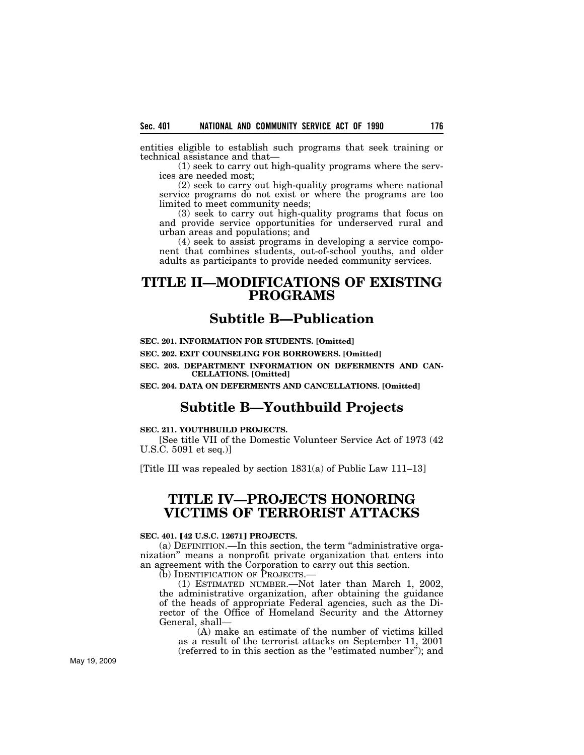entities eligible to establish such programs that seek training or technical assistance and that—

(1) seek to carry out high-quality programs where the services are needed most;

(2) seek to carry out high-quality programs where national service programs do not exist or where the programs are too limited to meet community needs;

(3) seek to carry out high-quality programs that focus on and provide service opportunities for underserved rural and urban areas and populations; and

(4) seek to assist programs in developing a service component that combines students, out-of-school youths, and older adults as participants to provide needed community services.

# **TITLE II—MODIFICATIONS OF EXISTING PROGRAMS**

## **Subtitle B—Publication**

## **SEC. 201. INFORMATION FOR STUDENTS. [Omitted]**

**SEC. 202. EXIT COUNSELING FOR BORROWERS. [Omitted]** 

**SEC. 203. DEPARTMENT INFORMATION ON DEFERMENTS AND CAN-CELLATIONS. [Omitted]** 

**SEC. 204. DATA ON DEFERMENTS AND CANCELLATIONS. [Omitted]**

## **Subtitle B—Youthbuild Projects**

## **SEC. 211. YOUTHBUILD PROJECTS.**

[See title VII of the Domestic Volunteer Service Act of 1973 (42 U.S.C. 5091 et seq.)]

[Title III was repealed by section 1831(a) of Public Law 111–13]

# **TITLE IV—PROJECTS HONORING VICTIMS OF TERRORIST ATTACKS**

## **SEC. 401. [42 U.S.C. 12671] PROJECTS.**

(a) DEFINITION.—In this section, the term ''administrative organization'' means a nonprofit private organization that enters into an agreement with the Corporation to carry out this section.

(b) IDENTIFICATION OF PROJECTS.—

(1) ESTIMATED NUMBER.—Not later than March 1, 2002, the administrative organization, after obtaining the guidance of the heads of appropriate Federal agencies, such as the Director of the Office of Homeland Security and the Attorney General, shall—

(A) make an estimate of the number of victims killed as a result of the terrorist attacks on September 11, 2001 (referred to in this section as the ''estimated number''); and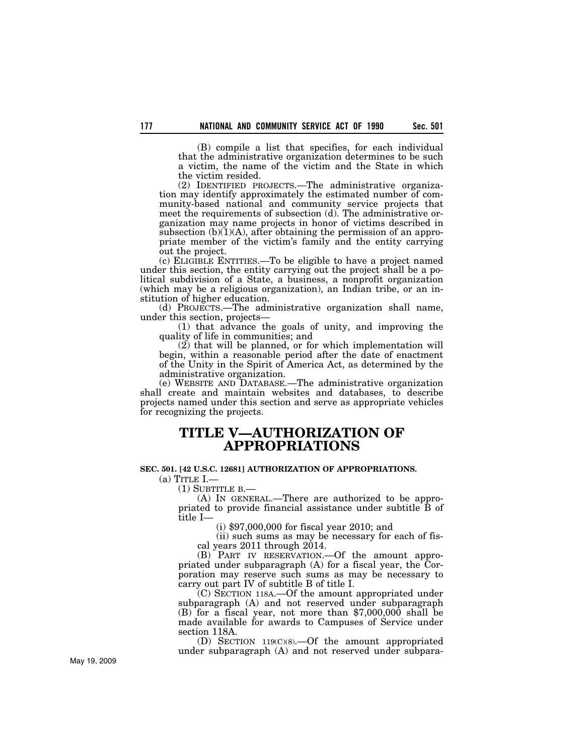(B) compile a list that specifies, for each individual that the administrative organization determines to be such a victim, the name of the victim and the State in which the victim resided.

(2) IDENTIFIED PROJECTS.—The administrative organization may identify approximately the estimated number of community-based national and community service projects that meet the requirements of subsection (d). The administrative organization may name projects in honor of victims described in subsection  $(b)(1)(A)$ , after obtaining the permission of an appropriate member of the victim's family and the entity carrying out the project.

(c) ELIGIBLE ENTITIES.—To be eligible to have a project named under this section, the entity carrying out the project shall be a political subdivision of a State, a business, a nonprofit organization (which may be a religious organization), an Indian tribe, or an institution of higher education.

(d) PROJECTS.—The administrative organization shall name, under this section, projects—

(1) that advance the goals of unity, and improving the quality of life in communities; and

(2) that will be planned, or for which implementation will begin, within a reasonable period after the date of enactment of the Unity in the Spirit of America Act, as determined by the administrative organization.

(e) WEBSITE AND DATABASE.—The administrative organization shall create and maintain websites and databases, to describe projects named under this section and serve as appropriate vehicles for recognizing the projects.

# **TITLE V—AUTHORIZATION OF APPROPRIATIONS**

### **SEC. 501. [42 U.S.C. 12681] AUTHORIZATION OF APPROPRIATIONS.**

 $(a)$  Title I.—

(1) SUBTITLE B.—

(A) IN GENERAL.—There are authorized to be appropriated to provide financial assistance under subtitle B of title I—

(i) \$97,000,000 for fiscal year 2010; and

(ii) such sums as may be necessary for each of fiscal years 2011 through 2014.

(B) PART IV RESERVATION.—Of the amount appropriated under subparagraph  $(A)$  for a fiscal year, the Corporation may reserve such sums as may be necessary to carry out part IV of subtitle B of title I.

(C) SECTION 118A.—Of the amount appropriated under subparagraph (A) and not reserved under subparagraph (B) for a fiscal year, not more than \$7,000,000 shall be made available for awards to Campuses of Service under section 118A.

(D) SECTION 119(C)(8).—Of the amount appropriated under subparagraph (A) and not reserved under subpara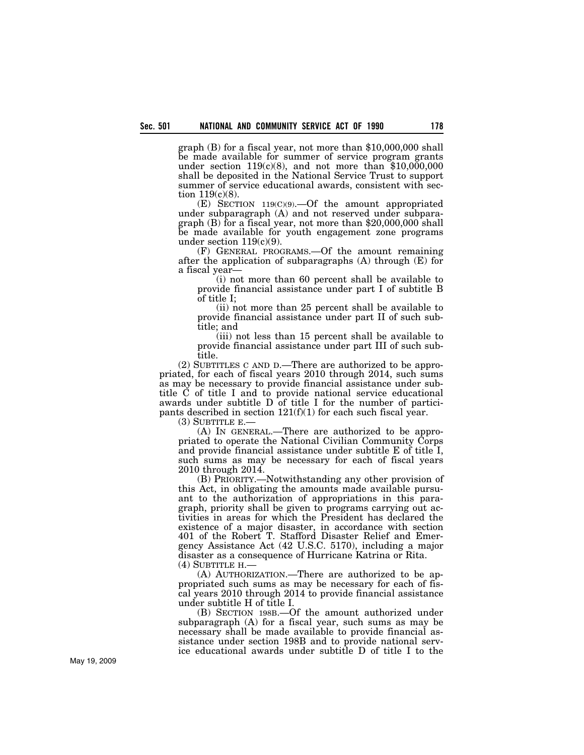graph (B) for a fiscal year, not more than \$10,000,000 shall be made available for summer of service program grants under section  $119(c)(8)$ , and not more than \$10,000,000 shall be deposited in the National Service Trust to support summer of service educational awards, consistent with section 119(c)(8).

(E) SECTION 119(C)(9).—Of the amount appropriated under subparagraph (A) and not reserved under subparagraph (B) for a fiscal year, not more than \$20,000,000 shall be made available for youth engagement zone programs under section  $119(c)(9)$ .

(F) GENERAL PROGRAMS.—Of the amount remaining after the application of subparagraphs (A) through (E) for a fiscal year—

(i) not more than 60 percent shall be available to provide financial assistance under part I of subtitle B of title I;

(ii) not more than 25 percent shall be available to provide financial assistance under part II of such subtitle; and

(iii) not less than 15 percent shall be available to provide financial assistance under part III of such subtitle.

(2) SUBTITLES C AND D.—There are authorized to be appropriated, for each of fiscal years 2010 through 2014, such sums as may be necessary to provide financial assistance under subtitle C of title I and to provide national service educational awards under subtitle D of title I for the number of participants described in section  $121(f)(1)$  for each such fiscal year.

 $(3)$  SUBTITLE E.

(A) IN GENERAL.—There are authorized to be appropriated to operate the National Civilian Community Corps and provide financial assistance under subtitle E of title I, such sums as may be necessary for each of fiscal years 2010 through 2014.

(B) PRIORITY.—Notwithstanding any other provision of this Act, in obligating the amounts made available pursuant to the authorization of appropriations in this paragraph, priority shall be given to programs carrying out activities in areas for which the President has declared the existence of a major disaster, in accordance with section 401 of the Robert T. Stafford Disaster Relief and Emergency Assistance Act (42 U.S.C. 5170), including a major disaster as a consequence of Hurricane Katrina or Rita. (4) SUBTITLE H.—

(A) AUTHORIZATION.—There are authorized to be appropriated such sums as may be necessary for each of fiscal years 2010 through 2014 to provide financial assistance under subtitle H of title I.

(B) SECTION 198B.—Of the amount authorized under subparagraph (A) for a fiscal year, such sums as may be necessary shall be made available to provide financial assistance under section 198B and to provide national service educational awards under subtitle D of title I to the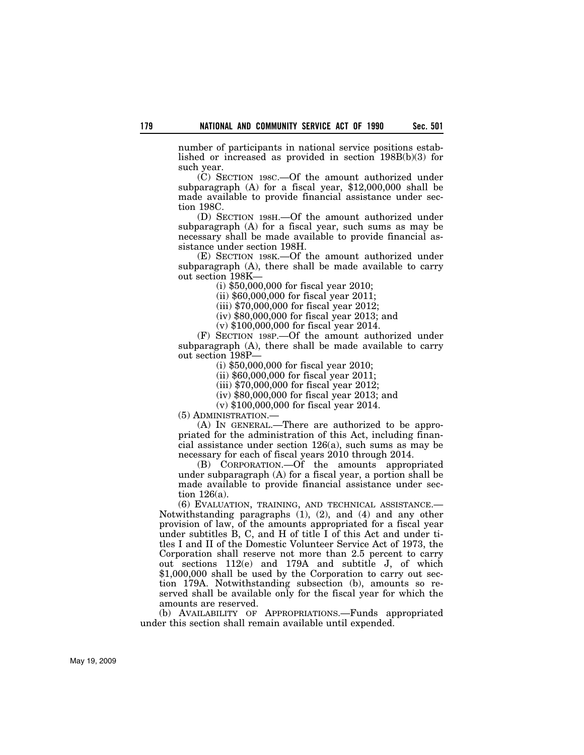number of participants in national service positions established or increased as provided in section 198B(b)(3) for such year.

(C) SECTION 198C.—Of the amount authorized under subparagraph (A) for a fiscal year, \$12,000,000 shall be made available to provide financial assistance under section 198C.

(D) SECTION 198H.—Of the amount authorized under subparagraph (A) for a fiscal year, such sums as may be necessary shall be made available to provide financial assistance under section 198H.

(E) SECTION 198K.—Of the amount authorized under subparagraph (A), there shall be made available to carry out section 198K—

(i) \$50,000,000 for fiscal year 2010;

(ii) \$60,000,000 for fiscal year 2011;

(iii) \$70,000,000 for fiscal year 2012;

(iv) \$80,000,000 for fiscal year 2013; and

(v) \$100,000,000 for fiscal year 2014.

(F) SECTION 198P.—Of the amount authorized under subparagraph (A), there shall be made available to carry out section 198P—

(i) \$50,000,000 for fiscal year 2010;

(ii) \$60,000,000 for fiscal year 2011;

(iii) \$70,000,000 for fiscal year 2012;

(iv) \$80,000,000 for fiscal year 2013; and

(v) \$100,000,000 for fiscal year 2014.

(5) ADMINISTRATION.—

(A) IN GENERAL.—There are authorized to be appropriated for the administration of this Act, including financial assistance under section 126(a), such sums as may be necessary for each of fiscal years 2010 through 2014.

(B) CORPORATION.—Of the amounts appropriated under subparagraph (A) for a fiscal year, a portion shall be made available to provide financial assistance under section 126(a).

(6) EVALUATION, TRAINING, AND TECHNICAL ASSISTANCE.— Notwithstanding paragraphs (1), (2), and (4) and any other provision of law, of the amounts appropriated for a fiscal year under subtitles B, C, and H of title I of this Act and under titles I and II of the Domestic Volunteer Service Act of 1973, the Corporation shall reserve not more than 2.5 percent to carry out sections 112(e) and 179A and subtitle J, of which \$1,000,000 shall be used by the Corporation to carry out section 179A. Notwithstanding subsection (b), amounts so reserved shall be available only for the fiscal year for which the amounts are reserved.

(b) AVAILABILITY OF APPROPRIATIONS.—Funds appropriated under this section shall remain available until expended.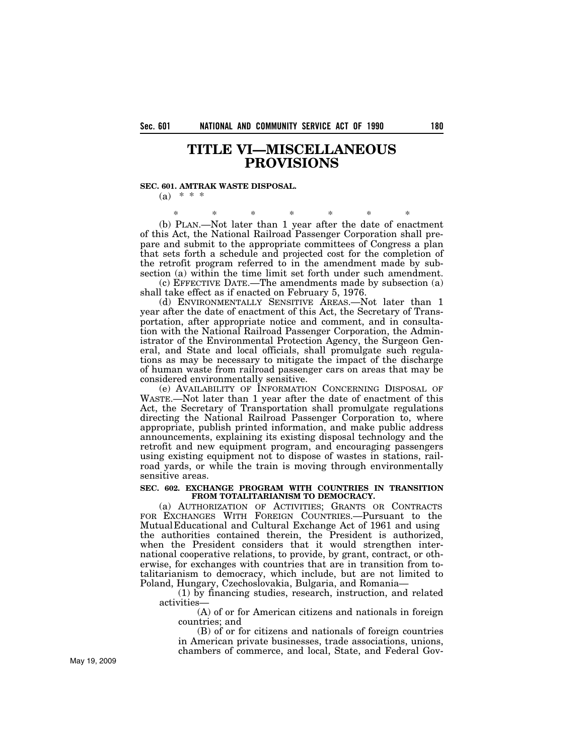# **TITLE VI—MISCELLANEOUS PROVISIONS**

## **SEC. 601. AMTRAK WASTE DISPOSAL.**

 $(a) * * * *$ 

\* \* \* \* \* \* \* (b) PLAN.—Not later than 1 year after the date of enactment of this Act, the National Railroad Passenger Corporation shall prepare and submit to the appropriate committees of Congress a plan that sets forth a schedule and projected cost for the completion of the retrofit program referred to in the amendment made by subsection (a) within the time limit set forth under such amendment.

(c) EFFECTIVE DATE.—The amendments made by subsection (a) shall take effect as if enacted on February 5, 1976.

(d) ENVIRONMENTALLY SENSITIVE AREAS.—Not later than 1 year after the date of enactment of this Act, the Secretary of Transportation, after appropriate notice and comment, and in consultation with the National Railroad Passenger Corporation, the Administrator of the Environmental Protection Agency, the Surgeon General, and State and local officials, shall promulgate such regulations as may be necessary to mitigate the impact of the discharge of human waste from railroad passenger cars on areas that may be considered environmentally sensitive.

(e) AVAILABILITY OF INFORMATION CONCERNING DISPOSAL OF WASTE.—Not later than 1 year after the date of enactment of this Act, the Secretary of Transportation shall promulgate regulations directing the National Railroad Passenger Corporation to, where appropriate, publish printed information, and make public address announcements, explaining its existing disposal technology and the retrofit and new equipment program, and encouraging passengers using existing equipment not to dispose of wastes in stations, railroad yards, or while the train is moving through environmentally sensitive areas.

## **SEC. 602. EXCHANGE PROGRAM WITH COUNTRIES IN TRANSITION FROM TOTALITARIANISM TO DEMOCRACY.**

(a) AUTHORIZATION OF ACTIVITIES; GRANTS OR CONTRACTS FOR EXCHANGES WITH FOREIGN COUNTRIES.—Pursuant to the MutualEducational and Cultural Exchange Act of 1961 and using the authorities contained therein, the President is authorized, when the President considers that it would strengthen international cooperative relations, to provide, by grant, contract, or otherwise, for exchanges with countries that are in transition from totalitarianism to democracy, which include, but are not limited to Poland, Hungary, Czechoslovakia, Bulgaria, and Romania—

(1) by financing studies, research, instruction, and related activities—

(A) of or for American citizens and nationals in foreign countries; and

(B) of or for citizens and nationals of foreign countries in American private businesses, trade associations, unions, chambers of commerce, and local, State, and Federal Gov-